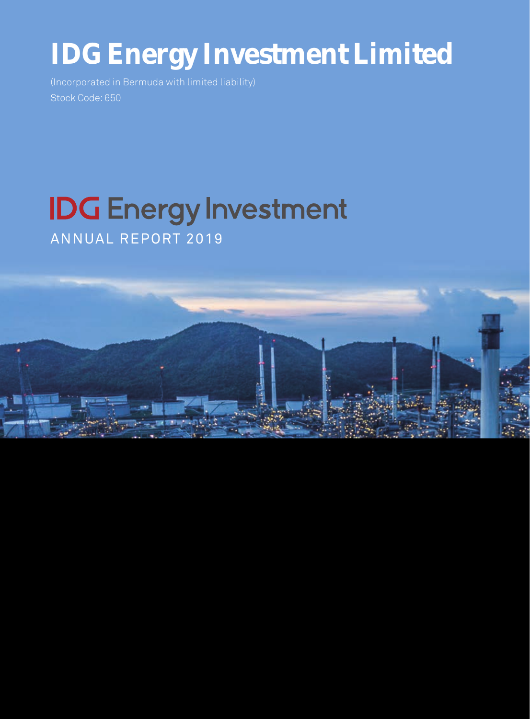# **IDG** Energy Investment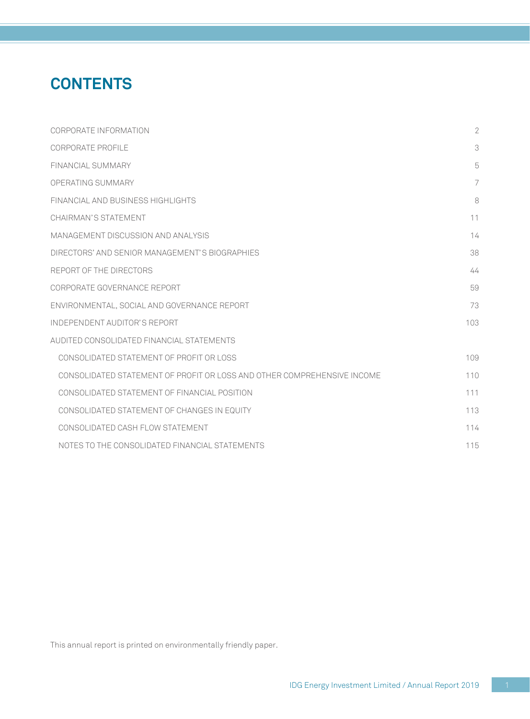## **CONTENTS**

| CORPORATE INFORMATION                                                   | $\overline{2}$ |
|-------------------------------------------------------------------------|----------------|
| CORPORATE PROFILE                                                       | 3              |
| FINANCIAL SUMMARY                                                       | 5              |
| OPERATING SUMMARY                                                       | 7              |
| FINANCIAL AND BUSINESS HIGHLIGHTS                                       | 8              |
| CHAIRMAN'S STATEMENT                                                    | 11             |
| MANAGEMENT DISCUSSION AND ANALYSIS                                      | 14             |
| DIRECTORS' AND SENIOR MANAGEMENT'S BIOGRAPHIES                          | 38             |
| REPORT OF THE DIRECTORS                                                 | 44             |
| CORPORATE GOVERNANCE REPORT                                             | 59             |
| ENVIRONMENTAL, SOCIAL AND GOVERNANCE REPORT                             | 73             |
| INDEPENDENT AUDITOR'S REPORT                                            | 103            |
| AUDITED CONSOLIDATED FINANCIAL STATEMENTS                               |                |
| CONSOLIDATED STATEMENT OF PROFIT OR LOSS                                | 109            |
| CONSOLIDATED STATEMENT OF PROFIT OR LOSS AND OTHER COMPREHENSIVE INCOME | 110            |
| CONSOLIDATED STATEMENT OF FINANCIAL POSITION                            | 111            |
| CONSOLIDATED STATEMENT OF CHANGES IN EQUITY                             | 113            |
| CONSOLIDATED CASH FLOW STATEMENT                                        | 114            |
| NOTES TO THE CONSOLIDATED FINANCIAL STATEMENTS                          | 115            |

This annual report is printed on environmentally friendly paper.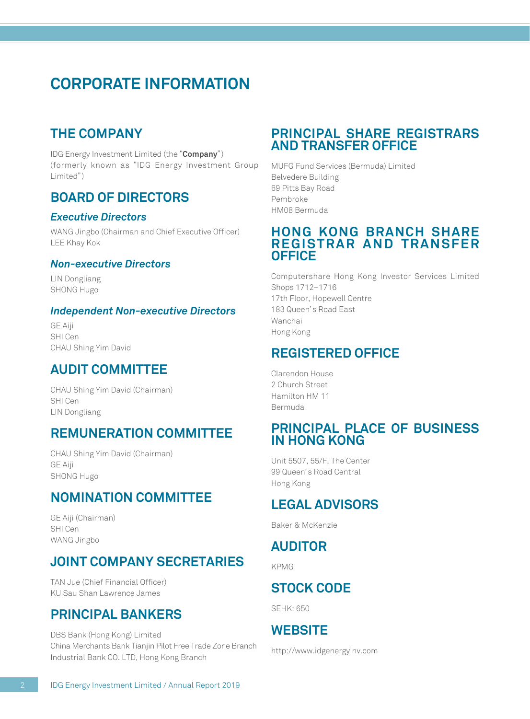## **CORPORATE INFORMATION**

### **THE COMPANY**

IDG Energy Investment Limited (the "**Company**") (formerly known as "IDG Energy Investment Group Limited")

### **BOARD OF DIRECTORS**

#### *Executive Directors*

WANG Jingbo (Chairman and Chief Executive Officer) LEE Khay Kok

#### *Non-executive Directors*

LIN Dongliang SHONG Hugo

#### *Independent Non-executive Directors*

GE Aiji SHI Cen CHAU Shing Yim David

### **AUDIT COMMITTEE**

CHAU Shing Yim David (Chairman) SHI Cen LIN Dongliang

### **REMUNERATION COMMITTEE**

CHAU Shing Yim David (Chairman) GE Aiji SHONG Hugo

### **NOMINATION COMMITTEE**

GE Aiji (Chairman) SHI Cen WANG Jingbo

## **JOINT COMPANY SECRETARIES**

TAN Jue (Chief Financial Officer) KU Sau Shan Lawrence James

### **PRINCIPAL BANKERS**

DBS Bank (Hong Kong) Limited China Merchants Bank Tianjin Pilot Free Trade Zone Branch Industrial Bank CO. LTD, Hong Kong Branch

### **PRINCIPAL SHARE REGISTRARS AND TRANSFER OFFICE**

MUFG Fund Services (Bermuda) Limited Belvedere Building 69 Pitts Bay Road Pembroke HM08 Bermuda

#### **HONG KONG BRANCH SHARE REGISTRAR AND TRANSFER OFFICE**

Computershare Hong Kong Investor Services Limited Shops 1712–1716 17th Floor, Hopewell Centre 183 Queen's Road East Wanchai Hong Kong

### **REGISTERED OFFICE**

Clarendon House 2 Church Street Hamilton HM 11 Bermuda

### **PRINCIPAL PLACE OF BUSINESS IN HONG KONG**

Unit 5507, 55/F, The Center 99 Queen's Road Central Hong Kong

### **LEGAL ADVISORS**

Baker & McKenzie

### **AUDITOR**

KPMG

## **STOCK CODE**

SEHK: 650

### **WEBSITE**

http://www.idgenergyinv.com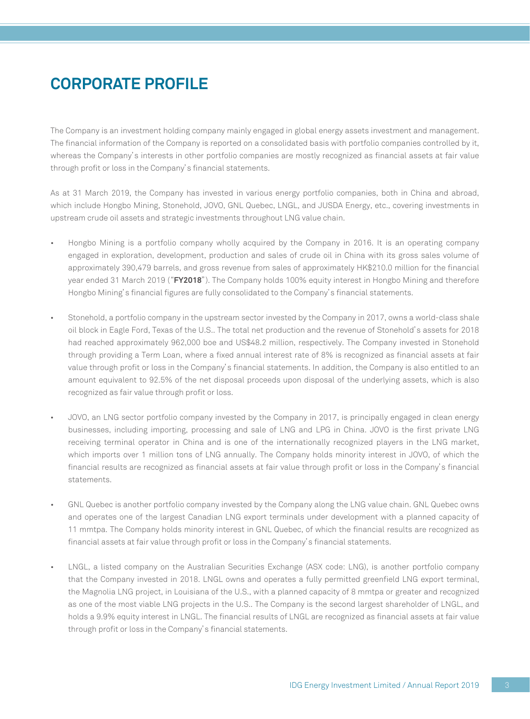## **CORPORATE PROFILE**

The Company is an investment holding company mainly engaged in global energy assets investment and management. The financial information of the Company is reported on a consolidated basis with portfolio companies controlled by it, whereas the Company's interests in other portfolio companies are mostly recognized as financial assets at fair value through profit or loss in the Company's financial statements.

As at 31 March 2019, the Company has invested in various energy portfolio companies, both in China and abroad, which include Hongbo Mining, Stonehold, JOVO, GNL Quebec, LNGL, and JUSDA Energy, etc., covering investments in upstream crude oil assets and strategic investments throughout LNG value chain.

- Hongbo Mining is a portfolio company wholly acquired by the Company in 2016. It is an operating company engaged in exploration, development, production and sales of crude oil in China with its gross sales volume of approximately 390,479 barrels, and gross revenue from sales of approximately HK\$210.0 million for the financial year ended 31 March 2019 ("**FY2018**"). The Company holds 100% equity interest in Hongbo Mining and therefore Hongbo Mining's financial figures are fully consolidated to the Company's financial statements.
- Stonehold, a portfolio company in the upstream sector invested by the Company in 2017, owns a world-class shale oil block in Eagle Ford, Texas of the U.S.. The total net production and the revenue of Stonehold's assets for 2018 had reached approximately 962,000 boe and US\$48.2 million, respectively. The Company invested in Stonehold through providing a Term Loan, where a fixed annual interest rate of 8% is recognized as financial assets at fair value through profit or loss in the Company's financial statements. In addition, the Company is also entitled to an amount equivalent to 92.5% of the net disposal proceeds upon disposal of the underlying assets, which is also recognized as fair value through profit or loss.
- JOVO, an LNG sector portfolio company invested by the Company in 2017, is principally engaged in clean energy businesses, including importing, processing and sale of LNG and LPG in China. JOVO is the first private LNG receiving terminal operator in China and is one of the internationally recognized players in the LNG market, which imports over 1 million tons of LNG annually. The Company holds minority interest in JOVO, of which the financial results are recognized as financial assets at fair value through profit or loss in the Company's financial statements.
- GNL Quebec is another portfolio company invested by the Company along the LNG value chain. GNL Quebec owns and operates one of the largest Canadian LNG export terminals under development with a planned capacity of 11 mmtpa. The Company holds minority interest in GNL Quebec, of which the financial results are recognized as financial assets at fair value through profit or loss in the Company's financial statements.
- LNGL, a listed company on the Australian Securities Exchange (ASX code: LNG), is another portfolio company that the Company invested in 2018. LNGL owns and operates a fully permitted greenfield LNG export terminal, the Magnolia LNG project, in Louisiana of the U.S., with a planned capacity of 8 mmtpa or greater and recognized as one of the most viable LNG projects in the U.S.. The Company is the second largest shareholder of LNGL, and holds a 9.9% equity interest in LNGL. The financial results of LNGL are recognized as financial assets at fair value through profit or loss in the Company's financial statements.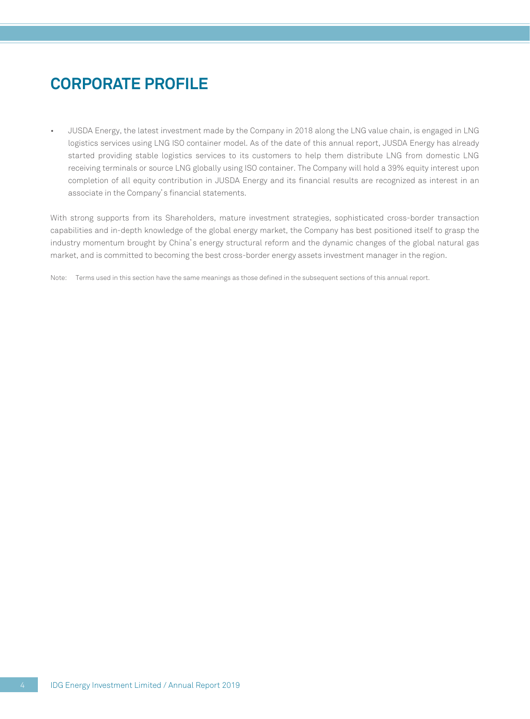## **CORPORATE PROFILE**

• JUSDA Energy, the latest investment made by the Company in 2018 along the LNG value chain, is engaged in LNG logistics services using LNG ISO container model. As of the date of this annual report, JUSDA Energy has already started providing stable logistics services to its customers to help them distribute LNG from domestic LNG receiving terminals or source LNG globally using ISO container. The Company will hold a 39% equity interest upon completion of all equity contribution in JUSDA Energy and its financial results are recognized as interest in an associate in the Company's financial statements.

With strong supports from its Shareholders, mature investment strategies, sophisticated cross-border transaction capabilities and in-depth knowledge of the global energy market, the Company has best positioned itself to grasp the industry momentum brought by China's energy structural reform and the dynamic changes of the global natural gas market, and is committed to becoming the best cross-border energy assets investment manager in the region.

Note: Terms used in this section have the same meanings as those defined in the subsequent sections of this annual report.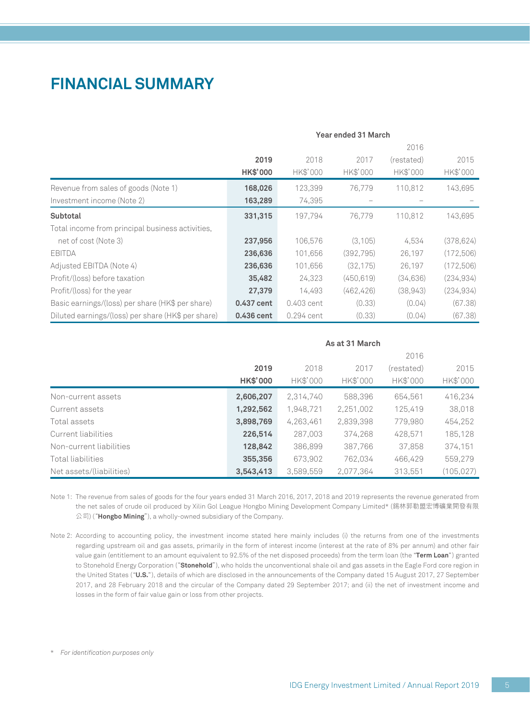## **FINANCIAL SUMMARY**

|                                                    | Year ended 31 March |              |            |            |            |  |
|----------------------------------------------------|---------------------|--------------|------------|------------|------------|--|
|                                                    |                     |              |            | 2016       |            |  |
|                                                    | 2019                | 2018         | 2017       | (restated) | 2015       |  |
|                                                    | <b>HK\$'000</b>     | HK\$'000     | HK\$'000   | HK\$'000   | HK\$'000   |  |
| Revenue from sales of goods (Note 1)               | 168,026             | 123,399      | 76,779     | 110,812    | 143,695    |  |
| Investment income (Note 2)                         | 163,289             | 74,395       |            |            |            |  |
| Subtotal                                           | 331,315             | 197.794      | 76.779     | 110,812    | 143,695    |  |
| Total income from principal business activities,   |                     |              |            |            |            |  |
| net of cost (Note 3)                               | 237,956             | 106,576      | (3, 105)   | 4,534      | (378, 624) |  |
| <b>EBITDA</b>                                      | 236,636             | 101,656      | (392,795)  | 26,197     | (172,506)  |  |
| Adjusted EBITDA (Note 4)                           | 236,636             | 101,656      | (32, 175)  | 26,197     | (172, 506) |  |
| Profit/(loss) before taxation                      | 35,482              | 24,323       | (450, 619) | (34, 636)  | (234, 934) |  |
| Profit/(loss) for the year                         | 27,379              | 14,493       | (462, 426) | (38, 943)  | (234, 934) |  |
| Basic earnings/(loss) per share (HK\$ per share)   | 0.437 cent          | 0.403 cent   | (0.33)     | (0.04)     | (67.38)    |  |
| Diluted earnings/(loss) per share (HK\$ per share) | 0.436 cent          | $0.294$ cent | (0.33)     | (0.04)     | (67.38)    |  |

|                          |           | As at 31 March |           |            |            |  |  |
|--------------------------|-----------|----------------|-----------|------------|------------|--|--|
|                          |           |                |           | 2016       |            |  |  |
|                          | 2019      | 2018           | 2017      | (restated) | 2015       |  |  |
|                          | HK\$'000  | HK\$'000       | HK\$'000  | HK\$'000   | HK\$'000   |  |  |
| Non-current assets       | 2,606,207 | 2.314.740      | 588,396   | 654.561    | 416,234    |  |  |
| Current assets           | 1,292,562 | 1,948,721      | 2,251,002 | 125,419    | 38,018     |  |  |
| Total assets             | 3,898,769 | 4,263,461      | 2,839,398 | 779,980    | 454,252    |  |  |
| Current liabilities      | 226,514   | 287.003        | 374.268   | 428.571    | 185,128    |  |  |
| Non-current liabilities  | 128,842   | 386,899        | 387,766   | 37,858     | 374,151    |  |  |
| Total liabilities        | 355,356   | 673.902        | 762.034   | 466.429    | 559,279    |  |  |
| Net assets/(liabilities) | 3,543,413 | 3,589,559      | 2,077,364 | 313.551    | (105, 027) |  |  |

Note 1: The revenue from sales of goods for the four years ended 31 March 2016, 2017, 2018 and 2019 represents the revenue generated from the net sales of crude oil produced by Xilin Gol League Hongbo Mining Development Company Limited\* (錫林郭勒盟宏博礦業開發有限 公司) ("**Hongbo Mining**"), a wholly-owned subsidiary of the Company.

Note 2: According to accounting policy, the investment income stated here mainly includes (i) the returns from one of the investments regarding upstream oil and gas assets, primarily in the form of interest income (interest at the rate of 8% per annum) and other fair value gain (entitlement to an amount equivalent to 92.5% of the net disposed proceeds) from the term loan (the "**Term Loan**") granted to Stonehold Energy Corporation ("**Stonehold**"), who holds the unconventional shale oil and gas assets in the Eagle Ford core region in the United States ("**U.S.**"), details of which are disclosed in the announcements of the Company dated 15 August 2017, 27 September 2017, and 28 February 2018 and the circular of the Company dated 29 September 2017; and (ii) the net of investment income and losses in the form of fair value gain or loss from other projects.

\* *For identification purposes only*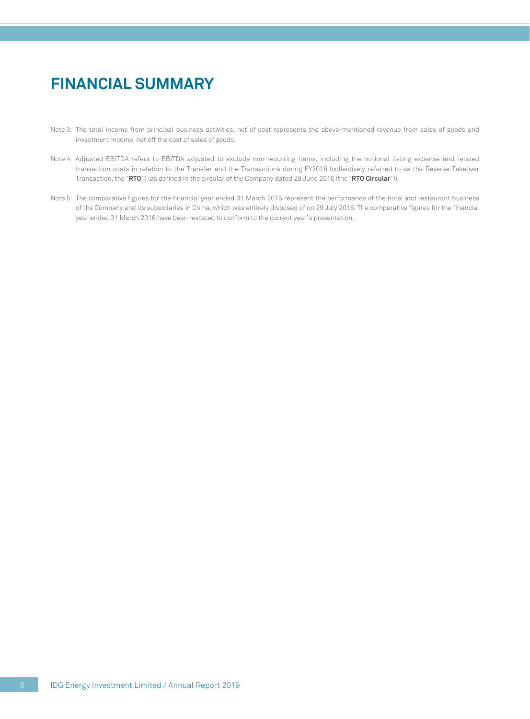## **FINANCIAL SUMMARY**

- Note 3: The total income from principal business activities, net of cost represents the above-mentioned revenue from sales of goods and investment income, net off the cost of sales of goods.
- Note 4: Adjusted EBITDA refers to EBITDA adjusted to exclude non-recurring items, including the notional listing expense and related transaction costs in relation to the Transfer and the Transactions during FY2016 (collectively referred to as the Reverse Takeover Transaction, the "**RTO**") (as defined in the circular of the Company dated 29 June 2016 (the "**RTO Circular**")).
- Note 5: The comparative figures for the financial year ended 31 March 2015 represent the performance of the hotel and restaurant business of the Company and its subsidiaries in China, which was entirely disposed of on 29 July 2016. The comparative figures for the financial year ended 31 March 2016 have been restated to conform to the current year's presentation.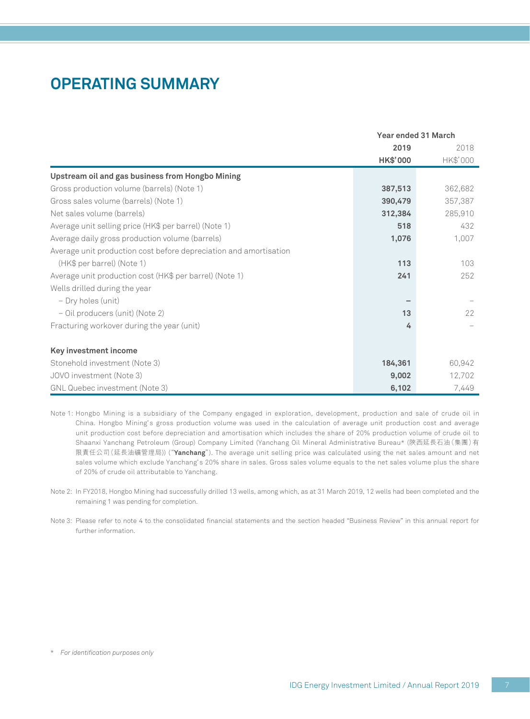## **OPERATING SUMMARY**

|                                                                   |          | Year ended 31 March |  |  |
|-------------------------------------------------------------------|----------|---------------------|--|--|
|                                                                   | 2019     | 2018                |  |  |
|                                                                   | HK\$'000 | HK\$'000            |  |  |
| Upstream oil and gas business from Hongbo Mining                  |          |                     |  |  |
| Gross production volume (barrels) (Note 1)                        | 387,513  | 362,682             |  |  |
| Gross sales volume (barrels) (Note 1)                             | 390,479  | 357,387             |  |  |
| Net sales volume (barrels)                                        | 312,384  | 285,910             |  |  |
| Average unit selling price (HK\$ per barrel) (Note 1)             | 518      | 432                 |  |  |
| Average daily gross production volume (barrels)                   | 1,076    | 1,007               |  |  |
| Average unit production cost before depreciation and amortisation |          |                     |  |  |
| (HK\$ per barrel) (Note 1)                                        | 113      | 103                 |  |  |
| Average unit production cost (HK\$ per barrel) (Note 1)           | 241      | 252                 |  |  |
| Wells drilled during the year                                     |          |                     |  |  |
| - Dry holes (unit)                                                |          |                     |  |  |
| - Oil producers (unit) (Note 2)                                   | 13       | 22                  |  |  |
| Fracturing workover during the year (unit)                        | 4        |                     |  |  |
| Key investment income                                             |          |                     |  |  |
| Stonehold investment (Note 3)                                     | 184,361  | 60,942              |  |  |
| JOVO investment (Note 3)                                          | 9,002    | 12,702              |  |  |
| GNL Quebec investment (Note 3)                                    | 6,102    | 7,449               |  |  |

Note 1: Hongbo Mining is a subsidiary of the Company engaged in exploration, development, production and sale of crude oil in China. Hongbo Mining's gross production volume was used in the calculation of average unit production cost and average unit production cost before depreciation and amortisation which includes the share of 20% production volume of crude oil to Shaanxi Yanchang Petroleum (Group) Company Limited (Yanchang Oil Mineral Administrative Bureau\* (陝西延長石油(集團)有 限責任公司(延長油礦管理局)) ("**Yanchang**"). The average unit selling price was calculated using the net sales amount and net sales volume which exclude Yanchang's 20% share in sales. Gross sales volume equals to the net sales volume plus the share of 20% of crude oil attributable to Yanchang.

- Note 2: In FY2018, Hongbo Mining had successfully drilled 13 wells, among which, as at 31 March 2019, 12 wells had been completed and the remaining 1 was pending for completion.
- Note 3: Please refer to note 4 to the consolidated financial statements and the section headed "Business Review" in this annual report for further information.

\* *For identification purposes only*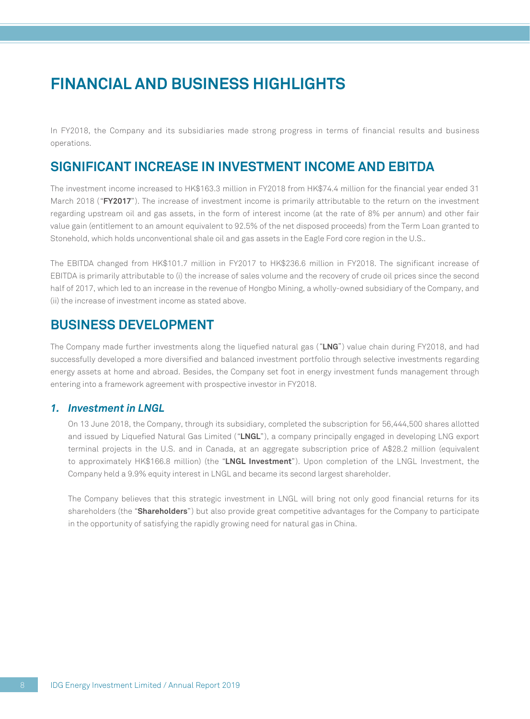## **FINANCIAL AND BUSINESS HIGHLIGHTS**

In FY2018, the Company and its subsidiaries made strong progress in terms of financial results and business operations.

### **SIGNIFICANT INCREASE IN INVESTMENT INCOME AND EBITDA**

The investment income increased to HK\$163.3 million in FY2018 from HK\$74.4 million for the financial year ended 31 March 2018 ("**FY2017**"). The increase of investment income is primarily attributable to the return on the investment regarding upstream oil and gas assets, in the form of interest income (at the rate of 8% per annum) and other fair value gain (entitlement to an amount equivalent to 92.5% of the net disposed proceeds) from the Term Loan granted to Stonehold, which holds unconventional shale oil and gas assets in the Eagle Ford core region in the U.S..

The EBITDA changed from HK\$101.7 million in FY2017 to HK\$236.6 million in FY2018. The significant increase of EBITDA is primarily attributable to (i) the increase of sales volume and the recovery of crude oil prices since the second half of 2017, which led to an increase in the revenue of Hongbo Mining, a wholly-owned subsidiary of the Company, and (ii) the increase of investment income as stated above.

### **BUSINESS DEVELOPMENT**

The Company made further investments along the liquefied natural gas ("**LNG**") value chain during FY2018, and had successfully developed a more diversified and balanced investment portfolio through selective investments regarding energy assets at home and abroad. Besides, the Company set foot in energy investment funds management through entering into a framework agreement with prospective investor in FY2018.

#### *1. Investment in LNGL*

On 13 June 2018, the Company, through its subsidiary, completed the subscription for 56,444,500 shares allotted and issued by Liquefied Natural Gas Limited ("**LNGL**"), a company principally engaged in developing LNG export terminal projects in the U.S. and in Canada, at an aggregate subscription price of A\$28.2 million (equivalent to approximately HK\$166.8 million) (the "**LNGL Investment**"). Upon completion of the LNGL Investment, the Company held a 9.9% equity interest in LNGL and became its second largest shareholder.

The Company believes that this strategic investment in LNGL will bring not only good financial returns for its shareholders (the "**Shareholders**") but also provide great competitive advantages for the Company to participate in the opportunity of satisfying the rapidly growing need for natural gas in China.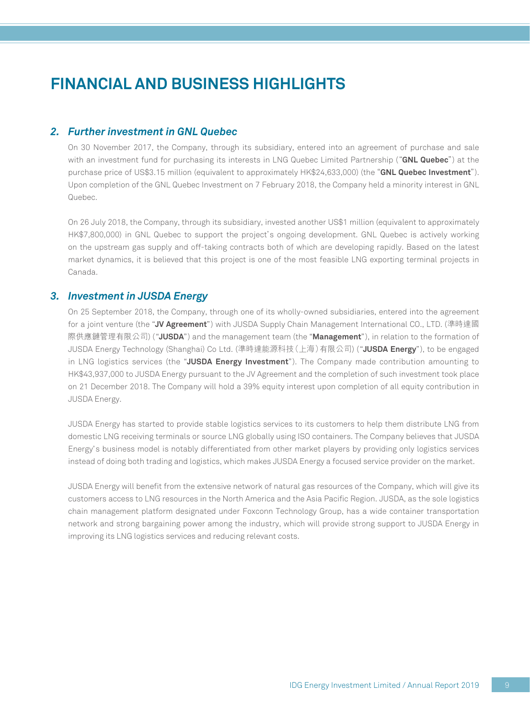## **FINANCIAL AND BUSINESS HIGHLIGHTS**

#### *2. Further investment in GNL Quebec*

On 30 November 2017, the Company, through its subsidiary, entered into an agreement of purchase and sale with an investment fund for purchasing its interests in LNG Quebec Limited Partnership ("**GNL Quebec**") at the purchase price of US\$3.15 million (equivalent to approximately HK\$24,633,000) (the "**GNL Quebec Investment**"). Upon completion of the GNL Quebec Investment on 7 February 2018, the Company held a minority interest in GNL Quebec.

On 26 July 2018, the Company, through its subsidiary, invested another US\$1 million (equivalent to approximately HK\$7,800,000) in GNL Quebec to support the project's ongoing development. GNL Quebec is actively working on the upstream gas supply and off-taking contracts both of which are developing rapidly. Based on the latest market dynamics, it is believed that this project is one of the most feasible LNG exporting terminal projects in Canada.

#### *3. Investment in JUSDA Energy*

On 25 September 2018, the Company, through one of its wholly-owned subsidiaries, entered into the agreement for a joint venture (the "**JV Agreement**") with JUSDA Supply Chain Management International CO., LTD. (準時達國 際供應鏈管理有限公司) ("**JUSDA**") and the management team (the "**Management**"), in relation to the formation of JUSDA Energy Technology (Shanghai) Co Ltd. (準時達能源科技(上海)有限公司) ("**JUSDA Energy**"), to be engaged in LNG logistics services (the "**JUSDA Energy Investment**"). The Company made contribution amounting to HK\$43,937,000 to JUSDA Energy pursuant to the JV Agreement and the completion of such investment took place on 21 December 2018. The Company will hold a 39% equity interest upon completion of all equity contribution in JUSDA Energy.

JUSDA Energy has started to provide stable logistics services to its customers to help them distribute LNG from domestic LNG receiving terminals or source LNG globally using ISO containers. The Company believes that JUSDA Energy's business model is notably differentiated from other market players by providing only logistics services instead of doing both trading and logistics, which makes JUSDA Energy a focused service provider on the market.

JUSDA Energy will benefit from the extensive network of natural gas resources of the Company, which will give its customers access to LNG resources in the North America and the Asia Pacific Region. JUSDA, as the sole logistics chain management platform designated under Foxconn Technology Group, has a wide container transportation network and strong bargaining power among the industry, which will provide strong support to JUSDA Energy in improving its LNG logistics services and reducing relevant costs.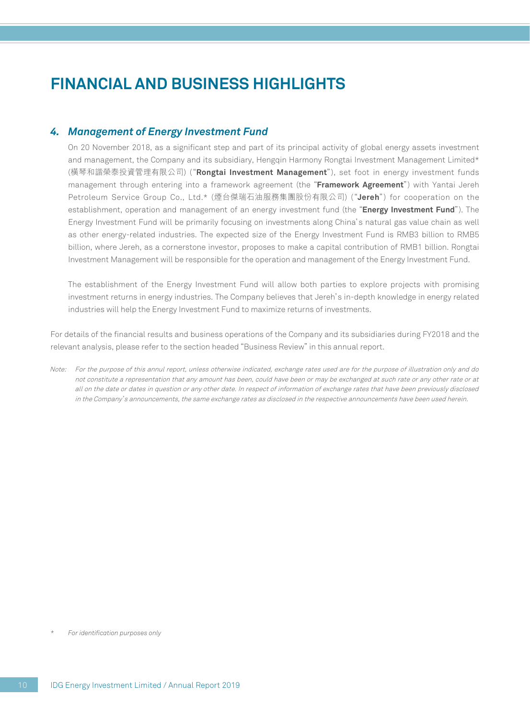## **FINANCIAL AND BUSINESS HIGHLIGHTS**

#### *4. Management of Energy Investment Fund*

On 20 November 2018, as a significant step and part of its principal activity of global energy assets investment and management, the Company and its subsidiary, Hengqin Harmony Rongtai Investment Management Limited\* (橫琴和諧榮泰投資管理有限公司) ("**Rongtai Investment Management**"), set foot in energy investment funds management through entering into a framework agreement (the "**Framework Agreement**") with Yantai Jereh Petroleum Service Group Co., Ltd.\* (煙台傑瑞石油服務集團股份有限公司) ("**Jereh**") for cooperation on the establishment, operation and management of an energy investment fund (the "**Energy Investment Fund**"). The Energy Investment Fund will be primarily focusing on investments along China's natural gas value chain as well as other energy-related industries. The expected size of the Energy Investment Fund is RMB3 billion to RMB5 billion, where Jereh, as a cornerstone investor, proposes to make a capital contribution of RMB1 billion. Rongtai Investment Management will be responsible for the operation and management of the Energy Investment Fund.

The establishment of the Energy Investment Fund will allow both parties to explore projects with promising investment returns in energy industries. The Company believes that Jereh's in-depth knowledge in energy related industries will help the Energy Investment Fund to maximize returns of investments.

For details of the financial results and business operations of the Company and its subsidiaries during FY2018 and the relevant analysis, please refer to the section headed "Business Review" in this annual report.

Note: For the purpose of this annul report, unless otherwise indicated, exchange rates used are for the purpose of illustration only and do not constitute a representation that any amount has been, could have been or may be exchanged at such rate or any other rate or at all on the date or dates in question or any other date. In respect of information of exchange rates that have been previously disclosed in the Company's announcements, the same exchange rates as disclosed in the respective announcements have been used herein.

*\* For identification purposes only*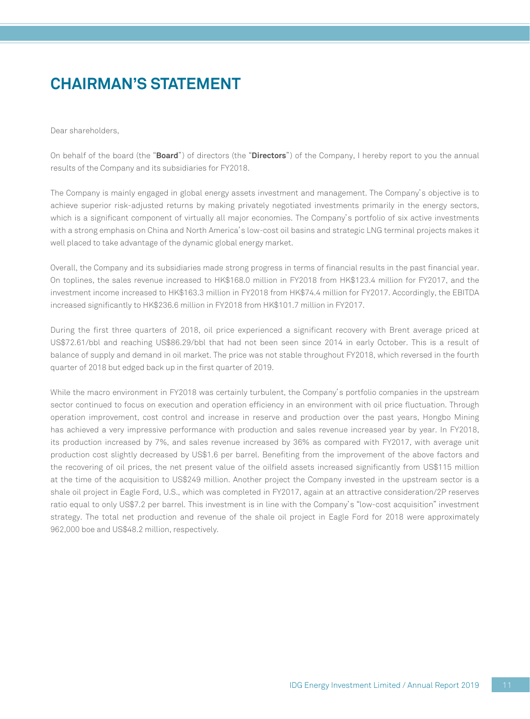## **CHAIRMAN'S STATEMENT**

Dear shareholders,

On behalf of the board (the "**Board**") of directors (the "**Directors**") of the Company, I hereby report to you the annual results of the Company and its subsidiaries for FY2018.

The Company is mainly engaged in global energy assets investment and management. The Company's objective is to achieve superior risk-adjusted returns by making privately negotiated investments primarily in the energy sectors, which is a significant component of virtually all major economies. The Company's portfolio of six active investments with a strong emphasis on China and North America's low-cost oil basins and strategic LNG terminal projects makes it well placed to take advantage of the dynamic global energy market.

Overall, the Company and its subsidiaries made strong progress in terms of financial results in the past financial year. On toplines, the sales revenue increased to HK\$168.0 million in FY2018 from HK\$123.4 million for FY2017, and the investment income increased to HK\$163.3 million in FY2018 from HK\$74.4 million for FY2017. Accordingly, the EBITDA increased significantly to HK\$236.6 million in FY2018 from HK\$101.7 million in FY2017.

During the first three quarters of 2018, oil price experienced a significant recovery with Brent average priced at US\$72.61/bbl and reaching US\$86.29/bbl that had not been seen since 2014 in early October. This is a result of balance of supply and demand in oil market. The price was not stable throughout FY2018, which reversed in the fourth quarter of 2018 but edged back up in the first quarter of 2019.

While the macro environment in FY2018 was certainly turbulent, the Company's portfolio companies in the upstream sector continued to focus on execution and operation efficiency in an environment with oil price fluctuation. Through operation improvement, cost control and increase in reserve and production over the past years, Hongbo Mining has achieved a very impressive performance with production and sales revenue increased year by year. In FY2018, its production increased by 7%, and sales revenue increased by 36% as compared with FY2017, with average unit production cost slightly decreased by US\$1.6 per barrel. Benefiting from the improvement of the above factors and the recovering of oil prices, the net present value of the oilfield assets increased significantly from US\$115 million at the time of the acquisition to US\$249 million. Another project the Company invested in the upstream sector is a shale oil project in Eagle Ford, U.S., which was completed in FY2017, again at an attractive consideration/2P reserves ratio equal to only US\$7.2 per barrel. This investment is in line with the Company's "low-cost acquisition" investment strategy. The total net production and revenue of the shale oil project in Eagle Ford for 2018 were approximately 962,000 boe and US\$48.2 million, respectively.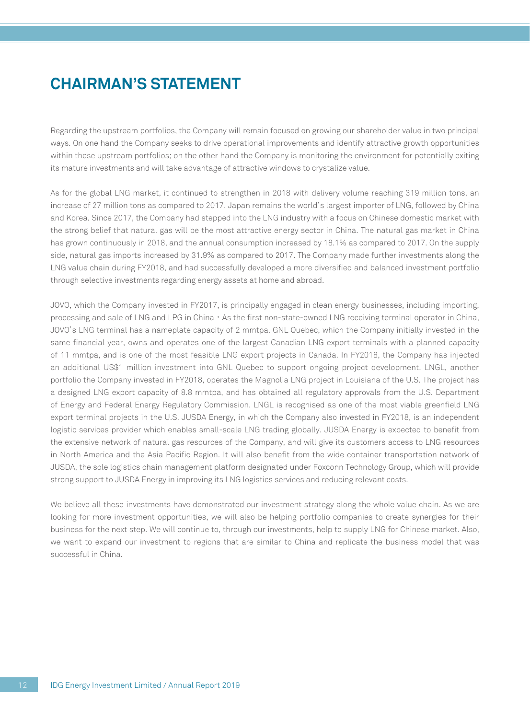## **CHAIRMAN'S STATEMENT**

Regarding the upstream portfolios, the Company will remain focused on growing our shareholder value in two principal ways. On one hand the Company seeks to drive operational improvements and identify attractive growth opportunities within these upstream portfolios; on the other hand the Company is monitoring the environment for potentially exiting its mature investments and will take advantage of attractive windows to crystalize value.

As for the global LNG market, it continued to strengthen in 2018 with delivery volume reaching 319 million tons, an increase of 27 million tons as compared to 2017. Japan remains the world's largest importer of LNG, followed by China and Korea. Since 2017, the Company had stepped into the LNG industry with a focus on Chinese domestic market with the strong belief that natural gas will be the most attractive energy sector in China. The natural gas market in China has grown continuously in 2018, and the annual consumption increased by 18.1% as compared to 2017. On the supply side, natural gas imports increased by 31.9% as compared to 2017. The Company made further investments along the LNG value chain during FY2018, and had successfully developed a more diversified and balanced investment portfolio through selective investments regarding energy assets at home and abroad.

JOVO, which the Company invested in FY2017, is principally engaged in clean energy businesses, including importing, processing and sale of LNG and LPG in China, As the first non-state-owned LNG receiving terminal operator in China, JOVO's LNG terminal has a nameplate capacity of 2 mmtpa. GNL Quebec, which the Company initially invested in the same financial year, owns and operates one of the largest Canadian LNG export terminals with a planned capacity of 11 mmtpa, and is one of the most feasible LNG export projects in Canada. In FY2018, the Company has injected an additional US\$1 million investment into GNL Quebec to support ongoing project development. LNGL, another portfolio the Company invested in FY2018, operates the Magnolia LNG project in Louisiana of the U.S. The project has a designed LNG export capacity of 8.8 mmtpa, and has obtained all regulatory approvals from the U.S. Department of Energy and Federal Energy Regulatory Commission. LNGL is recognised as one of the most viable greenfield LNG export terminal projects in the U.S. JUSDA Energy, in which the Company also invested in FY2018, is an independent logistic services provider which enables small-scale LNG trading globally. JUSDA Energy is expected to benefit from the extensive network of natural gas resources of the Company, and will give its customers access to LNG resources in North America and the Asia Pacific Region. It will also benefit from the wide container transportation network of JUSDA, the sole logistics chain management platform designated under Foxconn Technology Group, which will provide strong support to JUSDA Energy in improving its LNG logistics services and reducing relevant costs.

We believe all these investments have demonstrated our investment strategy along the whole value chain. As we are looking for more investment opportunities, we will also be helping portfolio companies to create synergies for their business for the next step. We will continue to, through our investments, help to supply LNG for Chinese market. Also, we want to expand our investment to regions that are similar to China and replicate the business model that was successful in China.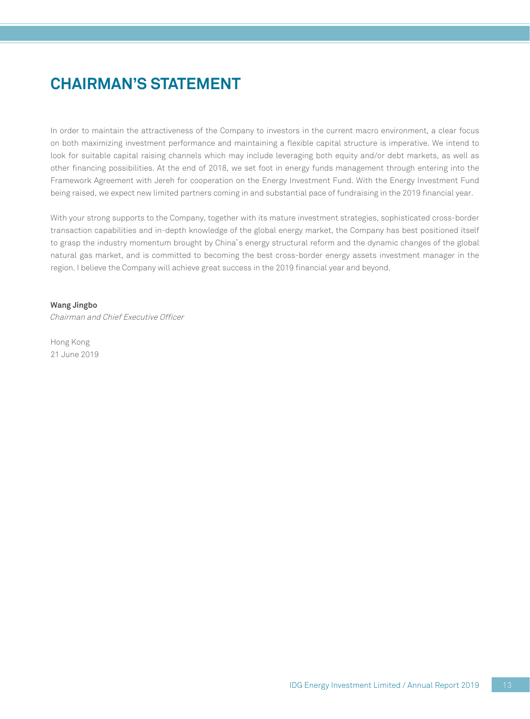## **CHAIRMAN'S STATEMENT**

In order to maintain the attractiveness of the Company to investors in the current macro environment, a clear focus on both maximizing investment performance and maintaining a flexible capital structure is imperative. We intend to look for suitable capital raising channels which may include leveraging both equity and/or debt markets, as well as other financing possibilities. At the end of 2018, we set foot in energy funds management through entering into the Framework Agreement with Jereh for cooperation on the Energy Investment Fund. With the Energy Investment Fund being raised, we expect new limited partners coming in and substantial pace of fundraising in the 2019 financial year.

With your strong supports to the Company, together with its mature investment strategies, sophisticated cross-border transaction capabilities and in-depth knowledge of the global energy market, the Company has best positioned itself to grasp the industry momentum brought by China's energy structural reform and the dynamic changes of the global natural gas market, and is committed to becoming the best cross-border energy assets investment manager in the region. I believe the Company will achieve great success in the 2019 financial year and beyond.

#### **Wang Jingbo**

Chairman and Chief Executive Officer

Hong Kong 21 June 2019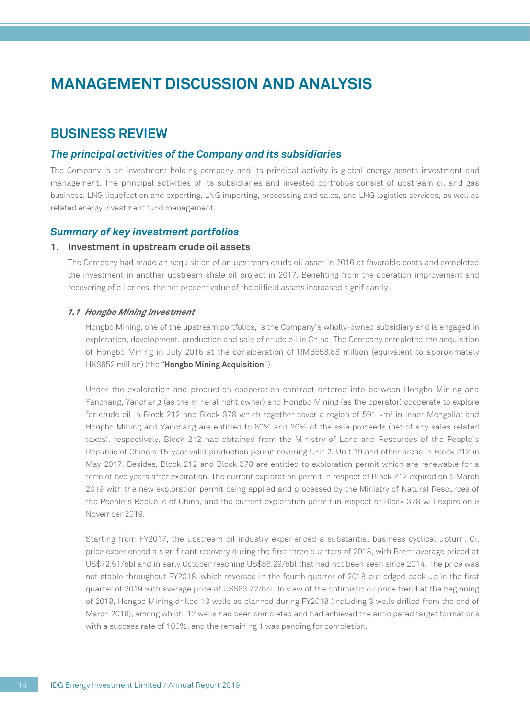### **BUSINESS REVIEW**

#### *The principal activities of the Company and its subsidiaries*

The Company is an investment holding company and its principal activity is global energy assets investment and management. The principal activities of its subsidiaries and invested portfolios consist of upstream oil and gas business, LNG liquefaction and exporting, LNG importing, processing and sales, and LNG logistics services, as well as related energy investment fund management.

#### *Summary of key investment portfolios*

#### **1. Investment in upstream crude oil assets**

The Company had made an acquisition of an upstream crude oil asset in 2016 at favorable costs and completed the investment in another upstream shale oil project in 2017. Benefiting from the operation improvement and recovering of oil prices, the net present value of the oilfield assets increased significantly.

#### *1.1 Hongbo Mining Investment*

Hongbo Mining, one of the upstream portfolios, is the Company's wholly-owned subsidiary and is engaged in exploration, development, production and sale of crude oil in China. The Company completed the acquisition of Hongbo Mining in July 2016 at the consideration of RMB558.88 million (equivalent to approximately HK\$652 million) (the "**Hongbo Mining Acquisition**").

Under the exploration and production cooperation contract entered into between Hongbo Mining and Yanchang, Yanchang (as the mineral right owner) and Hongbo Mining (as the operator) cooperate to explore for crude oil in Block 212 and Block 378 which together cover a region of 591 km<sup>2</sup> in Inner Mongolia; and Hongbo Mining and Yanchang are entitled to 80% and 20% of the sale proceeds (net of any sales related taxes), respectively. Block 212 had obtained from the Ministry of Land and Resources of the People's Republic of China a 15-year valid production permit covering Unit 2, Unit 19 and other areas in Block 212 in May 2017. Besides, Block 212 and Block 378 are entitled to exploration permit which are renewable for a term of two years after expiration. The current exploration permit in respect of Block 212 expired on 5 March 2019 with the new exploration permit being applied and processed by the Ministry of Natural Resources of the People's Republic of China, and the current exploration permit in respect of Block 378 will expire on 9 November 2019.

Starting from FY2017, the upstream oil industry experienced a substantial business cyclical upturn. Oil price experienced a significant recovery during the first three quarters of 2018, with Brent average priced at US\$72.61/bbl and in early October reaching US\$86.29/bbl that had not been seen since 2014. The price was not stable throughout FY2018, which reversed in the fourth quarter of 2018 but edged back up in the first quarter of 2019 with average price of US\$63.72/bbl. In view of the optimistic oil price trend at the beginning of 2018, Hongbo Mining drilled 13 wells as planned during FY2018 (including 3 wells drilled from the end of March 2018), among which, 12 wells had been completed and had achieved the anticipated target formations with a success rate of 100%, and the remaining 1 was pending for completion.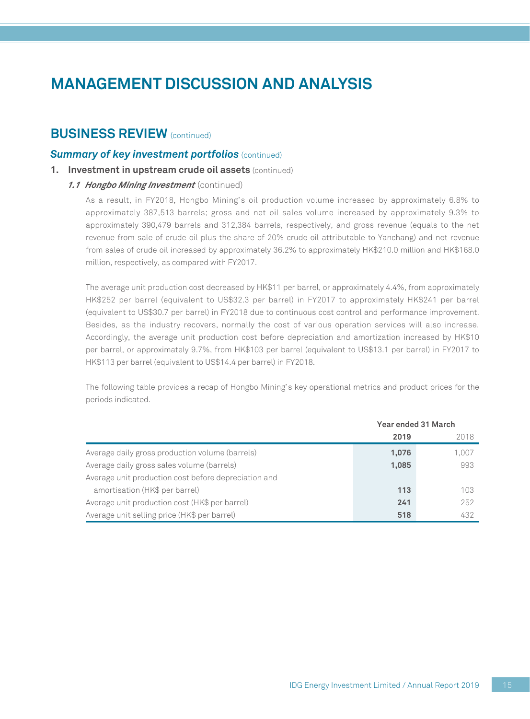### **BUSINESS REVIEW** (continued)

#### *Summary of key investment portfolios (continued)*

**1. Investment in upstream crude oil assets** (continued)

#### *1.1 Hongbo Mining Investment* (continued)

As a result, in FY2018, Hongbo Mining's oil production volume increased by approximately 6.8% to approximately 387,513 barrels; gross and net oil sales volume increased by approximately 9.3% to approximately 390,479 barrels and 312,384 barrels, respectively, and gross revenue (equals to the net revenue from sale of crude oil plus the share of 20% crude oil attributable to Yanchang) and net revenue from sales of crude oil increased by approximately 36.2% to approximately HK\$210.0 million and HK\$168.0 million, respectively, as compared with FY2017.

The average unit production cost decreased by HK\$11 per barrel, or approximately 4.4%, from approximately HK\$252 per barrel (equivalent to US\$32.3 per barrel) in FY2017 to approximately HK\$241 per barrel (equivalent to US\$30.7 per barrel) in FY2018 due to continuous cost control and performance improvement. Besides, as the industry recovers, normally the cost of various operation services will also increase. Accordingly, the average unit production cost before depreciation and amortization increased by HK\$10 per barrel, or approximately 9.7%, from HK\$103 per barrel (equivalent to US\$13.1 per barrel) in FY2017 to HK\$113 per barrel (equivalent to US\$14.4 per barrel) in FY2018.

The following table provides a recap of Hongbo Mining's key operational metrics and product prices for the periods indicated.

|                                                      | Year ended 31 March |       |  |
|------------------------------------------------------|---------------------|-------|--|
|                                                      | 2019                | 2018  |  |
| Average daily gross production volume (barrels)      | 1,076               | 1,007 |  |
| Average daily gross sales volume (barrels)           | 1,085               | 993   |  |
| Average unit production cost before depreciation and |                     |       |  |
| amortisation (HK\$ per barrel)                       | 113                 | 103   |  |
| Average unit production cost (HK\$ per barrel)       | 241                 | 252   |  |
| Average unit selling price (HK\$ per barrel)         | 518                 | 432   |  |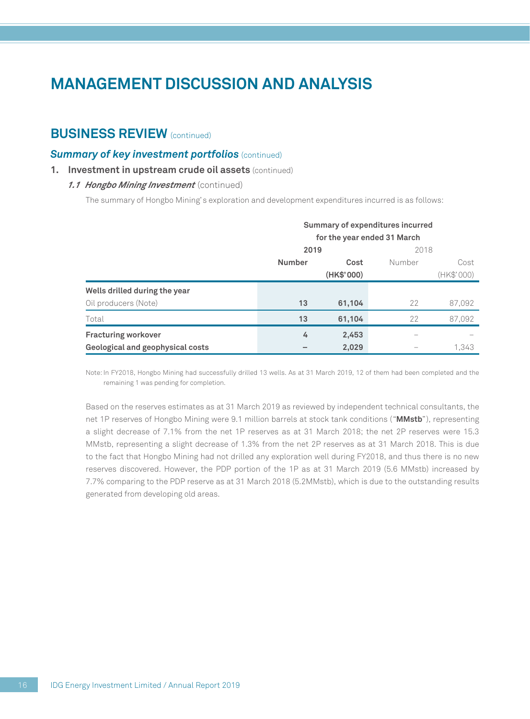### **BUSINESS REVIEW** (continued)

#### *Summary of key investment portfolios (continued)*

**1. Investment in upstream crude oil assets** (continued)

#### *1.1 Hongbo Mining Investment* (continued)

The summary of Hongbo Mining's exploration and development expenditures incurred is as follows:

|                                  | <b>Summary of expenditures incurred</b> |            |        |            |  |
|----------------------------------|-----------------------------------------|------------|--------|------------|--|
|                                  | for the year ended 31 March             |            |        |            |  |
|                                  | 2019                                    |            | 2018   |            |  |
|                                  | <b>Number</b>                           | Cost       | Number | Cost       |  |
|                                  |                                         | (HK\$'000) |        | (HK\$'000) |  |
| Wells drilled during the year    |                                         |            |        |            |  |
| Oil producers (Note)             | 13                                      | 61,104     | 22     | 87,092     |  |
| Total                            | 13                                      | 61,104     | 22     | 87,092     |  |
| <b>Fracturing workover</b>       | 4                                       | 2,453      |        |            |  |
| Geological and geophysical costs |                                         | 2,029      |        | 1.343      |  |

Note: In FY2018, Hongbo Mining had successfully drilled 13 wells. As at 31 March 2019, 12 of them had been completed and the remaining 1 was pending for completion.

Based on the reserves estimates as at 31 March 2019 as reviewed by independent technical consultants, the net 1P reserves of Hongbo Mining were 9.1 million barrels at stock tank conditions ("**MMstb**"), representing a slight decrease of 7.1% from the net 1P reserves as at 31 March 2018; the net 2P reserves were 15.3 MMstb, representing a slight decrease of 1.3% from the net 2P reserves as at 31 March 2018. This is due to the fact that Hongbo Mining had not drilled any exploration well during FY2018, and thus there is no new reserves discovered. However, the PDP portion of the 1P as at 31 March 2019 (5.6 MMstb) increased by 7.7% comparing to the PDP reserve as at 31 March 2018 (5.2MMstb), which is due to the outstanding results generated from developing old areas.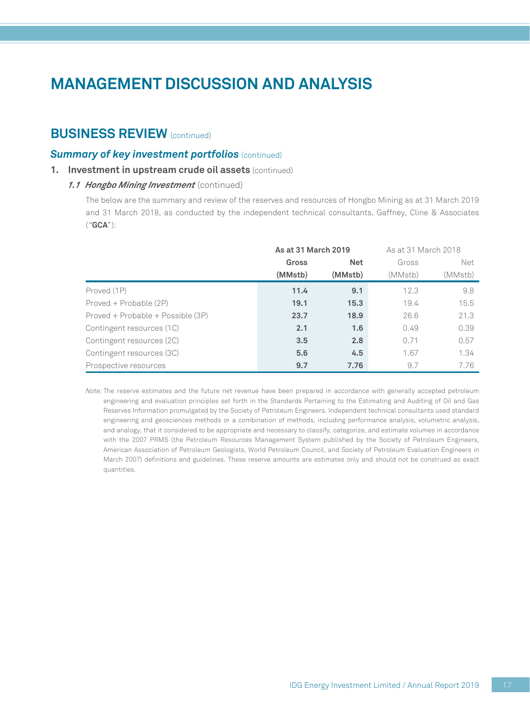### **BUSINESS REVIEW** (continued)

#### *Summary of key investment portfolios (continued)*

**1. Investment in upstream crude oil assets** (continued)

#### *1.1 Hongbo Mining Investment* (continued)

The below are the summary and review of the reserves and resources of Hongbo Mining as at 31 March 2019 and 31 March 2018, as conducted by the independent technical consultants, Gaffney, Cline & Associates ("**GCA**"):

|                                   | As at 31 March 2019 |         | As at 31 March 2018 |         |
|-----------------------------------|---------------------|---------|---------------------|---------|
|                                   | Gross<br><b>Net</b> |         | Gross               | Net     |
|                                   | (MMstb)             | (MMstb) | (MMstb)             | (MMstb) |
| Proved (1P)                       | 11.4                | 9.1     | 12.3                | 9.8     |
| Proved + Probable (2P)            | 19.1                | 15.3    | 19.4                | 15.5    |
| Proved + Probable + Possible (3P) | 23.7                | 18.9    | 26.6                | 21.3    |
| Contingent resources (1C)         | 2.1                 | 1.6     | 0.49                | 0.39    |
| Contingent resources (2C)         | 3.5                 | 2.8     | 0.71                | 0.57    |
| Contingent resources (3C)         | 5.6                 | 4.5     | 1.67                | 1.34    |
| Prospective resources             | 9.7                 | 7.76    | 9.7                 | 7.76    |

Note: The reserve estimates and the future net revenue have been prepared in accordance with generally accepted petroleum engineering and evaluation principles set forth in the Standards Pertaining to the Estimating and Auditing of Oil and Gas Reserves Information promulgated by the Society of Petroleum Engineers. Independent technical consultants used standard engineering and geosciences methods or a combination of methods, including performance analysis, volumetric analysis, and analogy, that it considered to be appropriate and necessary to classify, categorize, and estimate volumes in accordance with the 2007 PRMS (the Petroleum Resources Management System published by the Society of Petroleum Engineers, American Association of Petroleum Geologists, World Petroleum Council, and Society of Petroleum Evaluation Engineers in March 2007) definitions and guidelines. These reserve amounts are estimates only and should not be construed as exact quantities.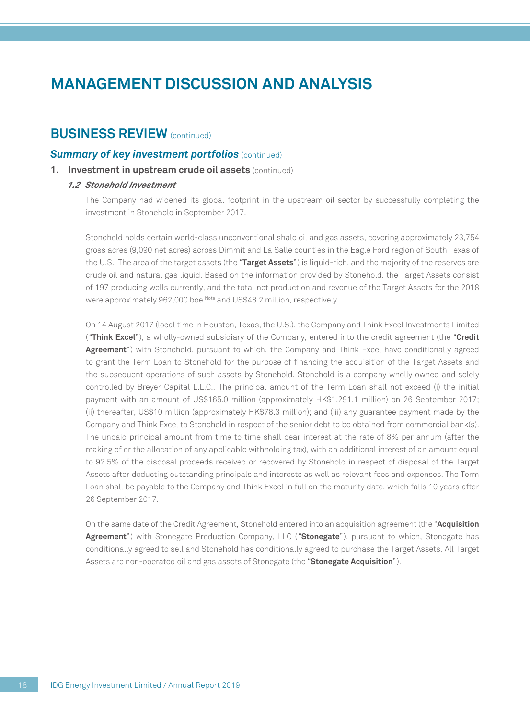### **BUSINESS REVIEW** (continued)

#### *Summary of key investment portfolios (continued)*

#### **1. Investment in upstream crude oil assets** (continued)

#### *1.2 Stonehold Investment*

The Company had widened its global footprint in the upstream oil sector by successfully completing the investment in Stonehold in September 2017.

Stonehold holds certain world-class unconventional shale oil and gas assets, covering approximately 23,754 gross acres (9,090 net acres) across Dimmit and La Salle counties in the Eagle Ford region of South Texas of the U.S.. The area of the target assets (the "**Target Assets**") is liquid-rich, and the majority of the reserves are crude oil and natural gas liquid. Based on the information provided by Stonehold, the Target Assets consist of 197 producing wells currently, and the total net production and revenue of the Target Assets for the 2018 were approximately 962,000 boe Note and US\$48.2 million, respectively.

On 14 August 2017 (local time in Houston, Texas, the U.S.), the Company and Think Excel Investments Limited ("**Think Excel**"), a wholly-owned subsidiary of the Company, entered into the credit agreement (the "**Credit Agreement**") with Stonehold, pursuant to which, the Company and Think Excel have conditionally agreed to grant the Term Loan to Stonehold for the purpose of financing the acquisition of the Target Assets and the subsequent operations of such assets by Stonehold. Stonehold is a company wholly owned and solely controlled by Breyer Capital L.L.C.. The principal amount of the Term Loan shall not exceed (i) the initial payment with an amount of US\$165.0 million (approximately HK\$1,291.1 million) on 26 September 2017; (ii) thereafter, US\$10 million (approximately HK\$78.3 million); and (iii) any guarantee payment made by the Company and Think Excel to Stonehold in respect of the senior debt to be obtained from commercial bank(s). The unpaid principal amount from time to time shall bear interest at the rate of 8% per annum (after the making of or the allocation of any applicable withholding tax), with an additional interest of an amount equal to 92.5% of the disposal proceeds received or recovered by Stonehold in respect of disposal of the Target Assets after deducting outstanding principals and interests as well as relevant fees and expenses. The Term Loan shall be payable to the Company and Think Excel in full on the maturity date, which falls 10 years after 26 September 2017.

On the same date of the Credit Agreement, Stonehold entered into an acquisition agreement (the "**Acquisition Agreement**") with Stonegate Production Company, LLC ("**Stonegate**"), pursuant to which, Stonegate has conditionally agreed to sell and Stonehold has conditionally agreed to purchase the Target Assets. All Target Assets are non-operated oil and gas assets of Stonegate (the "**Stonegate Acquisition**").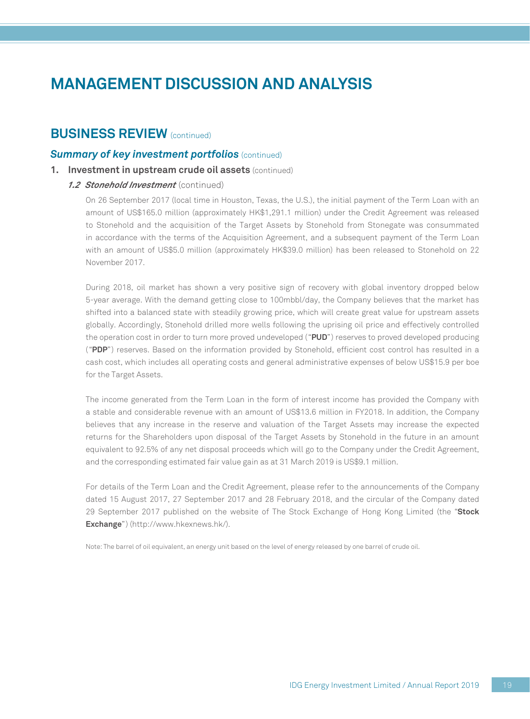### **BUSINESS REVIEW** (continued)

#### *Summary of key investment portfolios (continued)*

#### **1. Investment in upstream crude oil assets** (continued)

#### *1.2 Stonehold Investment* (continued)

On 26 September 2017 (local time in Houston, Texas, the U.S.), the initial payment of the Term Loan with an amount of US\$165.0 million (approximately HK\$1,291.1 million) under the Credit Agreement was released to Stonehold and the acquisition of the Target Assets by Stonehold from Stonegate was consummated in accordance with the terms of the Acquisition Agreement, and a subsequent payment of the Term Loan with an amount of US\$5.0 million (approximately HK\$39.0 million) has been released to Stonehold on 22 November 2017.

During 2018, oil market has shown a very positive sign of recovery with global inventory dropped below 5-year average. With the demand getting close to 100mbbl/day, the Company believes that the market has shifted into a balanced state with steadily growing price, which will create great value for upstream assets globally. Accordingly, Stonehold drilled more wells following the uprising oil price and effectively controlled the operation cost in order to turn more proved undeveloped ("**PUD**") reserves to proved developed producing ("**PDP**") reserves. Based on the information provided by Stonehold, efficient cost control has resulted in a cash cost, which includes all operating costs and general administrative expenses of below US\$15.9 per boe for the Target Assets.

The income generated from the Term Loan in the form of interest income has provided the Company with a stable and considerable revenue with an amount of US\$13.6 million in FY2018. In addition, the Company believes that any increase in the reserve and valuation of the Target Assets may increase the expected returns for the Shareholders upon disposal of the Target Assets by Stonehold in the future in an amount equivalent to 92.5% of any net disposal proceeds which will go to the Company under the Credit Agreement, and the corresponding estimated fair value gain as at 31 March 2019 is US\$9.1 million.

For details of the Term Loan and the Credit Agreement, please refer to the announcements of the Company dated 15 August 2017, 27 September 2017 and 28 February 2018, and the circular of the Company dated 29 September 2017 published on the website of The Stock Exchange of Hong Kong Limited (the "**Stock Exchange**") (http://www.hkexnews.hk/).

Note: The barrel of oil equivalent, an energy unit based on the level of energy released by one barrel of crude oil.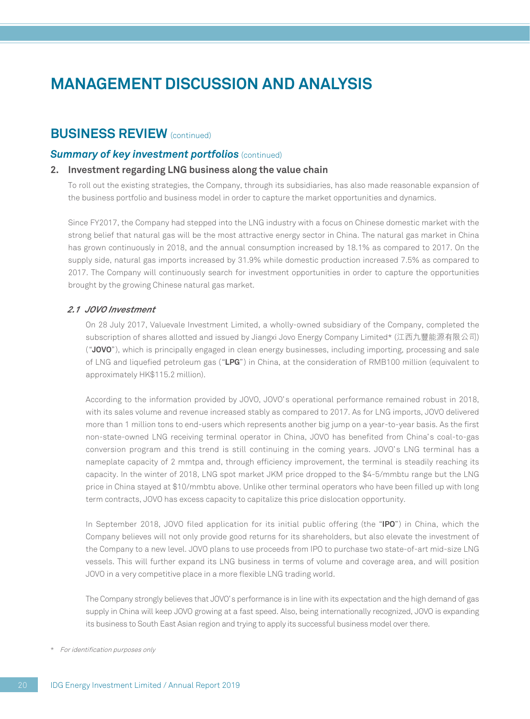### **BUSINESS REVIEW** (continued)

#### *Summary of key investment portfolios (continued)*

#### **2. Investment regarding LNG business along the value chain**

To roll out the existing strategies, the Company, through its subsidiaries, has also made reasonable expansion of the business portfolio and business model in order to capture the market opportunities and dynamics.

Since FY2017, the Company had stepped into the LNG industry with a focus on Chinese domestic market with the strong belief that natural gas will be the most attractive energy sector in China. The natural gas market in China has grown continuously in 2018, and the annual consumption increased by 18.1% as compared to 2017. On the supply side, natural gas imports increased by 31.9% while domestic production increased 7.5% as compared to 2017. The Company will continuously search for investment opportunities in order to capture the opportunities brought by the growing Chinese natural gas market.

#### *2.1 JOVO Investment*

On 28 July 2017, Valuevale Investment Limited, a wholly-owned subsidiary of the Company, completed the subscription of shares allotted and issued by Jiangxi Jovo Energy Company Limited\* (江西九豐能源有限公司) ("**JOVO**"), which is principally engaged in clean energy businesses, including importing, processing and sale of LNG and liquefied petroleum gas ("**LPG**") in China, at the consideration of RMB100 million (equivalent to approximately HK\$115.2 million).

According to the information provided by JOVO, JOVO's operational performance remained robust in 2018, with its sales volume and revenue increased stably as compared to 2017. As for LNG imports, JOVO delivered more than 1 million tons to end-users which represents another big jump on a year-to-year basis. As the first non-state-owned LNG receiving terminal operator in China, JOVO has benefited from China's coal-to-gas conversion program and this trend is still continuing in the coming years. JOVO's LNG terminal has a nameplate capacity of 2 mmtpa and, through efficiency improvement, the terminal is steadily reaching its capacity. In the winter of 2018, LNG spot market JKM price dropped to the \$4-5/mmbtu range but the LNG price in China stayed at \$10/mmbtu above. Unlike other terminal operators who have been filled up with long term contracts, JOVO has excess capacity to capitalize this price dislocation opportunity.

In September 2018, JOVO filed application for its initial public offering (the "**IPO**") in China, which the Company believes will not only provide good returns for its shareholders, but also elevate the investment of the Company to a new level. JOVO plans to use proceeds from IPO to purchase two state-of-art mid-size LNG vessels. This will further expand its LNG business in terms of volume and coverage area, and will position JOVO in a very competitive place in a more flexible LNG trading world.

The Company strongly believes that JOVO's performance is in line with its expectation and the high demand of gas supply in China will keep JOVO growing at a fast speed. Also, being internationally recognized, JOVO is expanding its business to South East Asian region and trying to apply its successful business model over there.

\* For identification purposes only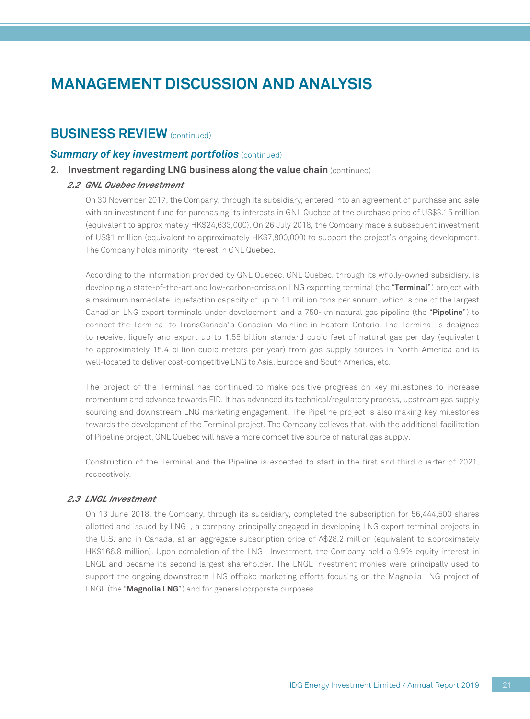### **BUSINESS REVIEW** (continued)

#### *Summary of key investment portfolios (continued)*

#### **2. Investment regarding LNG business along the value chain** (continued)

#### *2.2 GNL Quebec Investment*

On 30 November 2017, the Company, through its subsidiary, entered into an agreement of purchase and sale with an investment fund for purchasing its interests in GNL Quebec at the purchase price of US\$3.15 million (equivalent to approximately HK\$24,633,000). On 26 July 2018, the Company made a subsequent investment of US\$1 million (equivalent to approximately HK\$7,800,000) to support the project's ongoing development. The Company holds minority interest in GNL Quebec.

According to the information provided by GNL Quebec, GNL Quebec, through its wholly-owned subsidiary, is developing a state-of-the-art and low-carbon-emission LNG exporting terminal (the "**Terminal**") project with a maximum nameplate liquefaction capacity of up to 11 million tons per annum, which is one of the largest Canadian LNG export terminals under development, and a 750-km natural gas pipeline (the "**Pipeline**") to connect the Terminal to TransCanada's Canadian Mainline in Eastern Ontario. The Terminal is designed to receive, liquefy and export up to 1.55 billion standard cubic feet of natural gas per day (equivalent to approximately 15.4 billion cubic meters per year) from gas supply sources in North America and is well-located to deliver cost-competitive LNG to Asia, Europe and South America, etc.

The project of the Terminal has continued to make positive progress on key milestones to increase momentum and advance towards FID. It has advanced its technical/regulatory process, upstream gas supply sourcing and downstream LNG marketing engagement. The Pipeline project is also making key milestones towards the development of the Terminal project. The Company believes that, with the additional facilitation of Pipeline project, GNL Quebec will have a more competitive source of natural gas supply.

Construction of the Terminal and the Pipeline is expected to start in the first and third quarter of 2021, respectively.

#### *2.3 LNGL Investment*

On 13 June 2018, the Company, through its subsidiary, completed the subscription for 56,444,500 shares allotted and issued by LNGL, a company principally engaged in developing LNG export terminal projects in the U.S. and in Canada, at an aggregate subscription price of A\$28.2 million (equivalent to approximately HK\$166.8 million). Upon completion of the LNGL Investment, the Company held a 9.9% equity interest in LNGL and became its second largest shareholder. The LNGL Investment monies were principally used to support the ongoing downstream LNG offtake marketing efforts focusing on the Magnolia LNG project of LNGL (the "**Magnolia LNG**") and for general corporate purposes.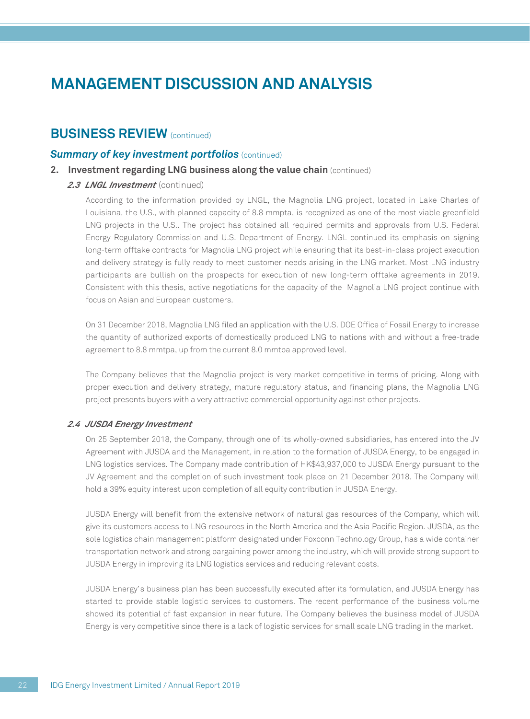### **BUSINESS REVIEW** (continued)

#### *Summary of key investment portfolios (continued)*

**2.** Investment regarding LNG business along the value chain (continued)

#### 2.3 *LNGL Investment* (continued)

According to the information provided by LNGL, the Magnolia LNG project, located in Lake Charles of Louisiana, the U.S., with planned capacity of 8.8 mmpta, is recognized as one of the most viable greenfield LNG projects in the U.S.. The project has obtained all required permits and approvals from U.S. Federal Energy Regulatory Commission and U.S. Department of Energy. LNGL continued its emphasis on signing long-term offtake contracts for Magnolia LNG project while ensuring that its best-in-class project execution and delivery strategy is fully ready to meet customer needs arising in the LNG market. Most LNG industry participants are bullish on the prospects for execution of new long-term offtake agreements in 2019. Consistent with this thesis, active negotiations for the capacity of the Magnolia LNG project continue with focus on Asian and European customers.

On 31 December 2018, Magnolia LNG filed an application with the U.S. DOE Office of Fossil Energy to increase the quantity of authorized exports of domestically produced LNG to nations with and without a free-trade agreement to 8.8 mmtpa, up from the current 8.0 mmtpa approved level.

The Company believes that the Magnolia project is very market competitive in terms of pricing. Along with proper execution and delivery strategy, mature regulatory status, and financing plans, the Magnolia LNG project presents buyers with a very attractive commercial opportunity against other projects.

#### *2.4 JUSDA Energy Investment*

On 25 September 2018, the Company, through one of its wholly-owned subsidiaries, has entered into the JV Agreement with JUSDA and the Management, in relation to the formation of JUSDA Energy, to be engaged in LNG logistics services. The Company made contribution of HK\$43,937,000 to JUSDA Energy pursuant to the JV Agreement and the completion of such investment took place on 21 December 2018. The Company will hold a 39% equity interest upon completion of all equity contribution in JUSDA Energy.

JUSDA Energy will benefit from the extensive network of natural gas resources of the Company, which will give its customers access to LNG resources in the North America and the Asia Pacific Region. JUSDA, as the sole logistics chain management platform designated under Foxconn Technology Group, has a wide container transportation network and strong bargaining power among the industry, which will provide strong support to JUSDA Energy in improving its LNG logistics services and reducing relevant costs.

JUSDA Energy's business plan has been successfully executed after its formulation, and JUSDA Energy has started to provide stable logistic services to customers. The recent performance of the business volume showed its potential of fast expansion in near future. The Company believes the business model of JUSDA Energy is very competitive since there is a lack of logistic services for small scale LNG trading in the market.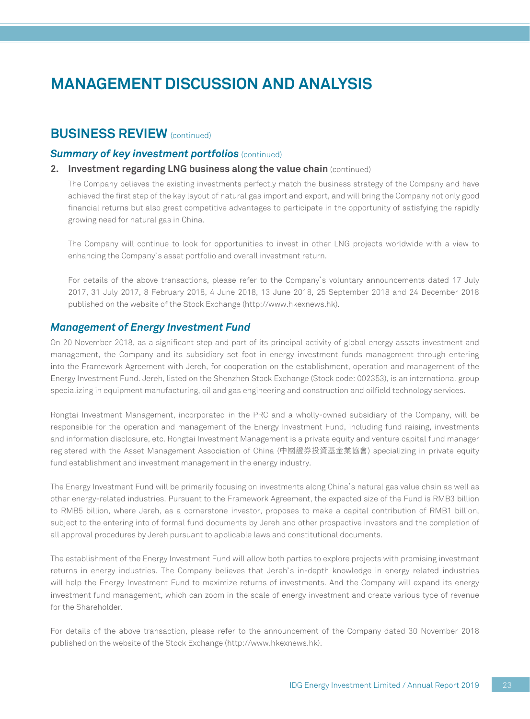### **BUSINESS REVIEW** (continued)

#### *Summary of key investment portfolios (continued)*

#### **2. Investment regarding LNG business along the value chain** (continued)

The Company believes the existing investments perfectly match the business strategy of the Company and have achieved the first step of the key layout of natural gas import and export, and will bring the Company not only good financial returns but also great competitive advantages to participate in the opportunity of satisfying the rapidly growing need for natural gas in China.

The Company will continue to look for opportunities to invest in other LNG projects worldwide with a view to enhancing the Company's asset portfolio and overall investment return.

For details of the above transactions, please refer to the Company's voluntary announcements dated 17 July 2017, 31 July 2017, 8 February 2018, 4 June 2018, 13 June 2018, 25 September 2018 and 24 December 2018 published on the website of the Stock Exchange (http://www.hkexnews.hk).

#### *Management of Energy Investment Fund*

On 20 November 2018, as a significant step and part of its principal activity of global energy assets investment and management, the Company and its subsidiary set foot in energy investment funds management through entering into the Framework Agreement with Jereh, for cooperation on the establishment, operation and management of the Energy Investment Fund. Jereh, listed on the Shenzhen Stock Exchange (Stock code: 002353), is an international group specializing in equipment manufacturing, oil and gas engineering and construction and oilfield technology services.

Rongtai Investment Management, incorporated in the PRC and a wholly-owned subsidiary of the Company, will be responsible for the operation and management of the Energy Investment Fund, including fund raising, investments and information disclosure, etc. Rongtai Investment Management is a private equity and venture capital fund manager registered with the Asset Management Association of China (中國證券投資基金業協會) specializing in private equity fund establishment and investment management in the energy industry.

The Energy Investment Fund will be primarily focusing on investments along China's natural gas value chain as well as other energy-related industries. Pursuant to the Framework Agreement, the expected size of the Fund is RMB3 billion to RMB5 billion, where Jereh, as a cornerstone investor, proposes to make a capital contribution of RMB1 billion, subject to the entering into of formal fund documents by Jereh and other prospective investors and the completion of all approval procedures by Jereh pursuant to applicable laws and constitutional documents.

The establishment of the Energy Investment Fund will allow both parties to explore projects with promising investment returns in energy industries. The Company believes that Jereh's in-depth knowledge in energy related industries will help the Energy Investment Fund to maximize returns of investments. And the Company will expand its energy investment fund management, which can zoom in the scale of energy investment and create various type of revenue for the Shareholder.

For details of the above transaction, please refer to the announcement of the Company dated 30 November 2018 published on the website of the Stock Exchange (http://www.hkexnews.hk).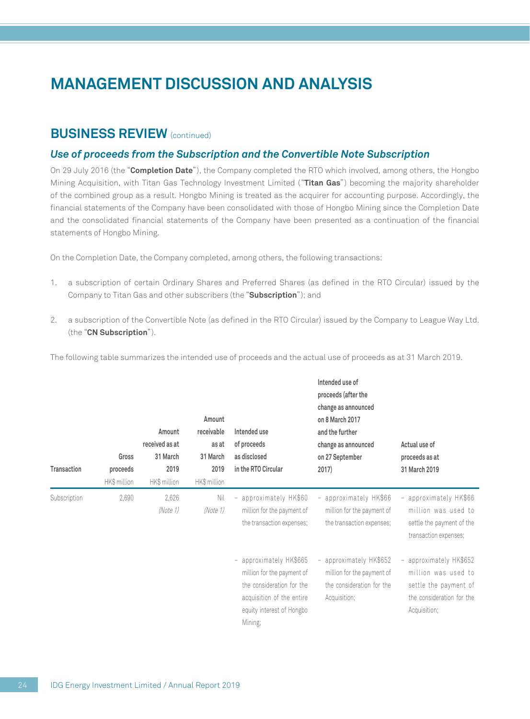### **BUSINESS REVIEW** (continued)

#### *Use of proceeds from the Subscription and the Convertible Note Subscription*

On 29 July 2016 (the "**Completion Date**"), the Company completed the RTO which involved, among others, the Hongbo Mining Acquisition, with Titan Gas Technology Investment Limited ("**Titan Gas**") becoming the majority shareholder of the combined group as a result. Hongbo Mining is treated as the acquirer for accounting purpose. Accordingly, the financial statements of the Company have been consolidated with those of Hongbo Mining since the Completion Date and the consolidated financial statements of the Company have been presented as a continuation of the financial statements of Hongbo Mining.

On the Completion Date, the Company completed, among others, the following transactions:

- 1. a subscription of certain Ordinary Shares and Preferred Shares (as defined in the RTO Circular) issued by the Company to Titan Gas and other subscribers (the "**Subscription**"); and
- 2. a subscription of the Convertible Note (as defined in the RTO Circular) issued by the Company to League Way Ltd. (the "**CN Subscription**").

The following table summarizes the intended use of proceeds and the actual use of proceeds as at 31 March 2019.

| Transaction  | Gross<br>proceeds<br>HK\$ million | Amount<br>received as at<br>31 March<br>2019<br>HK\$ million | Amount<br>receivable<br>as at<br>31 March<br>2019<br>HK\$ million | Intended use<br>of proceeds<br>as disclosed<br>in the RTO Circular                                                                                      | Intended use of<br>proceeds (after the<br>change as announced<br>on 8 March 2017<br>and the further<br>change as announced<br>on 27 September<br>2017) | Actual use of<br>proceeds as at<br>31 March 2019                                                                                               |
|--------------|-----------------------------------|--------------------------------------------------------------|-------------------------------------------------------------------|---------------------------------------------------------------------------------------------------------------------------------------------------------|--------------------------------------------------------------------------------------------------------------------------------------------------------|------------------------------------------------------------------------------------------------------------------------------------------------|
| Subscription | 2,690                             | 2,626<br>(Note 1)                                            | Nil<br>(Note 1)                                                   | - approximately HK\$60<br>million for the payment of<br>the transaction expenses;                                                                       | - approximately HK\$66<br>million for the payment of<br>the transaction expenses;                                                                      | approximately HK\$66<br>$\overline{\phantom{a}}$<br>million was used to<br>settle the payment of the<br>transaction expenses;                  |
|              |                                   |                                                              |                                                                   | - approximately HK\$665<br>million for the payment of<br>the consideration for the<br>acquisition of the entire<br>equity interest of Hongbo<br>Mining; | - approximately HK\$652<br>million for the payment of<br>the consideration for the<br>Acquisition;                                                     | approximately HK\$652<br>$\overline{\phantom{a}}$<br>million was used to<br>settle the payment of<br>the consideration for the<br>Acquisition; |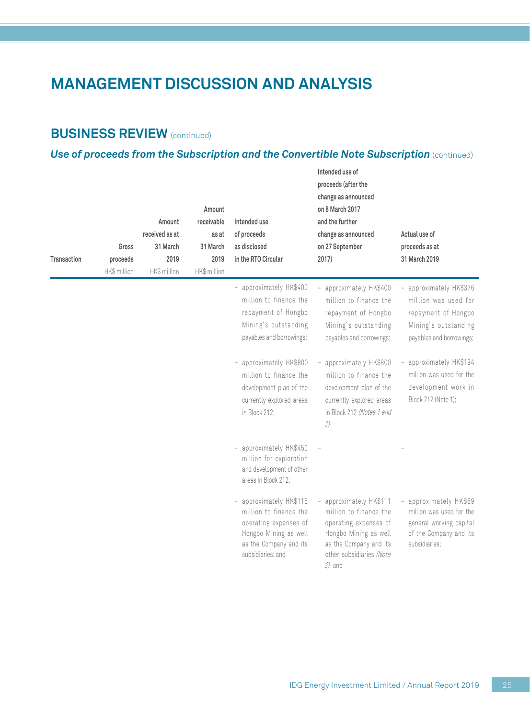## **BUSINESS REVIEW (continued)**

## *Use of proceeds from the Subscription and the Convertible Note Subscription (continued)*

| Transaction | Gross<br>proceeds<br>HK\$ million | Amount<br>received as at<br>31 March<br>2019<br>HK\$ million | Amount<br>receivable<br>as at<br>31 March<br>2019<br>HK\$ million | Intended use<br>of proceeds<br>as disclosed<br>in the RTO Circular                                                                                 | Intended use of<br>proceeds (after the<br>change as announced<br>on 8 March 2017<br>and the further<br>change as announced<br>on 27 September<br>2017)                  | Actual use of<br>proceeds as at<br>31 March 2019                                                                           |
|-------------|-----------------------------------|--------------------------------------------------------------|-------------------------------------------------------------------|----------------------------------------------------------------------------------------------------------------------------------------------------|-------------------------------------------------------------------------------------------------------------------------------------------------------------------------|----------------------------------------------------------------------------------------------------------------------------|
|             |                                   |                                                              |                                                                   | - approximately HK\$400<br>million to finance the<br>repayment of Hongbo<br>Mining's outstanding<br>payables and borrowings;                       | - approximately HK\$400<br>million to finance the<br>repayment of Hongbo<br>Mining's outstanding<br>payables and borrowings;                                            | - approximately HK\$376<br>million was used for<br>repayment of Hongbo<br>Mining's outstanding<br>payables and borrowings; |
|             |                                   |                                                              |                                                                   | - approximately HK\$800<br>million to finance the<br>development plan of the<br>currently explored areas<br>in Block 212;                          | - approximately HK\$800<br>million to finance the<br>development plan of the<br>currently explored areas<br>in Block 212 (Notes 1 and<br>$2$ );                         | approximately HK\$194<br>million was used for the<br>development work in<br>Block 212 (Note 1);                            |
|             |                                   |                                                              |                                                                   | - approximately HK\$450<br>million for exploration<br>and development of other<br>areas in Block 212:                                              |                                                                                                                                                                         |                                                                                                                            |
|             |                                   |                                                              |                                                                   | - approximately HK\$115<br>million to finance the<br>operating expenses of<br>Hongbo Mining as well<br>as the Company and its<br>subsidiaries; and | - approximately HK\$111<br>million to finance the<br>operating expenses of<br>Hongbo Mining as well<br>as the Company and its<br>other subsidiaries (Note<br>$2$ ); and | approximately HK\$69<br>million was used for the<br>general working capital<br>of the Company and its<br>subsidiaries;     |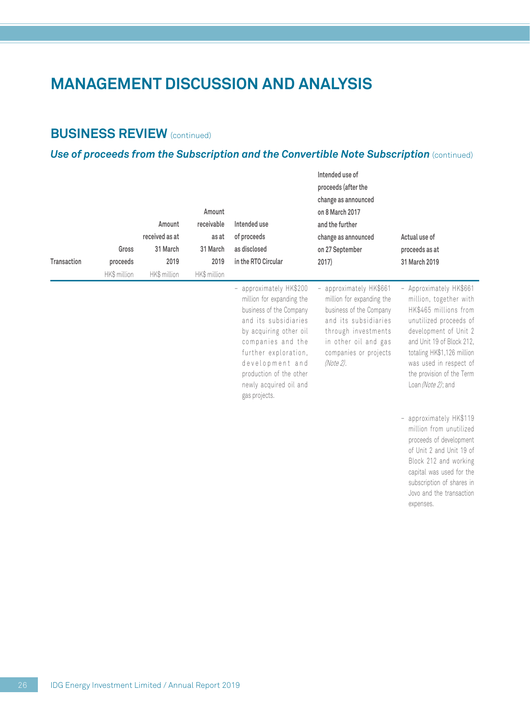## **BUSINESS REVIEW (continued)**

## *Use of proceeds from the Subscription and the Convertible Note Subscription (continued)*

| Transaction | Gross<br>proceeds<br>HK\$ million | Amount<br>received as at<br>31 March<br>2019<br>HK\$ million | Amount<br>receivable<br>as at<br>31 March<br>2019<br>HK\$ million | Intended use<br>of proceeds<br>as disclosed<br>in the RTO Circular                                                                                                                                                                                                      | Intended use of<br>proceeds (after the<br>change as announced<br>on 8 March 2017<br>and the further<br>change as announced<br>on 27 September<br>2017)                                     | Actual use of<br>proceeds as at<br>31 March 2019                                                                                                                                                                                                                      |
|-------------|-----------------------------------|--------------------------------------------------------------|-------------------------------------------------------------------|-------------------------------------------------------------------------------------------------------------------------------------------------------------------------------------------------------------------------------------------------------------------------|--------------------------------------------------------------------------------------------------------------------------------------------------------------------------------------------|-----------------------------------------------------------------------------------------------------------------------------------------------------------------------------------------------------------------------------------------------------------------------|
|             |                                   |                                                              |                                                                   | - approximately HK\$200<br>million for expanding the<br>business of the Company<br>and its subsidiaries<br>by acquiring other oil<br>companies and the<br>further exploration,<br>development and<br>production of the other<br>newly acquired oil and<br>gas projects. | approximately HK\$661<br>million for expanding the<br>business of the Company<br>and its subsidiaries<br>through investments<br>in other oil and gas<br>companies or projects<br>(Note 2). | - Approximately HK\$661<br>million, together with<br>HK\$465 millions from<br>unutilized proceeds of<br>development of Unit 2<br>and Unit 19 of Block 212,<br>totaling HK\$1,126 million<br>was used in respect of<br>the provision of the Term<br>Loan (Note 2); and |
|             |                                   |                                                              |                                                                   |                                                                                                                                                                                                                                                                         |                                                                                                                                                                                            | - approximately HK\$119<br>million from unutilized<br>proceeds of development<br>of Unit 2 and Unit 19 of<br>Block 212 and working<br>capital was used for the<br>subscription of shares in<br>Jovo and the transaction<br>expenses.                                  |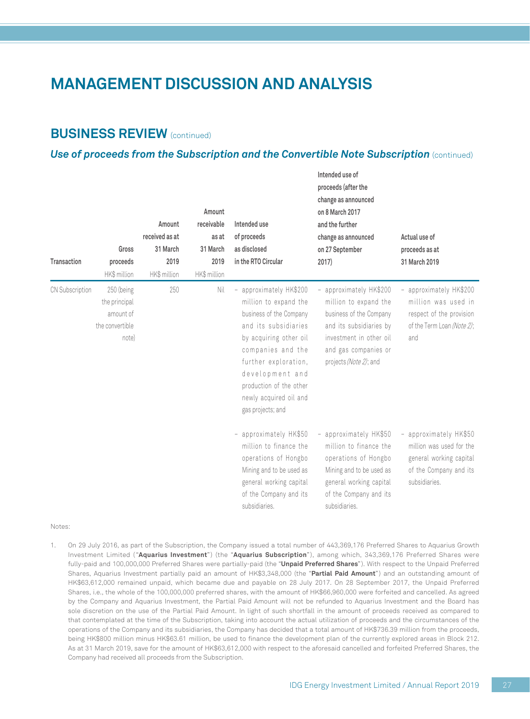### **BUSINESS REVIEW** (continued)

#### *Use of proceeds from the Subscription and the Convertible Note Subscription (continued)*

| Transaction     | Gross<br>proceeds<br>HK\$ million                                    | Amount<br>received as at<br>31 March<br>2019<br>HK\$ million | Amount<br>receivable<br>as at<br>31 March<br>2019<br>HK\$ million | Intended use<br>of proceeds<br>as disclosed<br>in the RTO Circular                                                                                                                                                                                                      | Intended use of<br>proceeds (after the<br>change as announced<br>on 8 March 2017<br>and the further<br>change as announced<br>on 27 September<br>2017)                              | Actual use of<br>proceeds as at<br>31 March 2019                                                                                            |
|-----------------|----------------------------------------------------------------------|--------------------------------------------------------------|-------------------------------------------------------------------|-------------------------------------------------------------------------------------------------------------------------------------------------------------------------------------------------------------------------------------------------------------------------|-------------------------------------------------------------------------------------------------------------------------------------------------------------------------------------|---------------------------------------------------------------------------------------------------------------------------------------------|
| CN Subscription | 250 (being<br>the principal<br>amount of<br>the convertible<br>note) | 250                                                          | Nil                                                               | - approximately HK\$200<br>million to expand the<br>business of the Company<br>and its subsidiaries<br>by acquiring other oil<br>companies and the<br>further exploration,<br>development and<br>production of the other<br>newly acquired oil and<br>gas projects; and | - approximately HK\$200<br>million to expand the<br>business of the Company<br>and its subsidiaries by<br>investment in other oil<br>and gas companies or<br>projects (Note 2); and | approximately HK\$200<br>$\overline{\phantom{0}}$<br>million was used in<br>respect of the provision<br>of the Term Loan (Note 2);<br>and   |
|                 |                                                                      |                                                              |                                                                   | - approximately HK\$50<br>million to finance the<br>operations of Hongbo<br>Mining and to be used as<br>general working capital<br>of the Company and its<br>subsidiaries.                                                                                              | - approximately HK\$50<br>million to finance the<br>operations of Hongbo<br>Mining and to be used as<br>general working capital<br>of the Company and its<br>subsidiaries.          | approximately HK\$50<br>$\qquad \qquad -$<br>million was used for the<br>general working capital<br>of the Company and its<br>subsidiaries. |

#### Notes:

1. On 29 July 2016, as part of the Subscription, the Company issued a total number of 443,369,176 Preferred Shares to Aquarius Growth Investment Limited ("**Aquarius Investment**") (the "**Aquarius Subscription**"), among which, 343,369,176 Preferred Shares were fully-paid and 100,000,000 Preferred Shares were partially-paid (the "**Unpaid Preferred Shares**"). With respect to the Unpaid Preferred Shares, Aquarius Investment partially paid an amount of HK\$3,348,000 (the "**Partial Paid Amount**") and an outstanding amount of HK\$63,612,000 remained unpaid, which became due and payable on 28 July 2017. On 28 September 2017, the Unpaid Preferred Shares, i.e., the whole of the 100,000,000 preferred shares, with the amount of HK\$66,960,000 were forfeited and cancelled. As agreed by the Company and Aquarius Investment, the Partial Paid Amount will not be refunded to Aquarius Investment and the Board has sole discretion on the use of the Partial Paid Amount. In light of such shortfall in the amount of proceeds received as compared to that contemplated at the time of the Subscription, taking into account the actual utilization of proceeds and the circumstances of the operations of the Company and its subsidiaries, the Company has decided that a total amount of HK\$736.39 million from the proceeds, being HK\$800 million minus HK\$63.61 million, be used to finance the development plan of the currently explored areas in Block 212. As at 31 March 2019, save for the amount of HK\$63,612,000 with respect to the aforesaid cancelled and forfeited Preferred Shares, the Company had received all proceeds from the Subscription.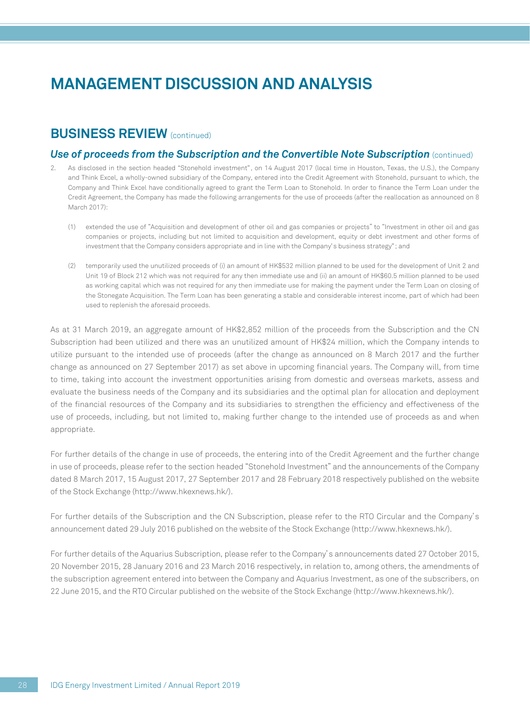### **BUSINESS REVIEW** (continued)

#### *Use of proceeds from the Subscription and the Convertible Note Subscription (continued)*

- 2. As disclosed in the section headed "Stonehold investment", on 14 August 2017 (local time in Houston, Texas, the U.S.), the Company and Think Excel, a wholly-owned subsidiary of the Company, entered into the Credit Agreement with Stonehold, pursuant to which, the Company and Think Excel have conditionally agreed to grant the Term Loan to Stonehold. In order to finance the Term Loan under the Credit Agreement, the Company has made the following arrangements for the use of proceeds (after the reallocation as announced on 8 March 2017):
	- (1) extended the use of "Acquisition and development of other oil and gas companies or projects" to "Investment in other oil and gas companies or projects, including but not limited to acquisition and development, equity or debt investment and other forms of investment that the Company considers appropriate and in line with the Company's business strategy"; and
	- (2) temporarily used the unutilized proceeds of (i) an amount of HK\$532 million planned to be used for the development of Unit 2 and Unit 19 of Block 212 which was not required for any then immediate use and (ii) an amount of HK\$60.5 million planned to be used as working capital which was not required for any then immediate use for making the payment under the Term Loan on closing of the Stonegate Acquisition. The Term Loan has been generating a stable and considerable interest income, part of which had been used to replenish the aforesaid proceeds.

As at 31 March 2019, an aggregate amount of HK\$2,852 million of the proceeds from the Subscription and the CN Subscription had been utilized and there was an unutilized amount of HK\$24 million, which the Company intends to utilize pursuant to the intended use of proceeds (after the change as announced on 8 March 2017 and the further change as announced on 27 September 2017) as set above in upcoming financial years. The Company will, from time to time, taking into account the investment opportunities arising from domestic and overseas markets, assess and evaluate the business needs of the Company and its subsidiaries and the optimal plan for allocation and deployment of the financial resources of the Company and its subsidiaries to strengthen the efficiency and effectiveness of the use of proceeds, including, but not limited to, making further change to the intended use of proceeds as and when appropriate.

For further details of the change in use of proceeds, the entering into of the Credit Agreement and the further change in use of proceeds, please refer to the section headed "Stonehold Investment" and the announcements of the Company dated 8 March 2017, 15 August 2017, 27 September 2017 and 28 February 2018 respectively published on the website of the Stock Exchange (http://www.hkexnews.hk/).

For further details of the Subscription and the CN Subscription, please refer to the RTO Circular and the Company's announcement dated 29 July 2016 published on the website of the Stock Exchange (http://www.hkexnews.hk/).

For further details of the Aquarius Subscription, please refer to the Company's announcements dated 27 October 2015, 20 November 2015, 28 January 2016 and 23 March 2016 respectively, in relation to, among others, the amendments of the subscription agreement entered into between the Company and Aquarius Investment, as one of the subscribers, on 22 June 2015, and the RTO Circular published on the website of the Stock Exchange (http://www.hkexnews.hk/).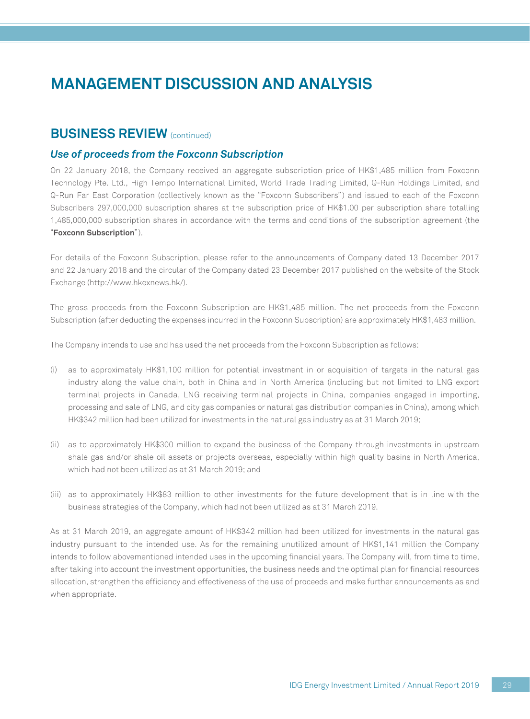### **BUSINESS REVIEW** (continued)

#### *Use of proceeds from the Foxconn Subscription*

On 22 January 2018, the Company received an aggregate subscription price of HK\$1,485 million from Foxconn Technology Pte. Ltd., High Tempo International Limited, World Trade Trading Limited, Q-Run Holdings Limited, and Q-Run Far East Corporation (collectively known as the "Foxconn Subscribers") and issued to each of the Foxconn Subscribers 297,000,000 subscription shares at the subscription price of HK\$1.00 per subscription share totalling 1,485,000,000 subscription shares in accordance with the terms and conditions of the subscription agreement (the "**Foxconn Subscription**").

For details of the Foxconn Subscription, please refer to the announcements of Company dated 13 December 2017 and 22 January 2018 and the circular of the Company dated 23 December 2017 published on the website of the Stock Exchange (http://www.hkexnews.hk/).

The gross proceeds from the Foxconn Subscription are HK\$1,485 million. The net proceeds from the Foxconn Subscription (after deducting the expenses incurred in the Foxconn Subscription) are approximately HK\$1,483 million.

The Company intends to use and has used the net proceeds from the Foxconn Subscription as follows:

- (i) as to approximately HK\$1,100 million for potential investment in or acquisition of targets in the natural gas industry along the value chain, both in China and in North America (including but not limited to LNG export terminal projects in Canada, LNG receiving terminal projects in China, companies engaged in importing, processing and sale of LNG, and city gas companies or natural gas distribution companies in China), among which HK\$342 million had been utilized for investments in the natural gas industry as at 31 March 2019;
- (ii) as to approximately HK\$300 million to expand the business of the Company through investments in upstream shale gas and/or shale oil assets or projects overseas, especially within high quality basins in North America, which had not been utilized as at 31 March 2019; and
- (iii) as to approximately HK\$83 million to other investments for the future development that is in line with the business strategies of the Company, which had not been utilized as at 31 March 2019.

As at 31 March 2019, an aggregate amount of HK\$342 million had been utilized for investments in the natural gas industry pursuant to the intended use. As for the remaining unutilized amount of HK\$1,141 million the Company intends to follow abovementioned intended uses in the upcoming financial years. The Company will, from time to time, after taking into account the investment opportunities, the business needs and the optimal plan for financial resources allocation, strengthen the efficiency and effectiveness of the use of proceeds and make further announcements as and when appropriate.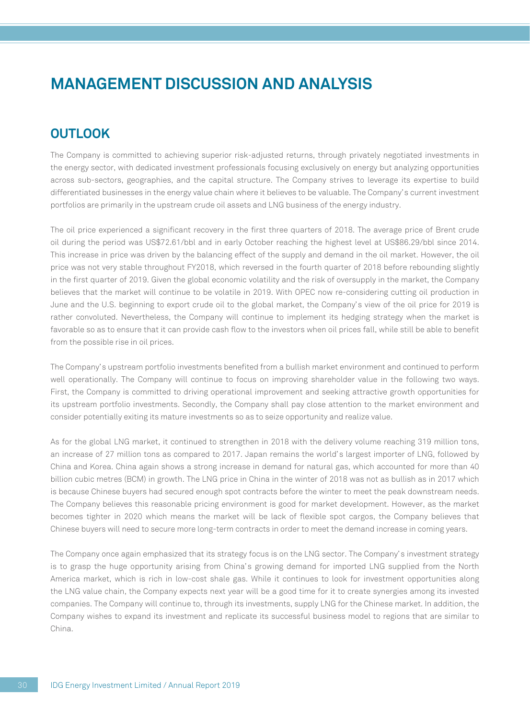## **OUTLOOK**

The Company is committed to achieving superior risk-adjusted returns, through privately negotiated investments in the energy sector, with dedicated investment professionals focusing exclusively on energy but analyzing opportunities across sub-sectors, geographies, and the capital structure. The Company strives to leverage its expertise to build differentiated businesses in the energy value chain where it believes to be valuable. The Company's current investment portfolios are primarily in the upstream crude oil assets and LNG business of the energy industry.

The oil price experienced a significant recovery in the first three quarters of 2018. The average price of Brent crude oil during the period was US\$72.61/bbl and in early October reaching the highest level at US\$86.29/bbl since 2014. This increase in price was driven by the balancing effect of the supply and demand in the oil market. However, the oil price was not very stable throughout FY2018, which reversed in the fourth quarter of 2018 before rebounding slightly in the first quarter of 2019. Given the global economic volatility and the risk of oversupply in the market, the Company believes that the market will continue to be volatile in 2019. With OPEC now re-considering cutting oil production in June and the U.S. beginning to export crude oil to the global market, the Company's view of the oil price for 2019 is rather convoluted. Nevertheless, the Company will continue to implement its hedging strategy when the market is favorable so as to ensure that it can provide cash flow to the investors when oil prices fall, while still be able to benefit from the possible rise in oil prices.

The Company's upstream portfolio investments benefited from a bullish market environment and continued to perform well operationally. The Company will continue to focus on improving shareholder value in the following two ways. First, the Company is committed to driving operational improvement and seeking attractive growth opportunities for its upstream portfolio investments. Secondly, the Company shall pay close attention to the market environment and consider potentially exiting its mature investments so as to seize opportunity and realize value.

As for the global LNG market, it continued to strengthen in 2018 with the delivery volume reaching 319 million tons, an increase of 27 million tons as compared to 2017. Japan remains the world's largest importer of LNG, followed by China and Korea. China again shows a strong increase in demand for natural gas, which accounted for more than 40 billion cubic metres (BCM) in growth. The LNG price in China in the winter of 2018 was not as bullish as in 2017 which is because Chinese buyers had secured enough spot contracts before the winter to meet the peak downstream needs. The Company believes this reasonable pricing environment is good for market development. However, as the market becomes tighter in 2020 which means the market will be lack of flexible spot cargos, the Company believes that Chinese buyers will need to secure more long-term contracts in order to meet the demand increase in coming years.

The Company once again emphasized that its strategy focus is on the LNG sector. The Company's investment strategy is to grasp the huge opportunity arising from China's growing demand for imported LNG supplied from the North America market, which is rich in low-cost shale gas. While it continues to look for investment opportunities along the LNG value chain, the Company expects next year will be a good time for it to create synergies among its invested companies. The Company will continue to, through its investments, supply LNG for the Chinese market. In addition, the Company wishes to expand its investment and replicate its successful business model to regions that are similar to China.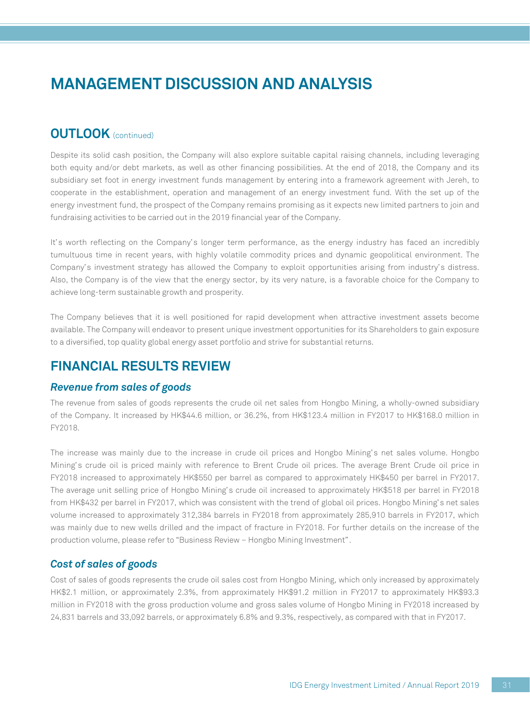### **OUTLOOK** (continued)

Despite its solid cash position, the Company will also explore suitable capital raising channels, including leveraging both equity and/or debt markets, as well as other financing possibilities. At the end of 2018, the Company and its subsidiary set foot in energy investment funds management by entering into a framework agreement with Jereh, to cooperate in the establishment, operation and management of an energy investment fund. With the set up of the energy investment fund, the prospect of the Company remains promising as it expects new limited partners to join and fundraising activities to be carried out in the 2019 financial year of the Company.

It's worth reflecting on the Company's longer term performance, as the energy industry has faced an incredibly tumultuous time in recent years, with highly volatile commodity prices and dynamic geopolitical environment. The Company's investment strategy has allowed the Company to exploit opportunities arising from industry's distress. Also, the Company is of the view that the energy sector, by its very nature, is a favorable choice for the Company to achieve long-term sustainable growth and prosperity.

The Company believes that it is well positioned for rapid development when attractive investment assets become available. The Company will endeavor to present unique investment opportunities for its Shareholders to gain exposure to a diversified, top quality global energy asset portfolio and strive for substantial returns.

### **FINANCIAL RESULTS REVIEW**

#### *Revenue from sales of goods*

The revenue from sales of goods represents the crude oil net sales from Hongbo Mining, a wholly-owned subsidiary of the Company. It increased by HK\$44.6 million, or 36.2%, from HK\$123.4 million in FY2017 to HK\$168.0 million in FY2018.

The increase was mainly due to the increase in crude oil prices and Hongbo Mining's net sales volume. Hongbo Mining's crude oil is priced mainly with reference to Brent Crude oil prices. The average Brent Crude oil price in FY2018 increased to approximately HK\$550 per barrel as compared to approximately HK\$450 per barrel in FY2017. The average unit selling price of Hongbo Mining's crude oil increased to approximately HK\$518 per barrel in FY2018 from HK\$432 per barrel in FY2017, which was consistent with the trend of global oil prices. Hongbo Mining's net sales volume increased to approximately 312,384 barrels in FY2018 from approximately 285,910 barrels in FY2017, which was mainly due to new wells drilled and the impact of fracture in FY2018. For further details on the increase of the production volume, please refer to "Business Review – Hongbo Mining Investment".

#### *Cost of sales of goods*

Cost of sales of goods represents the crude oil sales cost from Hongbo Mining, which only increased by approximately HK\$2.1 million, or approximately 2.3%, from approximately HK\$91.2 million in FY2017 to approximately HK\$93.3 million in FY2018 with the gross production volume and gross sales volume of Hongbo Mining in FY2018 increased by 24,831 barrels and 33,092 barrels, or approximately 6.8% and 9.3%, respectively, as compared with that in FY2017.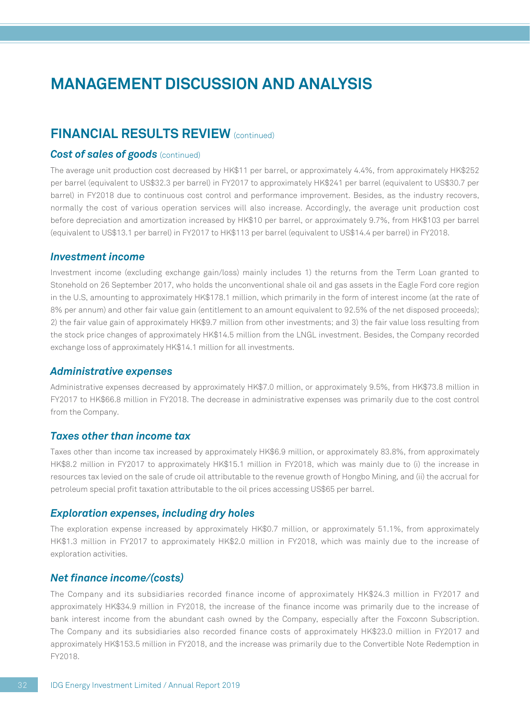### **FINANCIAL RESULTS REVIEW (continued)**

#### *Cost of sales of goods (continued)*

The average unit production cost decreased by HK\$11 per barrel, or approximately 4.4%, from approximately HK\$252 per barrel (equivalent to US\$32.3 per barrel) in FY2017 to approximately HK\$241 per barrel (equivalent to US\$30.7 per barrel) in FY2018 due to continuous cost control and performance improvement. Besides, as the industry recovers, normally the cost of various operation services will also increase. Accordingly, the average unit production cost before depreciation and amortization increased by HK\$10 per barrel, or approximately 9.7%, from HK\$103 per barrel (equivalent to US\$13.1 per barrel) in FY2017 to HK\$113 per barrel (equivalent to US\$14.4 per barrel) in FY2018.

#### *Investment income*

Investment income (excluding exchange gain/loss) mainly includes 1) the returns from the Term Loan granted to Stonehold on 26 September 2017, who holds the unconventional shale oil and gas assets in the Eagle Ford core region in the U.S, amounting to approximately HK\$178.1 million, which primarily in the form of interest income (at the rate of 8% per annum) and other fair value gain (entitlement to an amount equivalent to 92.5% of the net disposed proceeds); 2) the fair value gain of approximately HK\$9.7 million from other investments; and 3) the fair value loss resulting from the stock price changes of approximately HK\$14.5 million from the LNGL investment. Besides, the Company recorded exchange loss of approximately HK\$14.1 million for all investments.

#### *Administrative expenses*

Administrative expenses decreased by approximately HK\$7.0 million, or approximately 9.5%, from HK\$73.8 million in FY2017 to HK\$66.8 million in FY2018. The decrease in administrative expenses was primarily due to the cost control from the Company.

#### *Taxes other than income tax*

Taxes other than income tax increased by approximately HK\$6.9 million, or approximately 83.8%, from approximately HK\$8.2 million in FY2017 to approximately HK\$15.1 million in FY2018, which was mainly due to (i) the increase in resources tax levied on the sale of crude oil attributable to the revenue growth of Hongbo Mining, and (ii) the accrual for petroleum special profit taxation attributable to the oil prices accessing US\$65 per barrel.

#### *Exploration expenses, including dry holes*

The exploration expense increased by approximately HK\$0.7 million, or approximately 51.1%, from approximately HK\$1.3 million in FY2017 to approximately HK\$2.0 million in FY2018, which was mainly due to the increase of exploration activities.

#### *Net finance income/(costs)*

The Company and its subsidiaries recorded finance income of approximately HK\$24.3 million in FY2017 and approximately HK\$34.9 million in FY2018, the increase of the finance income was primarily due to the increase of bank interest income from the abundant cash owned by the Company, especially after the Foxconn Subscription. The Company and its subsidiaries also recorded finance costs of approximately HK\$23.0 million in FY2017 and approximately HK\$153.5 million in FY2018, and the increase was primarily due to the Convertible Note Redemption in FY2018.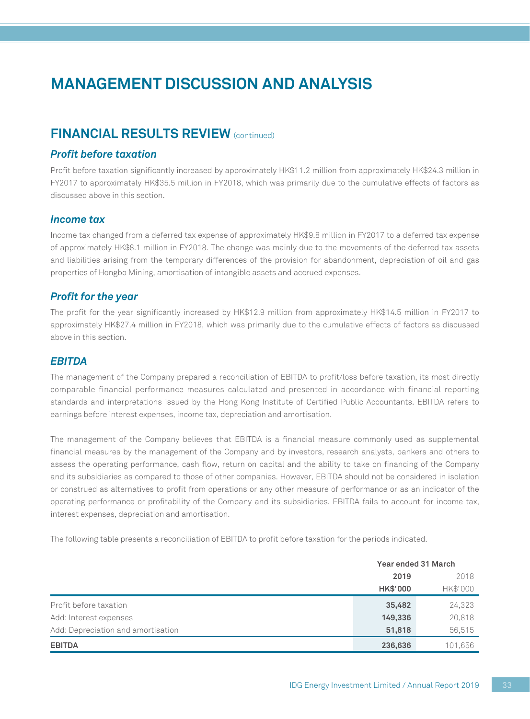## **FINANCIAL RESULTS REVIEW** (continued)

#### *Profit before taxation*

Profit before taxation significantly increased by approximately HK\$11.2 million from approximately HK\$24.3 million in FY2017 to approximately HK\$35.5 million in FY2018, which was primarily due to the cumulative effects of factors as discussed above in this section.

#### *Income tax*

Income tax changed from a deferred tax expense of approximately HK\$9.8 million in FY2017 to a deferred tax expense of approximately HK\$8.1 million in FY2018. The change was mainly due to the movements of the deferred tax assets and liabilities arising from the temporary differences of the provision for abandonment, depreciation of oil and gas properties of Hongbo Mining, amortisation of intangible assets and accrued expenses.

#### *Profit for the year*

The profit for the year significantly increased by HK\$12.9 million from approximately HK\$14.5 million in FY2017 to approximately HK\$27.4 million in FY2018, which was primarily due to the cumulative effects of factors as discussed above in this section.

#### *EBITDA*

The management of the Company prepared a reconciliation of EBITDA to profit/loss before taxation, its most directly comparable financial performance measures calculated and presented in accordance with financial reporting standards and interpretations issued by the Hong Kong Institute of Certified Public Accountants. EBITDA refers to earnings before interest expenses, income tax, depreciation and amortisation.

The management of the Company believes that EBITDA is a financial measure commonly used as supplemental financial measures by the management of the Company and by investors, research analysts, bankers and others to assess the operating performance, cash flow, return on capital and the ability to take on financing of the Company and its subsidiaries as compared to those of other companies. However, EBITDA should not be considered in isolation or construed as alternatives to profit from operations or any other measure of performance or as an indicator of the operating performance or profitability of the Company and its subsidiaries. EBITDA fails to account for income tax, interest expenses, depreciation and amortisation.

The following table presents a reconciliation of EBITDA to profit before taxation for the periods indicated.

|                                    | Year ended 31 March |          |  |
|------------------------------------|---------------------|----------|--|
|                                    | 2019                | 2018     |  |
|                                    | <b>HK\$'000</b>     | HK\$'000 |  |
| Profit before taxation             | 35,482              | 24,323   |  |
| Add: Interest expenses             | 149,336             | 20,818   |  |
| Add: Depreciation and amortisation | 51,818              | 56.515   |  |
| <b>EBITDA</b>                      | 236,636             | 101,656  |  |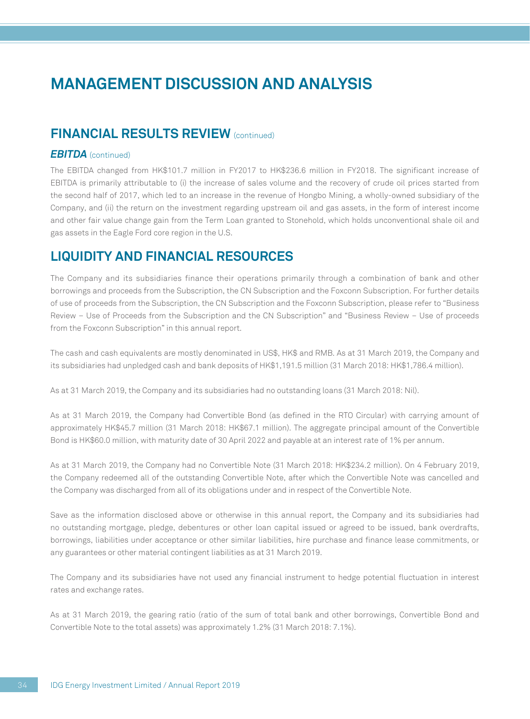### **FINANCIAL RESULTS REVIEW (continued)**

#### *EBITDA* (continued)

The EBITDA changed from HK\$101.7 million in FY2017 to HK\$236.6 million in FY2018. The significant increase of EBITDA is primarily attributable to (i) the increase of sales volume and the recovery of crude oil prices started from the second half of 2017, which led to an increase in the revenue of Hongbo Mining, a wholly-owned subsidiary of the Company, and (ii) the return on the investment regarding upstream oil and gas assets, in the form of interest income and other fair value change gain from the Term Loan granted to Stonehold, which holds unconventional shale oil and gas assets in the Eagle Ford core region in the U.S.

### **LIQUIDITY AND FINANCIAL RESOURCES**

The Company and its subsidiaries finance their operations primarily through a combination of bank and other borrowings and proceeds from the Subscription, the CN Subscription and the Foxconn Subscription. For further details of use of proceeds from the Subscription, the CN Subscription and the Foxconn Subscription, please refer to "Business Review – Use of Proceeds from the Subscription and the CN Subscription" and "Business Review – Use of proceeds from the Foxconn Subscription" in this annual report.

The cash and cash equivalents are mostly denominated in US\$, HK\$ and RMB. As at 31 March 2019, the Company and its subsidiaries had unpledged cash and bank deposits of HK\$1,191.5 million (31 March 2018: HK\$1,786.4 million).

As at 31 March 2019, the Company and its subsidiaries had no outstanding loans (31 March 2018: Nil).

As at 31 March 2019, the Company had Convertible Bond (as defined in the RTO Circular) with carrying amount of approximately HK\$45.7 million (31 March 2018: HK\$67.1 million). The aggregate principal amount of the Convertible Bond is HK\$60.0 million, with maturity date of 30 April 2022 and payable at an interest rate of 1% per annum.

As at 31 March 2019, the Company had no Convertible Note (31 March 2018: HK\$234.2 million). On 4 February 2019, the Company redeemed all of the outstanding Convertible Note, after which the Convertible Note was cancelled and the Company was discharged from all of its obligations under and in respect of the Convertible Note.

Save as the information disclosed above or otherwise in this annual report, the Company and its subsidiaries had no outstanding mortgage, pledge, debentures or other loan capital issued or agreed to be issued, bank overdrafts, borrowings, liabilities under acceptance or other similar liabilities, hire purchase and finance lease commitments, or any guarantees or other material contingent liabilities as at 31 March 2019.

The Company and its subsidiaries have not used any financial instrument to hedge potential fluctuation in interest rates and exchange rates.

As at 31 March 2019, the gearing ratio (ratio of the sum of total bank and other borrowings, Convertible Bond and Convertible Note to the total assets) was approximately 1.2% (31 March 2018: 7.1%).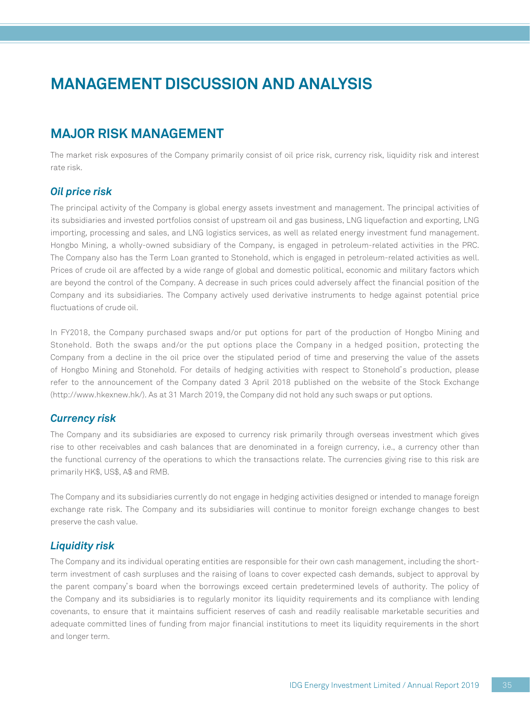## **MAJOR RISK MANAGEMENT**

The market risk exposures of the Company primarily consist of oil price risk, currency risk, liquidity risk and interest rate risk.

#### *Oil price risk*

The principal activity of the Company is global energy assets investment and management. The principal activities of its subsidiaries and invested portfolios consist of upstream oil and gas business, LNG liquefaction and exporting, LNG importing, processing and sales, and LNG logistics services, as well as related energy investment fund management. Hongbo Mining, a wholly-owned subsidiary of the Company, is engaged in petroleum-related activities in the PRC. The Company also has the Term Loan granted to Stonehold, which is engaged in petroleum-related activities as well. Prices of crude oil are affected by a wide range of global and domestic political, economic and military factors which are beyond the control of the Company. A decrease in such prices could adversely affect the financial position of the Company and its subsidiaries. The Company actively used derivative instruments to hedge against potential price fluctuations of crude oil.

In FY2018, the Company purchased swaps and/or put options for part of the production of Hongbo Mining and Stonehold. Both the swaps and/or the put options place the Company in a hedged position, protecting the Company from a decline in the oil price over the stipulated period of time and preserving the value of the assets of Hongbo Mining and Stonehold. For details of hedging activities with respect to Stonehold's production, please refer to the announcement of the Company dated 3 April 2018 published on the website of the Stock Exchange (http://www.hkexnew.hk/). As at 31 March 2019, the Company did not hold any such swaps or put options.

#### *Currency risk*

The Company and its subsidiaries are exposed to currency risk primarily through overseas investment which gives rise to other receivables and cash balances that are denominated in a foreign currency, i.e., a currency other than the functional currency of the operations to which the transactions relate. The currencies giving rise to this risk are primarily HK\$, US\$, A\$ and RMB.

The Company and its subsidiaries currently do not engage in hedging activities designed or intended to manage foreign exchange rate risk. The Company and its subsidiaries will continue to monitor foreign exchange changes to best preserve the cash value.

#### *Liquidity risk*

The Company and its individual operating entities are responsible for their own cash management, including the shortterm investment of cash surpluses and the raising of loans to cover expected cash demands, subject to approval by the parent company's board when the borrowings exceed certain predetermined levels of authority. The policy of the Company and its subsidiaries is to regularly monitor its liquidity requirements and its compliance with lending covenants, to ensure that it maintains sufficient reserves of cash and readily realisable marketable securities and adequate committed lines of funding from major financial institutions to meet its liquidity requirements in the short and longer term.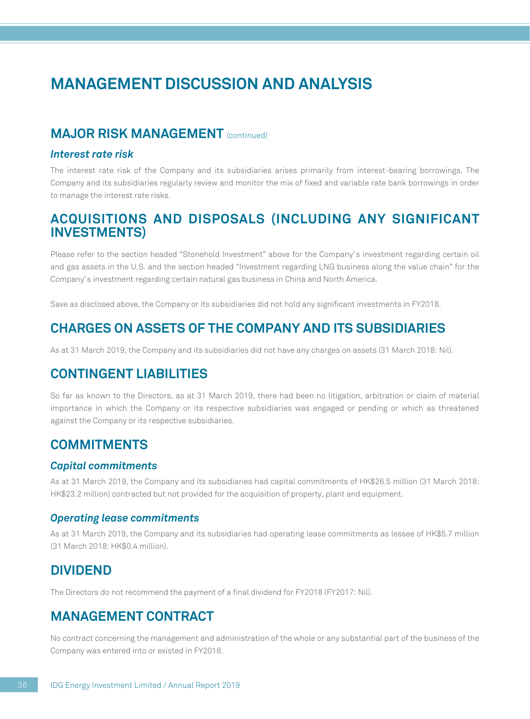# **MANAGEMENT DISCUSSION AND ANALYSIS**

### **MAJOR RISK MANAGEMENT** (continued)

#### *Interest rate risk*

The interest rate risk of the Company and its subsidiaries arises primarily from interest-bearing borrowings. The Company and its subsidiaries regularly review and monitor the mix of fixed and variable rate bank borrowings in order to manage the interest rate risks.

### **ACQUISITIONS AND DISPOSALS (INCLUDING ANY SIGNIFICANT INVESTMENTS)**

Please refer to the section headed "Stonehold Investment" above for the Company's investment regarding certain oil and gas assets in the U.S. and the section headed "Investment regarding LNG business along the value chain" for the Company's investment regarding certain natural gas business in China and North America.

Save as disclosed above, the Company or its subsidiaries did not hold any significant investments in FY2018.

## **CHARGES ON ASSETS OF THE COMPANY AND ITS SUBSIDIARIES**

As at 31 March 2019, the Company and its subsidiaries did not have any charges on assets (31 March 2018: Nil).

### **CONTINGENT LIABILITIES**

So far as known to the Directors, as at 31 March 2019, there had been no litigation, arbitration or claim of material importance in which the Company or its respective subsidiaries was engaged or pending or which as threatened against the Company or its respective subsidiaries.

### **COMMITMENTS**

#### *Capital commitments*

As at 31 March 2019, the Company and its subsidiaries had capital commitments of HK\$26.5 million (31 March 2018: HK\$23.2 million) contracted but not provided for the acquisition of property, plant and equipment.

#### *Operating lease commitments*

As at 31 March 2019, the Company and its subsidiaries had operating lease commitments as lessee of HK\$5.7 million (31 March 2018: HK\$0.4 million).

### **DIVIDEND**

The Directors do not recommend the payment of a final dividend for FY2018 (FY2017: Nil).

### **MANAGEMENT CONTRACT**

No contract concerning the management and administration of the whole or any substantial part of the business of the Company was entered into or existed in FY2018.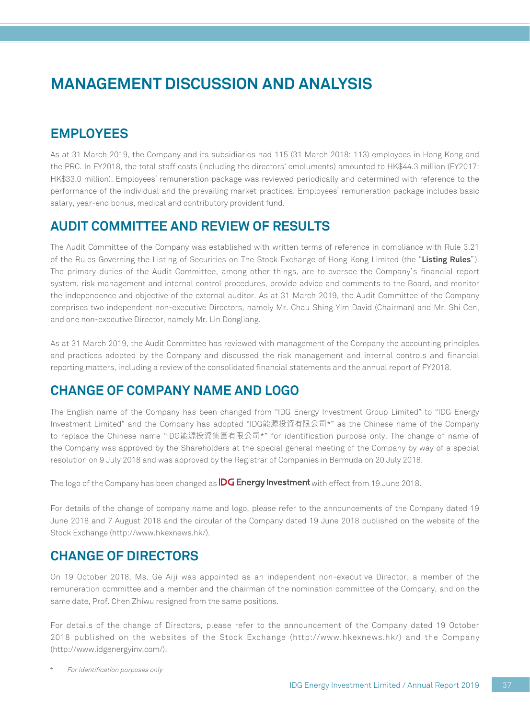# **MANAGEMENT DISCUSSION AND ANALYSIS**

# **EMPLOYEES**

As at 31 March 2019, the Company and its subsidiaries had 115 (31 March 2018: 113) employees in Hong Kong and the PRC. In FY2018, the total staff costs (including the directors' emoluments) amounted to HK\$44.3 million (FY2017: HK\$33.0 million). Employees' remuneration package was reviewed periodically and determined with reference to the performance of the individual and the prevailing market practices. Employees' remuneration package includes basic salary, year-end bonus, medical and contributory provident fund.

## **AUDIT COMMITTEE AND REVIEW OF RESULTS**

The Audit Committee of the Company was established with written terms of reference in compliance with Rule 3.21 of the Rules Governing the Listing of Securities on The Stock Exchange of Hong Kong Limited (the "**Listing Rules**"). The primary duties of the Audit Committee, among other things, are to oversee the Company's financial report system, risk management and internal control procedures, provide advice and comments to the Board, and monitor the independence and objective of the external auditor. As at 31 March 2019, the Audit Committee of the Company comprises two independent non-executive Directors, namely Mr. Chau Shing Yim David (Chairman) and Mr. Shi Cen, and one non-executive Director, namely Mr. Lin Dongliang.

As at 31 March 2019, the Audit Committee has reviewed with management of the Company the accounting principles and practices adopted by the Company and discussed the risk management and internal controls and financial reporting matters, including a review of the consolidated financial statements and the annual report of FY2018.

## **CHANGE OF COMPANY NAME AND LOGO**

The English name of the Company has been changed from "IDG Energy Investment Group Limited" to "IDG Energy Investment Limited" and the Company has adopted "IDG能源投資有限公司\*" as the Chinese name of the Company to replace the Chinese name "IDG能源投資集團有限公司\*" for identification purpose only. The change of name of the Company was approved by the Shareholders at the special general meeting of the Company by way of a special resolution on 9 July 2018 and was approved by the Registrar of Companies in Bermuda on 20 July 2018.

The logo of the Company has been changed as **IDG Energy Investment** with effect from 19 June 2018.

For details of the change of company name and logo, please refer to the announcements of the Company dated 19 June 2018 and 7 August 2018 and the circular of the Company dated 19 June 2018 published on the website of the Stock Exchange (http://www.hkexnews.hk/).

## **CHANGE OF DIRECTORS**

On 19 October 2018, Ms. Ge Aiji was appointed as an independent non-executive Director, a member of the remuneration committee and a member and the chairman of the nomination committee of the Company, and on the same date, Prof. Chen Zhiwu resigned from the same positions.

For details of the change of Directors, please refer to the announcement of the Company dated 19 October 2018 published on the websites of the Stock Exchange (http://www.hkexnews.hk/) and the Company (http://www.idgenergyinv.com/).

For identification purposes only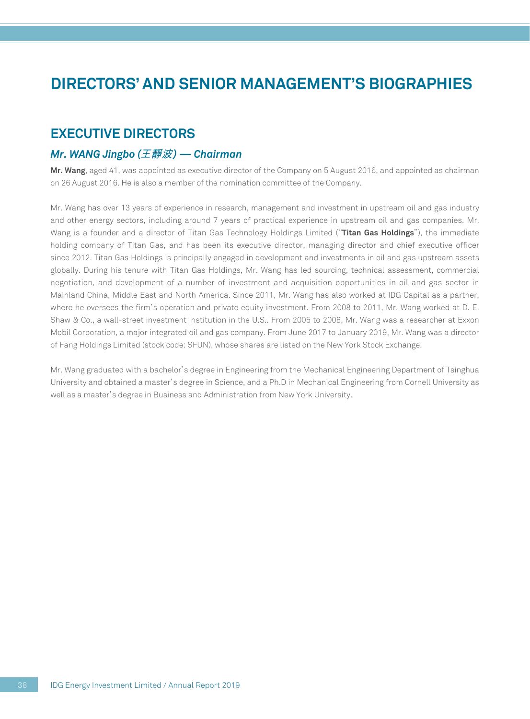### **EXECUTIVE DIRECTORS**

#### *Mr. WANG Jingbo (***王靜波***) — Chairman*

**Mr. Wang**, aged 41, was appointed as executive director of the Company on 5 August 2016, and appointed as chairman on 26 August 2016. He is also a member of the nomination committee of the Company.

Mr. Wang has over 13 years of experience in research, management and investment in upstream oil and gas industry and other energy sectors, including around 7 years of practical experience in upstream oil and gas companies. Mr. Wang is a founder and a director of Titan Gas Technology Holdings Limited ("**Titan Gas Holdings**"), the immediate holding company of Titan Gas, and has been its executive director, managing director and chief executive officer since 2012. Titan Gas Holdings is principally engaged in development and investments in oil and gas upstream assets globally. During his tenure with Titan Gas Holdings, Mr. Wang has led sourcing, technical assessment, commercial negotiation, and development of a number of investment and acquisition opportunities in oil and gas sector in Mainland China, Middle East and North America. Since 2011, Mr. Wang has also worked at IDG Capital as a partner, where he oversees the firm's operation and private equity investment. From 2008 to 2011, Mr. Wang worked at D. E. Shaw & Co., a wall-street investment institution in the U.S.. From 2005 to 2008, Mr. Wang was a researcher at Exxon Mobil Corporation, a major integrated oil and gas company. From June 2017 to January 2019, Mr. Wang was a director of Fang Holdings Limited (stock code: SFUN), whose shares are listed on the New York Stock Exchange.

Mr. Wang graduated with a bachelor's degree in Engineering from the Mechanical Engineering Department of Tsinghua University and obtained a master's degree in Science, and a Ph.D in Mechanical Engineering from Cornell University as well as a master's degree in Business and Administration from New York University.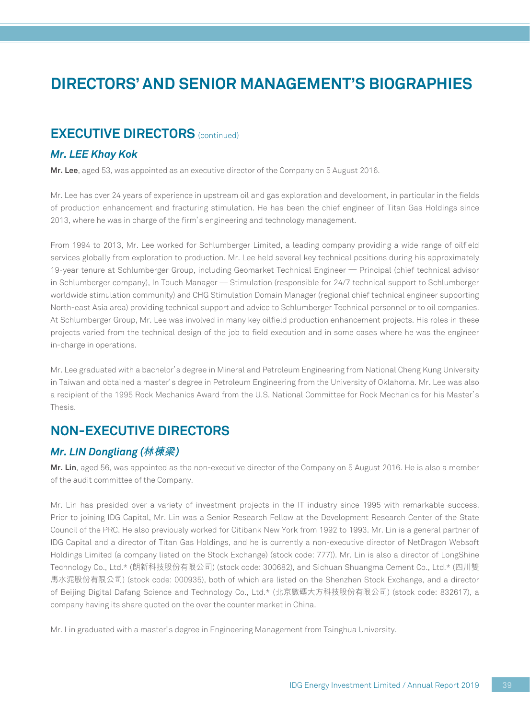### **EXECUTIVE DIRECTORS** (continued)

#### *Mr. LEE Khay Kok*

**Mr. Lee**, aged 53, was appointed as an executive director of the Company on 5 August 2016.

Mr. Lee has over 24 years of experience in upstream oil and gas exploration and development, in particular in the fields of production enhancement and fracturing stimulation. He has been the chief engineer of Titan Gas Holdings since 2013, where he was in charge of the firm's engineering and technology management.

From 1994 to 2013, Mr. Lee worked for Schlumberger Limited, a leading company providing a wide range of oilfield services globally from exploration to production. Mr. Lee held several key technical positions during his approximately 19-year tenure at Schlumberger Group, including Geomarket Technical Engineer — Principal (chief technical advisor in Schlumberger company), In Touch Manager — Stimulation (responsible for 24/7 technical support to Schlumberger worldwide stimulation community) and CHG Stimulation Domain Manager (regional chief technical engineer supporting North-east Asia area) providing technical support and advice to Schlumberger Technical personnel or to oil companies. At Schlumberger Group, Mr. Lee was involved in many key oilfield production enhancement projects. His roles in these projects varied from the technical design of the job to field execution and in some cases where he was the engineer in-charge in operations.

Mr. Lee graduated with a bachelor's degree in Mineral and Petroleum Engineering from National Cheng Kung University in Taiwan and obtained a master's degree in Petroleum Engineering from the University of Oklahoma. Mr. Lee was also a recipient of the 1995 Rock Mechanics Award from the U.S. National Committee for Rock Mechanics for his Master's Thesis.

## **NON-EXECUTIVE DIRECTORS**

#### *Mr. LIN Dongliang (***林棟梁***)*

**Mr. Lin**, aged 56, was appointed as the non-executive director of the Company on 5 August 2016. He is also a member of the audit committee of the Company.

Mr. Lin has presided over a variety of investment projects in the IT industry since 1995 with remarkable success. Prior to joining IDG Capital, Mr. Lin was a Senior Research Fellow at the Development Research Center of the State Council of the PRC. He also previously worked for Citibank New York from 1992 to 1993. Mr. Lin is a general partner of IDG Capital and a director of Titan Gas Holdings, and he is currently a non-executive director of NetDragon Websoft Holdings Limited (a company listed on the Stock Exchange) (stock code: 777)). Mr. Lin is also a director of LongShine Technology Co., Ltd.\* (朗新科技股份有限公司) (stock code: 300682), and Sichuan Shuangma Cement Co., Ltd.\* (四川雙 馬水泥股份有限公司) (stock code: 000935), both of which are listed on the Shenzhen Stock Exchange, and a director of Beijing Digital Dafang Science and Technology Co., Ltd.\* (北京數碼大方科技股份有限公司) (stock code: 832617), a company having its share quoted on the over the counter market in China.

Mr. Lin graduated with a master's degree in Engineering Management from Tsinghua University.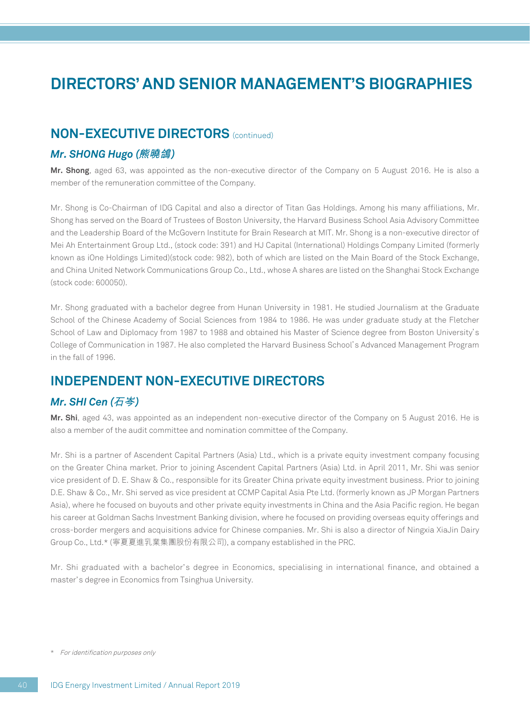### **NON-EXECUTIVE DIRECTORS** (continued)

#### *Mr. SHONG Hugo (***熊曉鴿***)*

**Mr. Shong**, aged 63, was appointed as the non-executive director of the Company on 5 August 2016. He is also a member of the remuneration committee of the Company.

Mr. Shong is Co-Chairman of IDG Capital and also a director of Titan Gas Holdings. Among his many affiliations, Mr. Shong has served on the Board of Trustees of Boston University, the Harvard Business School Asia Advisory Committee and the Leadership Board of the McGovern Institute for Brain Research at MIT. Mr. Shong is a non-executive director of Mei Ah Entertainment Group Ltd., (stock code: 391) and HJ Capital (International) Holdings Company Limited (formerly known as iOne Holdings Limited)(stock code: 982), both of which are listed on the Main Board of the Stock Exchange, and China United Network Communications Group Co., Ltd., whose A shares are listed on the Shanghai Stock Exchange (stock code: 600050).

Mr. Shong graduated with a bachelor degree from Hunan University in 1981. He studied Journalism at the Graduate School of the Chinese Academy of Social Sciences from 1984 to 1986. He was under graduate study at the Fletcher School of Law and Diplomacy from 1987 to 1988 and obtained his Master of Science degree from Boston University's College of Communication in 1987. He also completed the Harvard Business School's Advanced Management Program in the fall of 1996.

### **INDEPENDENT NON-EXECUTIVE DIRECTORS**

#### *Mr. SHI Cen (***石岑***)*

**Mr. Shi**, aged 43, was appointed as an independent non-executive director of the Company on 5 August 2016. He is also a member of the audit committee and nomination committee of the Company.

Mr. Shi is a partner of Ascendent Capital Partners (Asia) Ltd., which is a private equity investment company focusing on the Greater China market. Prior to joining Ascendent Capital Partners (Asia) Ltd. in April 2011, Mr. Shi was senior vice president of D. E. Shaw & Co., responsible for its Greater China private equity investment business. Prior to joining D.E. Shaw & Co., Mr. Shi served as vice president at CCMP Capital Asia Pte Ltd. (formerly known as JP Morgan Partners Asia), where he focused on buyouts and other private equity investments in China and the Asia Pacific region. He began his career at Goldman Sachs Investment Banking division, where he focused on providing overseas equity offerings and cross-border mergers and acquisitions advice for Chinese companies. Mr. Shi is also a director of Ningxia XiaJin Dairy Group Co., Ltd.\* (寧夏夏進乳業集團股份有限公司), a company established in the PRC.

Mr. Shi graduated with a bachelor's degree in Economics, specialising in international finance, and obtained a master's degree in Economics from Tsinghua University.

<sup>\*</sup> For identification purposes only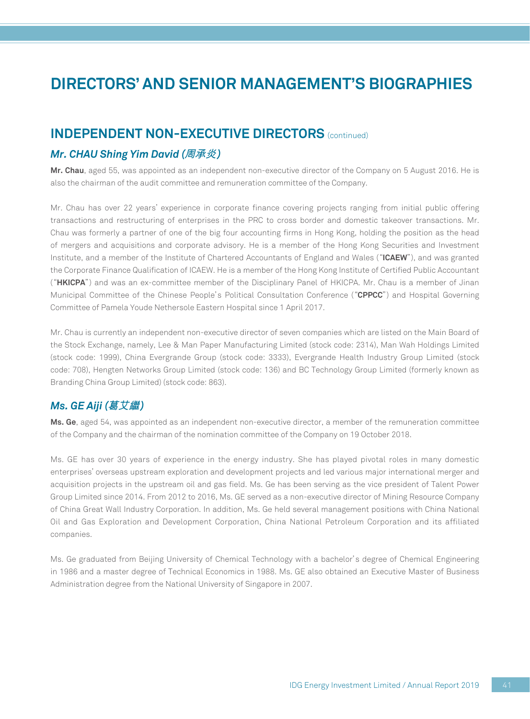### **INDEPENDENT NON-EXECUTIVE DIRECTORS** (continued)

#### *Mr. CHAU Shing Yim David (***周承炎***)*

**Mr. Chau**, aged 55, was appointed as an independent non-executive director of the Company on 5 August 2016. He is also the chairman of the audit committee and remuneration committee of the Company.

Mr. Chau has over 22 years' experience in corporate finance covering projects ranging from initial public offering transactions and restructuring of enterprises in the PRC to cross border and domestic takeover transactions. Mr. Chau was formerly a partner of one of the big four accounting firms in Hong Kong, holding the position as the head of mergers and acquisitions and corporate advisory. He is a member of the Hong Kong Securities and Investment Institute, and a member of the Institute of Chartered Accountants of England and Wales ("**ICAEW**"), and was granted the Corporate Finance Qualification of ICAEW. He is a member of the Hong Kong Institute of Certified Public Accountant ("**HKICPA**") and was an ex-committee member of the Disciplinary Panel of HKICPA. Mr. Chau is a member of Jinan Municipal Committee of the Chinese People's Political Consultation Conference ("**CPPCC**") and Hospital Governing Committee of Pamela Youde Nethersole Eastern Hospital since 1 April 2017.

Mr. Chau is currently an independent non-executive director of seven companies which are listed on the Main Board of the Stock Exchange, namely, Lee & Man Paper Manufacturing Limited (stock code: 2314), Man Wah Holdings Limited (stock code: 1999), China Evergrande Group (stock code: 3333), Evergrande Health Industry Group Limited (stock code: 708), Hengten Networks Group Limited (stock code: 136) and BC Technology Group Limited (formerly known as Branding China Group Limited) (stock code: 863).

#### *Ms. GE Aiji (***葛艾繼***)*

**Ms. Ge**, aged 54, was appointed as an independent non-executive director, a member of the remuneration committee of the Company and the chairman of the nomination committee of the Company on 19 October 2018.

Ms. GE has over 30 years of experience in the energy industry. She has played pivotal roles in many domestic enterprises' overseas upstream exploration and development projects and led various major international merger and acquisition projects in the upstream oil and gas field. Ms. Ge has been serving as the vice president of Talent Power Group Limited since 2014. From 2012 to 2016, Ms. GE served as a non-executive director of Mining Resource Company of China Great Wall Industry Corporation. In addition, Ms. Ge held several management positions with China National Oil and Gas Exploration and Development Corporation, China National Petroleum Corporation and its affiliated companies.

Ms. Ge graduated from Beijing University of Chemical Technology with a bachelor's degree of Chemical Engineering in 1986 and a master degree of Technical Economics in 1988. Ms. GE also obtained an Executive Master of Business Administration degree from the National University of Singapore in 2007.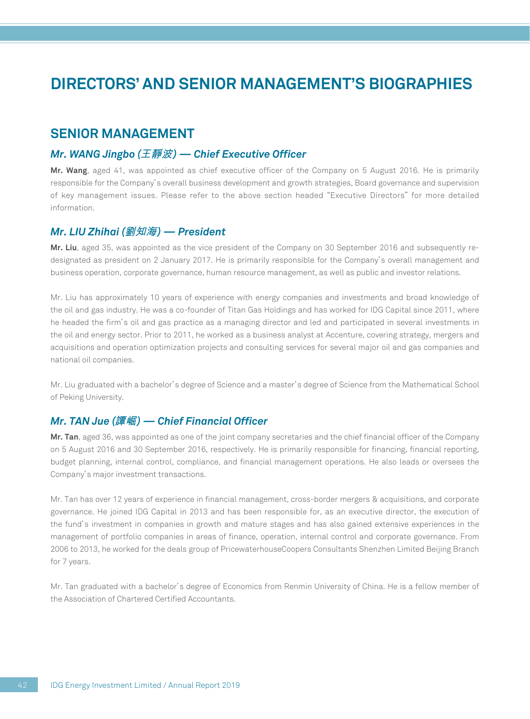### **SENIOR MANAGEMENT**

#### *Mr. WANG Jingbo (***王靜波***) — Chief Executive Officer*

**Mr. Wang**, aged 41, was appointed as chief executive officer of the Company on 5 August 2016. He is primarily responsible for the Company's overall business development and growth strategies, Board governance and supervision of key management issues. Please refer to the above section headed "Executive Directors" for more detailed information.

#### *Mr. LIU Zhihai (***劉知海***) — President*

**Mr. Liu**, aged 35, was appointed as the vice president of the Company on 30 September 2016 and subsequently redesignated as president on 2 January 2017. He is primarily responsible for the Company's overall management and business operation, corporate governance, human resource management, as well as public and investor relations.

Mr. Liu has approximately 10 years of experience with energy companies and investments and broad knowledge of the oil and gas industry. He was a co-founder of Titan Gas Holdings and has worked for IDG Capital since 2011, where he headed the firm's oil and gas practice as a managing director and led and participated in several investments in the oil and energy sector. Prior to 2011, he worked as a business analyst at Accenture, covering strategy, mergers and acquisitions and operation optimization projects and consulting services for several major oil and gas companies and national oil companies.

Mr. Liu graduated with a bachelor's degree of Science and a master's degree of Science from the Mathematical School of Peking University.

#### *Mr. TAN Jue (***譚崛***) — Chief Financial Officer*

**Mr. Tan**, aged 36, was appointed as one of the joint company secretaries and the chief financial officer of the Company on 5 August 2016 and 30 September 2016, respectively. He is primarily responsible for financing, financial reporting, budget planning, internal control, compliance, and financial management operations. He also leads or oversees the Company's major investment transactions.

Mr. Tan has over 12 years of experience in financial management, cross-border mergers & acquisitions, and corporate governance. He joined IDG Capital in 2013 and has been responsible for, as an executive director, the execution of the fund's investment in companies in growth and mature stages and has also gained extensive experiences in the management of portfolio companies in areas of finance, operation, internal control and corporate governance. From 2006 to 2013, he worked for the deals group of PricewaterhouseCoopers Consultants Shenzhen Limited Beijing Branch for 7 years.

Mr. Tan graduated with a bachelor's degree of Economics from Renmin University of China. He is a fellow member of the Association of Chartered Certified Accountants.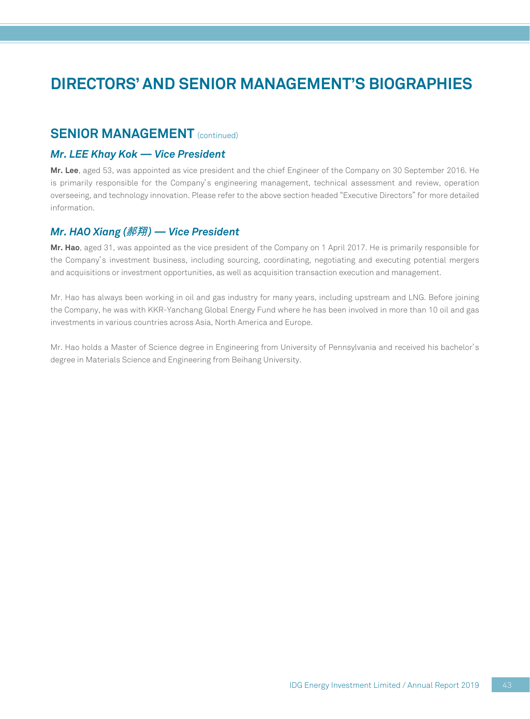### **SENIOR MANAGEMENT** (continued)

#### *Mr. LEE Khay Kok — Vice President*

**Mr. Lee**, aged 53, was appointed as vice president and the chief Engineer of the Company on 30 September 2016. He is primarily responsible for the Company's engineering management, technical assessment and review, operation overseeing, and technology innovation. Please refer to the above section headed "Executive Directors" for more detailed information.

#### *Mr. HAO Xiang (***郝翔***) — Vice President*

**Mr. Hao**, aged 31, was appointed as the vice president of the Company on 1 April 2017. He is primarily responsible for the Company's investment business, including sourcing, coordinating, negotiating and executing potential mergers and acquisitions or investment opportunities, as well as acquisition transaction execution and management.

Mr. Hao has always been working in oil and gas industry for many years, including upstream and LNG. Before joining the Company, he was with KKR-Yanchang Global Energy Fund where he has been involved in more than 10 oil and gas investments in various countries across Asia, North America and Europe.

Mr. Hao holds a Master of Science degree in Engineering from University of Pennsylvania and received his bachelor's degree in Materials Science and Engineering from Beihang University.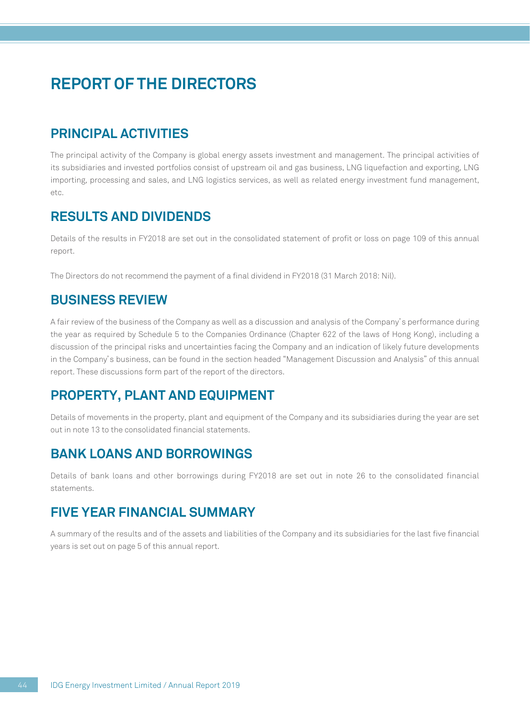## **PRINCIPAL ACTIVITIES**

The principal activity of the Company is global energy assets investment and management. The principal activities of its subsidiaries and invested portfolios consist of upstream oil and gas business, LNG liquefaction and exporting, LNG importing, processing and sales, and LNG logistics services, as well as related energy investment fund management,  $e^{+c}$ 

## **RESULTS AND DIVIDENDS**

Details of the results in FY2018 are set out in the consolidated statement of profit or loss on page 109 of this annual report.

The Directors do not recommend the payment of a final dividend in FY2018 (31 March 2018: Nil).

## **BUSINESS REVIEW**

A fair review of the business of the Company as well as a discussion and analysis of the Company's performance during the year as required by Schedule 5 to the Companies Ordinance (Chapter 622 of the laws of Hong Kong), including a discussion of the principal risks and uncertainties facing the Company and an indication of likely future developments in the Company's business, can be found in the section headed "Management Discussion and Analysis" of this annual report. These discussions form part of the report of the directors.

## **PROPERTY, PLANT AND EQUIPMENT**

Details of movements in the property, plant and equipment of the Company and its subsidiaries during the year are set out in note 13 to the consolidated financial statements.

## **BANK LOANS AND BORROWINGS**

Details of bank loans and other borrowings during FY2018 are set out in note 26 to the consolidated financial statements.

## **FIVE YEAR FINANCIAL SUMMARY**

A summary of the results and of the assets and liabilities of the Company and its subsidiaries for the last five financial years is set out on page 5 of this annual report.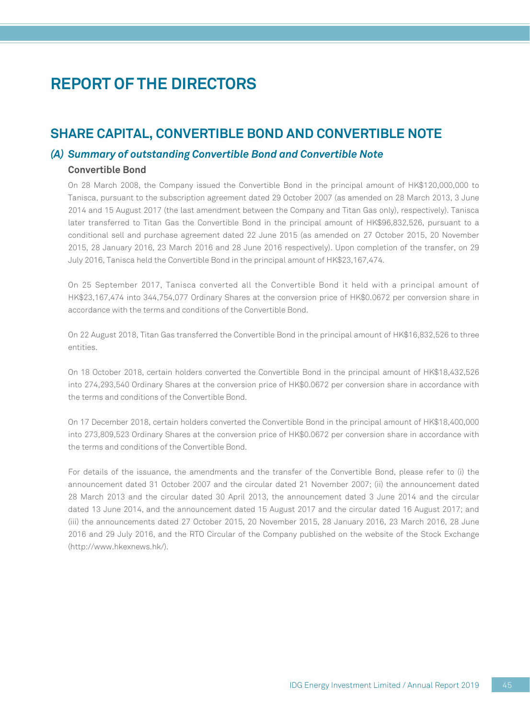### **SHARE CAPITAL, CONVERTIBLE BOND AND CONVERTIBLE NOTE**

#### *(A) Summary of outstanding Convertible Bond and Convertible Note*

#### **Convertible Bond**

On 28 March 2008, the Company issued the Convertible Bond in the principal amount of HK\$120,000,000 to Tanisca, pursuant to the subscription agreement dated 29 October 2007 (as amended on 28 March 2013, 3 June 2014 and 15 August 2017 (the last amendment between the Company and Titan Gas only), respectively). Tanisca later transferred to Titan Gas the Convertible Bond in the principal amount of HK\$96,832,526, pursuant to a conditional sell and purchase agreement dated 22 June 2015 (as amended on 27 October 2015, 20 November 2015, 28 January 2016, 23 March 2016 and 28 June 2016 respectively). Upon completion of the transfer, on 29 July 2016, Tanisca held the Convertible Bond in the principal amount of HK\$23,167,474.

On 25 September 2017, Tanisca converted all the Convertible Bond it held with a principal amount of HK\$23,167,474 into 344,754,077 Ordinary Shares at the conversion price of HK\$0.0672 per conversion share in accordance with the terms and conditions of the Convertible Bond.

On 22 August 2018, Titan Gas transferred the Convertible Bond in the principal amount of HK\$16,832,526 to three entities.

On 18 October 2018, certain holders converted the Convertible Bond in the principal amount of HK\$18,432,526 into 274,293,540 Ordinary Shares at the conversion price of HK\$0.0672 per conversion share in accordance with the terms and conditions of the Convertible Bond.

On 17 December 2018, certain holders converted the Convertible Bond in the principal amount of HK\$18,400,000 into 273,809,523 Ordinary Shares at the conversion price of HK\$0.0672 per conversion share in accordance with the terms and conditions of the Convertible Bond.

For details of the issuance, the amendments and the transfer of the Convertible Bond, please refer to (i) the announcement dated 31 October 2007 and the circular dated 21 November 2007; (ii) the announcement dated 28 March 2013 and the circular dated 30 April 2013, the announcement dated 3 June 2014 and the circular dated 13 June 2014, and the announcement dated 15 August 2017 and the circular dated 16 August 2017; and (iii) the announcements dated 27 October 2015, 20 November 2015, 28 January 2016, 23 March 2016, 28 June 2016 and 29 July 2016, and the RTO Circular of the Company published on the website of the Stock Exchange (http://www.hkexnews.hk/).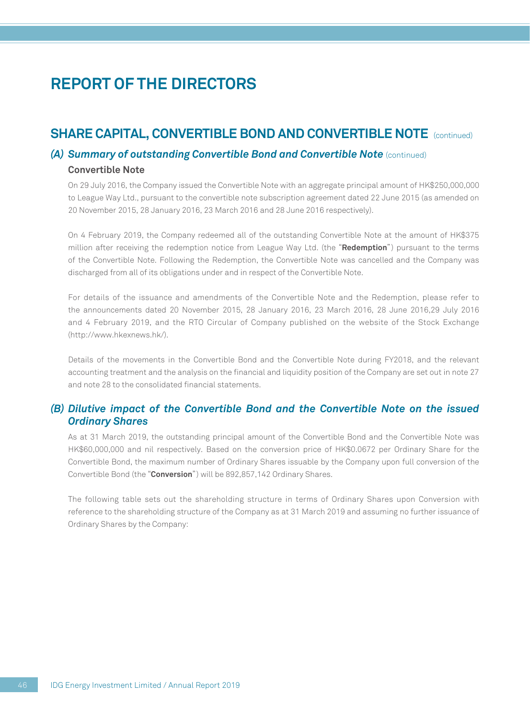### **SHARE CAPITAL, CONVERTIBLE BOND AND CONVERTIBLE NOTE** (continued)

#### **(A) Summary of outstanding Convertible Bond and Convertible Note** (continued) **Convertible Note**

On 29 July 2016, the Company issued the Convertible Note with an aggregate principal amount of HK\$250,000,000 to League Way Ltd., pursuant to the convertible note subscription agreement dated 22 June 2015 (as amended on 20 November 2015, 28 January 2016, 23 March 2016 and 28 June 2016 respectively).

On 4 February 2019, the Company redeemed all of the outstanding Convertible Note at the amount of HK\$375 million after receiving the redemption notice from League Way Ltd. (the "**Redemption**") pursuant to the terms of the Convertible Note. Following the Redemption, the Convertible Note was cancelled and the Company was discharged from all of its obligations under and in respect of the Convertible Note.

For details of the issuance and amendments of the Convertible Note and the Redemption, please refer to the announcements dated 20 November 2015, 28 January 2016, 23 March 2016, 28 June 2016,29 July 2016 and 4 February 2019, and the RTO Circular of Company published on the website of the Stock Exchange (http://www.hkexnews.hk/).

Details of the movements in the Convertible Bond and the Convertible Note during FY2018, and the relevant accounting treatment and the analysis on the financial and liquidity position of the Company are set out in note 27 and note 28 to the consolidated financial statements.

#### *(B) Dilutive impact of the Convertible Bond and the Convertible Note on the issued Ordinary Shares*

As at 31 March 2019, the outstanding principal amount of the Convertible Bond and the Convertible Note was HK\$60,000,000 and nil respectively. Based on the conversion price of HK\$0.0672 per Ordinary Share for the Convertible Bond, the maximum number of Ordinary Shares issuable by the Company upon full conversion of the Convertible Bond (the "**Conversion**") will be 892,857,142 Ordinary Shares.

The following table sets out the shareholding structure in terms of Ordinary Shares upon Conversion with reference to the shareholding structure of the Company as at 31 March 2019 and assuming no further issuance of Ordinary Shares by the Company: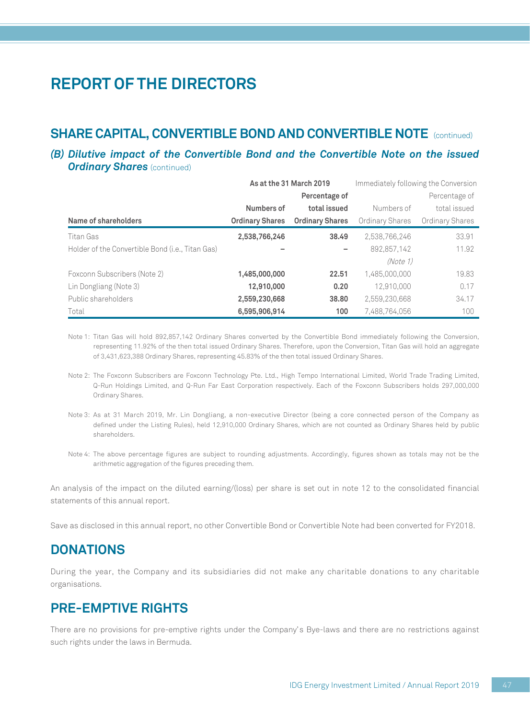# **SHARE CAPITAL, CONVERTIBLE BOND AND CONVERTIBLE NOTE** (continued)

#### *(B) Dilutive impact of the Convertible Bond and the Convertible Note on the issued Ordinary Shares (continued)*

|                                                  | As at the 31 March 2019 |                        | Immediately following the Conversion |                 |  |
|--------------------------------------------------|-------------------------|------------------------|--------------------------------------|-----------------|--|
|                                                  |                         | Percentage of          | Percentage of                        |                 |  |
|                                                  | Numbers of              | total issued           | Numbers of                           | total issued    |  |
| Name of shareholders                             | <b>Ordinary Shares</b>  | <b>Ordinary Shares</b> | Ordinary Shares                      | Ordinary Shares |  |
| Titan Gas                                        | 2,538,766,246           | 38.49                  | 2,538,766,246                        | 33.91           |  |
| Holder of the Convertible Bond (i.e., Titan Gas) |                         | -                      | 892.857.142                          | 11.92           |  |
|                                                  |                         |                        | (Note 1)                             |                 |  |
| Foxconn Subscribers (Note 2)                     | 1,485,000,000           | 22.51                  | 1.485.000.000                        | 19.83           |  |
| Lin Dongliang (Note 3)                           | 12,910,000              | 0.20                   | 12.910.000                           | 0.17            |  |
| Public shareholders                              | 2,559,230,668           | 38,80                  | 2,559,230,668                        | 34.17           |  |
| Total                                            | 6,595,906,914           | 100                    | 7,488,764,056                        | 100             |  |

Note 1: Titan Gas will hold 892,857,142 Ordinary Shares converted by the Convertible Bond immediately following the Conversion, representing 11.92% of the then total issued Ordinary Shares. Therefore, upon the Conversion, Titan Gas will hold an aggregate of 3,431,623,388 Ordinary Shares, representing 45.83% of the then total issued Ordinary Shares.

Note 2: The Foxconn Subscribers are Foxconn Technology Pte. Ltd., High Tempo International Limited, World Trade Trading Limited, Q-Run Holdings Limited, and Q-Run Far East Corporation respectively. Each of the Foxconn Subscribers holds 297,000,000 Ordinary Shares.

Note 3: As at 31 March 2019, Mr. Lin Dongliang, a non-executive Director (being a core connected person of the Company as defined under the Listing Rules), held 12,910,000 Ordinary Shares, which are not counted as Ordinary Shares held by public shareholders.

Note 4: The above percentage figures are subject to rounding adjustments. Accordingly, figures shown as totals may not be the arithmetic aggregation of the figures preceding them.

An analysis of the impact on the diluted earning/(loss) per share is set out in note 12 to the consolidated financial statements of this annual report.

Save as disclosed in this annual report, no other Convertible Bond or Convertible Note had been converted for FY2018.

### **DONATIONS**

During the year, the Company and its subsidiaries did not make any charitable donations to any charitable organisations.

### **PRE-EMPTIVE RIGHTS**

There are no provisions for pre-emptive rights under the Company's Bye-laws and there are no restrictions against such rights under the laws in Bermuda.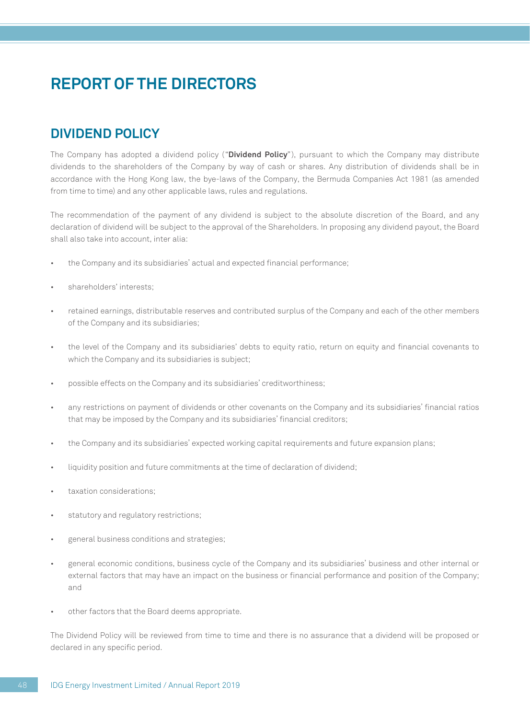## **DIVIDEND POLICY**

The Company has adopted a dividend policy ("**Dividend Policy**"), pursuant to which the Company may distribute dividends to the shareholders of the Company by way of cash or shares. Any distribution of dividends shall be in accordance with the Hong Kong law, the bye-laws of the Company, the Bermuda Companies Act 1981 (as amended from time to time) and any other applicable laws, rules and regulations.

The recommendation of the payment of any dividend is subject to the absolute discretion of the Board, and any declaration of dividend will be subject to the approval of the Shareholders. In proposing any dividend payout, the Board shall also take into account, inter alia:

- the Company and its subsidiaries' actual and expected financial performance;
- shareholders' interests:
- retained earnings, distributable reserves and contributed surplus of the Company and each of the other members of the Company and its subsidiaries;
- the level of the Company and its subsidiaries' debts to equity ratio, return on equity and financial covenants to which the Company and its subsidiaries is subject;
- possible effects on the Company and its subsidiaries' creditworthiness;
- any restrictions on payment of dividends or other covenants on the Company and its subsidiaries' financial ratios that may be imposed by the Company and its subsidiaries' financial creditors;
- the Company and its subsidiaries' expected working capital requirements and future expansion plans;
- liquidity position and future commitments at the time of declaration of dividend;
- taxation considerations:
- statutory and regulatory restrictions;
- general business conditions and strategies;
- general economic conditions, business cycle of the Company and its subsidiaries' business and other internal or external factors that may have an impact on the business or financial performance and position of the Company; and
- other factors that the Board deems appropriate.

The Dividend Policy will be reviewed from time to time and there is no assurance that a dividend will be proposed or declared in any specific period.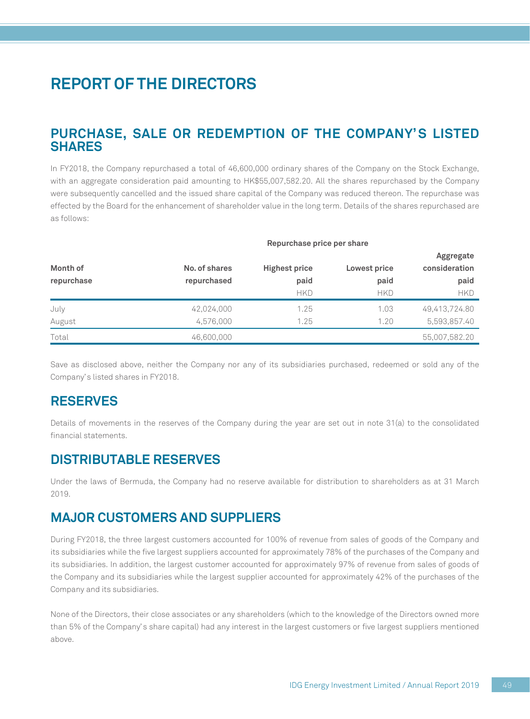## **PURCHASE, SALE OR REDEMPTION OF THE COMPANY'S LISTED SHARES**

In FY2018, the Company repurchased a total of 46,600,000 ordinary shares of the Company on the Stock Exchange, with an aggregate consideration paid amounting to HK\$55,007,582.20. All the shares repurchased by the Company were subsequently cancelled and the issued share capital of the Company was reduced thereon. The repurchase was effected by the Board for the enhancement of shareholder value in the long term. Details of the shares repurchased are as follows:

**Repurchase price per share**

| Month of   | No. of shares | <b>Highest price</b> | Lowest price | <b>Aggregate</b><br>consideration |
|------------|---------------|----------------------|--------------|-----------------------------------|
| repurchase | repurchased   | paid                 | paid         | paid                              |
|            |               | <b>HKD</b>           | <b>HKD</b>   | <b>HKD</b>                        |
| July       | 42,024,000    | 1.25                 | 1.03         | 49,413,724.80                     |
| August     | 4,576,000     | 1.25                 | 1.20         | 5,593,857.40                      |
| Total      | 46,600,000    |                      |              | 55,007,582.20                     |

Save as disclosed above, neither the Company nor any of its subsidiaries purchased, redeemed or sold any of the Company's listed shares in FY2018.

### **RESERVES**

Details of movements in the reserves of the Company during the year are set out in note 31(a) to the consolidated financial statements.

### **DISTRIBUTABLE RESERVES**

Under the laws of Bermuda, the Company had no reserve available for distribution to shareholders as at 31 March 2019.

### **MAJOR CUSTOMERS AND SUPPLIERS**

During FY2018, the three largest customers accounted for 100% of revenue from sales of goods of the Company and its subsidiaries while the five largest suppliers accounted for approximately 78% of the purchases of the Company and its subsidiaries. In addition, the largest customer accounted for approximately 97% of revenue from sales of goods of the Company and its subsidiaries while the largest supplier accounted for approximately 42% of the purchases of the Company and its subsidiaries.

None of the Directors, their close associates or any shareholders (which to the knowledge of the Directors owned more than 5% of the Company's share capital) had any interest in the largest customers or five largest suppliers mentioned above.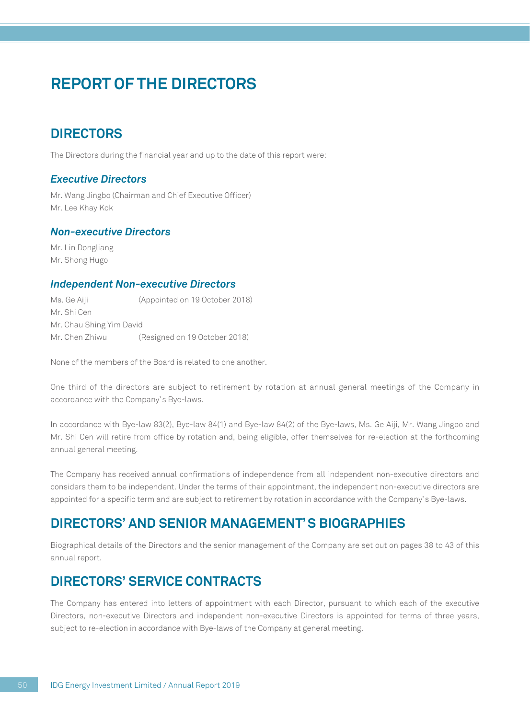## **DIRECTORS**

The Directors during the financial year and up to the date of this report were:

#### *Executive Directors*

Mr. Wang Jingbo (Chairman and Chief Executive Officer) Mr. Lee Khay Kok

#### *Non-executive Directors*

Mr. Lin Dongliang Mr. Shong Hugo

#### *Independent Non-executive Directors*

Ms. Ge Aiji (Appointed on 19 October 2018) Mr. Shi Cen Mr. Chau Shing Yim David Mr. Chen Zhiwu (Resigned on 19 October 2018)

None of the members of the Board is related to one another.

One third of the directors are subject to retirement by rotation at annual general meetings of the Company in accordance with the Company's Bye-laws.

In accordance with Bye-law 83(2), Bye-law 84(1) and Bye-law 84(2) of the Bye-laws, Ms. Ge Aiji, Mr. Wang Jingbo and Mr. Shi Cen will retire from office by rotation and, being eligible, offer themselves for re-election at the forthcoming annual general meeting.

The Company has received annual confirmations of independence from all independent non-executive directors and considers them to be independent. Under the terms of their appointment, the independent non-executive directors are appointed for a specific term and are subject to retirement by rotation in accordance with the Company's Bye-laws.

### **DIRECTORS' AND SENIOR MANAGEMENT'S BIOGRAPHIES**

Biographical details of the Directors and the senior management of the Company are set out on pages 38 to 43 of this annual report.

### **DIRECTORS' SERVICE CONTRACTS**

The Company has entered into letters of appointment with each Director, pursuant to which each of the executive Directors, non-executive Directors and independent non-executive Directors is appointed for terms of three years, subject to re-election in accordance with Bye-laws of the Company at general meeting.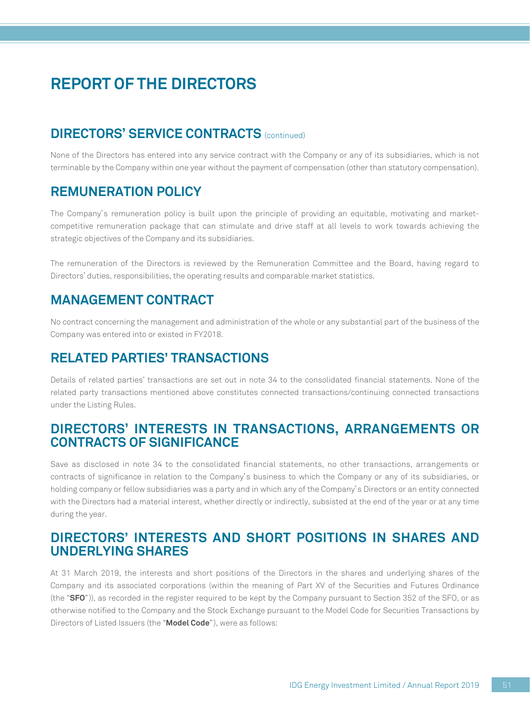## **DIRECTORS' SERVICE CONTRACTS** (continued)

None of the Directors has entered into any service contract with the Company or any of its subsidiaries, which is not terminable by the Company within one year without the payment of compensation (other than statutory compensation).

### **REMUNERATION POLICY**

The Company's remuneration policy is built upon the principle of providing an equitable, motivating and marketcompetitive remuneration package that can stimulate and drive staff at all levels to work towards achieving the strategic objectives of the Company and its subsidiaries.

The remuneration of the Directors is reviewed by the Remuneration Committee and the Board, having regard to Directors' duties, responsibilities, the operating results and comparable market statistics.

## **MANAGEMENT CONTRACT**

No contract concerning the management and administration of the whole or any substantial part of the business of the Company was entered into or existed in FY2018.

## **RELATED PARTIES' TRANSACTIONS**

Details of related parties' transactions are set out in note 34 to the consolidated financial statements. None of the related party transactions mentioned above constitutes connected transactions/continuing connected transactions under the Listing Rules.

### **DIRECTORS' INTERESTS IN TRANSACTIONS, ARRANGEMENTS OR CONTRACTS OF SIGNIFICANCE**

Save as disclosed in note 34 to the consolidated financial statements, no other transactions, arrangements or contracts of significance in relation to the Company's business to which the Company or any of its subsidiaries, or holding company or fellow subsidiaries was a party and in which any of the Company's Directors or an entity connected with the Directors had a material interest, whether directly or indirectly, subsisted at the end of the year or at any time during the year.

## **DIRECTORS' INTERESTS AND SHORT POSITIONS IN SHARES AND UNDERLYING SHARES**

At 31 March 2019, the interests and short positions of the Directors in the shares and underlying shares of the Company and its associated corporations (within the meaning of Part XV of the Securities and Futures Ordinance (the "**SFO**")), as recorded in the register required to be kept by the Company pursuant to Section 352 of the SFO, or as otherwise notified to the Company and the Stock Exchange pursuant to the Model Code for Securities Transactions by Directors of Listed Issuers (the "**Model Code**"), were as follows: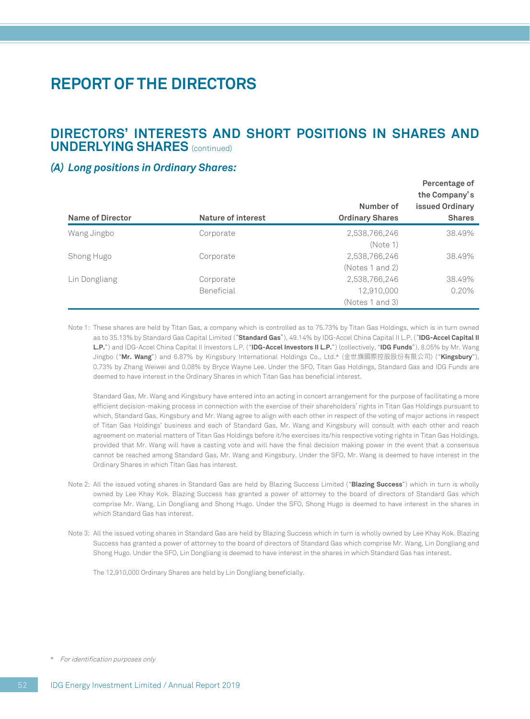### **DIRECTORS' INTERESTS AND SHORT POSITIONS IN SHARES AND UNDERLYING SHARES** (continued)

#### *(A) Long positions in Ordinary Shares:*

| Name of Director | Nature of interest | Number of<br><b>Ordinary Shares</b> | <b>Feldelitage UI</b><br>the Company's<br><b>issued Ordinary</b><br><b>Shares</b> |
|------------------|--------------------|-------------------------------------|-----------------------------------------------------------------------------------|
| Wang Jingbo      | Corporate          | 2,538,766,246                       | 38.49%                                                                            |
|                  |                    | (Note 1)                            |                                                                                   |
| Shong Hugo       | Corporate          | 2,538,766,246                       | 38.49%                                                                            |
|                  |                    | (Notes 1 and 2)                     |                                                                                   |
| Lin Dongliang    | Corporate          | 2,538,766,246                       | 38.49%                                                                            |
|                  | Beneficial         | 12,910,000                          | 0.20%                                                                             |
|                  |                    | (Notes 1 and 3)                     |                                                                                   |

**Percentage of** 

Note 1: These shares are held by Titan Gas, a company which is controlled as to 75.73% by Titan Gas Holdings, which is in turn owned as to 35.13% by Standard Gas Capital Limited ("**Standard Gas**"), 49.14% by IDG-Accel China Capital II L.P. ("**IDG-Accel Capital II L.P.**") and IDG-Accel China Capital II Investors L.P. ("**IDG-Accel Investors II L.P.**") (collectively, "**IDG Funds**"), 8.05% by Mr. Wang Jingbo ("**Mr. Wang**") and 6.87% by Kingsbury International Holdings Co., Ltd.\* (金世旗國際控股股份有限公司) ("**Kingsbury**"), 0.73% by Zhang Weiwei and 0.08% by Bryce Wayne Lee. Under the SFO, Titan Gas Holdings, Standard Gas and IDG Funds are deemed to have interest in the Ordinary Shares in which Titan Gas has beneficial interest.

Standard Gas, Mr. Wang and Kingsbury have entered into an acting in concert arrangement for the purpose of facilitating a more efficient decision-making process in connection with the exercise of their shareholders' rights in Titan Gas Holdings pursuant to which, Standard Gas, Kingsbury and Mr. Wang agree to align with each other in respect of the voting of major actions in respect of Titan Gas Holdings' business and each of Standard Gas, Mr. Wang and Kingsbury will consult with each other and reach agreement on material matters of Titan Gas Holdings before it/he exercises its/his respective voting rights in Titan Gas Holdings, provided that Mr. Wang will have a casting vote and will have the final decision making power in the event that a consensus cannot be reached among Standard Gas, Mr. Wang and Kingsbury. Under the SFO, Mr. Wang is deemed to have interest in the Ordinary Shares in which Titan Gas has interest.

- Note 2: All the issued voting shares in Standard Gas are held by Blazing Success Limited ("**Blazing Success**") which in turn is wholly owned by Lee Khay Kok. Blazing Success has granted a power of attorney to the board of directors of Standard Gas which comprise Mr. Wang, Lin Dongliang and Shong Hugo. Under the SFO, Shong Hugo is deemed to have interest in the shares in which Standard Gas has interest.
- Note 3: All the issued voting shares in Standard Gas are held by Blazing Success which in turn is wholly owned by Lee Khay Kok. Blazing Success has granted a power of attorney to the board of directors of Standard Gas which comprise Mr. Wang, Lin Dongliang and Shong Hugo. Under the SFO, Lin Dongliang is deemed to have interest in the shares in which Standard Gas has interest.

The 12,910,000 Ordinary Shares are held by Lin Dongliang beneficially.

<sup>\*</sup> For identification purposes only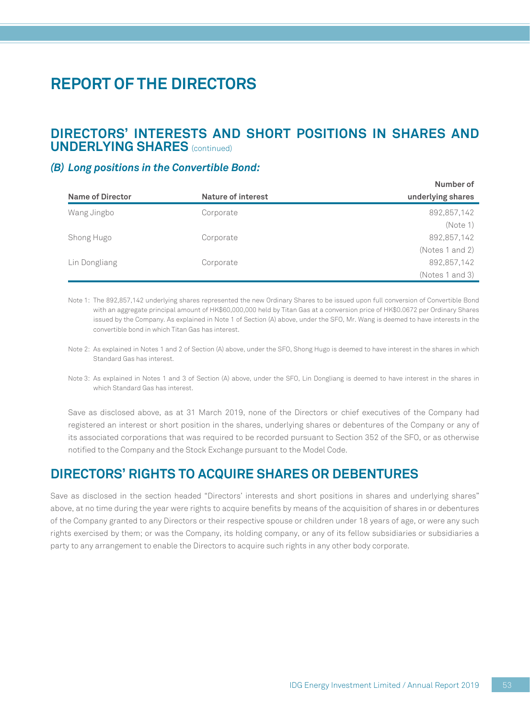### **DIRECTORS' INTERESTS AND SHORT POSITIONS IN SHARES AND UNDERLYING SHARES** (continued)

#### *(B) Long positions in the Convertible Bond:*

| Name of Director | Nature of interest | <b>INUITIVEL UI</b><br>underlying shares |
|------------------|--------------------|------------------------------------------|
| Wang Jingbo      | Corporate          | 892,857,142                              |
|                  |                    | (Note 1)                                 |
| Shong Hugo       | Corporate          | 892,857,142                              |
|                  |                    | (Notes 1 and 2)                          |
| Lin Dongliang    | Corporate          | 892,857,142                              |
|                  |                    | (Notes 1 and 3)                          |

Note 1: The 892,857,142 underlying shares represented the new Ordinary Shares to be issued upon full conversion of Convertible Bond with an aggregate principal amount of HK\$60,000,000 held by Titan Gas at a conversion price of HK\$0.0672 per Ordinary Shares issued by the Company. As explained in Note 1 of Section (A) above, under the SFO, Mr. Wang is deemed to have interests in the convertible bond in which Titan Gas has interest.

Note 2: As explained in Notes 1 and 2 of Section (A) above, under the SFO, Shong Hugo is deemed to have interest in the shares in which Standard Gas has interest.

Save as disclosed above, as at 31 March 2019, none of the Directors or chief executives of the Company had registered an interest or short position in the shares, underlying shares or debentures of the Company or any of its associated corporations that was required to be recorded pursuant to Section 352 of the SFO, or as otherwise notified to the Company and the Stock Exchange pursuant to the Model Code.

### **DIRECTORS' RIGHTS TO ACQUIRE SHARES OR DEBENTURES**

Save as disclosed in the section headed "Directors' interests and short positions in shares and underlying shares" above, at no time during the year were rights to acquire benefits by means of the acquisition of shares in or debentures of the Company granted to any Directors or their respective spouse or children under 18 years of age, or were any such rights exercised by them; or was the Company, its holding company, or any of its fellow subsidiaries or subsidiaries a party to any arrangement to enable the Directors to acquire such rights in any other body corporate.

**Number of** 

Note 3: As explained in Notes 1 and 3 of Section (A) above, under the SFO, Lin Dongliang is deemed to have interest in the shares in which Standard Gas has interest.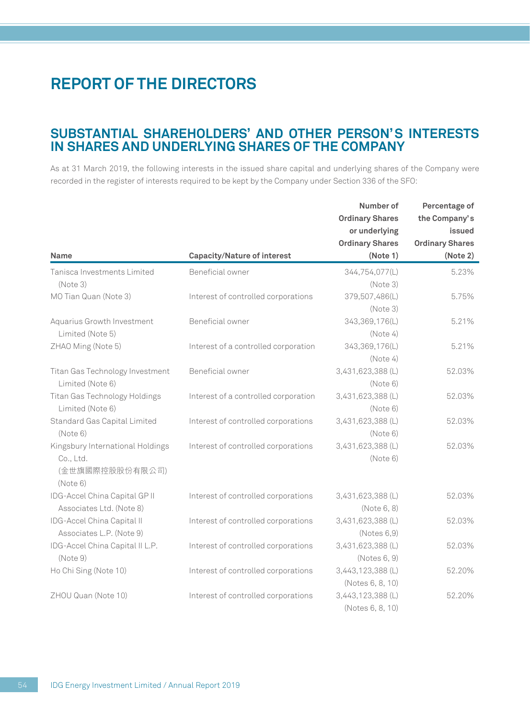### **SUBSTANTIAL SHAREHOLDERS' AND OTHER PERSON'S INTERESTS IN SHARES AND UNDERLYING SHARES OF THE COMPANY**

As at 31 March 2019, the following interests in the issued share capital and underlying shares of the Company were recorded in the register of interests required to be kept by the Company under Section 336 of the SFO:

|                                  |                                      | Number of              | Percentage of          |
|----------------------------------|--------------------------------------|------------------------|------------------------|
|                                  |                                      | <b>Ordinary Shares</b> | the Company's          |
|                                  |                                      | or underlying          | issued                 |
|                                  |                                      | <b>Ordinary Shares</b> | <b>Ordinary Shares</b> |
| <b>Name</b>                      | <b>Capacity/Nature of interest</b>   | (Note 1)               | (Note 2)               |
| Tanisca Investments Limited      | Beneficial owner                     | 344,754,077(L)         | 5.23%                  |
| (Note3)                          |                                      | (Note3)                |                        |
| MO Tian Quan (Note 3)            | Interest of controlled corporations  | 379,507,486(L)         | 5.75%                  |
|                                  |                                      | (Note 3)               |                        |
| Aquarius Growth Investment       | Beneficial owner                     | 343,369,176(L)         | 5.21%                  |
| Limited (Note 5)                 |                                      | (Note4)                |                        |
| ZHAO Ming (Note 5)               | Interest of a controlled corporation | 343,369,176(L)         | 5.21%                  |
|                                  |                                      | (Note 4)               |                        |
| Titan Gas Technology Investment  | Beneficial owner                     | 3,431,623,388 (L)      | 52.03%                 |
| Limited (Note 6)                 |                                      | (Note 6)               |                        |
| Titan Gas Technology Holdings    | Interest of a controlled corporation | 3,431,623,388 (L)      | 52.03%                 |
| Limited (Note 6)                 |                                      | (Note 6)               |                        |
| Standard Gas Capital Limited     | Interest of controlled corporations  | 3,431,623,388 (L)      | 52.03%                 |
| (Note 6)                         |                                      | (Note 6)               |                        |
| Kingsbury International Holdings | Interest of controlled corporations  | 3,431,623,388 (L)      | 52.03%                 |
| Co., Ltd.                        |                                      | (Note 6)               |                        |
| (金世旗國際控股股份有限公司)                  |                                      |                        |                        |
| (Note 6)                         |                                      |                        |                        |
| IDG-Accel China Capital GP II    | Interest of controlled corporations  | 3,431,623,388 (L)      | 52.03%                 |
| Associates Ltd. (Note 8)         |                                      | (Note 6, 8)            |                        |
| IDG-Accel China Capital II       | Interest of controlled corporations  | 3,431,623,388 (L)      | 52.03%                 |
| Associates L.P. (Note 9)         |                                      | (Notes 6,9)            |                        |
| IDG-Accel China Capital II L.P.  | Interest of controlled corporations  | 3,431,623,388 (L)      | 52.03%                 |
| (Note9)                          |                                      | (Notes 6, 9)           |                        |
| Ho Chi Sing (Note 10)            | Interest of controlled corporations  | 3,443,123,388 (L)      | 52.20%                 |
|                                  |                                      | (Notes 6, 8, 10)       |                        |
| ZHOU Quan (Note 10)              | Interest of controlled corporations  | 3,443,123,388 (L)      | 52.20%                 |
|                                  |                                      | (Notes 6, 8, 10)       |                        |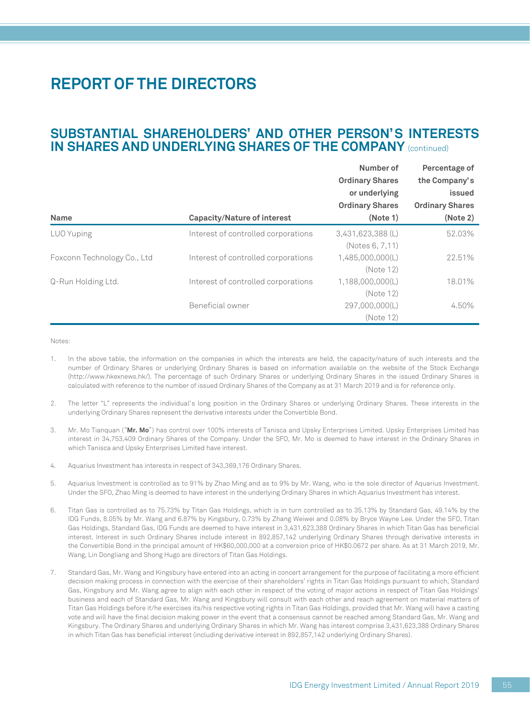### **SUBSTANTIAL SHAREHOLDERS' AND OTHER PERSON'S INTERESTS IN SHARES AND UNDERLYING SHARES OF THE COMPANY** (continued)

| <b>Name</b>                 | <b>Capacity/Nature of interest</b>  | Number of<br><b>Ordinary Shares</b><br>or underlying<br><b>Ordinary Shares</b><br>(Note 1) | Percentage of<br>the Company's<br>issued<br><b>Ordinary Shares</b><br>(Note 2) |
|-----------------------------|-------------------------------------|--------------------------------------------------------------------------------------------|--------------------------------------------------------------------------------|
| LUO Yuping                  | Interest of controlled corporations | 3,431,623,388 (L)<br>(Notes 6, 7, 11)                                                      | 52.03%                                                                         |
| Foxconn Technology Co., Ltd | Interest of controlled corporations | 1.485.000.000(L)<br>(Note 12)                                                              | 22.51%                                                                         |
| Q-Run Holding Ltd.          | Interest of controlled corporations | 1,188,000,000(L)<br>(Note 12)                                                              | 18.01%                                                                         |
|                             | Beneficial owner                    | 297.000.000(L)<br>(Note 12)                                                                | 4.50%                                                                          |

Notes:

- 1. In the above table, the information on the companies in which the interests are held, the capacity/nature of such interests and the number of Ordinary Shares or underlying Ordinary Shares is based on information available on the website of the Stock Exchange (http://www.hkexnews.hk/). The percentage of such Ordinary Shares or underlying Ordinary Shares in the issued Ordinary Shares is calculated with reference to the number of issued Ordinary Shares of the Company as at 31 March 2019 and is for reference only.
- 2. The letter "L" represents the individual's long position in the Ordinary Shares or underlying Ordinary Shares. These interests in the underlying Ordinary Shares represent the derivative interests under the Convertible Bond.
- 3. Mr. Mo Tianquan ("**Mr. Mo**") has control over 100% interests of Tanisca and Upsky Enterprises Limited. Upsky Enterprises Limited has interest in 34,753,409 Ordinary Shares of the Company. Under the SFO, Mr. Mo is deemed to have interest in the Ordinary Shares in which Tanisca and Upsky Enterprises Limited have interest.
- 4. Aquarius Investment has interests in respect of 343,369,176 Ordinary Shares.
- 5. Aquarius Investment is controlled as to 91% by Zhao Ming and as to 9% by Mr. Wang, who is the sole director of Aquarius Investment. Under the SFO, Zhao Ming is deemed to have interest in the underlying Ordinary Shares in which Aquarius Investment has interest.
- 6. Titan Gas is controlled as to 75.73% by Titan Gas Holdings, which is in turn controlled as to 35.13% by Standard Gas, 49.14% by the IDG Funds, 8.05% by Mr. Wang and 6.87% by Kingsbury, 0.73% by Zhang Weiwei and 0.08% by Bryce Wayne Lee. Under the SFO, Titan Gas Holdings, Standard Gas, IDG Funds are deemed to have interest in 3,431,623,388 Ordinary Shares in which Titan Gas has beneficial interest. Interest in such Ordinary Shares include interest in 892,857,142 underlying Ordinary Shares through derivative interests in the Convertible Bond in the principal amount of HK\$60,000,000 at a conversion price of HK\$0.0672 per share. As at 31 March 2019, Mr. Wang, Lin Dongliang and Shong Hugo are directors of Titan Gas Holdings.
- 7. Standard Gas, Mr. Wang and Kingsbury have entered into an acting in concert arrangement for the purpose of facilitating a more efficient decision making process in connection with the exercise of their shareholders' rights in Titan Gas Holdings pursuant to which, Standard Gas, Kingsbury and Mr. Wang agree to align with each other in respect of the voting of major actions in respect of Titan Gas Holdings' business and each of Standard Gas, Mr. Wang and Kingsbury will consult with each other and reach agreement on material matters of Titan Gas Holdings before it/he exercises its/his respective voting rights in Titan Gas Holdings, provided that Mr. Wang will have a casting vote and will have the final decision making power in the event that a consensus cannot be reached among Standard Gas, Mr. Wang and Kingsbury. The Ordinary Shares and underlying Ordinary Shares in which Mr. Wang has interest comprise 3,431,623,388 Ordinary Shares in which Titan Gas has beneficial interest (including derivative interest in 892,857,142 underlying Ordinary Shares).

**Percentage of**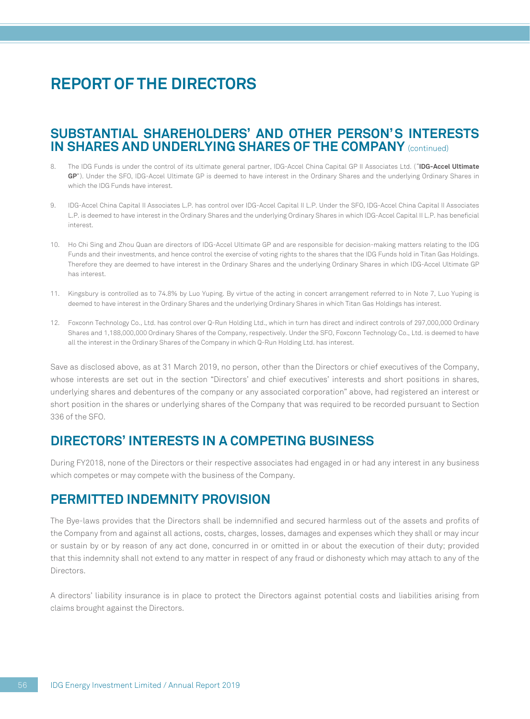### **SUBSTANTIAL SHAREHOLDERS' AND OTHER PERSON'S INTERESTS IN SHARES AND UNDERLYING SHARES OF THE COMPANY** (continued)

- 8. The IDG Funds is under the control of its ultimate general partner, IDG-Accel China Capital GP II Associates Ltd. ("**IDG-Accel Ultimate GP**"). Under the SFO, IDG-Accel Ultimate GP is deemed to have interest in the Ordinary Shares and the underlying Ordinary Shares in which the IDG Funds have interest.
- 9. IDG-Accel China Capital II Associates L.P. has control over IDG-Accel Capital II L.P. Under the SFO, IDG-Accel China Capital II Associates L.P. is deemed to have interest in the Ordinary Shares and the underlying Ordinary Shares in which IDG-Accel Capital II L.P. has beneficial interest.
- 10. Ho Chi Sing and Zhou Quan are directors of IDG-Accel Ultimate GP and are responsible for decision-making matters relating to the IDG Funds and their investments, and hence control the exercise of voting rights to the shares that the IDG Funds hold in Titan Gas Holdings. Therefore they are deemed to have interest in the Ordinary Shares and the underlying Ordinary Shares in which IDG-Accel Ultimate GP has interest.
- 11. Kingsbury is controlled as to 74.8% by Luo Yuping. By virtue of the acting in concert arrangement referred to in Note 7, Luo Yuping is deemed to have interest in the Ordinary Shares and the underlying Ordinary Shares in which Titan Gas Holdings has interest.
- 12. Foxconn Technology Co., Ltd. has control over Q-Run Holding Ltd., which in turn has direct and indirect controls of 297,000,000 Ordinary Shares and 1,188,000,000 Ordinary Shares of the Company, respectively. Under the SFO, Foxconn Technology Co., Ltd. is deemed to have all the interest in the Ordinary Shares of the Company in which Q-Run Holding Ltd. has interest.

Save as disclosed above, as at 31 March 2019, no person, other than the Directors or chief executives of the Company, whose interests are set out in the section "Directors' and chief executives' interests and short positions in shares, underlying shares and debentures of the company or any associated corporation" above, had registered an interest or short position in the shares or underlying shares of the Company that was required to be recorded pursuant to Section 336 of the SFO.

## **DIRECTORS' INTERESTS IN A COMPETING BUSINESS**

During FY2018, none of the Directors or their respective associates had engaged in or had any interest in any business which competes or may compete with the business of the Company.

## **PERMITTED INDEMNITY PROVISION**

The Bye-laws provides that the Directors shall be indemnified and secured harmless out of the assets and profits of the Company from and against all actions, costs, charges, losses, damages and expenses which they shall or may incur or sustain by or by reason of any act done, concurred in or omitted in or about the execution of their duty; provided that this indemnity shall not extend to any matter in respect of any fraud or dishonesty which may attach to any of the **Directors** 

A directors' liability insurance is in place to protect the Directors against potential costs and liabilities arising from claims brought against the Directors.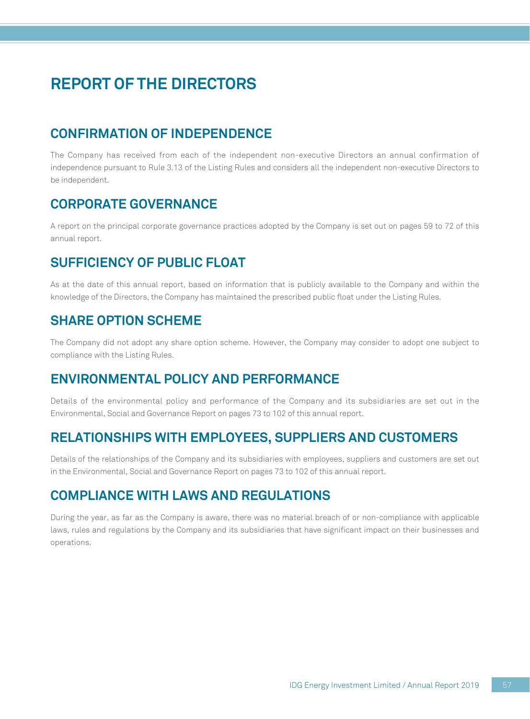# **CONFIRMATION OF INDEPENDENCE**

The Company has received from each of the independent non-executive Directors an annual confirmation of independence pursuant to Rule 3.13 of the Listing Rules and considers all the independent non-executive Directors to be independent.

## **CORPORATE GOVERNANCE**

A report on the principal corporate governance practices adopted by the Company is set out on pages 59 to 72 of this annual report.

## **SUFFICIENCY OF PUBLIC FLOAT**

As at the date of this annual report, based on information that is publicly available to the Company and within the knowledge of the Directors, the Company has maintained the prescribed public float under the Listing Rules.

## **SHARE OPTION SCHEME**

The Company did not adopt any share option scheme. However, the Company may consider to adopt one subject to compliance with the Listing Rules.

## **ENVIRONMENTAL POLICY AND PERFORMANCE**

Details of the environmental policy and performance of the Company and its subsidiaries are set out in the Environmental, Social and Governance Report on pages 73 to 102 of this annual report.

## **RELATIONSHIPS WITH EMPLOYEES, SUPPLIERS AND CUSTOMERS**

Details of the relationships of the Company and its subsidiaries with employees, suppliers and customers are set out in the Environmental, Social and Governance Report on pages 73 to 102 of this annual report.

## **COMPLIANCE WITH LAWS AND REGULATIONS**

During the year, as far as the Company is aware, there was no material breach of or non-compliance with applicable laws, rules and regulations by the Company and its subsidiaries that have significant impact on their businesses and operations.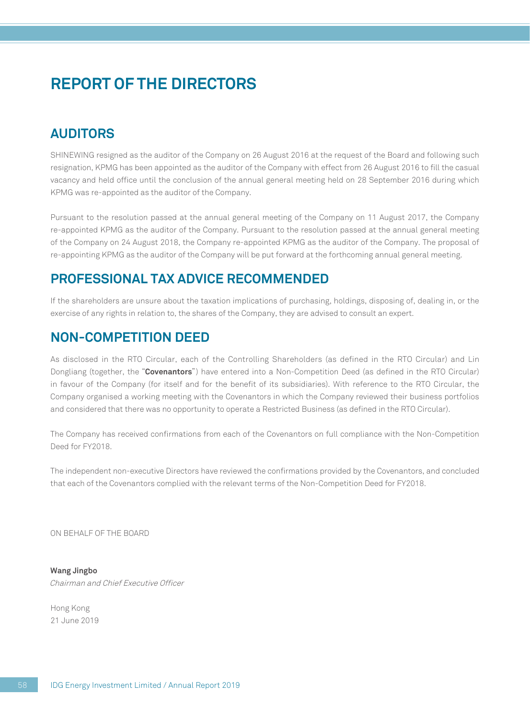## **AUDITORS**

SHINEWING resigned as the auditor of the Company on 26 August 2016 at the request of the Board and following such resignation, KPMG has been appointed as the auditor of the Company with effect from 26 August 2016 to fill the casual vacancy and held office until the conclusion of the annual general meeting held on 28 September 2016 during which KPMG was re-appointed as the auditor of the Company.

Pursuant to the resolution passed at the annual general meeting of the Company on 11 August 2017, the Company re-appointed KPMG as the auditor of the Company. Pursuant to the resolution passed at the annual general meeting of the Company on 24 August 2018, the Company re-appointed KPMG as the auditor of the Company. The proposal of re-appointing KPMG as the auditor of the Company will be put forward at the forthcoming annual general meeting.

## **PROFESSIONAL TAX ADVICE RECOMMENDED**

If the shareholders are unsure about the taxation implications of purchasing, holdings, disposing of, dealing in, or the exercise of any rights in relation to, the shares of the Company, they are advised to consult an expert.

### **NON-COMPETITION DEED**

As disclosed in the RTO Circular, each of the Controlling Shareholders (as defined in the RTO Circular) and Lin Dongliang (together, the "**Covenantors**") have entered into a Non-Competition Deed (as defined in the RTO Circular) in favour of the Company (for itself and for the benefit of its subsidiaries). With reference to the RTO Circular, the Company organised a working meeting with the Covenantors in which the Company reviewed their business portfolios and considered that there was no opportunity to operate a Restricted Business (as defined in the RTO Circular).

The Company has received confirmations from each of the Covenantors on full compliance with the Non-Competition Deed for FY2018.

The independent non-executive Directors have reviewed the confirmations provided by the Covenantors, and concluded that each of the Covenantors complied with the relevant terms of the Non-Competition Deed for FY2018.

ON BEHALF OF THE BOARD

**Wang Jingbo** Chairman and Chief Executive Officer

Hong Kong 21 June 2019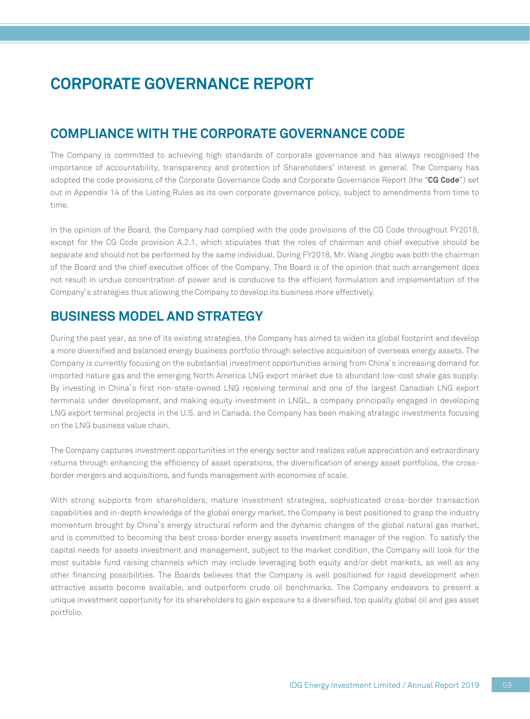## **COMPLIANCE WITH THE CORPORATE GOVERNANCE CODE**

The Company is committed to achieving high standards of corporate governance and has always recognised the importance of accountability, transparency and protection of Shareholders' interest in general. The Company has adopted the code provisions of the Corporate Governance Code and Corporate Governance Report (the "**CG Code**") set out in Appendix 14 of the Listing Rules as its own corporate governance policy, subject to amendments from time to time.

In the opinion of the Board, the Company had complied with the code provisions of the CG Code throughout FY2018, except for the CG Code provision A.2.1, which stipulates that the roles of chairman and chief executive should be separate and should not be performed by the same individual. During FY2018, Mr. Wang Jingbo was both the chairman of the Board and the chief executive officer of the Company. The Board is of the opinion that such arrangement does not result in undue concentration of power and is conducive to the efficient formulation and implementation of the Company's strategies thus allowing the Company to develop its business more effectively.

### **BUSINESS MODEL AND STRATEGY**

During the past year, as one of its existing strategies, the Company has aimed to widen its global footprint and develop a more diversified and balanced energy business portfolio through selective acquisition of overseas energy assets. The Company is currently focusing on the substantial investment opportunities arising from China's increasing demand for imported nature gas and the emerging North America LNG export market due to abundant low-cost shale gas supply. By investing in China's first non-state-owned LNG receiving terminal and one of the largest Canadian LNG export terminals under development, and making equity investment in LNGL, a company principally engaged in developing LNG export terminal projects in the U.S. and in Canada, the Company has been making strategic investments focusing on the LNG business value chain.

The Company captures investment opportunities in the energy sector and realizes value appreciation and extraordinary returns through enhancing the efficiency of asset operations, the diversification of energy asset portfolios, the crossborder mergers and acquisitions, and funds management with economies of scale.

With strong supports from shareholders, mature investment strategies, sophisticated cross-border transaction capabilities and in-depth knowledge of the global energy market, the Company is best positioned to grasp the industry momentum brought by China's energy structural reform and the dynamic changes of the global natural gas market, and is committed to becoming the best cross-border energy assets investment manager of the region. To satisfy the capital needs for assets investment and management, subject to the market condition, the Company will look for the most suitable fund raising channels which may include leveraging both equity and/or debt markets, as well as any other financing possibilities. The Boards believes that the Company is well positioned for rapid development when attractive assets become available, and outperform crude oil benchmarks. The Company endeavors to present a unique investment opportunity for its shareholders to gain exposure to a diversified, top quality global oil and gas asset portfolio.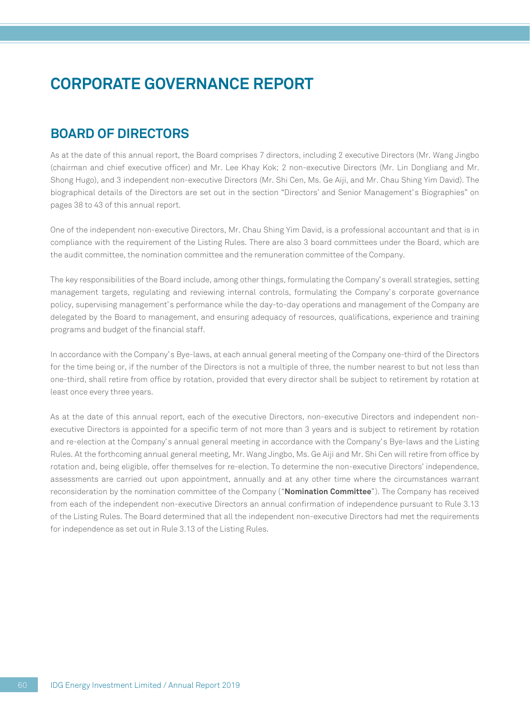## **BOARD OF DIRECTORS**

As at the date of this annual report, the Board comprises 7 directors, including 2 executive Directors (Mr. Wang Jingbo (chairman and chief executive officer) and Mr. Lee Khay Kok; 2 non-executive Directors (Mr. Lin Dongliang and Mr. Shong Hugo), and 3 independent non-executive Directors (Mr. Shi Cen, Ms. Ge Aiji, and Mr. Chau Shing Yim David). The biographical details of the Directors are set out in the section "Directors' and Senior Management's Biographies" on pages 38 to 43 of this annual report.

One of the independent non-executive Directors, Mr. Chau Shing Yim David, is a professional accountant and that is in compliance with the requirement of the Listing Rules. There are also 3 board committees under the Board, which are the audit committee, the nomination committee and the remuneration committee of the Company.

The key responsibilities of the Board include, among other things, formulating the Company's overall strategies, setting management targets, regulating and reviewing internal controls, formulating the Company's corporate governance policy, supervising management's performance while the day-to-day operations and management of the Company are delegated by the Board to management, and ensuring adequacy of resources, qualifications, experience and training programs and budget of the financial staff.

In accordance with the Company's Bye-laws, at each annual general meeting of the Company one-third of the Directors for the time being or, if the number of the Directors is not a multiple of three, the number nearest to but not less than one-third, shall retire from office by rotation, provided that every director shall be subject to retirement by rotation at least once every three years.

As at the date of this annual report, each of the executive Directors, non-executive Directors and independent nonexecutive Directors is appointed for a specific term of not more than 3 years and is subject to retirement by rotation and re-election at the Company's annual general meeting in accordance with the Company's Bye-laws and the Listing Rules. At the forthcoming annual general meeting, Mr. Wang Jingbo, Ms. Ge Aiji and Mr. Shi Cen will retire from office by rotation and, being eligible, offer themselves for re-election. To determine the non-executive Directors' independence, assessments are carried out upon appointment, annually and at any other time where the circumstances warrant reconsideration by the nomination committee of the Company ("**Nomination Committee**"). The Company has received from each of the independent non-executive Directors an annual confirmation of independence pursuant to Rule 3.13 of the Listing Rules. The Board determined that all the independent non-executive Directors had met the requirements for independence as set out in Rule 3.13 of the Listing Rules.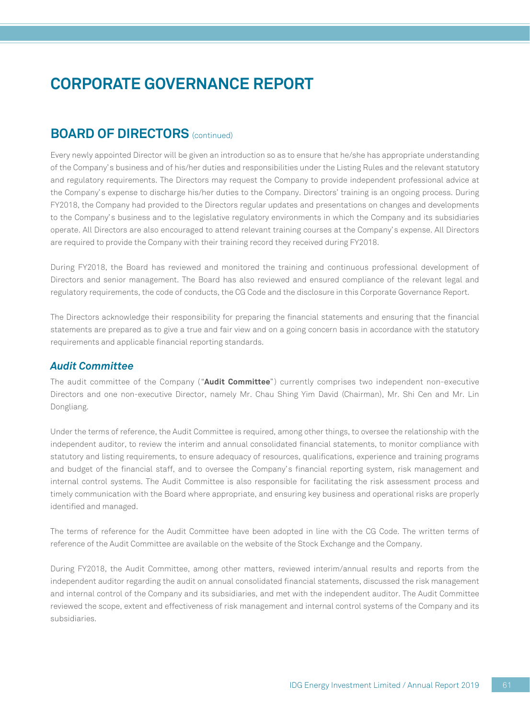## **BOARD OF DIRECTORS** (continued)

Every newly appointed Director will be given an introduction so as to ensure that he/she has appropriate understanding of the Company's business and of his/her duties and responsibilities under the Listing Rules and the relevant statutory and regulatory requirements. The Directors may request the Company to provide independent professional advice at the Company's expense to discharge his/her duties to the Company. Directors' training is an ongoing process. During FY2018, the Company had provided to the Directors regular updates and presentations on changes and developments to the Company's business and to the legislative regulatory environments in which the Company and its subsidiaries operate. All Directors are also encouraged to attend relevant training courses at the Company's expense. All Directors are required to provide the Company with their training record they received during FY2018.

During FY2018, the Board has reviewed and monitored the training and continuous professional development of Directors and senior management. The Board has also reviewed and ensured compliance of the relevant legal and regulatory requirements, the code of conducts, the CG Code and the disclosure in this Corporate Governance Report.

The Directors acknowledge their responsibility for preparing the financial statements and ensuring that the financial statements are prepared as to give a true and fair view and on a going concern basis in accordance with the statutory requirements and applicable financial reporting standards.

#### *Audit Committee*

The audit committee of the Company ("**Audit Committee**") currently comprises two independent non-executive Directors and one non-executive Director, namely Mr. Chau Shing Yim David (Chairman), Mr. Shi Cen and Mr. Lin Dongliang.

Under the terms of reference, the Audit Committee is required, among other things, to oversee the relationship with the independent auditor, to review the interim and annual consolidated financial statements, to monitor compliance with statutory and listing requirements, to ensure adequacy of resources, qualifications, experience and training programs and budget of the financial staff, and to oversee the Company's financial reporting system, risk management and internal control systems. The Audit Committee is also responsible for facilitating the risk assessment process and timely communication with the Board where appropriate, and ensuring key business and operational risks are properly identified and managed.

The terms of reference for the Audit Committee have been adopted in line with the CG Code. The written terms of reference of the Audit Committee are available on the website of the Stock Exchange and the Company.

During FY2018, the Audit Committee, among other matters, reviewed interim/annual results and reports from the independent auditor regarding the audit on annual consolidated financial statements, discussed the risk management and internal control of the Company and its subsidiaries, and met with the independent auditor. The Audit Committee reviewed the scope, extent and effectiveness of risk management and internal control systems of the Company and its subsidiaries.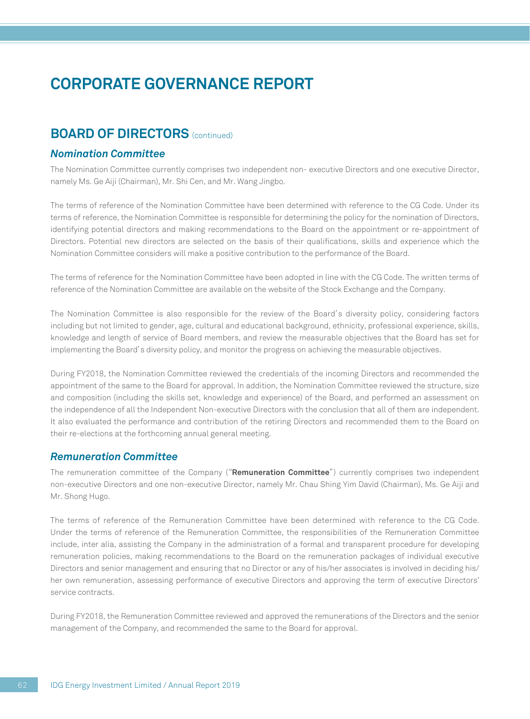### **BOARD OF DIRECTORS** (continued)

#### *Nomination Committee*

The Nomination Committee currently comprises two independent non- executive Directors and one executive Director, namely Ms. Ge Aiji (Chairman), Mr. Shi Cen, and Mr. Wang Jingbo.

The terms of reference of the Nomination Committee have been determined with reference to the CG Code. Under its terms of reference, the Nomination Committee is responsible for determining the policy for the nomination of Directors, identifying potential directors and making recommendations to the Board on the appointment or re-appointment of Directors. Potential new directors are selected on the basis of their qualifications, skills and experience which the Nomination Committee considers will make a positive contribution to the performance of the Board.

The terms of reference for the Nomination Committee have been adopted in line with the CG Code. The written terms of reference of the Nomination Committee are available on the website of the Stock Exchange and the Company.

The Nomination Committee is also responsible for the review of the Board's diversity policy, considering factors including but not limited to gender, age, cultural and educational background, ethnicity, professional experience, skills, knowledge and length of service of Board members, and review the measurable objectives that the Board has set for implementing the Board's diversity policy, and monitor the progress on achieving the measurable objectives.

During FY2018, the Nomination Committee reviewed the credentials of the incoming Directors and recommended the appointment of the same to the Board for approval. In addition, the Nomination Committee reviewed the structure, size and composition (including the skills set, knowledge and experience) of the Board, and performed an assessment on the independence of all the Independent Non-executive Directors with the conclusion that all of them are independent. It also evaluated the performance and contribution of the retiring Directors and recommended them to the Board on their re-elections at the forthcoming annual general meeting.

#### *Remuneration Committee*

The remuneration committee of the Company ("**Remuneration Committee**") currently comprises two independent non-executive Directors and one non-executive Director, namely Mr. Chau Shing Yim David (Chairman), Ms. Ge Aiji and Mr. Shong Hugo.

The terms of reference of the Remuneration Committee have been determined with reference to the CG Code. Under the terms of reference of the Remuneration Committee, the responsibilities of the Remuneration Committee include, inter alia, assisting the Company in the administration of a formal and transparent procedure for developing remuneration policies, making recommendations to the Board on the remuneration packages of individual executive Directors and senior management and ensuring that no Director or any of his/her associates is involved in deciding his/ her own remuneration, assessing performance of executive Directors and approving the term of executive Directors' service contracts.

During FY2018, the Remuneration Committee reviewed and approved the remunerations of the Directors and the senior management of the Company, and recommended the same to the Board for approval.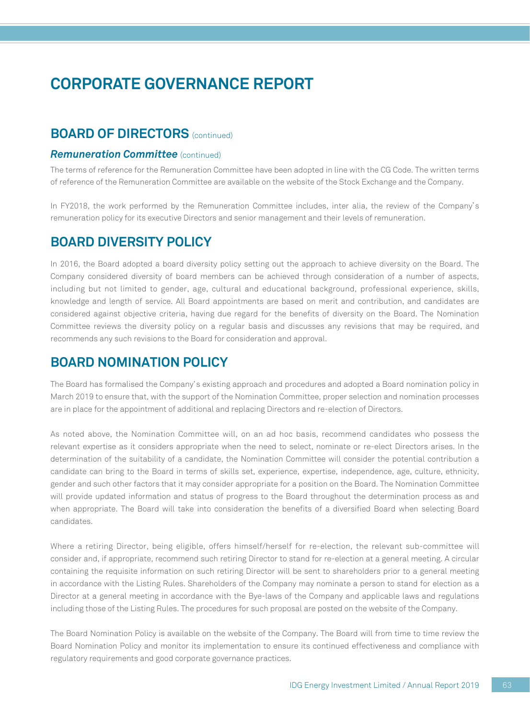### **BOARD OF DIRECTORS** (continued)

#### **Remuneration Committee** (continued)

The terms of reference for the Remuneration Committee have been adopted in line with the CG Code. The written terms of reference of the Remuneration Committee are available on the website of the Stock Exchange and the Company.

In FY2018, the work performed by the Remuneration Committee includes, inter alia, the review of the Company's remuneration policy for its executive Directors and senior management and their levels of remuneration.

### **BOARD DIVERSITY POLICY**

In 2016, the Board adopted a board diversity policy setting out the approach to achieve diversity on the Board. The Company considered diversity of board members can be achieved through consideration of a number of aspects, including but not limited to gender, age, cultural and educational background, professional experience, skills, knowledge and length of service. All Board appointments are based on merit and contribution, and candidates are considered against objective criteria, having due regard for the benefits of diversity on the Board. The Nomination Committee reviews the diversity policy on a regular basis and discusses any revisions that may be required, and recommends any such revisions to the Board for consideration and approval.

## **BOARD NOMINATION POLICY**

The Board has formalised the Company's existing approach and procedures and adopted a Board nomination policy in March 2019 to ensure that, with the support of the Nomination Committee, proper selection and nomination processes are in place for the appointment of additional and replacing Directors and re-election of Directors.

As noted above, the Nomination Committee will, on an ad hoc basis, recommend candidates who possess the relevant expertise as it considers appropriate when the need to select, nominate or re-elect Directors arises. In the determination of the suitability of a candidate, the Nomination Committee will consider the potential contribution a candidate can bring to the Board in terms of skills set, experience, expertise, independence, age, culture, ethnicity, gender and such other factors that it may consider appropriate for a position on the Board. The Nomination Committee will provide updated information and status of progress to the Board throughout the determination process as and when appropriate. The Board will take into consideration the benefits of a diversified Board when selecting Board candidates.

Where a retiring Director, being eligible, offers himself/herself for re-election, the relevant sub-committee will consider and, if appropriate, recommend such retiring Director to stand for re-election at a general meeting. A circular containing the requisite information on such retiring Director will be sent to shareholders prior to a general meeting in accordance with the Listing Rules. Shareholders of the Company may nominate a person to stand for election as a Director at a general meeting in accordance with the Bye-laws of the Company and applicable laws and regulations including those of the Listing Rules. The procedures for such proposal are posted on the website of the Company.

The Board Nomination Policy is available on the website of the Company. The Board will from time to time review the Board Nomination Policy and monitor its implementation to ensure its continued effectiveness and compliance with regulatory requirements and good corporate governance practices.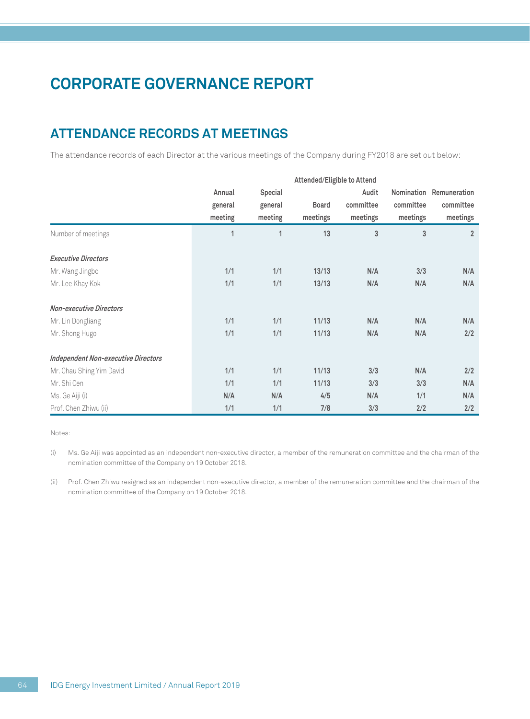# **ATTENDANCE RECORDS AT MEETINGS**

The attendance records of each Director at the various meetings of the Company during FY2018 are set out below:

|                                            | Attended/Eligible to Attend |              |              |           |            |                |
|--------------------------------------------|-----------------------------|--------------|--------------|-----------|------------|----------------|
|                                            | Annual                      | Special      |              | Audit     | Nomination | Remuneration   |
|                                            | general                     | general      | <b>Board</b> | committee | committee  | committee      |
|                                            | meeting                     | meeting      | meetings     | meetings  | meetings   | meetings       |
| Number of meetings                         | 1                           | $\mathbf{1}$ | 13           | 3         | 3          | $\overline{2}$ |
| <b>Executive Directors</b>                 |                             |              |              |           |            |                |
| Mr. Wang Jingbo                            | 1/1                         | 1/1          | 13/13        | N/A       | 3/3        | N/A            |
| Mr. Lee Khay Kok                           | 1/1                         | 1/1          | 13/13        | N/A       | N/A        | N/A            |
| <b>Non-executive Directors</b>             |                             |              |              |           |            |                |
| Mr. Lin Dongliang                          | 1/1                         | 1/1          | 11/13        | N/A       | N/A        | N/A            |
| Mr. Shong Hugo                             | 1/1                         | 1/1          | 11/13        | N/A       | N/A        | 2/2            |
| <b>Independent Non-executive Directors</b> |                             |              |              |           |            |                |
| Mr. Chau Shing Yim David                   | 1/1                         | 1/1          | 11/13        | 3/3       | N/A        | 2/2            |
| Mr. Shi Cen                                | 1/1                         | 1/1          | 11/13        | 3/3       | 3/3        | N/A            |
| Ms. Ge Aiji (i)                            | N/A                         | N/A          | 4/5          | N/A       | 1/1        | N/A            |
| Prof. Chen Zhiwu (ii)                      | 1/1                         | 1/1          | 7/8          | 3/3       | 2/2        | 2/2            |

Notes:

(i) Ms. Ge Aiji was appointed as an independent non-executive director, a member of the remuneration committee and the chairman of the nomination committee of the Company on 19 October 2018.

(ii) Prof. Chen Zhiwu resigned as an independent non-executive director, a member of the remuneration committee and the chairman of the nomination committee of the Company on 19 October 2018.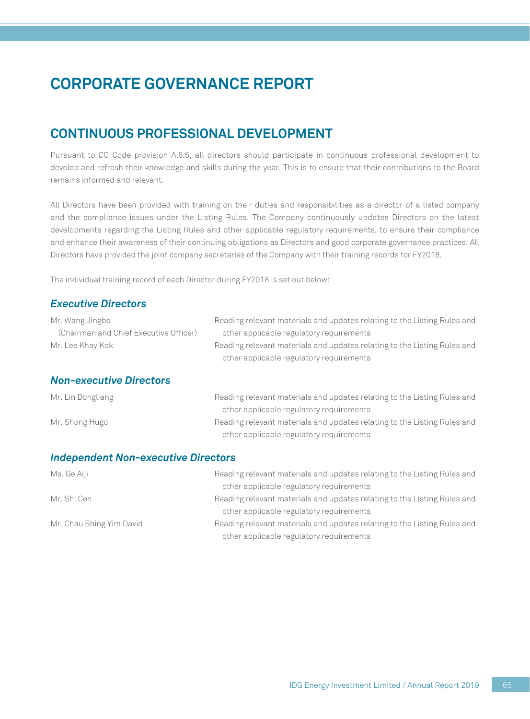## **CONTINUOUS PROFESSIONAL DEVELOPMENT**

Pursuant to CG Code provision A.6.5, all directors should participate in continuous professional development to develop and refresh their knowledge and skills during the year. This is to ensure that their contributions to the Board remains informed and relevant.

All Directors have been provided with training on their duties and responsibilities as a director of a listed company and the compliance issues under the Listing Rules. The Company continuously updates Directors on the latest developments regarding the Listing Rules and other applicable regulatory requirements, to ensure their compliance and enhance their awareness of their continuing obligations as Directors and good corporate governance practices. All Directors have provided the joint company secretaries of the Company with their training records for FY2018.

The individual training record of each Director during FY2018 is set out below:

#### *Executive Directors*

| Mr. Wang Jingbo                            | Reading relevant materials and updates relating to the Listing Rules and                                             |
|--------------------------------------------|----------------------------------------------------------------------------------------------------------------------|
| (Chairman and Chief Executive Officer)     | other applicable regulatory requirements                                                                             |
| Mr. Lee Khay Kok                           | Reading relevant materials and updates relating to the Listing Rules and                                             |
|                                            | other applicable regulatory requirements                                                                             |
| <b>Non-executive Directors</b>             |                                                                                                                      |
| Mr. Lin Dongliang                          | Reading relevant materials and updates relating to the Listing Rules and<br>other applicable regulatory requirements |
| Mr. Shong Hugo                             | Reading relevant materials and updates relating to the Listing Rules and                                             |
|                                            | other applicable regulatory requirements                                                                             |
| <b>Independent Non-executive Directors</b> |                                                                                                                      |

| Ms. Ge Aiji              | Reading relevant materials and updates relating to the Listing Rules and |
|--------------------------|--------------------------------------------------------------------------|
|                          | other applicable regulatory requirements                                 |
| Mr. Shi Cen              | Reading relevant materials and updates relating to the Listing Rules and |
|                          | other applicable regulatory requirements                                 |
| Mr. Chau Shing Yim David | Reading relevant materials and updates relating to the Listing Rules and |
|                          | other applicable regulatory requirements                                 |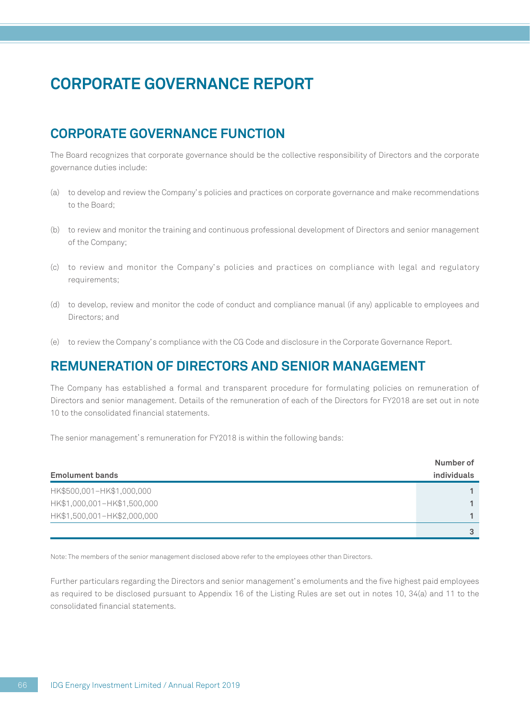## **CORPORATE GOVERNANCE FUNCTION**

The Board recognizes that corporate governance should be the collective responsibility of Directors and the corporate governance duties include:

- (a) to develop and review the Company's policies and practices on corporate governance and make recommendations to the Board;
- (b) to review and monitor the training and continuous professional development of Directors and senior management of the Company;
- (c) to review and monitor the Company' s policies and practices on compliance with legal and regulatory requirements;
- (d) to develop, review and monitor the code of conduct and compliance manual (if any) applicable to employees and Directors; and
- (e) to review the Company's compliance with the CG Code and disclosure in the Corporate Governance Report.

### **REMUNERATION OF DIRECTORS AND SENIOR MANAGEMENT**

The Company has established a formal and transparent procedure for formulating policies on remuneration of Directors and senior management. Details of the remuneration of each of the Directors for FY2018 are set out in note 10 to the consolidated financial statements.

The senior management's remuneration for FY2018 is within the following bands:

| <b>Emolument bands</b>      | individuals |
|-----------------------------|-------------|
| HK\$500,001-HK\$1,000,000   |             |
| HK\$1,000,001-HK\$1,500,000 |             |
| HK\$1,500,001-HK\$2,000,000 |             |
|                             |             |

Note: The members of the senior management disclosed above refer to the employees other than Directors.

Further particulars regarding the Directors and senior management's emoluments and the five highest paid employees as required to be disclosed pursuant to Appendix 16 of the Listing Rules are set out in notes 10, 34(a) and 11 to the consolidated financial statements.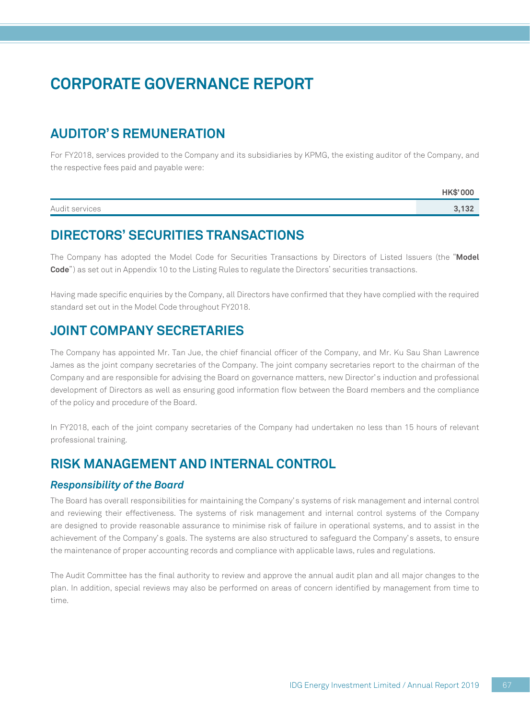# **AUDITOR'S REMUNERATION**

For FY2018, services provided to the Company and its subsidiaries by KPMG, the existing auditor of the Company, and the respective fees paid and payable were:

|                | HK\$'000 |
|----------------|----------|
| Audit services | 3.132    |

## **DIRECTORS' SECURITIES TRANSACTIONS**

The Company has adopted the Model Code for Securities Transactions by Directors of Listed Issuers (the "**Model Code**") as set out in Appendix 10 to the Listing Rules to regulate the Directors' securities transactions.

Having made specific enquiries by the Company, all Directors have confirmed that they have complied with the required standard set out in the Model Code throughout FY2018.

### **JOINT COMPANY SECRETARIES**

The Company has appointed Mr. Tan Jue, the chief financial officer of the Company, and Mr. Ku Sau Shan Lawrence James as the joint company secretaries of the Company. The joint company secretaries report to the chairman of the Company and are responsible for advising the Board on governance matters, new Director's induction and professional development of Directors as well as ensuring good information flow between the Board members and the compliance of the policy and procedure of the Board.

In FY2018, each of the joint company secretaries of the Company had undertaken no less than 15 hours of relevant professional training.

## **RISK MANAGEMENT AND INTERNAL CONTROL**

#### *Responsibility of the Board*

The Board has overall responsibilities for maintaining the Company's systems of risk management and internal control and reviewing their effectiveness. The systems of risk management and internal control systems of the Company are designed to provide reasonable assurance to minimise risk of failure in operational systems, and to assist in the achievement of the Company's goals. The systems are also structured to safeguard the Company's assets, to ensure the maintenance of proper accounting records and compliance with applicable laws, rules and regulations.

The Audit Committee has the final authority to review and approve the annual audit plan and all major changes to the plan. In addition, special reviews may also be performed on areas of concern identified by management from time to time.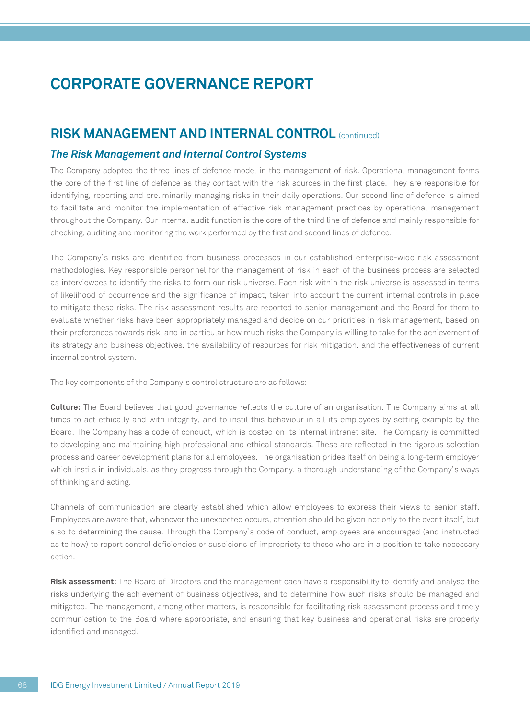### **RISK MANAGEMENT AND INTERNAL CONTROL** (continued)

#### *The Risk Management and Internal Control Systems*

The Company adopted the three lines of defence model in the management of risk. Operational management forms the core of the first line of defence as they contact with the risk sources in the first place. They are responsible for identifying, reporting and preliminarily managing risks in their daily operations. Our second line of defence is aimed to facilitate and monitor the implementation of effective risk management practices by operational management throughout the Company. Our internal audit function is the core of the third line of defence and mainly responsible for checking, auditing and monitoring the work performed by the first and second lines of defence.

The Company's risks are identified from business processes in our established enterprise-wide risk assessment methodologies. Key responsible personnel for the management of risk in each of the business process are selected as interviewees to identify the risks to form our risk universe. Each risk within the risk universe is assessed in terms of likelihood of occurrence and the significance of impact, taken into account the current internal controls in place to mitigate these risks. The risk assessment results are reported to senior management and the Board for them to evaluate whether risks have been appropriately managed and decide on our priorities in risk management, based on their preferences towards risk, and in particular how much risks the Company is willing to take for the achievement of its strategy and business objectives, the availability of resources for risk mitigation, and the effectiveness of current internal control system.

The key components of the Company's control structure are as follows:

**Culture:** The Board believes that good governance reflects the culture of an organisation. The Company aims at all times to act ethically and with integrity, and to instil this behaviour in all its employees by setting example by the Board. The Company has a code of conduct, which is posted on its internal intranet site. The Company is committed to developing and maintaining high professional and ethical standards. These are reflected in the rigorous selection process and career development plans for all employees. The organisation prides itself on being a long-term employer which instils in individuals, as they progress through the Company, a thorough understanding of the Company's ways of thinking and acting.

Channels of communication are clearly established which allow employees to express their views to senior staff. Employees are aware that, whenever the unexpected occurs, attention should be given not only to the event itself, but also to determining the cause. Through the Company's code of conduct, employees are encouraged (and instructed as to how) to report control deficiencies or suspicions of impropriety to those who are in a position to take necessary action.

**Risk assessment:** The Board of Directors and the management each have a responsibility to identify and analyse the risks underlying the achievement of business objectives, and to determine how such risks should be managed and mitigated. The management, among other matters, is responsible for facilitating risk assessment process and timely communication to the Board where appropriate, and ensuring that key business and operational risks are properly identified and managed.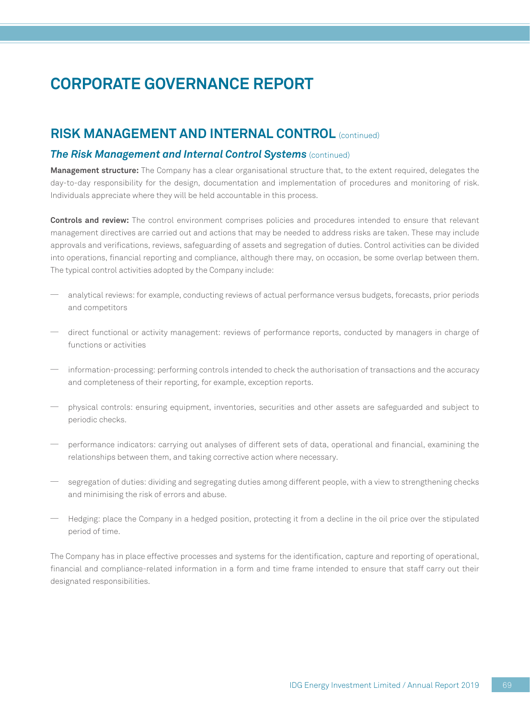### **RISK MANAGEMENT AND INTERNAL CONTROL** (continued)

#### *The Risk Management and Internal Control Systems* (continued)

**Management structure:** The Company has a clear organisational structure that, to the extent required, delegates the day-to-day responsibility for the design, documentation and implementation of procedures and monitoring of risk. Individuals appreciate where they will be held accountable in this process.

**Controls and review:** The control environment comprises policies and procedures intended to ensure that relevant management directives are carried out and actions that may be needed to address risks are taken. These may include approvals and verifications, reviews, safeguarding of assets and segregation of duties. Control activities can be divided into operations, financial reporting and compliance, although there may, on occasion, be some overlap between them. The typical control activities adopted by the Company include:

- analytical reviews: for example, conducting reviews of actual performance versus budgets, forecasts, prior periods and competitors
- direct functional or activity management: reviews of performance reports, conducted by managers in charge of functions or activities
- information-processing: performing controls intended to check the authorisation of transactions and the accuracy and completeness of their reporting, for example, exception reports.
- physical controls: ensuring equipment, inventories, securities and other assets are safeguarded and subject to periodic checks.
- performance indicators: carrying out analyses of different sets of data, operational and financial, examining the relationships between them, and taking corrective action where necessary.
- segregation of duties: dividing and segregating duties among different people, with a view to strengthening checks and minimising the risk of errors and abuse.
- Hedging: place the Company in a hedged position, protecting it from a decline in the oil price over the stipulated period of time.

The Company has in place effective processes and systems for the identification, capture and reporting of operational, financial and compliance-related information in a form and time frame intended to ensure that staff carry out their designated responsibilities.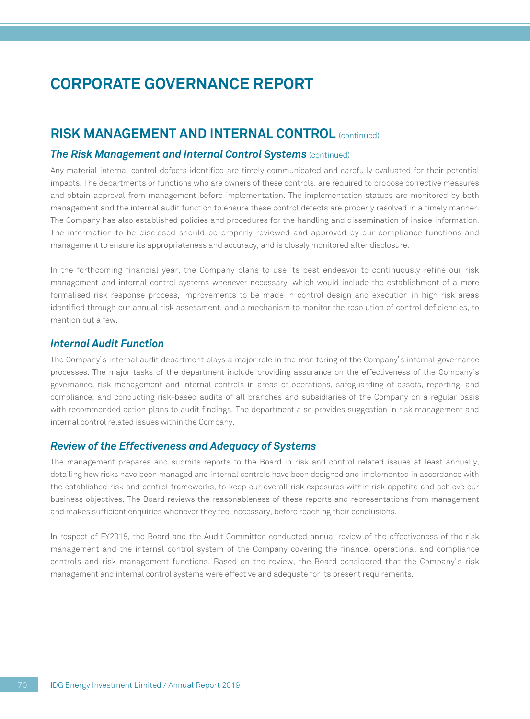### **RISK MANAGEMENT AND INTERNAL CONTROL** (continued)

#### *The Risk Management and Internal Control Systems (continued)*

Any material internal control defects identified are timely communicated and carefully evaluated for their potential impacts. The departments or functions who are owners of these controls, are required to propose corrective measures and obtain approval from management before implementation. The implementation statues are monitored by both management and the internal audit function to ensure these control defects are properly resolved in a timely manner. The Company has also established policies and procedures for the handling and dissemination of inside information. The information to be disclosed should be properly reviewed and approved by our compliance functions and management to ensure its appropriateness and accuracy, and is closely monitored after disclosure.

In the forthcoming financial year, the Company plans to use its best endeavor to continuously refine our risk management and internal control systems whenever necessary, which would include the establishment of a more formalised risk response process, improvements to be made in control design and execution in high risk areas identified through our annual risk assessment, and a mechanism to monitor the resolution of control deficiencies, to mention but a few.

#### *Internal Audit Function*

The Company's internal audit department plays a major role in the monitoring of the Company's internal governance processes. The major tasks of the department include providing assurance on the effectiveness of the Company's governance, risk management and internal controls in areas of operations, safeguarding of assets, reporting, and compliance, and conducting risk-based audits of all branches and subsidiaries of the Company on a regular basis with recommended action plans to audit findings. The department also provides suggestion in risk management and internal control related issues within the Company.

#### *Review of the Effectiveness and Adequacy of Systems*

The management prepares and submits reports to the Board in risk and control related issues at least annually, detailing how risks have been managed and internal controls have been designed and implemented in accordance with the established risk and control frameworks, to keep our overall risk exposures within risk appetite and achieve our business objectives. The Board reviews the reasonableness of these reports and representations from management and makes sufficient enquiries whenever they feel necessary, before reaching their conclusions.

In respect of FY2018, the Board and the Audit Committee conducted annual review of the effectiveness of the risk management and the internal control system of the Company covering the finance, operational and compliance controls and risk management functions. Based on the review, the Board considered that the Company's risk management and internal control systems were effective and adequate for its present requirements.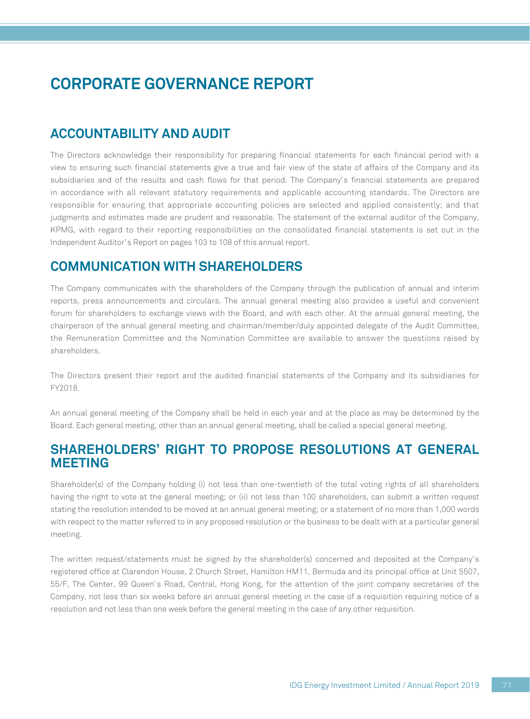## **ACCOUNTABILITY AND AUDIT**

The Directors acknowledge their responsibility for preparing financial statements for each financial period with a view to ensuring such financial statements give a true and fair view of the state of affairs of the Company and its subsidiaries and of the results and cash flows for that period. The Company's financial statements are prepared in accordance with all relevant statutory requirements and applicable accounting standards. The Directors are responsible for ensuring that appropriate accounting policies are selected and applied consistently; and that judgments and estimates made are prudent and reasonable. The statement of the external auditor of the Company, KPMG, with regard to their reporting responsibilities on the consolidated financial statements is set out in the Independent Auditor's Report on pages 103 to 108 of this annual report.

## **COMMUNICATION WITH SHAREHOLDERS**

The Company communicates with the shareholders of the Company through the publication of annual and interim reports, press announcements and circulars. The annual general meeting also provides a useful and convenient forum for shareholders to exchange views with the Board, and with each other. At the annual general meeting, the chairperson of the annual general meeting and chairman/member/duly appointed delegate of the Audit Committee, the Remuneration Committee and the Nomination Committee are available to answer the questions raised by shareholders.

The Directors present their report and the audited financial statements of the Company and its subsidiaries for FY2018.

An annual general meeting of the Company shall be held in each year and at the place as may be determined by the Board. Each general meeting, other than an annual general meeting, shall be called a special general meeting.

### **SHAREHOLDERS' RIGHT TO PROPOSE RESOLUTIONS AT GENERAL MEETING**

Shareholder(s) of the Company holding (i) not less than one-twentieth of the total voting rights of all shareholders having the right to vote at the general meeting; or (ii) not less than 100 shareholders, can submit a written request stating the resolution intended to be moved at an annual general meeting; or a statement of no more than 1,000 words with respect to the matter referred to in any proposed resolution or the business to be dealt with at a particular general meeting.

The written request/statements must be signed by the shareholder(s) concerned and deposited at the Company's registered office at Clarendon House, 2 Church Street, Hamilton HM11, Bermuda and its principal office at Unit 5507, 55/F, The Center, 99 Queen's Road, Central, Hong Kong, for the attention of the joint company secretaries of the Company, not less than six weeks before an annual general meeting in the case of a requisition requiring notice of a resolution and not less than one week before the general meeting in the case of any other requisition.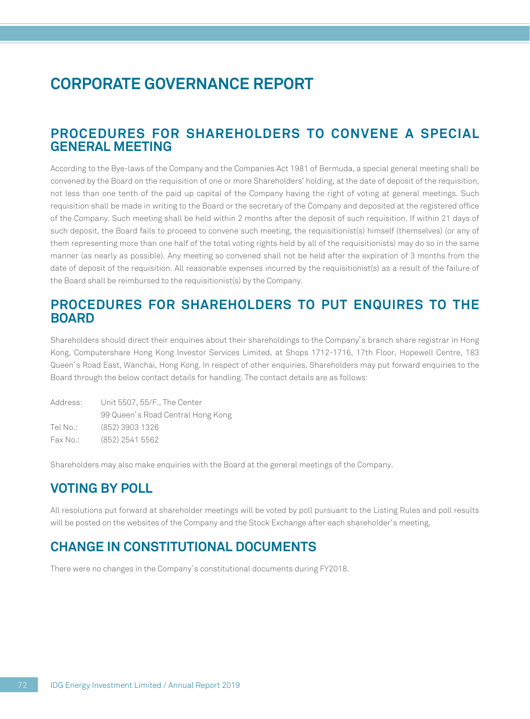## **CORPORATE GOVERNANCE REPORT**

### **PROCEDURES FOR SHAREHOLDERS TO CONVENE A SPECIAL GENERAL MEETING**

According to the Bye-laws of the Company and the Companies Act 1981 of Bermuda, a special general meeting shall be convened by the Board on the requisition of one or more Shareholders' holding, at the date of deposit of the requisition, not less than one tenth of the paid up capital of the Company having the right of voting at general meetings. Such requisition shall be made in writing to the Board or the secretary of the Company and deposited at the registered office of the Company. Such meeting shall be held within 2 months after the deposit of such requisition. If within 21 days of such deposit, the Board fails to proceed to convene such meeting, the requisitionist(s) himself (themselves) (or any of them representing more than one half of the total voting rights held by all of the requisitionists) may do so in the same manner (as nearly as possible). Any meeting so convened shall not be held after the expiration of 3 months from the date of deposit of the requisition. All reasonable expenses incurred by the requisitionist(s) as a result of the failure of the Board shall be reimbursed to the requisitionist(s) by the Company.

### **PROCEDURES FOR SHAREHOLDERS TO PUT ENQUIRES TO THE BOARD**

Shareholders should direct their enquiries about their shareholdings to the Company's branch share registrar in Hong Kong, Computershare Hong Kong Investor Services Limited, at Shops 1712-1716, 17th Floor, Hopewell Centre, 183 Queen's Road East, Wanchai, Hong Kong. In respect of other enquiries, Shareholders may put forward enquiries to the Board through the below contact details for handling. The contact details are as follows:

| Address: | Unit 5507, 55/F., The Center      |
|----------|-----------------------------------|
|          | 99 Queen's Road Central Hong Kong |
| Tel No.: | (852) 3903 1326                   |
| Fax No.: | (852) 2541 5562                   |

Shareholders may also make enquiries with the Board at the general meetings of the Company.

## **VOTING BY POLL**

All resolutions put forward at shareholder meetings will be voted by poll pursuant to the Listing Rules and poll results will be posted on the websites of the Company and the Stock Exchange after each shareholder's meeting.

## **CHANGE IN CONSTITUTIONAL DOCUMENTS**

There were no changes in the Company's constitutional documents during FY2018.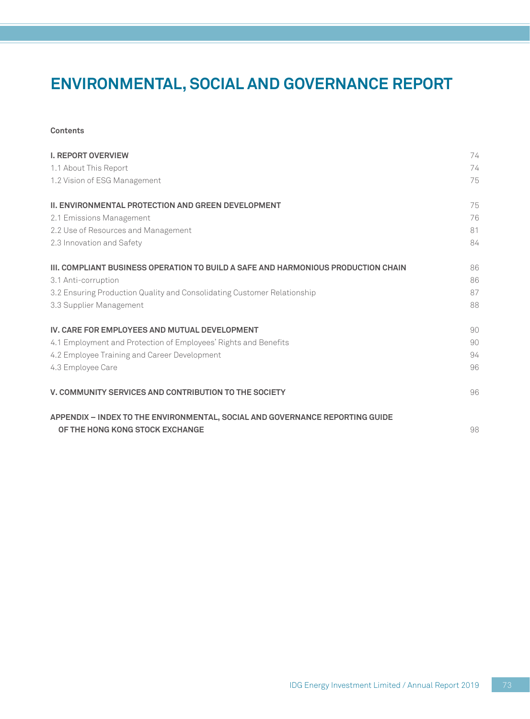### **Contents**

| <b>I. REPORT OVERVIEW</b>                                                         | 74 |
|-----------------------------------------------------------------------------------|----|
| 1.1 About This Report                                                             | 74 |
| 1.2 Vision of ESG Management                                                      | 75 |
| <b>II. ENVIRONMENTAL PROTECTION AND GREEN DEVELOPMENT</b>                         | 75 |
| 2.1 Emissions Management                                                          | 76 |
| 2.2 Use of Resources and Management                                               | 81 |
| 2.3 Innovation and Safety                                                         | 84 |
| III. COMPLIANT BUSINESS OPERATION TO BUILD A SAFE AND HARMONIOUS PRODUCTION CHAIN | 86 |
| 3.1 Anti-corruption                                                               | 86 |
| 3.2 Ensuring Production Quality and Consolidating Customer Relationship           | 87 |
| 3.3 Supplier Management                                                           | 88 |
| IV. CARE FOR EMPLOYEES AND MUTUAL DEVELOPMENT                                     | 90 |
| 4.1 Employment and Protection of Employees' Rights and Benefits                   | 90 |
| 4.2 Employee Training and Career Development                                      | 94 |
| 4.3 Employee Care                                                                 | 96 |
| V. COMMUNITY SERVICES AND CONTRIBUTION TO THE SOCIETY                             | 96 |
| APPENDIX - INDEX TO THE ENVIRONMENTAL, SOCIAL AND GOVERNANCE REPORTING GUIDE      |    |
| OF THE HONG KONG STOCK EXCHANGE                                                   | 98 |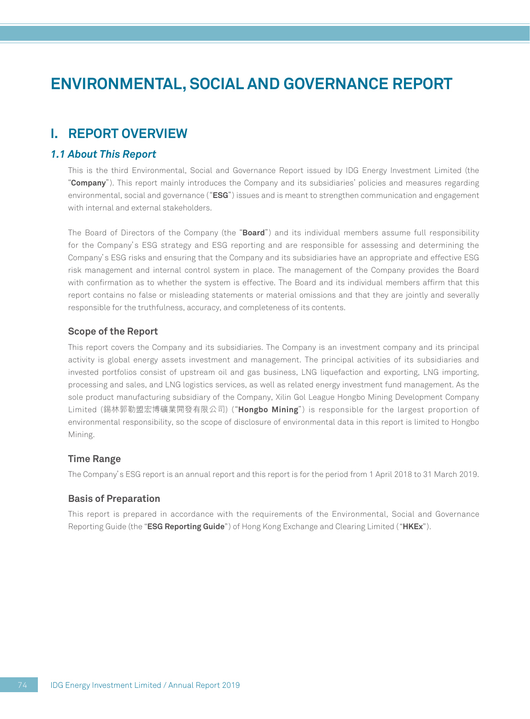### **I. REPORT OVERVIEW**

### *1.1 About This Report*

This is the third Environmental, Social and Governance Report issued by IDG Energy Investment Limited (the "**Company**"). This report mainly introduces the Company and its subsidiaries' policies and measures regarding environmental, social and governance ("**ESG**") issues and is meant to strengthen communication and engagement with internal and external stakeholders.

The Board of Directors of the Company (the "**Board**") and its individual members assume full responsibility for the Company's ESG strategy and ESG reporting and are responsible for assessing and determining the Company's ESG risks and ensuring that the Company and its subsidiaries have an appropriate and effective ESG risk management and internal control system in place. The management of the Company provides the Board with confirmation as to whether the system is effective. The Board and its individual members affirm that this report contains no false or misleading statements or material omissions and that they are jointly and severally responsible for the truthfulness, accuracy, and completeness of its contents.

### **Scope of the Report**

This report covers the Company and its subsidiaries. The Company is an investment company and its principal activity is global energy assets investment and management. The principal activities of its subsidiaries and invested portfolios consist of upstream oil and gas business, LNG liquefaction and exporting, LNG importing, processing and sales, and LNG logistics services, as well as related energy investment fund management. As the sole product manufacturing subsidiary of the Company, Xilin Gol League Hongbo Mining Development Company Limited (錫林郭勒盟宏博礦業開發有限公司) ("**Hongbo Mining**") is responsible for the largest proportion of environmental responsibility, so the scope of disclosure of environmental data in this report is limited to Hongbo Mining.

### **Time Range**

The Company's ESG report is an annual report and this report is for the period from 1 April 2018 to 31 March 2019.

#### **Basis of Preparation**

This report is prepared in accordance with the requirements of the Environmental, Social and Governance Reporting Guide (the "**ESG Reporting Guide**") of Hong Kong Exchange and Clearing Limited ("**HKEx**").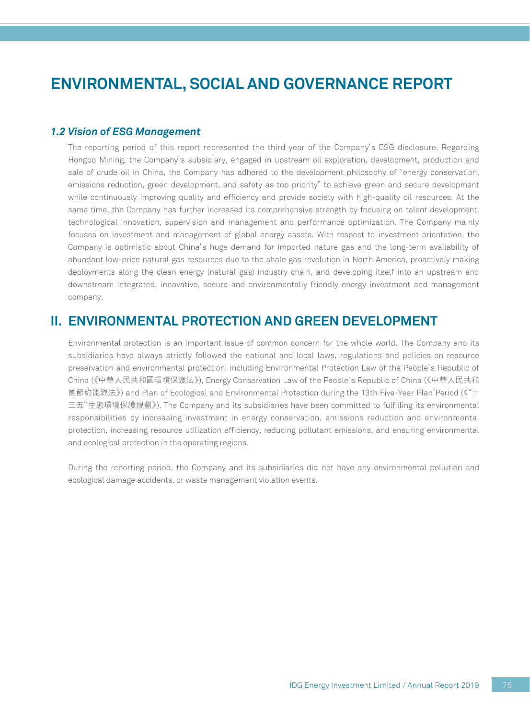### *1.2 Vision of ESG Management*

The reporting period of this report represented the third year of the Company's ESG disclosure. Regarding Hongbo Mining, the Company's subsidiary, engaged in upstream oil exploration, development, production and sale of crude oil in China, the Company has adhered to the development philosophy of "energy conservation, emissions reduction, green development, and safety as top priority" to achieve green and secure development while continuously improving quality and efficiency and provide society with high-quality oil resources. At the same time, the Company has further increased its comprehensive strength by focusing on talent development, technological innovation, supervision and management and performance optimization. The Company mainly focuses on investment and management of global energy assets. With respect to investment orientation, the Company is optimistic about China's huge demand for imported nature gas and the long-term availability of abundant low-price natural gas resources due to the shale gas revolution in North America, proactively making deployments along the clean energy (natural gas) industry chain, and developing itself into an upstream and downstream integrated, innovative, secure and environmentally friendly energy investment and management company.

### **II. ENVIRONMENTAL PROTECTION AND GREEN DEVELOPMENT**

Environmental protection is an important issue of common concern for the whole world. The Company and its subsidiaries have always strictly followed the national and local laws, regulations and policies on resource preservation and environmental protection, including Environmental Protection Law of the People's Republic of China (《中華人民共和國環境保護法》), Energy Conservation Law of the People's Republic of China (《中華人民共和 國節約能源法》) and Plan of Ecological and Environmental Protection during the 13th Five-Year Plan Period (《"十 三五"生態環境保護規劃》). The Company and its subsidiaries have been committed to fulfilling its environmental responsibilities by increasing investment in energy conservation, emissions reduction and environmental protection, increasing resource utilization efficiency, reducing pollutant emissions, and ensuring environmental and ecological protection in the operating regions.

During the reporting period, the Company and its subsidiaries did not have any environmental pollution and ecological damage accidents, or waste management violation events.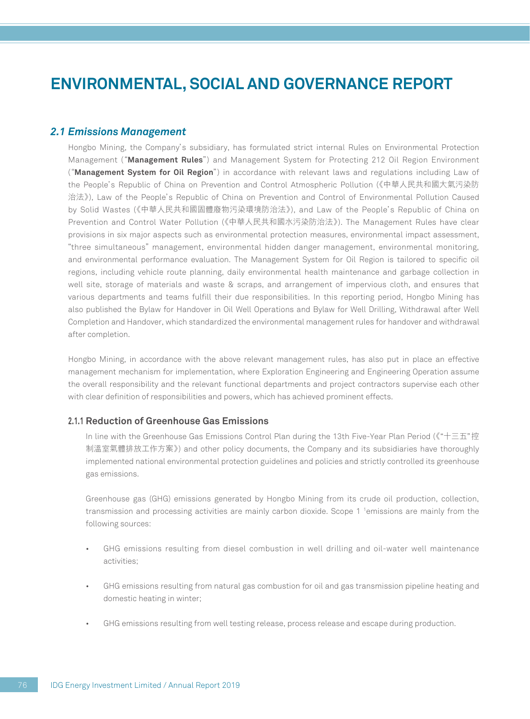### *2.1 Emissions Management*

Hongbo Mining, the Company's subsidiary, has formulated strict internal Rules on Environmental Protection Management ("**Management Rules**") and Management System for Protecting 212 Oil Region Environment ("**Management System for Oil Region**") in accordance with relevant laws and regulations including Law of the People's Republic of China on Prevention and Control Atmospheric Pollution (《中華人民共和國大氣污染防 治法》), Law of the People's Republic of China on Prevention and Control of Environmental Pollution Caused by Solid Wastes (《中華人民共和國固體廢物污染環境防治法》), and Law of the People's Republic of China on Prevention and Control Water Pollution (《中華人民共和國水污染防治法》). The Management Rules have clear provisions in six major aspects such as environmental protection measures, environmental impact assessment, "three simultaneous" management, environmental hidden danger management, environmental monitoring, and environmental performance evaluation. The Management System for Oil Region is tailored to specific oil regions, including vehicle route planning, daily environmental health maintenance and garbage collection in well site, storage of materials and waste & scraps, and arrangement of impervious cloth, and ensures that various departments and teams fulfill their due responsibilities. In this reporting period, Hongbo Mining has also published the Bylaw for Handover in Oil Well Operations and Bylaw for Well Drilling, Withdrawal after Well Completion and Handover, which standardized the environmental management rules for handover and withdrawal after completion.

Hongbo Mining, in accordance with the above relevant management rules, has also put in place an effective management mechanism for implementation, where Exploration Engineering and Engineering Operation assume the overall responsibility and the relevant functional departments and project contractors supervise each other with clear definition of responsibilities and powers, which has achieved prominent effects.

### **2.1.1 Reduction of Greenhouse Gas Emissions**

In line with the Greenhouse Gas Emissions Control Plan during the 13th Five-Year Plan Period (《"十三五"控 制溫室氣體排放工作方案》) and other policy documents, the Company and its subsidiaries have thoroughly implemented national environmental protection guidelines and policies and strictly controlled its greenhouse gas emissions.

Greenhouse gas (GHG) emissions generated by Hongbo Mining from its crude oil production, collection, transmission and processing activities are mainly carbon dioxide. Scope 1 1 emissions are mainly from the following sources:

- GHG emissions resulting from diesel combustion in well drilling and oil-water well maintenance activities;
- GHG emissions resulting from natural gas combustion for oil and gas transmission pipeline heating and domestic heating in winter;
- GHG emissions resulting from well testing release, process release and escape during production.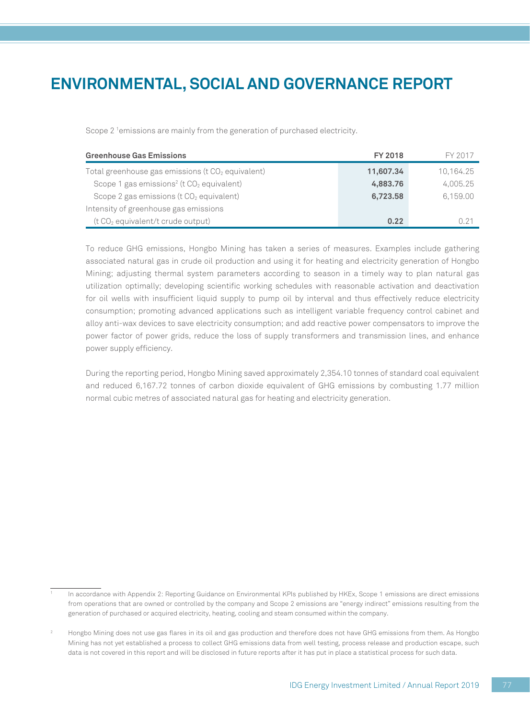Scope 2 <sup>1</sup>emissions are mainly from the generation of purchased electricity.

| <b>Greenhouse Gas Emissions</b>                                   | <b>FY 2018</b> | FY 2017   |
|-------------------------------------------------------------------|----------------|-----------|
| Total greenhouse gas emissions ( $t$ CO $_2$ equivalent)          | 11,607.34      | 10,164.25 |
| Scope 1 gas emissions <sup>2</sup> (t CO <sub>2</sub> equivalent) | 4,883.76       | 4,005.25  |
| Scope 2 gas emissions ( $t$ CO <sub>2</sub> equivalent)           | 6,723.58       | 6,159.00  |
| Intensity of greenhouse gas emissions                             |                |           |
| (t CO <sub>2</sub> equivalent/t crude output)                     | 0.22           | N 21      |

To reduce GHG emissions, Hongbo Mining has taken a series of measures. Examples include gathering associated natural gas in crude oil production and using it for heating and electricity generation of Hongbo Mining; adjusting thermal system parameters according to season in a timely way to plan natural gas utilization optimally; developing scientific working schedules with reasonable activation and deactivation for oil wells with insufficient liquid supply to pump oil by interval and thus effectively reduce electricity consumption; promoting advanced applications such as intelligent variable frequency control cabinet and alloy anti-wax devices to save electricity consumption; and add reactive power compensators to improve the power factor of power grids, reduce the loss of supply transformers and transmission lines, and enhance power supply efficiency.

During the reporting period, Hongbo Mining saved approximately 2,354.10 tonnes of standard coal equivalent and reduced 6,167.72 tonnes of carbon dioxide equivalent of GHG emissions by combusting 1.77 million normal cubic metres of associated natural gas for heating and electricity generation.

<sup>1</sup> In accordance with Appendix 2: Reporting Guidance on Environmental KPIs published by HKEx, Scope 1 emissions are direct emissions from operations that are owned or controlled by the company and Scope 2 emissions are "energy indirect" emissions resulting from the generation of purchased or acquired electricity, heating, cooling and steam consumed within the company.

<sup>2</sup> Hongbo Mining does not use gas flares in its oil and gas production and therefore does not have GHG emissions from them. As Hongbo Mining has not yet established a process to collect GHG emissions data from well testing, process release and production escape, such data is not covered in this report and will be disclosed in future reports after it has put in place a statistical process for such data.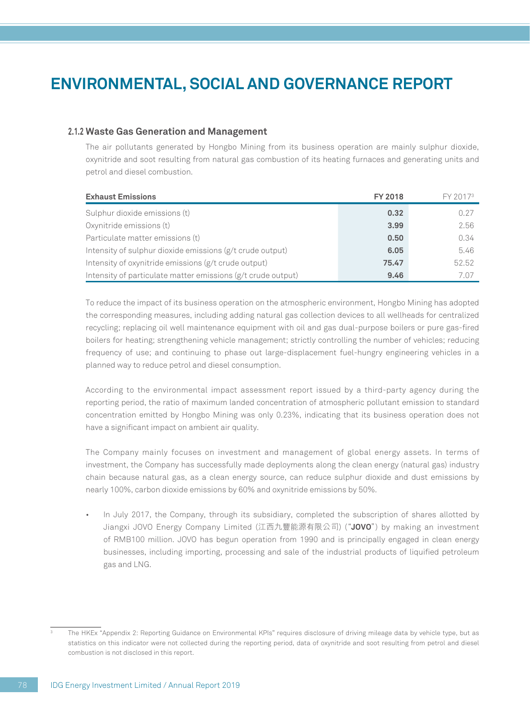### **2.1.2 Waste Gas Generation and Management**

The air pollutants generated by Hongbo Mining from its business operation are mainly sulphur dioxide, oxynitride and soot resulting from natural gas combustion of its heating furnaces and generating units and petrol and diesel combustion.

| <b>Exhaust Emissions</b>                                     | <b>FY 2018</b> | FY 2017 <sup>3</sup> |
|--------------------------------------------------------------|----------------|----------------------|
| Sulphur dioxide emissions (t)                                | 0.32           | 0.27                 |
| Oxynitride emissions (t)                                     | 3.99           | 2.56                 |
| Particulate matter emissions (t)                             | 0.50           | 0.34                 |
| Intensity of sulphur dioxide emissions (g/t crude output)    | 6.05           | 5.46                 |
| Intensity of oxynitride emissions (g/t crude output)         | 75.47          | 52.52                |
| Intensity of particulate matter emissions (g/t crude output) | 9.46           | 7.07                 |

To reduce the impact of its business operation on the atmospheric environment, Hongbo Mining has adopted the corresponding measures, including adding natural gas collection devices to all wellheads for centralized recycling; replacing oil well maintenance equipment with oil and gas dual-purpose boilers or pure gas-fired boilers for heating; strengthening vehicle management; strictly controlling the number of vehicles; reducing frequency of use; and continuing to phase out large-displacement fuel-hungry engineering vehicles in a planned way to reduce petrol and diesel consumption.

According to the environmental impact assessment report issued by a third-party agency during the reporting period, the ratio of maximum landed concentration of atmospheric pollutant emission to standard concentration emitted by Hongbo Mining was only 0.23%, indicating that its business operation does not have a significant impact on ambient air quality.

The Company mainly focuses on investment and management of global energy assets. In terms of investment, the Company has successfully made deployments along the clean energy (natural gas) industry chain because natural gas, as a clean energy source, can reduce sulphur dioxide and dust emissions by nearly 100%, carbon dioxide emissions by 60% and oxynitride emissions by 50%.

• In July 2017, the Company, through its subsidiary, completed the subscription of shares allotted by Jiangxi JOVO Energy Company Limited (江西九豐能源有限公司) ("**JOVO**") by making an investment of RMB100 million. JOVO has begun operation from 1990 and is principally engaged in clean energy businesses, including importing, processing and sale of the industrial products of liquified petroleum gas and LNG.

<sup>3</sup> The HKEx "Appendix 2: Reporting Guidance on Environmental KPIs" requires disclosure of driving mileage data by vehicle type, but as statistics on this indicator were not collected during the reporting period, data of oxynitride and soot resulting from petrol and diesel combustion is not disclosed in this report.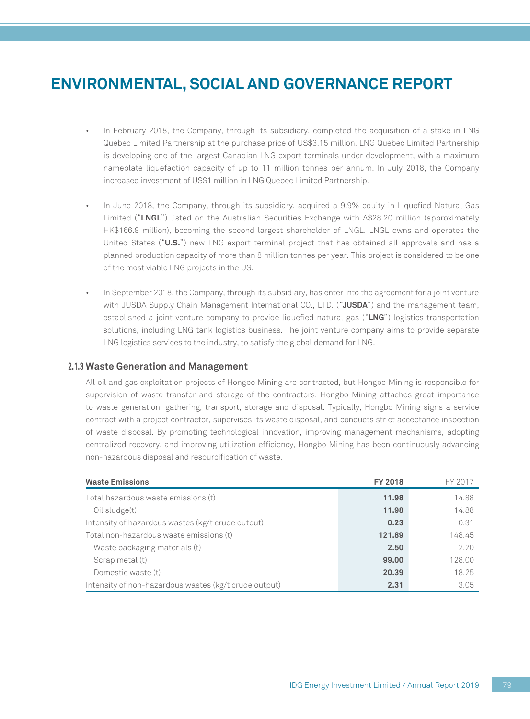- In February 2018, the Company, through its subsidiary, completed the acquisition of a stake in LNG Quebec Limited Partnership at the purchase price of US\$3.15 million. LNG Quebec Limited Partnership is developing one of the largest Canadian LNG export terminals under development, with a maximum nameplate liquefaction capacity of up to 11 million tonnes per annum. In July 2018, the Company increased investment of US\$1 million in LNG Quebec Limited Partnership.
- In June 2018, the Company, through its subsidiary, acquired a 9.9% equity in Liquefied Natural Gas Limited ("**LNGL**") listed on the Australian Securities Exchange with A\$28.20 million (approximately HK\$166.8 million), becoming the second largest shareholder of LNGL. LNGL owns and operates the United States ("**U.S.**") new LNG export terminal project that has obtained all approvals and has a planned production capacity of more than 8 million tonnes per year. This project is considered to be one of the most viable LNG projects in the US.
- In September 2018, the Company, through its subsidiary, has enter into the agreement for a joint venture with JUSDA Supply Chain Management International CO., LTD. ("**JUSDA**") and the management team, established a joint venture company to provide liquefied natural gas ("**LNG**") logistics transportation solutions, including LNG tank logistics business. The joint venture company aims to provide separate LNG logistics services to the industry, to satisfy the global demand for LNG.

#### **2.1.3 Waste Generation and Management**

All oil and gas exploitation projects of Hongbo Mining are contracted, but Hongbo Mining is responsible for supervision of waste transfer and storage of the contractors. Hongbo Mining attaches great importance to waste generation, gathering, transport, storage and disposal. Typically, Hongbo Mining signs a service contract with a project contractor, supervises its waste disposal, and conducts strict acceptance inspection of waste disposal. By promoting technological innovation, improving management mechanisms, adopting centralized recovery, and improving utilization efficiency, Hongbo Mining has been continuously advancing non-hazardous disposal and resourcification of waste.

| <b>Waste Emissions</b>                                | <b>FY 2018</b> | FY 2017 |
|-------------------------------------------------------|----------------|---------|
| Total hazardous waste emissions (t)                   | 11.98          | 14.88   |
| Oil sludge(t)                                         | 11.98          | 14.88   |
| Intensity of hazardous wastes (kg/t crude output)     | 0.23           | 0.31    |
| Total non-hazardous waste emissions (t)               | 121.89         | 148.45  |
| Waste packaging materials (t)                         | 2.50           | 2.20    |
| Scrap metal (t)                                       | 99.00          | 128.00  |
| Domestic waste (t)                                    | 20.39          | 18.25   |
| Intensity of non-hazardous wastes (kg/t crude output) | 2.31           | 3.05    |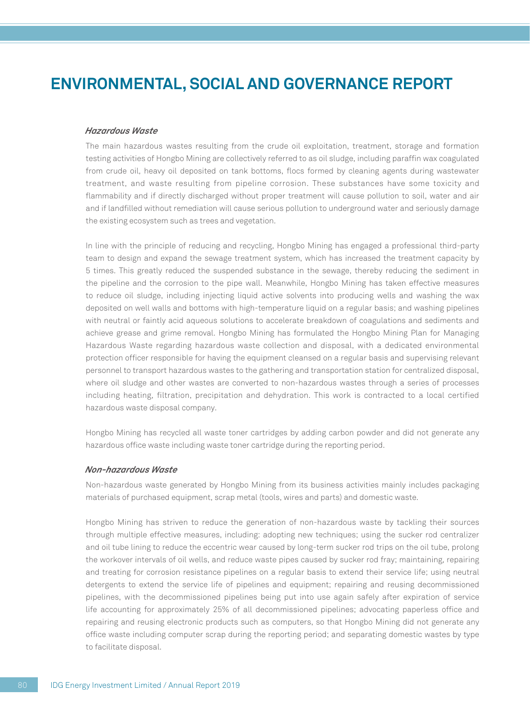#### *Hazardous Waste*

The main hazardous wastes resulting from the crude oil exploitation, treatment, storage and formation testing activities of Hongbo Mining are collectively referred to as oil sludge, including paraffin wax coagulated from crude oil, heavy oil deposited on tank bottoms, flocs formed by cleaning agents during wastewater treatment, and waste resulting from pipeline corrosion. These substances have some toxicity and flammability and if directly discharged without proper treatment will cause pollution to soil, water and air and if landfilled without remediation will cause serious pollution to underground water and seriously damage the existing ecosystem such as trees and vegetation.

In line with the principle of reducing and recycling, Hongbo Mining has engaged a professional third-party team to design and expand the sewage treatment system, which has increased the treatment capacity by 5 times. This greatly reduced the suspended substance in the sewage, thereby reducing the sediment in the pipeline and the corrosion to the pipe wall. Meanwhile, Hongbo Mining has taken effective measures to reduce oil sludge, including injecting liquid active solvents into producing wells and washing the wax deposited on well walls and bottoms with high-temperature liquid on a regular basis; and washing pipelines with neutral or faintly acid aqueous solutions to accelerate breakdown of coagulations and sediments and achieve grease and grime removal. Hongbo Mining has formulated the Hongbo Mining Plan for Managing Hazardous Waste regarding hazardous waste collection and disposal, with a dedicated environmental protection officer responsible for having the equipment cleansed on a regular basis and supervising relevant personnel to transport hazardous wastes to the gathering and transportation station for centralized disposal, where oil sludge and other wastes are converted to non-hazardous wastes through a series of processes including heating, filtration, precipitation and dehydration. This work is contracted to a local certified hazardous waste disposal company.

Hongbo Mining has recycled all waste toner cartridges by adding carbon powder and did not generate any hazardous office waste including waste toner cartridge during the reporting period.

#### *Non-hazardous Waste*

Non-hazardous waste generated by Hongbo Mining from its business activities mainly includes packaging materials of purchased equipment, scrap metal (tools, wires and parts) and domestic waste.

Hongbo Mining has striven to reduce the generation of non-hazardous waste by tackling their sources through multiple effective measures, including: adopting new techniques; using the sucker rod centralizer and oil tube lining to reduce the eccentric wear caused by long-term sucker rod trips on the oil tube, prolong the workover intervals of oil wells, and reduce waste pipes caused by sucker rod fray; maintaining, repairing and treating for corrosion resistance pipelines on a regular basis to extend their service life; using neutral detergents to extend the service life of pipelines and equipment; repairing and reusing decommissioned pipelines, with the decommissioned pipelines being put into use again safely after expiration of service life accounting for approximately 25% of all decommissioned pipelines; advocating paperless office and repairing and reusing electronic products such as computers, so that Hongbo Mining did not generate any office waste including computer scrap during the reporting period; and separating domestic wastes by type to facilitate disposal.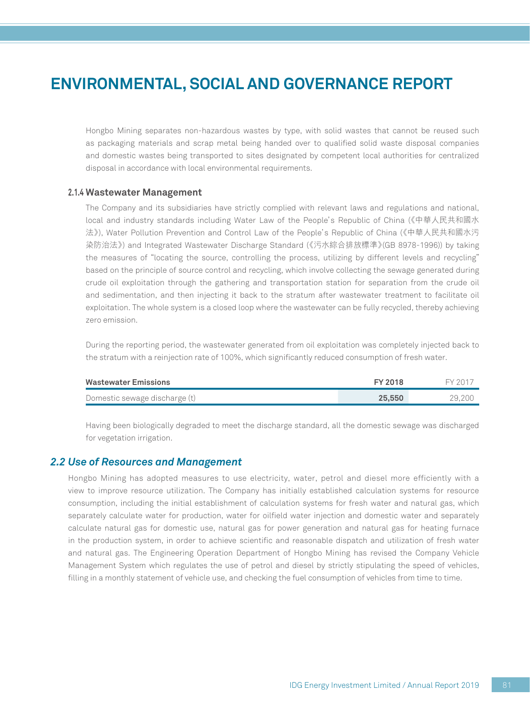Hongbo Mining separates non-hazardous wastes by type, with solid wastes that cannot be reused such as packaging materials and scrap metal being handed over to qualified solid waste disposal companies and domestic wastes being transported to sites designated by competent local authorities for centralized disposal in accordance with local environmental requirements.

### **2.1.4 Wastewater Management**

The Company and its subsidiaries have strictly complied with relevant laws and regulations and national, local and industry standards including Water Law of the People's Republic of China (《中華人民共和國水 法》), Water Pollution Prevention and Control Law of the People's Republic of China (《中華人民共和國水污 染防治法》) and Integrated Wastewater Discharge Standard (《污水綜合排放標準》(GB 8978-1996)) by taking the measures of "locating the source, controlling the process, utilizing by different levels and recycling" based on the principle of source control and recycling, which involve collecting the sewage generated during crude oil exploitation through the gathering and transportation station for separation from the crude oil and sedimentation, and then injecting it back to the stratum after wastewater treatment to facilitate oil exploitation. The whole system is a closed loop where the wastewater can be fully recycled, thereby achieving zero emission.

During the reporting period, the wastewater generated from oil exploitation was completely injected back to the stratum with a reinjection rate of 100%, which significantly reduced consumption of fresh water.

| <b>Wastewater Emissions</b>   | FY 2018 |        |
|-------------------------------|---------|--------|
| Domestic sewage discharge (t) | 25,550  | 29.200 |

Having been biologically degraded to meet the discharge standard, all the domestic sewage was discharged for vegetation irrigation.

### *2.2 Use of Resources and Management*

Hongbo Mining has adopted measures to use electricity, water, petrol and diesel more efficiently with a view to improve resource utilization. The Company has initially established calculation systems for resource consumption, including the initial establishment of calculation systems for fresh water and natural gas, which separately calculate water for production, water for oilfield water injection and domestic water and separately calculate natural gas for domestic use, natural gas for power generation and natural gas for heating furnace in the production system, in order to achieve scientific and reasonable dispatch and utilization of fresh water and natural gas. The Engineering Operation Department of Hongbo Mining has revised the Company Vehicle Management System which regulates the use of petrol and diesel by strictly stipulating the speed of vehicles, filling in a monthly statement of vehicle use, and checking the fuel consumption of vehicles from time to time.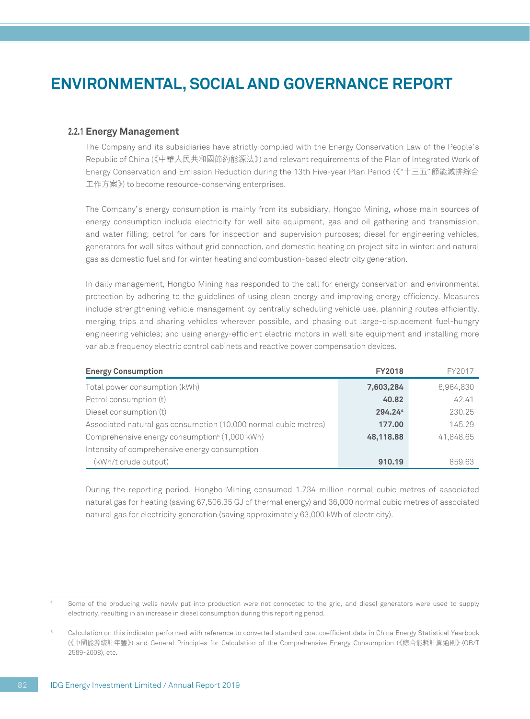### **2.2.1 Energy Management**

The Company and its subsidiaries have strictly complied with the Energy Conservation Law of the People's Republic of China (《中華人民共和國節約能源法》) and relevant requirements of the Plan of Integrated Work of Energy Conservation and Emission Reduction during the 13th Five-year Plan Period (《"十三五"節能減排綜合 工作方案》) to become resource-conserving enterprises.

The Company's energy consumption is mainly from its subsidiary, Hongbo Mining, whose main sources of energy consumption include electricity for well site equipment, gas and oil gathering and transmission, and water filling; petrol for cars for inspection and supervision purposes; diesel for engineering vehicles, generators for well sites without grid connection, and domestic heating on project site in winter; and natural gas as domestic fuel and for winter heating and combustion-based electricity generation.

In daily management, Hongbo Mining has responded to the call for energy conservation and environmental protection by adhering to the guidelines of using clean energy and improving energy efficiency. Measures include strengthening vehicle management by centrally scheduling vehicle use, planning routes efficiently, merging trips and sharing vehicles wherever possible, and phasing out large-displacement fuel-hungry engineering vehicles; and using energy-efficient electric motors in well site equipment and installing more variable frequency electric control cabinets and reactive power compensation devices.

| <b>Energy Consumption</b>                                       | <b>FY2018</b> | FY2017    |
|-----------------------------------------------------------------|---------------|-----------|
| Total power consumption (kWh)                                   | 7,603,284     | 6,964,830 |
| Petrol consumption (t)                                          | 40.82         | 42.41     |
| Diesel consumption (t)                                          | 294.244       | 230.25    |
| Associated natural gas consumption (10,000 normal cubic metres) | 177.00        | 145.29    |
| Comprehensive energy consumption <sup>5</sup> (1,000 kWh)       | 48,118.88     | 41,848.65 |
| Intensity of comprehensive energy consumption                   |               |           |
| (kWh/t crude output)                                            | 910.19        | 859.63    |

During the reporting period, Hongbo Mining consumed 1.734 million normal cubic metres of associated natural gas for heating (saving 67,506.35 GJ of thermal energy) and 36,000 normal cubic metres of associated natural gas for electricity generation (saving approximately 63,000 kWh of electricity).

<sup>4</sup> Some of the producing wells newly put into production were not connected to the grid, and diesel generators were used to supply electricity, resulting in an increase in diesel consumption during this reporting period.

<sup>5</sup> Calculation on this indicator performed with reference to converted standard coal coefficient data in China Energy Statistical Yearbook 《中國能源統計年鑒》 ( ) and General Principles for Calculation of the Comprehensive Energy Consumption (《綜合能耗計算通則》 (GB/T 2589-2008), etc.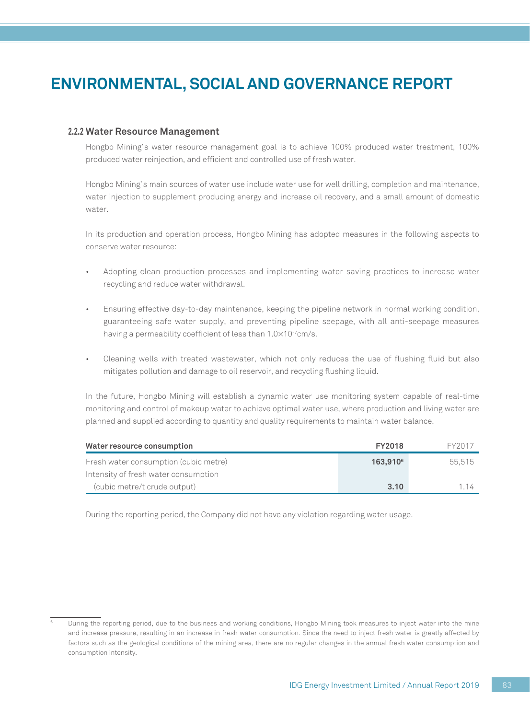### **2.2.2 Water Resource Management**

Hongbo Mining's water resource management goal is to achieve 100% produced water treatment, 100% produced water reinjection, and efficient and controlled use of fresh water.

Hongbo Mining's main sources of water use include water use for well drilling, completion and maintenance, water injection to supplement producing energy and increase oil recovery, and a small amount of domestic water.

In its production and operation process, Hongbo Mining has adopted measures in the following aspects to conserve water resource:

- Adopting clean production processes and implementing water saving practices to increase water recycling and reduce water withdrawal.
- Ensuring effective day-to-day maintenance, keeping the pipeline network in normal working condition, guaranteeing safe water supply, and preventing pipeline seepage, with all anti-seepage measures having a permeability coefficient of less than 1.0×10<sup>-7</sup>cm/s.
- Cleaning wells with treated wastewater, which not only reduces the use of flushing fluid but also mitigates pollution and damage to oil reservoir, and recycling flushing liquid.

In the future, Hongbo Mining will establish a dynamic water use monitoring system capable of real-time monitoring and control of makeup water to achieve optimal water use, where production and living water are planned and supplied according to quantity and quality requirements to maintain water balance.

| Water resource consumption            | <b>FY2018</b>        | FY2017 |
|---------------------------------------|----------------------|--------|
| Fresh water consumption (cubic metre) | 163.910 <sup>6</sup> | 55.515 |
| Intensity of fresh water consumption  |                      |        |
| (cubic metre/t crude output)          | 3.10                 | 114    |

During the reporting period, the Company did not have any violation regarding water usage.

<sup>6</sup> During the reporting period, due to the business and working conditions, Hongbo Mining took measures to inject water into the mine and increase pressure, resulting in an increase in fresh water consumption. Since the need to inject fresh water is greatly affected by factors such as the geological conditions of the mining area, there are no regular changes in the annual fresh water consumption and consumption intensity.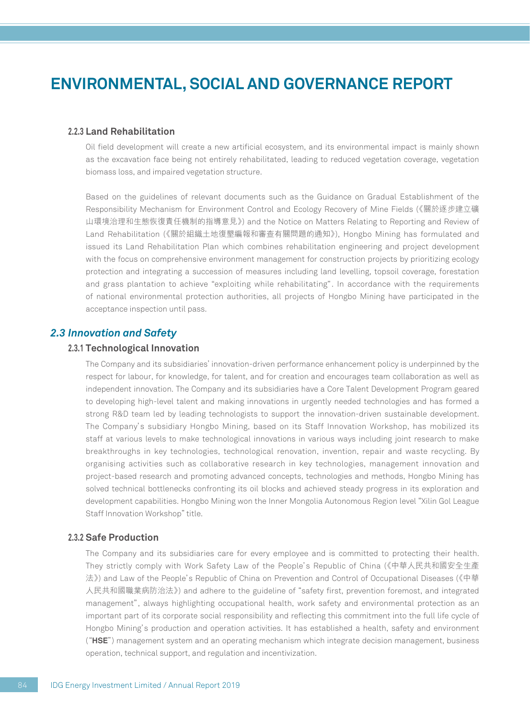### **2.2.3 Land Rehabilitation**

Oil field development will create a new artificial ecosystem, and its environmental impact is mainly shown as the excavation face being not entirely rehabilitated, leading to reduced vegetation coverage, vegetation biomass loss, and impaired vegetation structure.

Based on the guidelines of relevant documents such as the Guidance on Gradual Establishment of the Responsibility Mechanism for Environment Control and Ecology Recovery of Mine Fields (《關於逐步建立礦 山環境治理和生態恢復責任機制的指導意見》) and the Notice on Matters Relating to Reporting and Review of Land Rehabilitation (《關於組織土地復墾編報和審查有關問題的通知》), Hongbo Mining has formulated and issued its Land Rehabilitation Plan which combines rehabilitation engineering and project development with the focus on comprehensive environment management for construction projects by prioritizing ecology protection and integrating a succession of measures including land levelling, topsoil coverage, forestation and grass plantation to achieve "exploiting while rehabilitating". In accordance with the requirements of national environmental protection authorities, all projects of Hongbo Mining have participated in the acceptance inspection until pass.

### *2.3 Innovation and Safety*

### **2.3.1 Technological Innovation**

The Company and its subsidiaries' innovation-driven performance enhancement policy is underpinned by the respect for labour, for knowledge, for talent, and for creation and encourages team collaboration as well as independent innovation. The Company and its subsidiaries have a Core Talent Development Program geared to developing high-level talent and making innovations in urgently needed technologies and has formed a strong R&D team led by leading technologists to support the innovation-driven sustainable development. The Company's subsidiary Hongbo Mining, based on its Staff Innovation Workshop, has mobilized its staff at various levels to make technological innovations in various ways including joint research to make breakthroughs in key technologies, technological renovation, invention, repair and waste recycling. By organising activities such as collaborative research in key technologies, management innovation and project-based research and promoting advanced concepts, technologies and methods, Hongbo Mining has solved technical bottlenecks confronting its oil blocks and achieved steady progress in its exploration and development capabilities. Hongbo Mining won the Inner Mongolia Autonomous Region level "Xilin Gol League Staff Innovation Workshop" title.

### **2.3.2 Safe Production**

The Company and its subsidiaries care for every employee and is committed to protecting their health. They strictly comply with Work Safety Law of the People's Republic of China (《中華人民共和國安全生產 法》) and Law of the People's Republic of China on Prevention and Control of Occupational Diseases (《中華 人民共和國職業病防治法》) and adhere to the guideline of "safety first, prevention foremost, and integrated management", always highlighting occupational health, work safety and environmental protection as an important part of its corporate social responsibility and reflecting this commitment into the full life cycle of Hongbo Mining's production and operation activities. It has established a health, safety and environment ("**HSE**") management system and an operating mechanism which integrate decision management, business operation, technical support, and regulation and incentivization.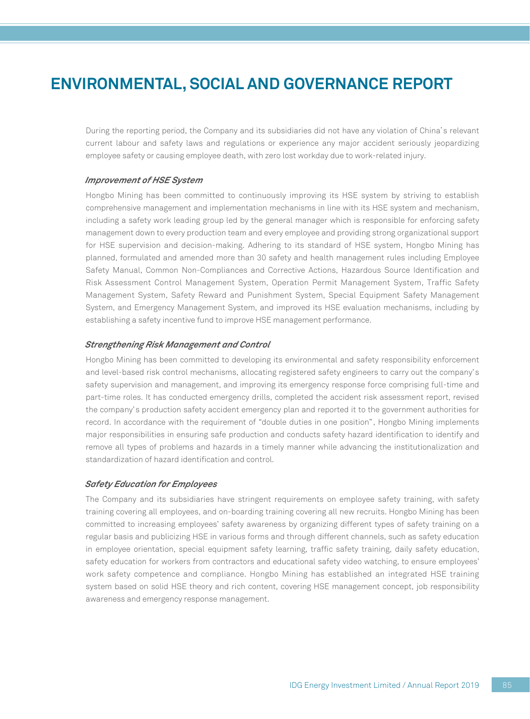During the reporting period, the Company and its subsidiaries did not have any violation of China's relevant current labour and safety laws and regulations or experience any major accident seriously jeopardizing employee safety or causing employee death, with zero lost workday due to work-related injury.

#### *Improvement of HSE System*

Hongbo Mining has been committed to continuously improving its HSE system by striving to establish comprehensive management and implementation mechanisms in line with its HSE system and mechanism, including a safety work leading group led by the general manager which is responsible for enforcing safety management down to every production team and every employee and providing strong organizational support for HSE supervision and decision-making. Adhering to its standard of HSE system, Hongbo Mining has planned, formulated and amended more than 30 safety and health management rules including Employee Safety Manual, Common Non-Compliances and Corrective Actions, Hazardous Source Identification and Risk Assessment Control Management System, Operation Permit Management System, Traffic Safety Management System, Safety Reward and Punishment System, Special Equipment Safety Management System, and Emergency Management System, and improved its HSE evaluation mechanisms, including by establishing a safety incentive fund to improve HSE management performance.

#### *Strengthening Risk Management and Control*

Hongbo Mining has been committed to developing its environmental and safety responsibility enforcement and level-based risk control mechanisms, allocating registered safety engineers to carry out the company's safety supervision and management, and improving its emergency response force comprising full-time and part-time roles. It has conducted emergency drills, completed the accident risk assessment report, revised the company's production safety accident emergency plan and reported it to the government authorities for record. In accordance with the requirement of "double duties in one position", Hongbo Mining implements major responsibilities in ensuring safe production and conducts safety hazard identification to identify and remove all types of problems and hazards in a timely manner while advancing the institutionalization and standardization of hazard identification and control.

#### *Safety Education for Employees*

The Company and its subsidiaries have stringent requirements on employee safety training, with safety training covering all employees, and on-boarding training covering all new recruits. Hongbo Mining has been committed to increasing employees' safety awareness by organizing different types of safety training on a regular basis and publicizing HSE in various forms and through different channels, such as safety education in employee orientation, special equipment safety learning, traffic safety training, daily safety education, safety education for workers from contractors and educational safety video watching, to ensure employees' work safety competence and compliance. Hongbo Mining has established an integrated HSE training system based on solid HSE theory and rich content, covering HSE management concept, job responsibility awareness and emergency response management.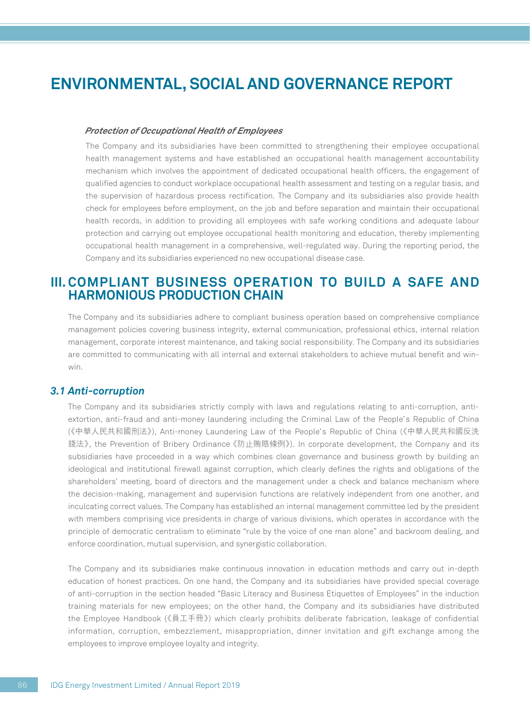#### *Protection of Occupational Health of Employees*

The Company and its subsidiaries have been committed to strengthening their employee occupational health management systems and have established an occupational health management accountability mechanism which involves the appointment of dedicated occupational health officers, the engagement of qualified agencies to conduct workplace occupational health assessment and testing on a regular basis, and the supervision of hazardous process rectification. The Company and its subsidiaries also provide health check for employees before employment, on the job and before separation and maintain their occupational health records, in addition to providing all employees with safe working conditions and adequate labour protection and carrying out employee occupational health monitoring and education, thereby implementing occupational health management in a comprehensive, well-regulated way. During the reporting period, the Company and its subsidiaries experienced no new occupational disease case.

### **III. COMPLIANT BUSINESS OPERATION TO BUILD A SAFE AND HARMONIOUS PRODUCTION CHAIN**

The Company and its subsidiaries adhere to compliant business operation based on comprehensive compliance management policies covering business integrity, external communication, professional ethics, internal relation management, corporate interest maintenance, and taking social responsibility. The Company and its subsidiaries are committed to communicating with all internal and external stakeholders to achieve mutual benefit and winwin.

### *3.1 Anti-corruption*

The Company and its subsidiaries strictly comply with laws and regulations relating to anti-corruption, antiextortion, anti-fraud and anti-money laundering including the Criminal Law of the People's Republic of China (《中華人民共和國刑法》), Anti-money Laundering Law of the People's Republic of China (《中華人民共和國反洗 錢法》, the Prevention of Bribery Ordinance 《防止賄賂條例》). In corporate development, the Company and its subsidiaries have proceeded in a way which combines clean governance and business growth by building an ideological and institutional firewall against corruption, which clearly defines the rights and obligations of the shareholders' meeting, board of directors and the management under a check and balance mechanism where the decision-making, management and supervision functions are relatively independent from one another, and inculcating correct values. The Company has established an internal management committee led by the president with members comprising vice presidents in charge of various divisions, which operates in accordance with the principle of democratic centralism to eliminate "rule by the voice of one man alone" and backroom dealing, and enforce coordination, mutual supervision, and synergistic collaboration.

The Company and its subsidiaries make continuous innovation in education methods and carry out in-depth education of honest practices. On one hand, the Company and its subsidiaries have provided special coverage of anti-corruption in the section headed "Basic Literacy and Business Etiquettes of Employees" in the induction training materials for new employees; on the other hand, the Company and its subsidiaries have distributed the Employee Handbook (《員工手冊》) which clearly prohibits deliberate fabrication, leakage of confidential information, corruption, embezzlement, misappropriation, dinner invitation and gift exchange among the employees to improve employee loyalty and integrity.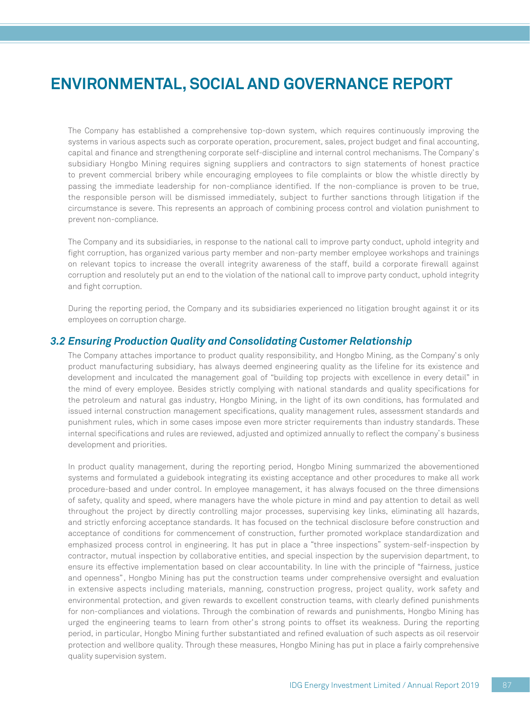The Company has established a comprehensive top-down system, which requires continuously improving the systems in various aspects such as corporate operation, procurement, sales, project budget and final accounting, capital and finance and strengthening corporate self-discipline and internal control mechanisms. The Company's subsidiary Hongbo Mining requires signing suppliers and contractors to sign statements of honest practice to prevent commercial bribery while encouraging employees to file complaints or blow the whistle directly by passing the immediate leadership for non-compliance identified. If the non-compliance is proven to be true, the responsible person will be dismissed immediately, subject to further sanctions through litigation if the circumstance is severe. This represents an approach of combining process control and violation punishment to prevent non-compliance.

The Company and its subsidiaries, in response to the national call to improve party conduct, uphold integrity and fight corruption, has organized various party member and non-party member employee workshops and trainings on relevant topics to increase the overall integrity awareness of the staff, build a corporate firewall against corruption and resolutely put an end to the violation of the national call to improve party conduct, uphold integrity and fight corruption.

During the reporting period, the Company and its subsidiaries experienced no litigation brought against it or its employees on corruption charge.

### *3.2 Ensuring Production Quality and Consolidating Customer Relationship*

The Company attaches importance to product quality responsibility, and Hongbo Mining, as the Company's only product manufacturing subsidiary, has always deemed engineering quality as the lifeline for its existence and development and inculcated the management goal of "building top projects with excellence in every detail" in the mind of every employee. Besides strictly complying with national standards and quality specifications for the petroleum and natural gas industry, Hongbo Mining, in the light of its own conditions, has formulated and issued internal construction management specifications, quality management rules, assessment standards and punishment rules, which in some cases impose even more stricter requirements than industry standards. These internal specifications and rules are reviewed, adjusted and optimized annually to reflect the company's business development and priorities.

In product quality management, during the reporting period, Hongbo Mining summarized the abovementioned systems and formulated a guidebook integrating its existing acceptance and other procedures to make all work procedure-based and under control. In employee management, it has always focused on the three dimensions of safety, quality and speed, where managers have the whole picture in mind and pay attention to detail as well throughout the project by directly controlling major processes, supervising key links, eliminating all hazards, and strictly enforcing acceptance standards. It has focused on the technical disclosure before construction and acceptance of conditions for commencement of construction, further promoted workplace standardization and emphasized process control in engineering. It has put in place a "three inspections" system-self-inspection by contractor, mutual inspection by collaborative entities, and special inspection by the supervision department, to ensure its effective implementation based on clear accountability. In line with the principle of "fairness, justice and openness", Hongbo Mining has put the construction teams under comprehensive oversight and evaluation in extensive aspects including materials, manning, construction progress, project quality, work safety and environmental protection, and given rewards to excellent construction teams, with clearly defined punishments for non-compliances and violations. Through the combination of rewards and punishments, Hongbo Mining has urged the engineering teams to learn from other's strong points to offset its weakness. During the reporting period, in particular, Hongbo Mining further substantiated and refined evaluation of such aspects as oil reservoir protection and wellbore quality. Through these measures, Hongbo Mining has put in place a fairly comprehensive quality supervision system.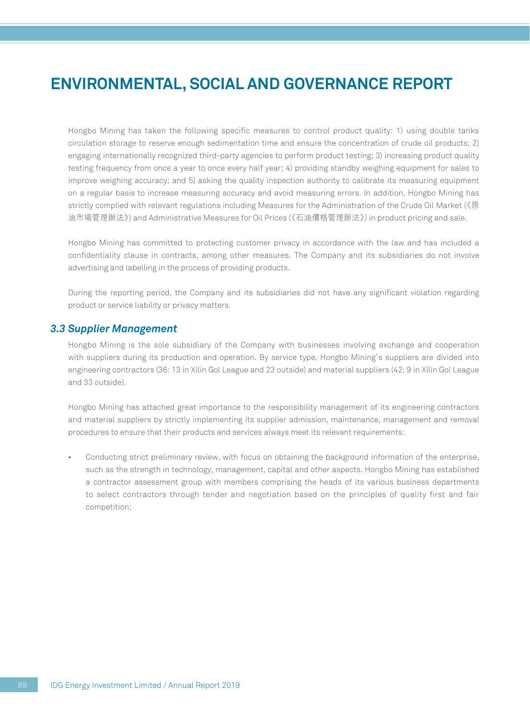Hongbo Mining has taken the following specific measures to control product quality: 1) using double tanks circulation storage to reserve enough sedimentation time and ensure the concentration of crude oil products; 2) engaging internationally recognized third-party agencies to perform product testing; 3) increasing product quality testing frequency from once a year to once every half year; 4) providing standby weighing equipment for sales to improve weighing accuracy; and 5) asking the quality inspection authority to calibrate its measuring equipment on a regular basis to increase measuring accuracy and avoid measuring errors. In addition, Hongbo Mining has strictly complied with relevant regulations including Measures for the Administration of the Crude Oil Market (《原 油市場管理辦法》) and Administrative Measures for Oil Prices (《石油價格管理辦法》) in product pricing and sale.

Hongbo Mining has committed to protecting customer privacy in accordance with the law and has included a confidentiality clause in contracts, among other measures. The Company and its subsidiaries do not involve advertising and labelling in the process of providing products.

During the reporting period, the Company and its subsidiaries did not have any significant violation regarding product or service liability or privacy matters.

### *3.3 Supplier Management*

Hongbo Mining is the sole subsidiary of the Company with businesses involving exchange and cooperation with suppliers during its production and operation. By service type, Hongbo Mining's suppliers are divided into engineering contractors (36: 13 in Xilin Gol League and 23 outside) and material suppliers (42: 9 in Xilin Gol League and 33 outside).

Hongbo Mining has attached great importance to the responsibility management of its engineering contractors and material suppliers by strictly implementing its supplier admission, maintenance, management and removal procedures to ensure that their products and services always meet its relevant requirements:

• Conducting strict preliminary review, with focus on obtaining the background information of the enterprise, such as the strength in technology, management, capital and other aspects. Hongbo Mining has established a contractor assessment group with members comprising the heads of its various business departments to select contractors through tender and negotiation based on the principles of quality first and fair competition;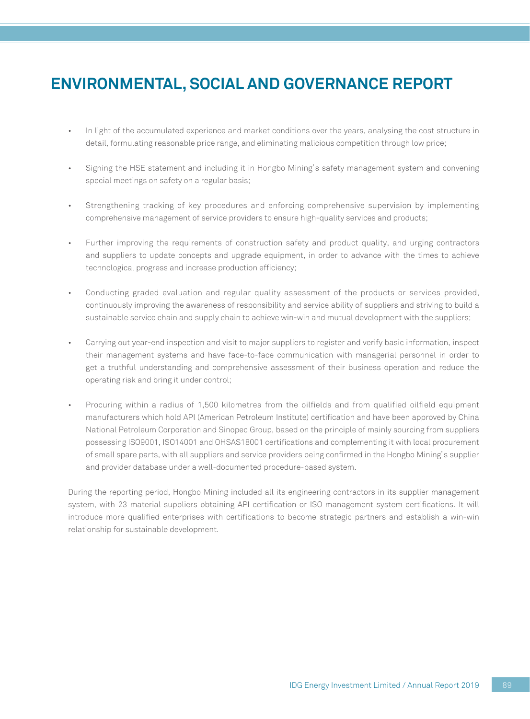- In light of the accumulated experience and market conditions over the years, analysing the cost structure in detail, formulating reasonable price range, and eliminating malicious competition through low price;
- Signing the HSE statement and including it in Hongbo Mining's safety management system and convening special meetings on safety on a regular basis;
- Strengthening tracking of key procedures and enforcing comprehensive supervision by implementing comprehensive management of service providers to ensure high-quality services and products;
- Further improving the requirements of construction safety and product quality, and urging contractors and suppliers to update concepts and upgrade equipment, in order to advance with the times to achieve technological progress and increase production efficiency;
- Conducting graded evaluation and regular quality assessment of the products or services provided, continuously improving the awareness of responsibility and service ability of suppliers and striving to build a sustainable service chain and supply chain to achieve win-win and mutual development with the suppliers;
- Carrying out year-end inspection and visit to major suppliers to register and verify basic information, inspect their management systems and have face-to-face communication with managerial personnel in order to get a truthful understanding and comprehensive assessment of their business operation and reduce the operating risk and bring it under control;
- Procuring within a radius of 1,500 kilometres from the oilfields and from qualified oilfield equipment manufacturers which hold API (American Petroleum Institute) certification and have been approved by China National Petroleum Corporation and Sinopec Group, based on the principle of mainly sourcing from suppliers possessing ISO9001, ISO14001 and OHSAS18001 certifications and complementing it with local procurement of small spare parts, with all suppliers and service providers being confirmed in the Hongbo Mining's supplier and provider database under a well-documented procedure-based system.

During the reporting period, Hongbo Mining included all its engineering contractors in its supplier management system, with 23 material suppliers obtaining API certification or ISO management system certifications. It will introduce more qualified enterprises with certifications to become strategic partners and establish a win-win relationship for sustainable development.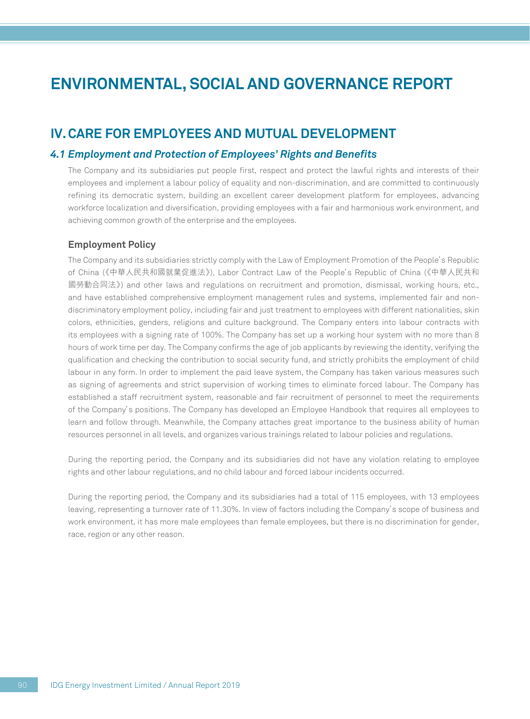### **IV. CARE FOR EMPLOYEES AND MUTUAL DEVELOPMENT**

### *4.1 Employment and Protection of Employees' Rights and Benefits*

The Company and its subsidiaries put people first, respect and protect the lawful rights and interests of their employees and implement a labour policy of equality and non-discrimination, and are committed to continuously refining its democratic system, building an excellent career development platform for employees, advancing workforce localization and diversification, providing employees with a fair and harmonious work environment, and achieving common growth of the enterprise and the employees.

### **Employment Policy**

The Company and its subsidiaries strictly comply with the Law of Employment Promotion of the People's Republic of China (《中華人民共和國就業促進法》), Labor Contract Law of the People's Republic of China (《中華人民共和 國勞動合同法》) and other laws and regulations on recruitment and promotion, dismissal, working hours, etc., and have established comprehensive employment management rules and systems, implemented fair and nondiscriminatory employment policy, including fair and just treatment to employees with different nationalities, skin colors, ethnicities, genders, religions and culture background. The Company enters into labour contracts with its employees with a signing rate of 100%. The Company has set up a working hour system with no more than 8 hours of work time per day. The Company confirms the age of job applicants by reviewing the identity, verifying the qualification and checking the contribution to social security fund, and strictly prohibits the employment of child labour in any form. In order to implement the paid leave system, the Company has taken various measures such as signing of agreements and strict supervision of working times to eliminate forced labour. The Company has established a staff recruitment system, reasonable and fair recruitment of personnel to meet the requirements of the Company's positions. The Company has developed an Employee Handbook that requires all employees to learn and follow through. Meanwhile, the Company attaches great importance to the business ability of human resources personnel in all levels, and organizes various trainings related to labour policies and regulations.

During the reporting period, the Company and its subsidiaries did not have any violation relating to employee rights and other labour regulations, and no child labour and forced labour incidents occurred.

During the reporting period, the Company and its subsidiaries had a total of 115 employees, with 13 employees leaving, representing a turnover rate of 11.30%. In view of factors including the Company's scope of business and work environment, it has more male employees than female employees, but there is no discrimination for gender, race, region or any other reason.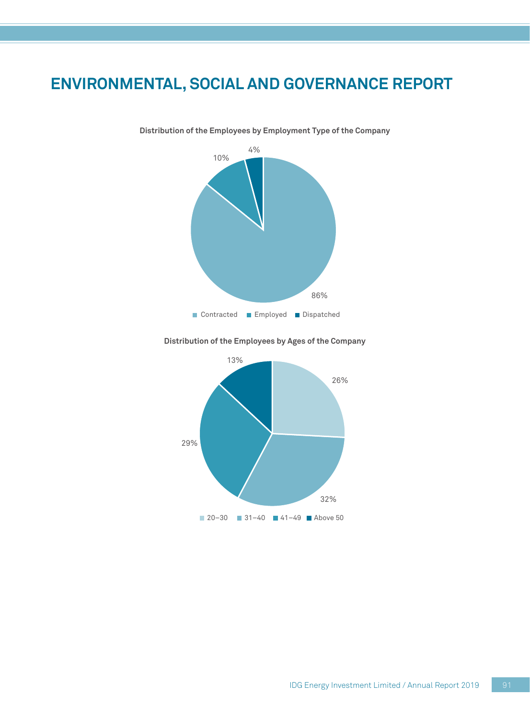

**Distribution of the Employees by Employment Type of the Company**

**Distribution of the Employees by Ages of the Company**

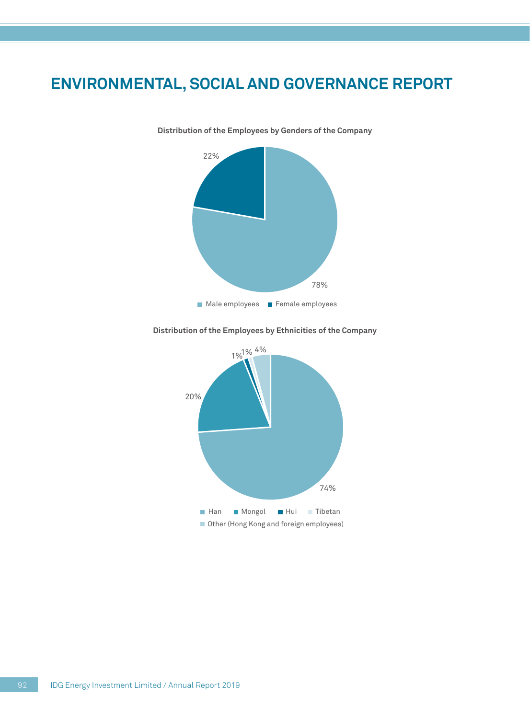

**Distribution of the Employees by Genders of the Company**

**Distribution of the Employees by Ethnicities of the Company**

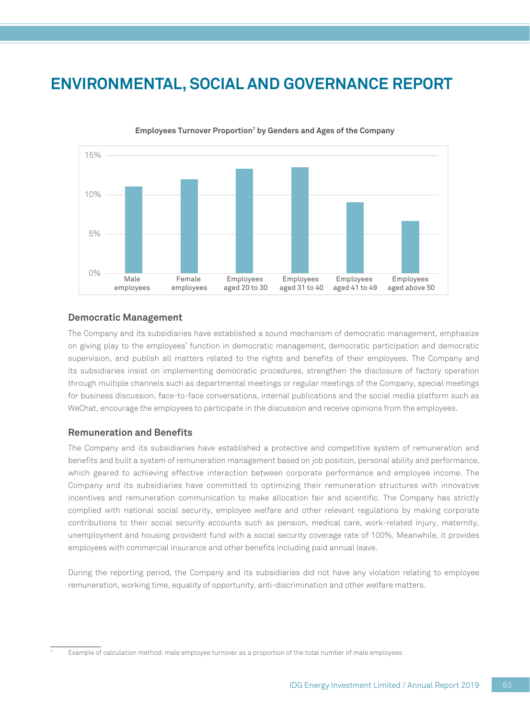

**Employees Turnover Proportion7 by Genders and Ages of the Company**

### **Democratic Management**

The Company and its subsidiaries have established a sound mechanism of democratic management, emphasize on giving play to the employees' function in democratic management, democratic participation and democratic supervision, and publish all matters related to the rights and benefits of their employees. The Company and its subsidiaries insist on implementing democratic procedures, strengthen the disclosure of factory operation through multiple channels such as departmental meetings or regular meetings of the Company, special meetings for business discussion, face-to-face conversations, internal publications and the social media platform such as WeChat, encourage the employees to participate in the discussion and receive opinions from the employees.

### **Remuneration and Benefits**

The Company and its subsidiaries have established a protective and competitive system of remuneration and benefits and built a system of remuneration management based on job position, personal ability and performance, which geared to achieving effective interaction between corporate performance and employee income. The Company and its subsidiaries have committed to optimizing their remuneration structures with innovative incentives and remuneration communication to make allocation fair and scientific. The Company has strictly complied with national social security, employee welfare and other relevant regulations by making corporate contributions to their social security accounts such as pension, medical care, work-related injury, maternity, unemployment and housing provident fund with a social security coverage rate of 100%. Meanwhile, it provides employees with commercial insurance and other benefits including paid annual leave.

During the reporting period, the Company and its subsidiaries did not have any violation relating to employee remuneration, working time, equality of opportunity, anti-discrimination and other welfare matters.

Example of calculation method: male employee turnover as a proportion of the total number of male employees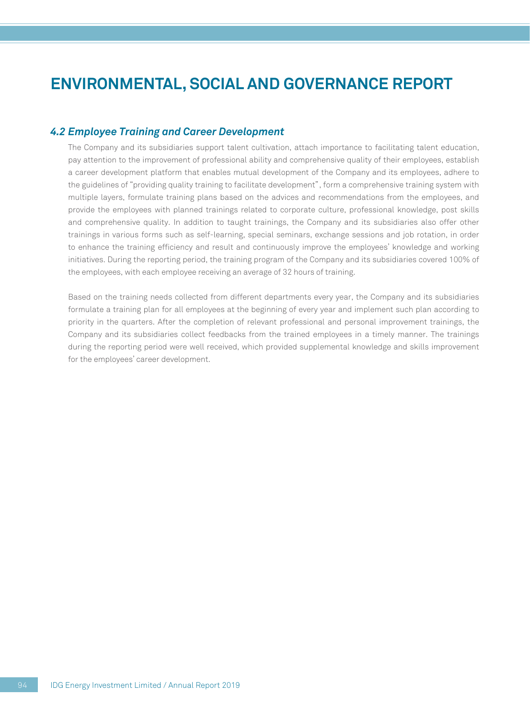### *4.2 Employee Training and Career Development*

The Company and its subsidiaries support talent cultivation, attach importance to facilitating talent education, pay attention to the improvement of professional ability and comprehensive quality of their employees, establish a career development platform that enables mutual development of the Company and its employees, adhere to the guidelines of "providing quality training to facilitate development", form a comprehensive training system with multiple layers, formulate training plans based on the advices and recommendations from the employees, and provide the employees with planned trainings related to corporate culture, professional knowledge, post skills and comprehensive quality. In addition to taught trainings, the Company and its subsidiaries also offer other trainings in various forms such as self-learning, special seminars, exchange sessions and job rotation, in order to enhance the training efficiency and result and continuously improve the employees' knowledge and working initiatives. During the reporting period, the training program of the Company and its subsidiaries covered 100% of the employees, with each employee receiving an average of 32 hours of training.

Based on the training needs collected from different departments every year, the Company and its subsidiaries formulate a training plan for all employees at the beginning of every year and implement such plan according to priority in the quarters. After the completion of relevant professional and personal improvement trainings, the Company and its subsidiaries collect feedbacks from the trained employees in a timely manner. The trainings during the reporting period were well received, which provided supplemental knowledge and skills improvement for the employees' career development.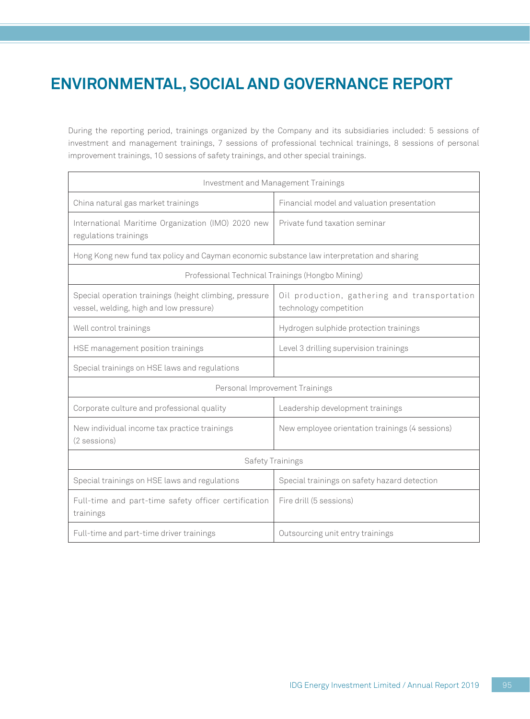During the reporting period, trainings organized by the Company and its subsidiaries included: 5 sessions of investment and management trainings, 7 sessions of professional technical trainings, 8 sessions of personal improvement trainings, 10 sessions of safety trainings, and other special trainings.

| Investment and Management Trainings                                                               |                                                                        |  |  |
|---------------------------------------------------------------------------------------------------|------------------------------------------------------------------------|--|--|
| China natural gas market trainings<br>Financial model and valuation presentation                  |                                                                        |  |  |
| International Maritime Organization (IMO) 2020 new<br>regulations trainings                       | Private fund taxation seminar                                          |  |  |
| Hong Kong new fund tax policy and Cayman economic substance law interpretation and sharing        |                                                                        |  |  |
|                                                                                                   | Professional Technical Trainings (Hongbo Mining)                       |  |  |
| Special operation trainings (height climbing, pressure<br>vessel, welding, high and low pressure) | Oil production, gathering and transportation<br>technology competition |  |  |
| Well control trainings                                                                            | Hydrogen sulphide protection trainings                                 |  |  |
| HSE management position trainings                                                                 | Level 3 drilling supervision trainings                                 |  |  |
| Special trainings on HSE laws and regulations                                                     |                                                                        |  |  |
|                                                                                                   | Personal Improvement Trainings                                         |  |  |
| Corporate culture and professional quality                                                        | Leadership development trainings                                       |  |  |
| New individual income tax practice trainings<br>(2 sessions)                                      | New employee orientation trainings (4 sessions)                        |  |  |
|                                                                                                   | Safety Trainings                                                       |  |  |
| Special trainings on HSE laws and regulations                                                     | Special trainings on safety hazard detection                           |  |  |
| Full-time and part-time safety officer certification<br>trainings                                 | Fire drill (5 sessions)                                                |  |  |
| Full-time and part-time driver trainings<br>Outsourcing unit entry trainings                      |                                                                        |  |  |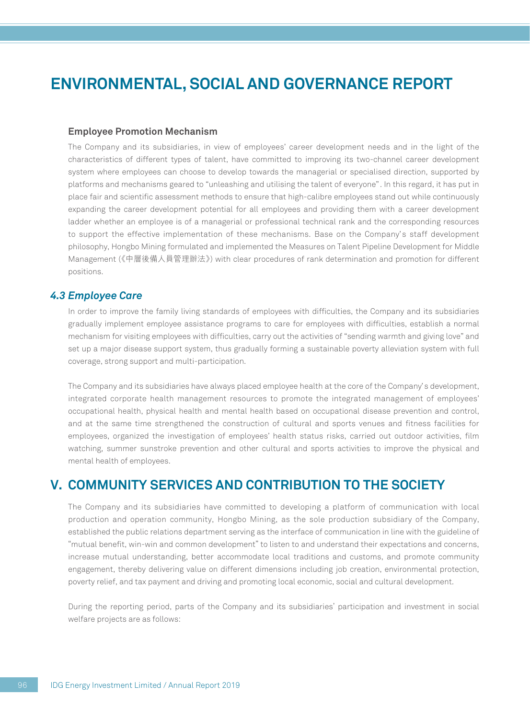#### **Employee Promotion Mechanism**

The Company and its subsidiaries, in view of employees' career development needs and in the light of the characteristics of different types of talent, have committed to improving its two-channel career development system where employees can choose to develop towards the managerial or specialised direction, supported by platforms and mechanisms geared to "unleashing and utilising the talent of everyone". In this regard, it has put in place fair and scientific assessment methods to ensure that high-calibre employees stand out while continuously expanding the career development potential for all employees and providing them with a career development ladder whether an employee is of a managerial or professional technical rank and the corresponding resources to support the effective implementation of these mechanisms. Base on the Company's staff development philosophy, Hongbo Mining formulated and implemented the Measures on Talent Pipeline Development for Middle Management (《中層後備人員管理辦法》) with clear procedures of rank determination and promotion for different positions.

### *4.3 Employee Care*

In order to improve the family living standards of employees with difficulties, the Company and its subsidiaries gradually implement employee assistance programs to care for employees with difficulties, establish a normal mechanism for visiting employees with difficulties, carry out the activities of "sending warmth and giving love" and set up a major disease support system, thus gradually forming a sustainable poverty alleviation system with full coverage, strong support and multi-participation.

The Company and its subsidiaries have always placed employee health at the core of the Company's development, integrated corporate health management resources to promote the integrated management of employees' occupational health, physical health and mental health based on occupational disease prevention and control, and at the same time strengthened the construction of cultural and sports venues and fitness facilities for employees, organized the investigation of employees' health status risks, carried out outdoor activities, film watching, summer sunstroke prevention and other cultural and sports activities to improve the physical and mental health of employees.

## **V. COMMUNITY SERVICES AND CONTRIBUTION TO THE SOCIETY**

The Company and its subsidiaries have committed to developing a platform of communication with local production and operation community, Hongbo Mining, as the sole production subsidiary of the Company, established the public relations department serving as the interface of communication in line with the guideline of "mutual benefit, win-win and common development" to listen to and understand their expectations and concerns, increase mutual understanding, better accommodate local traditions and customs, and promote community engagement, thereby delivering value on different dimensions including job creation, environmental protection, poverty relief, and tax payment and driving and promoting local economic, social and cultural development.

During the reporting period, parts of the Company and its subsidiaries' participation and investment in social welfare projects are as follows: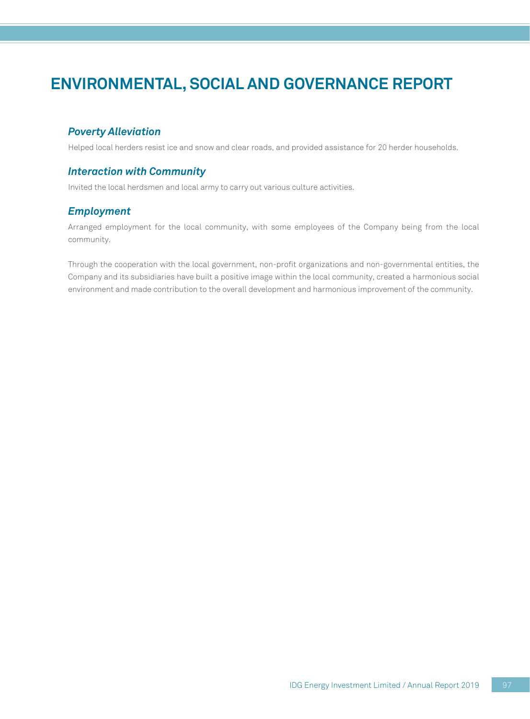### *Poverty Alleviation*

Helped local herders resist ice and snow and clear roads, and provided assistance for 20 herder households.

### *Interaction with Community*

Invited the local herdsmen and local army to carry out various culture activities.

### *Employment*

Arranged employment for the local community, with some employees of the Company being from the local community.

Through the cooperation with the local government, non-profit organizations and non-governmental entities, the Company and its subsidiaries have built a positive image within the local community, created a harmonious social environment and made contribution to the overall development and harmonious improvement of the community.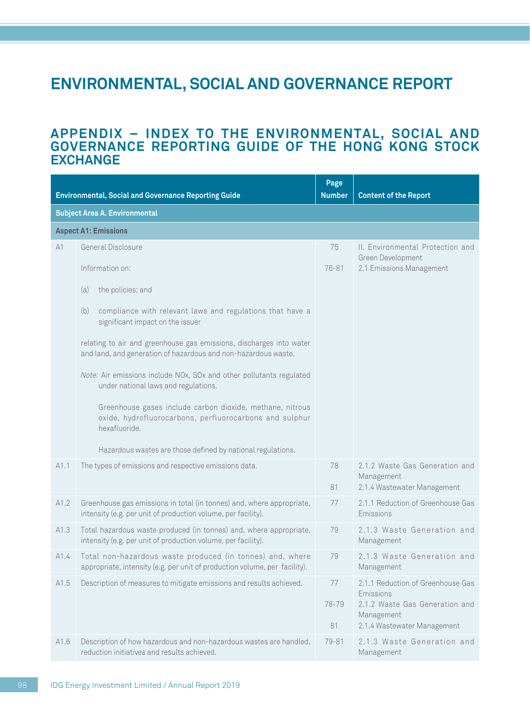### **APPENDIX – INDEX TO THE ENVIRONMENTAL, SOCIAL AND GOVERNANCE REPORTING GUIDE OF THE HONG KONG STOCK EXCHANGE**

|      | <b>Environmental, Social and Governance Reporting Guide</b>                                                                             | Page<br><b>Number</b> | <b>Content of the Report</b>                                                                                                  |
|------|-----------------------------------------------------------------------------------------------------------------------------------------|-----------------------|-------------------------------------------------------------------------------------------------------------------------------|
|      | <b>Subject Area A. Environmental</b>                                                                                                    |                       |                                                                                                                               |
|      | <b>Aspect A1: Emissions</b>                                                                                                             |                       |                                                                                                                               |
| A1   | General Disclosure                                                                                                                      | 75                    | II. Environmental Protection and                                                                                              |
|      | Information on:                                                                                                                         | 76-81                 | Green Development<br>2.1 Emissions Management                                                                                 |
|      | the policies; and<br>(a)                                                                                                                |                       |                                                                                                                               |
|      | (b)<br>compliance with relevant laws and regulations that have a<br>significant impact on the issuer                                    |                       |                                                                                                                               |
|      | relating to air and greenhouse gas emissions, discharges into water<br>and land, and generation of hazardous and non-hazardous waste.   |                       |                                                                                                                               |
|      | Note: Air emissions include NOx, SOx and other pollutants regulated<br>under national laws and regulations.                             |                       |                                                                                                                               |
|      | Greenhouse gases include carbon dioxide, methane, nitrous<br>oxide, hydrofluorocarbons, perfluorocarbons and sulphur<br>hexafluoride.   |                       |                                                                                                                               |
|      | Hazardous wastes are those defined by national regulations.                                                                             |                       |                                                                                                                               |
| A1.1 | The types of emissions and respective emissions data.                                                                                   | 78                    | 2.1.2 Waste Gas Generation and<br>Management                                                                                  |
|      |                                                                                                                                         | 81                    | 2.1.4 Wastewater Management                                                                                                   |
| A1.2 | Greenhouse gas emissions in total (in tonnes) and, where appropriate,<br>intensity (e.g. per unit of production volume, per facility).  | 77                    | 2.1.1 Reduction of Greenhouse Gas<br>Emissions                                                                                |
| A1.3 | Total hazardous waste produced (in tonnes) and, where appropriate,<br>intensity (e.g. per unit of production volume, per facility).     | 79                    | 2.1.3 Waste Generation and<br>Management                                                                                      |
| A1.4 | Total non-hazardous waste produced (in tonnes) and, where<br>appropriate, intensity (e.g. per unit of production volume, per facility). | 79                    | 2.1.3 Waste Generation and<br>Management                                                                                      |
| A1.5 | Description of measures to mitigate emissions and results achieved.                                                                     | 77<br>78-79<br>81     | 2.1.1 Reduction of Greenhouse Gas<br>Emissions<br>2.1.2 Waste Gas Generation and<br>Management<br>2.1.4 Wastewater Management |
| A1.6 | Description of how hazardous and non-hazardous wastes are handled,<br>reduction initiatives and results achieved.                       | 79-81                 | 2.1.3 Waste Generation and<br>Management                                                                                      |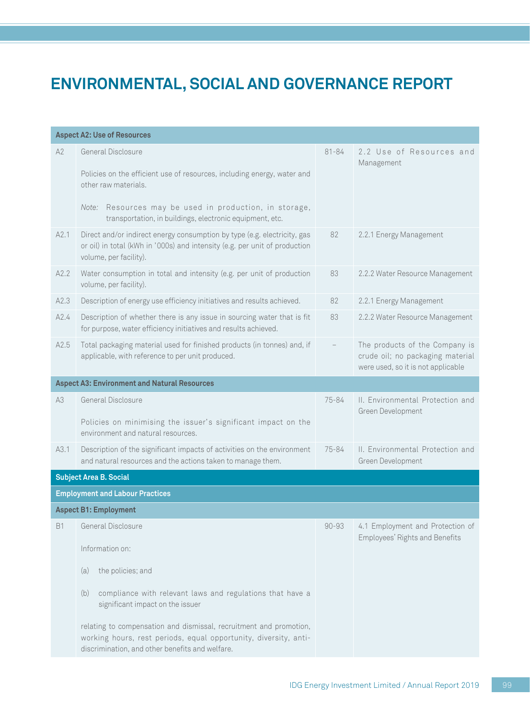| A2<br>General Disclosure<br>$81 - 84$<br>2.2 Use of Resources and<br>Management<br>Policies on the efficient use of resources, including energy, water and<br>other raw materials.<br>Note: Resources may be used in production, in storage,<br>transportation, in buildings, electronic equipment, etc.<br>Direct and/or indirect energy consumption by type (e.g. electricity, gas<br>82<br>A2.1<br>2.2.1 Energy Management<br>or oil) in total (kWh in '000s) and intensity (e.g. per unit of production<br>volume, per facility).<br>Water consumption in total and intensity (e.g. per unit of production<br>2.2.2 Water Resource Management<br>A2.2<br>83<br>volume, per facility).<br>Description of energy use efficiency initiatives and results achieved.<br>82<br>2.2.1 Energy Management<br>A2.3<br>A2.4<br>Description of whether there is any issue in sourcing water that is fit<br>83<br>2.2.2 Water Resource Management<br>for purpose, water efficiency initiatives and results achieved.<br>Total packaging material used for finished products (in tonnes) and, if<br>The products of the Company is<br>A2.5<br>$\qquad \qquad -$<br>applicable, with reference to per unit produced.<br>crude oil; no packaging material<br>were used, so it is not applicable<br><b>Aspect A3: Environment and Natural Resources</b><br>General Disclosure<br>A3<br>75-84<br>II. Environmental Protection and<br>Green Development<br>Policies on minimising the issuer's significant impact on the<br>environment and natural resources.<br>II. Environmental Protection and<br>Description of the significant impacts of activities on the environment<br>75-84<br>A3.1<br>and natural resources and the actions taken to manage them.<br>Green Development<br><b>Subject Area B. Social</b><br><b>Employment and Labour Practices</b><br><b>Aspect B1: Employment</b><br>General Disclosure<br>$90 - 93$<br>4.1 Employment and Protection of<br><b>B1</b><br>Employees' Rights and Benefits<br>Information on:<br>the policies; and<br>(a)<br>compliance with relevant laws and regulations that have a<br>(b)<br>significant impact on the issuer<br>relating to compensation and dismissal, recruitment and promotion,<br>working hours, rest periods, equal opportunity, diversity, anti-<br>discrimination, and other benefits and welfare. | <b>Aspect A2: Use of Resources</b> |  |
|----------------------------------------------------------------------------------------------------------------------------------------------------------------------------------------------------------------------------------------------------------------------------------------------------------------------------------------------------------------------------------------------------------------------------------------------------------------------------------------------------------------------------------------------------------------------------------------------------------------------------------------------------------------------------------------------------------------------------------------------------------------------------------------------------------------------------------------------------------------------------------------------------------------------------------------------------------------------------------------------------------------------------------------------------------------------------------------------------------------------------------------------------------------------------------------------------------------------------------------------------------------------------------------------------------------------------------------------------------------------------------------------------------------------------------------------------------------------------------------------------------------------------------------------------------------------------------------------------------------------------------------------------------------------------------------------------------------------------------------------------------------------------------------------------------------------------------------------------------------------------------------------------------------------------------------------------------------------------------------------------------------------------------------------------------------------------------------------------------------------------------------------------------------------------------------------------------------------------------------------------------------------------------------------------------------------------------------------------------|------------------------------------|--|
|                                                                                                                                                                                                                                                                                                                                                                                                                                                                                                                                                                                                                                                                                                                                                                                                                                                                                                                                                                                                                                                                                                                                                                                                                                                                                                                                                                                                                                                                                                                                                                                                                                                                                                                                                                                                                                                                                                                                                                                                                                                                                                                                                                                                                                                                                                                                                          |                                    |  |
|                                                                                                                                                                                                                                                                                                                                                                                                                                                                                                                                                                                                                                                                                                                                                                                                                                                                                                                                                                                                                                                                                                                                                                                                                                                                                                                                                                                                                                                                                                                                                                                                                                                                                                                                                                                                                                                                                                                                                                                                                                                                                                                                                                                                                                                                                                                                                          |                                    |  |
|                                                                                                                                                                                                                                                                                                                                                                                                                                                                                                                                                                                                                                                                                                                                                                                                                                                                                                                                                                                                                                                                                                                                                                                                                                                                                                                                                                                                                                                                                                                                                                                                                                                                                                                                                                                                                                                                                                                                                                                                                                                                                                                                                                                                                                                                                                                                                          |                                    |  |
|                                                                                                                                                                                                                                                                                                                                                                                                                                                                                                                                                                                                                                                                                                                                                                                                                                                                                                                                                                                                                                                                                                                                                                                                                                                                                                                                                                                                                                                                                                                                                                                                                                                                                                                                                                                                                                                                                                                                                                                                                                                                                                                                                                                                                                                                                                                                                          |                                    |  |
|                                                                                                                                                                                                                                                                                                                                                                                                                                                                                                                                                                                                                                                                                                                                                                                                                                                                                                                                                                                                                                                                                                                                                                                                                                                                                                                                                                                                                                                                                                                                                                                                                                                                                                                                                                                                                                                                                                                                                                                                                                                                                                                                                                                                                                                                                                                                                          |                                    |  |
|                                                                                                                                                                                                                                                                                                                                                                                                                                                                                                                                                                                                                                                                                                                                                                                                                                                                                                                                                                                                                                                                                                                                                                                                                                                                                                                                                                                                                                                                                                                                                                                                                                                                                                                                                                                                                                                                                                                                                                                                                                                                                                                                                                                                                                                                                                                                                          |                                    |  |
|                                                                                                                                                                                                                                                                                                                                                                                                                                                                                                                                                                                                                                                                                                                                                                                                                                                                                                                                                                                                                                                                                                                                                                                                                                                                                                                                                                                                                                                                                                                                                                                                                                                                                                                                                                                                                                                                                                                                                                                                                                                                                                                                                                                                                                                                                                                                                          |                                    |  |
|                                                                                                                                                                                                                                                                                                                                                                                                                                                                                                                                                                                                                                                                                                                                                                                                                                                                                                                                                                                                                                                                                                                                                                                                                                                                                                                                                                                                                                                                                                                                                                                                                                                                                                                                                                                                                                                                                                                                                                                                                                                                                                                                                                                                                                                                                                                                                          |                                    |  |
|                                                                                                                                                                                                                                                                                                                                                                                                                                                                                                                                                                                                                                                                                                                                                                                                                                                                                                                                                                                                                                                                                                                                                                                                                                                                                                                                                                                                                                                                                                                                                                                                                                                                                                                                                                                                                                                                                                                                                                                                                                                                                                                                                                                                                                                                                                                                                          |                                    |  |
|                                                                                                                                                                                                                                                                                                                                                                                                                                                                                                                                                                                                                                                                                                                                                                                                                                                                                                                                                                                                                                                                                                                                                                                                                                                                                                                                                                                                                                                                                                                                                                                                                                                                                                                                                                                                                                                                                                                                                                                                                                                                                                                                                                                                                                                                                                                                                          |                                    |  |
|                                                                                                                                                                                                                                                                                                                                                                                                                                                                                                                                                                                                                                                                                                                                                                                                                                                                                                                                                                                                                                                                                                                                                                                                                                                                                                                                                                                                                                                                                                                                                                                                                                                                                                                                                                                                                                                                                                                                                                                                                                                                                                                                                                                                                                                                                                                                                          |                                    |  |
|                                                                                                                                                                                                                                                                                                                                                                                                                                                                                                                                                                                                                                                                                                                                                                                                                                                                                                                                                                                                                                                                                                                                                                                                                                                                                                                                                                                                                                                                                                                                                                                                                                                                                                                                                                                                                                                                                                                                                                                                                                                                                                                                                                                                                                                                                                                                                          |                                    |  |
|                                                                                                                                                                                                                                                                                                                                                                                                                                                                                                                                                                                                                                                                                                                                                                                                                                                                                                                                                                                                                                                                                                                                                                                                                                                                                                                                                                                                                                                                                                                                                                                                                                                                                                                                                                                                                                                                                                                                                                                                                                                                                                                                                                                                                                                                                                                                                          |                                    |  |
|                                                                                                                                                                                                                                                                                                                                                                                                                                                                                                                                                                                                                                                                                                                                                                                                                                                                                                                                                                                                                                                                                                                                                                                                                                                                                                                                                                                                                                                                                                                                                                                                                                                                                                                                                                                                                                                                                                                                                                                                                                                                                                                                                                                                                                                                                                                                                          |                                    |  |
|                                                                                                                                                                                                                                                                                                                                                                                                                                                                                                                                                                                                                                                                                                                                                                                                                                                                                                                                                                                                                                                                                                                                                                                                                                                                                                                                                                                                                                                                                                                                                                                                                                                                                                                                                                                                                                                                                                                                                                                                                                                                                                                                                                                                                                                                                                                                                          |                                    |  |
|                                                                                                                                                                                                                                                                                                                                                                                                                                                                                                                                                                                                                                                                                                                                                                                                                                                                                                                                                                                                                                                                                                                                                                                                                                                                                                                                                                                                                                                                                                                                                                                                                                                                                                                                                                                                                                                                                                                                                                                                                                                                                                                                                                                                                                                                                                                                                          |                                    |  |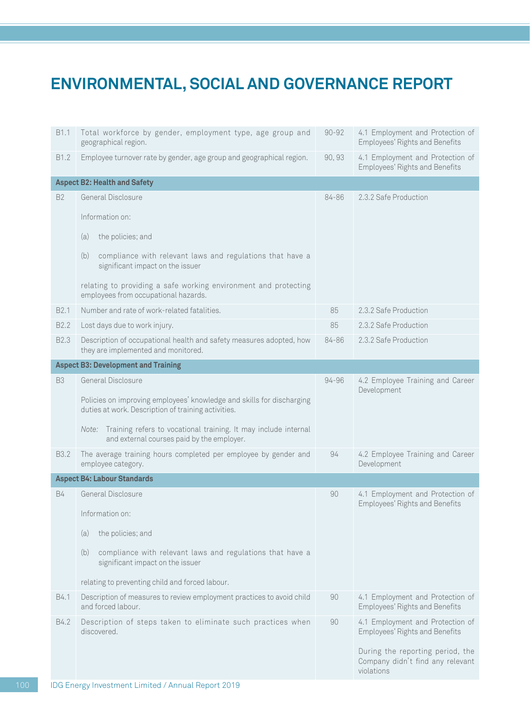| B1.1             | Total workforce by gender, employment type, age group and<br>geographical region.                                            | $90 - 92$ | 4.1 Employment and Protection of<br>Employees' Rights and Benefits                 |
|------------------|------------------------------------------------------------------------------------------------------------------------------|-----------|------------------------------------------------------------------------------------|
| B1.2             | Employee turnover rate by gender, age group and geographical region.                                                         | 90, 93    | 4.1 Employment and Protection of<br>Employees' Rights and Benefits                 |
|                  | <b>Aspect B2: Health and Safety</b>                                                                                          |           |                                                                                    |
| <b>B2</b>        | General Disclosure                                                                                                           | 84-86     | 2.3.2 Safe Production                                                              |
|                  | Information on:                                                                                                              |           |                                                                                    |
|                  | (a)<br>the policies; and                                                                                                     |           |                                                                                    |
|                  | (b)<br>compliance with relevant laws and regulations that have a<br>significant impact on the issuer                         |           |                                                                                    |
|                  | relating to providing a safe working environment and protecting<br>employees from occupational hazards.                      |           |                                                                                    |
| B <sub>2.1</sub> | Number and rate of work-related fatalities.                                                                                  | 85        | 2.3.2 Safe Production                                                              |
| B <sub>2.2</sub> | Lost days due to work injury.                                                                                                | 85        | 2.3.2 Safe Production                                                              |
| B <sub>2.3</sub> | Description of occupational health and safety measures adopted, how<br>they are implemented and monitored.                   | 84-86     | 2.3.2 Safe Production                                                              |
|                  | <b>Aspect B3: Development and Training</b>                                                                                   |           |                                                                                    |
| B <sub>3</sub>   | General Disclosure                                                                                                           | 94-96     | 4.2 Employee Training and Career                                                   |
|                  | Policies on improving employees' knowledge and skills for discharging<br>duties at work. Description of training activities. |           | Development                                                                        |
|                  | Note: Training refers to vocational training. It may include internal<br>and external courses paid by the employer.          |           |                                                                                    |
| B <sub>3.2</sub> | The average training hours completed per employee by gender and<br>employee category.                                        | 94        | 4.2 Employee Training and Career<br>Development                                    |
|                  | <b>Aspect B4: Labour Standards</b>                                                                                           |           |                                                                                    |
| <b>B4</b>        | General Disclosure                                                                                                           | 90        | 4.1 Employment and Protection of<br>Employees' Rights and Benefits                 |
|                  | Information on:                                                                                                              |           |                                                                                    |
|                  | the policies; and<br>(a)                                                                                                     |           |                                                                                    |
|                  | (b)<br>compliance with relevant laws and regulations that have a<br>significant impact on the issuer                         |           |                                                                                    |
|                  | relating to preventing child and forced labour.                                                                              |           |                                                                                    |
| B4.1             | Description of measures to review employment practices to avoid child<br>and forced labour.                                  | 90        | 4.1 Employment and Protection of<br>Employees' Rights and Benefits                 |
| B4.2             | Description of steps taken to eliminate such practices when<br>discovered.                                                   | 90        | 4.1 Employment and Protection of<br>Employees' Rights and Benefits                 |
|                  |                                                                                                                              |           | During the reporting period, the<br>Company didn't find any relevant<br>violations |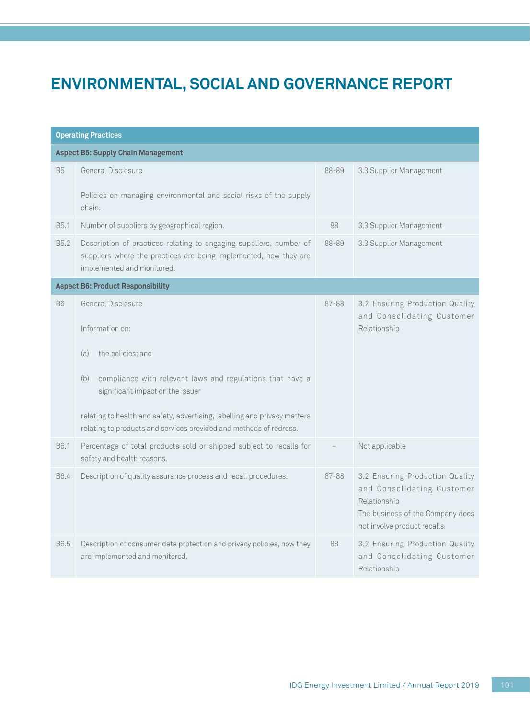| <b>Operating Practices</b>                |                                                                                                                                                                       |       |                                                                                                                                                  |  |  |
|-------------------------------------------|-----------------------------------------------------------------------------------------------------------------------------------------------------------------------|-------|--------------------------------------------------------------------------------------------------------------------------------------------------|--|--|
| <b>Aspect B5: Supply Chain Management</b> |                                                                                                                                                                       |       |                                                                                                                                                  |  |  |
| <b>B5</b>                                 | General Disclosure                                                                                                                                                    | 88-89 | 3.3 Supplier Management                                                                                                                          |  |  |
|                                           | Policies on managing environmental and social risks of the supply<br>chain.                                                                                           |       |                                                                                                                                                  |  |  |
| B5.1                                      | Number of suppliers by geographical region.                                                                                                                           | 88    | 3.3 Supplier Management                                                                                                                          |  |  |
| B <sub>5.2</sub>                          | Description of practices relating to engaging suppliers, number of<br>suppliers where the practices are being implemented, how they are<br>implemented and monitored. | 88-89 | 3.3 Supplier Management                                                                                                                          |  |  |
| <b>Aspect B6: Product Responsibility</b>  |                                                                                                                                                                       |       |                                                                                                                                                  |  |  |
| <b>B6</b>                                 | General Disclosure                                                                                                                                                    | 87-88 | 3.2 Ensuring Production Quality<br>and Consolidating Customer                                                                                    |  |  |
|                                           | Information on:                                                                                                                                                       |       | Relationship                                                                                                                                     |  |  |
|                                           | the policies; and<br>(a)                                                                                                                                              |       |                                                                                                                                                  |  |  |
|                                           | compliance with relevant laws and regulations that have a<br>(b)<br>significant impact on the issuer                                                                  |       |                                                                                                                                                  |  |  |
|                                           | relating to health and safety, advertising, labelling and privacy matters<br>relating to products and services provided and methods of redress.                       |       |                                                                                                                                                  |  |  |
| B6.1                                      | Percentage of total products sold or shipped subject to recalls for<br>safety and health reasons.                                                                     |       | Not applicable                                                                                                                                   |  |  |
| B6.4                                      | Description of quality assurance process and recall procedures.                                                                                                       | 87-88 | 3.2 Ensuring Production Quality<br>and Consolidating Customer<br>Relationship<br>The business of the Company does<br>not involve product recalls |  |  |
| B6.5                                      | Description of consumer data protection and privacy policies, how they<br>are implemented and monitored.                                                              | 88    | 3.2 Ensuring Production Quality<br>and Consolidating Customer<br>Relationship                                                                    |  |  |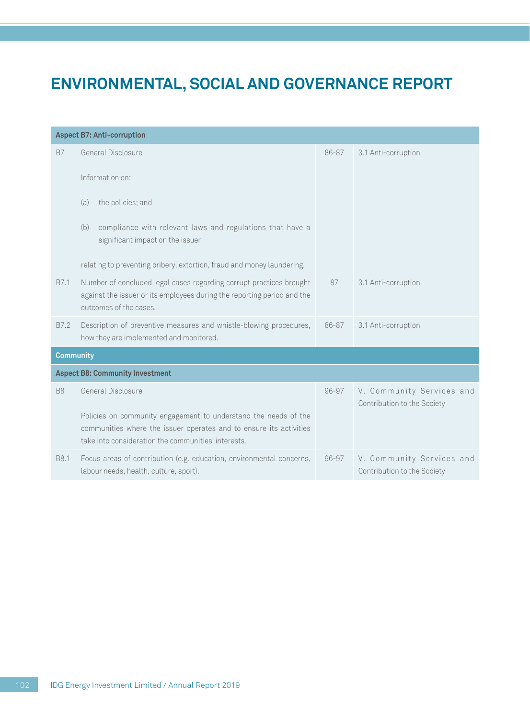| <b>Aspect B7: Anti-corruption</b>      |                                                                                                                                                                                                                                                     |           |                                                          |  |
|----------------------------------------|-----------------------------------------------------------------------------------------------------------------------------------------------------------------------------------------------------------------------------------------------------|-----------|----------------------------------------------------------|--|
| <b>B7</b>                              | General Disclosure<br>Information on:<br>the policies; and<br>(a)<br>compliance with relevant laws and regulations that have a<br>(b)<br>significant impact on the issuer<br>relating to preventing bribery, extortion, fraud and money laundering. | 86-87     | 3.1 Anti-corruption                                      |  |
| B7.1                                   | Number of concluded legal cases regarding corrupt practices brought<br>against the issuer or its employees during the reporting period and the<br>outcomes of the cases.                                                                            | 87        | 3.1 Anti-corruption                                      |  |
| B7.2                                   | Description of preventive measures and whistle-blowing procedures,<br>how they are implemented and monitored.                                                                                                                                       | 86-87     | 3.1 Anti-corruption                                      |  |
| <b>Community</b>                       |                                                                                                                                                                                                                                                     |           |                                                          |  |
| <b>Aspect B8: Community Investment</b> |                                                                                                                                                                                                                                                     |           |                                                          |  |
| B <sub>8</sub>                         | General Disclosure<br>Policies on community engagement to understand the needs of the<br>communities where the issuer operates and to ensure its activities<br>take into consideration the communities' interests.                                  | $96 - 97$ | V. Community Services and<br>Contribution to the Society |  |
| B8.1                                   | Focus areas of contribution (e.g. education, environmental concerns,<br>labour needs, health, culture, sport).                                                                                                                                      | $96 - 97$ | V. Community Services and<br>Contribution to the Society |  |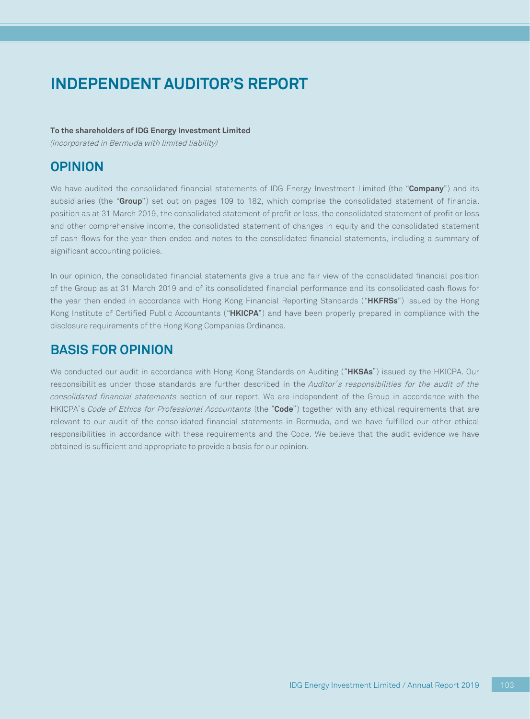### **To the shareholders of IDG Energy Investment Limited**

(incorporated in Bermuda with limited liability)

## **OPINION**

We have audited the consolidated financial statements of IDG Energy Investment Limited (the "**Company**") and its subsidiaries (the "**Group**") set out on pages 109 to 182, which comprise the consolidated statement of financial position as at 31 March 2019, the consolidated statement of profit or loss, the consolidated statement of profit or loss and other comprehensive income, the consolidated statement of changes in equity and the consolidated statement of cash flows for the year then ended and notes to the consolidated financial statements, including a summary of significant accounting policies.

In our opinion, the consolidated financial statements give a true and fair view of the consolidated financial position of the Group as at 31 March 2019 and of its consolidated financial performance and its consolidated cash flows for the year then ended in accordance with Hong Kong Financial Reporting Standards ("**HKFRSs**") issued by the Hong Kong Institute of Certified Public Accountants ("**HKICPA**") and have been properly prepared in compliance with the disclosure requirements of the Hong Kong Companies Ordinance.

## **BASIS FOR OPINION**

We conducted our audit in accordance with Hong Kong Standards on Auditing ("**HKSAs**") issued by the HKICPA. Our responsibilities under those standards are further described in the Auditor's responsibilities for the audit of the consolidated financial statements section of our report. We are independent of the Group in accordance with the HKICPA's Code of Ethics for Professional Accountants (the "**Code**") together with any ethical requirements that are relevant to our audit of the consolidated financial statements in Bermuda, and we have fulfilled our other ethical responsibilities in accordance with these requirements and the Code. We believe that the audit evidence we have obtained is sufficient and appropriate to provide a basis for our opinion.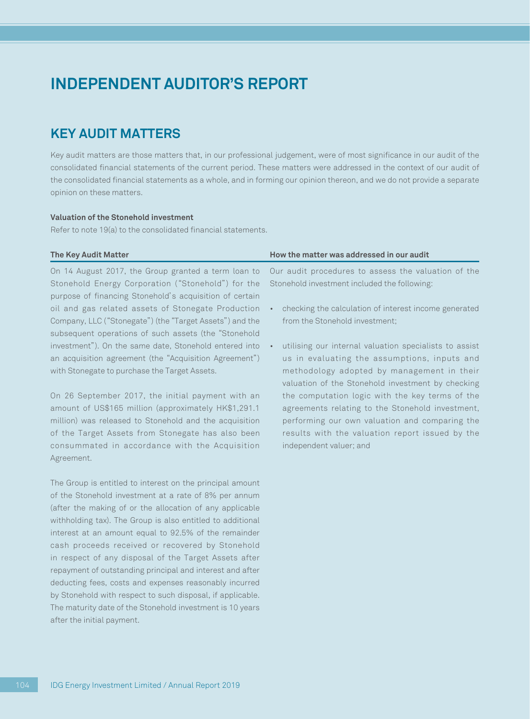## **KEY AUDIT MATTERS**

Key audit matters are those matters that, in our professional judgement, were of most significance in our audit of the consolidated financial statements of the current period. These matters were addressed in the context of our audit of the consolidated financial statements as a whole, and in forming our opinion thereon, and we do not provide a separate opinion on these matters.

### **Valuation of the Stonehold investment**

Refer to note 19(a) to the consolidated financial statements.

| <b>The Key Audit Matter</b>                              | How the matter was addressed in our audit              |
|----------------------------------------------------------|--------------------------------------------------------|
| On 14 August 2017, the Group granted a term loan to      | Our audit procedures to assess the valuation of the    |
| Stonehold Energy Corporation ("Stonehold") for the       | Stonehold investment included the following:           |
| purpose of financing Stonehold's acquisition of certain  |                                                        |
| oil and gas related assets of Stonegate Production       | checking the calculation of interest income generated  |
| Company, LLC ("Stonegate") (the "Target Assets") and the | from the Stonehold investment;                         |
| subsequent operations of such assets (the "Stonehold     |                                                        |
| investment"). On the same date, Stonehold entered into   | utilising our internal valuation specialists to assist |
| an acquisition agreement (the "Acquisition Agreement")   | us in evaluating the assumptions, inputs and           |
| with Stonegate to purchase the Target Assets.            | methodology adopted by management in their             |
|                                                          | valuation of the Stonehold investment by checking      |
| On 26 September 2017, the initial payment with an        | the computation logic with the key terms of the        |
| amount of US\$165 million (approximately HK\$1,291.1     | agreements relating to the Stonehold investment,       |
| million) was released to Stonehold and the acquisition   | performing our own valuation and comparing the         |
| of the Target Assets from Stonegate has also been        | results with the valuation report issued by the        |

independent valuer; and

The Group is entitled to interest on the principal amount of the Stonehold investment at a rate of 8% per annum (after the making of or the allocation of any applicable withholding tax). The Group is also entitled to additional interest at an amount equal to 92.5% of the remainder cash proceeds received or recovered by Stonehold in respect of any disposal of the Target Assets after repayment of outstanding principal and interest and after deducting fees, costs and expenses reasonably incurred by Stonehold with respect to such disposal, if applicable. The maturity date of the Stonehold investment is 10 years after the initial payment.

consummated in accordance with the Acquisition

Agreement.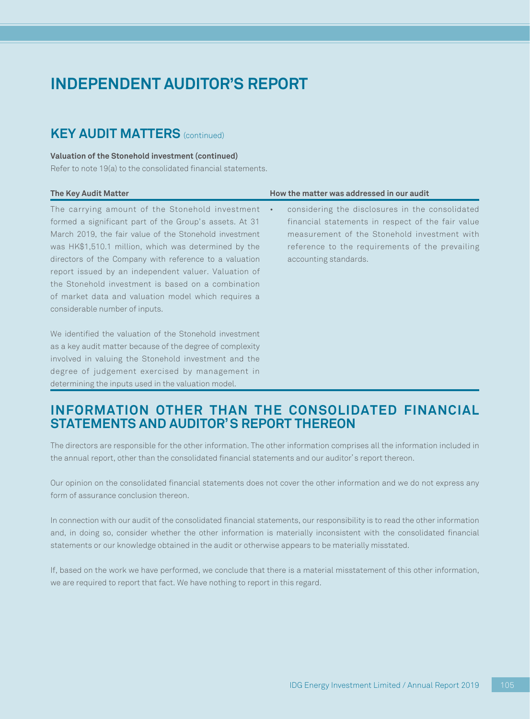### **KEY AUDIT MATTERS** (continued)

#### **Valuation of the Stonehold investment (continued)**

Refer to note 19(a) to the consolidated financial statements.

involved in valuing the Stonehold investment and the degree of judgement exercised by management in determining the inputs used in the valuation model.

| <b>The Key Audit Matter</b>                                                                                                                                                                                                                                                                                                                                                                                                                                                                  | How the matter was addressed in our audit                                                                                                                                                                                                     |
|----------------------------------------------------------------------------------------------------------------------------------------------------------------------------------------------------------------------------------------------------------------------------------------------------------------------------------------------------------------------------------------------------------------------------------------------------------------------------------------------|-----------------------------------------------------------------------------------------------------------------------------------------------------------------------------------------------------------------------------------------------|
| The carrying amount of the Stonehold investment<br>formed a significant part of the Group's assets. At 31<br>March 2019, the fair value of the Stonehold investment<br>was HK\$1,510.1 million, which was determined by the<br>directors of the Company with reference to a valuation<br>report issued by an independent valuer. Valuation of<br>the Stonehold investment is based on a combination<br>of market data and valuation model which requires a<br>considerable number of inputs. | considering the disclosures in the consolidated<br>$\bullet$<br>financial statements in respect of the fair value<br>measurement of the Stonehold investment with<br>reference to the requirements of the prevailing<br>accounting standards. |
| We identified the valuation of the Stonehold investment<br>as a key audit matter because of the degree of complexity                                                                                                                                                                                                                                                                                                                                                                         |                                                                                                                                                                                                                                               |

### **INFORMATION OTHER THAN THE CONSOLIDATED FINANCIAL STATEMENTS AND AUDITOR'S REPORT THEREON**

The directors are responsible for the other information. The other information comprises all the information included in the annual report, other than the consolidated financial statements and our auditor's report thereon.

Our opinion on the consolidated financial statements does not cover the other information and we do not express any form of assurance conclusion thereon.

In connection with our audit of the consolidated financial statements, our responsibility is to read the other information and, in doing so, consider whether the other information is materially inconsistent with the consolidated financial statements or our knowledge obtained in the audit or otherwise appears to be materially misstated.

If, based on the work we have performed, we conclude that there is a material misstatement of this other information, we are required to report that fact. We have nothing to report in this regard.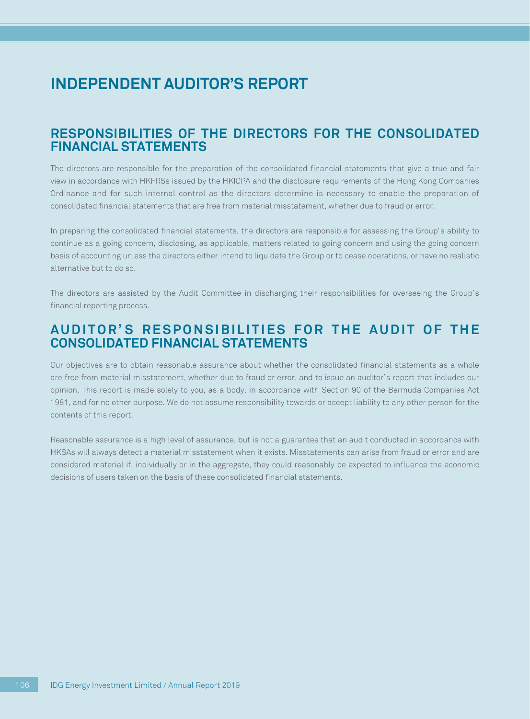### **RESPONSIBILITIES OF THE DIRECTORS FOR THE CONSOLIDATED FINANCIAL STATEMENTS**

The directors are responsible for the preparation of the consolidated financial statements that give a true and fair view in accordance with HKFRSs issued by the HKICPA and the disclosure requirements of the Hong Kong Companies Ordinance and for such internal control as the directors determine is necessary to enable the preparation of consolidated financial statements that are free from material misstatement, whether due to fraud or error.

In preparing the consolidated financial statements, the directors are responsible for assessing the Group's ability to continue as a going concern, disclosing, as applicable, matters related to going concern and using the going concern basis of accounting unless the directors either intend to liquidate the Group or to cease operations, or have no realistic alternative but to do so.

The directors are assisted by the Audit Committee in discharging their responsibilities for overseeing the Group's financial reporting process.

### **AUDITOR'S RESPONSIBILITIES FOR THE AUDIT OF THE CONSOLIDATED FINANCIAL STATEMENTS**

Our objectives are to obtain reasonable assurance about whether the consolidated financial statements as a whole are free from material misstatement, whether due to fraud or error, and to issue an auditor's report that includes our opinion. This report is made solely to you, as a body, in accordance with Section 90 of the Bermuda Companies Act 1981, and for no other purpose. We do not assume responsibility towards or accept liability to any other person for the contents of this report.

Reasonable assurance is a high level of assurance, but is not a guarantee that an audit conducted in accordance with HKSAs will always detect a material misstatement when it exists. Misstatements can arise from fraud or error and are considered material if, individually or in the aggregate, they could reasonably be expected to influence the economic decisions of users taken on the basis of these consolidated financial statements.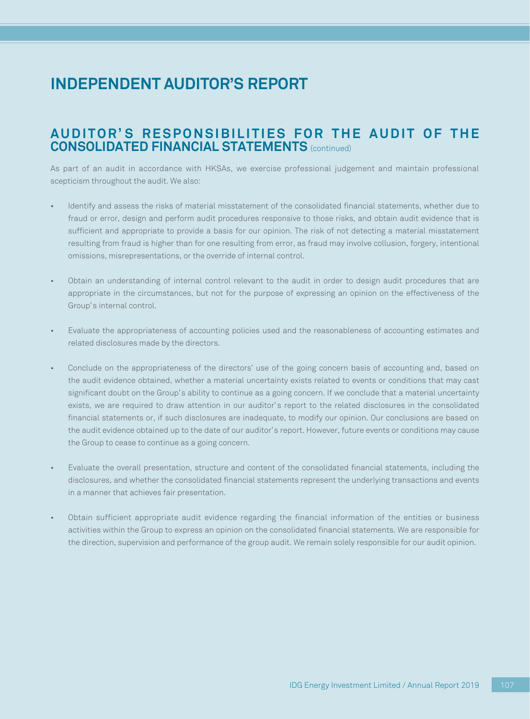## **AUDITOR'S RESPONSIBILITIES FOR THE AUDIT OF THE CONSOLIDATED FINANCIAL STATEMENTS** (continued)

As part of an audit in accordance with HKSAs, we exercise professional judgement and maintain professional scepticism throughout the audit. We also:

- Identify and assess the risks of material misstatement of the consolidated financial statements, whether due to fraud or error, design and perform audit procedures responsive to those risks, and obtain audit evidence that is sufficient and appropriate to provide a basis for our opinion. The risk of not detecting a material misstatement resulting from fraud is higher than for one resulting from error, as fraud may involve collusion, forgery, intentional omissions, misrepresentations, or the override of internal control.
- Obtain an understanding of internal control relevant to the audit in order to design audit procedures that are appropriate in the circumstances, but not for the purpose of expressing an opinion on the effectiveness of the Group's internal control.
- Evaluate the appropriateness of accounting policies used and the reasonableness of accounting estimates and related disclosures made by the directors.
- Conclude on the appropriateness of the directors' use of the going concern basis of accounting and, based on the audit evidence obtained, whether a material uncertainty exists related to events or conditions that may cast significant doubt on the Group's ability to continue as a going concern. If we conclude that a material uncertainty exists, we are required to draw attention in our auditor's report to the related disclosures in the consolidated financial statements or, if such disclosures are inadequate, to modify our opinion. Our conclusions are based on the audit evidence obtained up to the date of our auditor's report. However, future events or conditions may cause the Group to cease to continue as a going concern.
- Evaluate the overall presentation, structure and content of the consolidated financial statements, including the disclosures, and whether the consolidated financial statements represent the underlying transactions and events in a manner that achieves fair presentation.
- Obtain sufficient appropriate audit evidence regarding the financial information of the entities or business activities within the Group to express an opinion on the consolidated financial statements. We are responsible for the direction, supervision and performance of the group audit. We remain solely responsible for our audit opinion.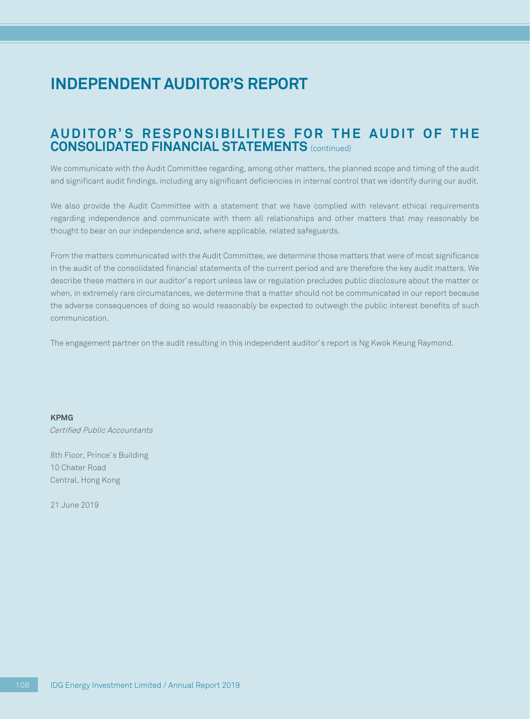# **INDEPENDENT AUDITOR'S REPORT**

## **AUDITOR'S RESPONSIBILITIES FOR THE AUDIT OF THE CONSOLIDATED FINANCIAL STATEMENTS** (continued)

We communicate with the Audit Committee regarding, among other matters, the planned scope and timing of the audit and significant audit findings, including any significant deficiencies in internal control that we identify during our audit.

We also provide the Audit Committee with a statement that we have complied with relevant ethical requirements regarding independence and communicate with them all relationships and other matters that may reasonably be thought to bear on our independence and, where applicable, related safeguards.

From the matters communicated with the Audit Committee, we determine those matters that were of most significance in the audit of the consolidated financial statements of the current period and are therefore the key audit matters. We describe these matters in our auditor's report unless law or regulation precludes public disclosure about the matter or when, in extremely rare circumstances, we determine that a matter should not be communicated in our report because the adverse consequences of doing so would reasonably be expected to outweigh the public interest benefits of such communication.

The engagement partner on the audit resulting in this independent auditor's report is Ng Kwok Keung Raymond.

**KPMG** Certified Public Accountants

8th Floor, Prince's Building 10 Chater Road Central, Hong Kong

21 June 2019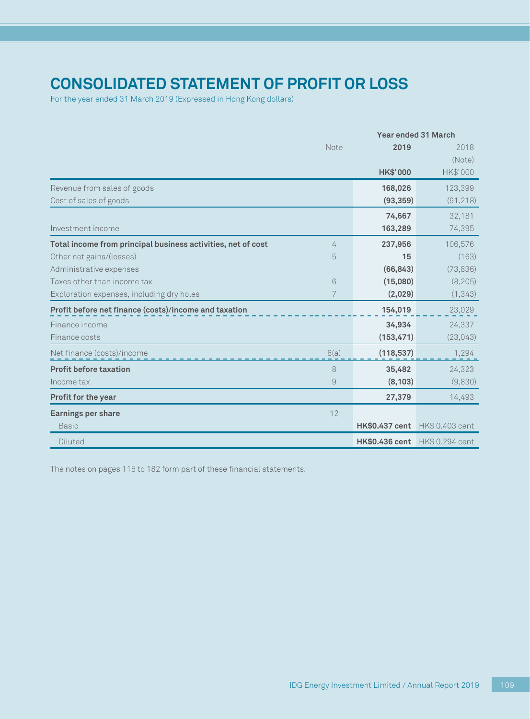# **Consolidated statement of profit or loss**

For the year ended 31 March 2019 (Expressed in Hong Kong dollars)

|                                                              |      |                       | <b>Year ended 31 March</b>     |
|--------------------------------------------------------------|------|-----------------------|--------------------------------|
|                                                              | Note | 2019                  | 2018                           |
|                                                              |      |                       | (Note)                         |
|                                                              |      | <b>HK\$'000</b>       | HK\$'000                       |
| Revenue from sales of goods                                  |      | 168,026               | 123,399                        |
| Cost of sales of goods                                       |      | (93, 359)             | (91, 218)                      |
|                                                              |      | 74,667                | 32,181                         |
| Investment income                                            |      | 163,289               | 74,395                         |
| Total income from principal business activities, net of cost | 4    | 237,956               | 106,576                        |
| Other net gains/(losses)                                     | 5    | 15                    | (163)                          |
| Administrative expenses                                      |      | (66, 843)             | (73, 836)                      |
| Taxes other than income tax                                  | 6    | (15,080)              | (8, 205)                       |
| Exploration expenses, including dry holes                    | 7    | (2,029)               | (1, 343)                       |
| Profit before net finance (costs)/income and taxation        |      | 154,019               | 23,029                         |
| Finance income                                               |      | 34,934                | 24,337                         |
| Finance costs                                                |      | (153, 471)            | (23,043)                       |
| Net finance (costs)/income                                   | 8(a) | (118, 537)            | 1,294                          |
| <b>Profit before taxation</b>                                | 8    | 35,482                | 24,323                         |
| Income tax                                                   | 9    | (8, 103)              | (9,830)                        |
| <b>Profit for the year</b>                                   |      | 27,379                | 14,493                         |
| <b>Earnings per share</b>                                    | 12   |                       |                                |
| <b>Basic</b>                                                 |      | <b>HK\$0,437 cent</b> | HK\$ 0.403 cent                |
| Diluted                                                      |      |                       | HK\$0.436 cent HK\$ 0.294 cent |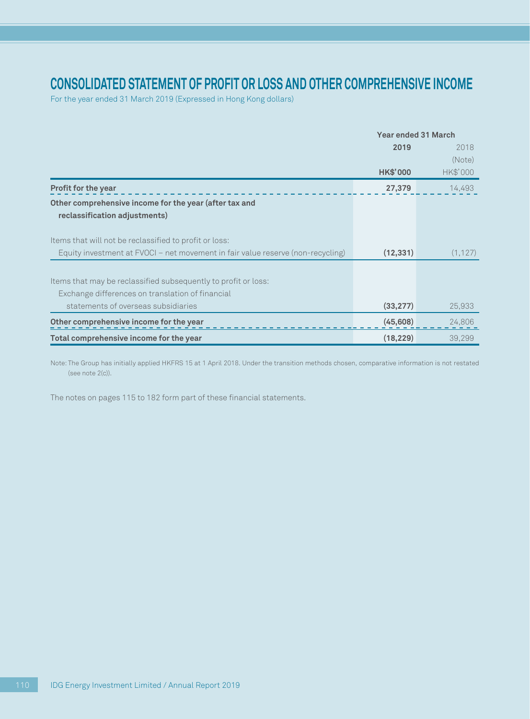## **Consolidated statement of profit or loss and other comprehensive income**

For the year ended 31 March 2019 (Expressed in Hong Kong dollars)

|                                                                                         | <b>Year ended 31 March</b> |          |  |
|-----------------------------------------------------------------------------------------|----------------------------|----------|--|
|                                                                                         | 2019                       | 2018     |  |
|                                                                                         |                            | (Note)   |  |
|                                                                                         | <b>HK\$'000</b>            | HK\$'000 |  |
| <b>Profit for the year</b>                                                              | 27,379                     | 14,493   |  |
| Other comprehensive income for the year (after tax and<br>reclassification adjustments) |                            |          |  |
| Items that will not be reclassified to profit or loss:                                  |                            |          |  |
| Equity investment at FVOCI – net movement in fair value reserve (non-recycling)         | (12, 331)                  | (1, 127) |  |
|                                                                                         |                            |          |  |
| Items that may be reclassified subsequently to profit or loss:                          |                            |          |  |
| Exchange differences on translation of financial                                        |                            |          |  |
| statements of overseas subsidiaries                                                     | (33, 277)                  | 25,933   |  |
| Other comprehensive income for the year                                                 | (45,608)                   | 24,806   |  |
| Total comprehensive income for the year                                                 | (18, 229)                  | 39,299   |  |

Note: The Group has initially applied HKFRS 15 at 1 April 2018. Under the transition methods chosen, comparative information is not restated (see note 2(c)).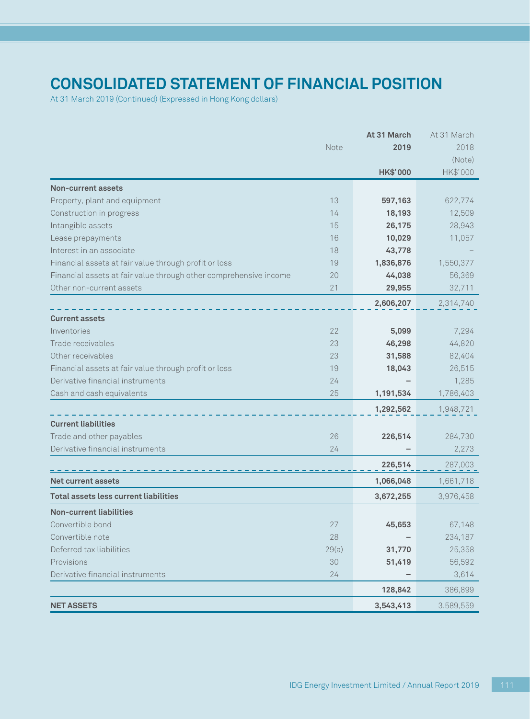# **Consolidated statement of financial position**

At 31 March 2019 (Continued) (Expressed in Hong Kong dollars)

|                                                                         | At 31 March     | At 31 March |
|-------------------------------------------------------------------------|-----------------|-------------|
| Note                                                                    | 2019            | 2018        |
|                                                                         |                 | (Note)      |
|                                                                         | <b>HK\$'000</b> | HK\$'000    |
| <b>Non-current assets</b>                                               |                 |             |
| 13<br>Property, plant and equipment                                     | 597,163         | 622,774     |
| 14<br>Construction in progress                                          | 18,193          | 12,509      |
| Intangible assets<br>15                                                 | 26,175          | 28,943      |
| 16<br>Lease prepayments                                                 | 10,029          | 11,057      |
| Interest in an associate<br>18                                          | 43,778          |             |
| Financial assets at fair value through profit or loss<br>19             | 1,836,876       | 1,550,377   |
| Financial assets at fair value through other comprehensive income<br>20 | 44,038          | 56,369      |
| Other non-current assets<br>21                                          | 29,955          | 32,711      |
|                                                                         | 2,606,207       | 2,314,740   |
| <b>Current assets</b>                                                   |                 |             |
| Inventories<br>22                                                       | 5,099           | 7,294       |
| Trade receivables<br>23                                                 | 46,298          | 44,820      |
| Other receivables<br>23                                                 | 31,588          | 82,404      |
| Financial assets at fair value through profit or loss<br>19             | 18,043          | 26,515      |
| Derivative financial instruments<br>24                                  |                 | 1,285       |
| 25<br>Cash and cash equivalents                                         | 1,191,534       | 1,786,403   |
|                                                                         | 1,292,562       | 1,948,721   |
| <b>Current liabilities</b>                                              |                 |             |
| Trade and other payables<br>26                                          | 226,514         | 284,730     |
| Derivative financial instruments<br>24                                  |                 | 2,273       |
|                                                                         | 226,514         | 287,003     |
| <b>Net current assets</b>                                               | 1,066,048       | 1,661,718   |
| <b>Total assets less current liabilities</b>                            | 3,672,255       | 3,976,458   |
| <b>Non-current liabilities</b>                                          |                 |             |
| Convertible bond<br>27                                                  | 45,653          | 67,148      |
| Convertible note<br>28                                                  |                 | 234,187     |
| Deferred tax liabilities<br>29(a)                                       | 31,770          | 25,358      |
| Provisions<br>30                                                        | 51,419          | 56,592      |
| Derivative financial instruments<br>24                                  |                 | 3,614       |
|                                                                         | 128,842         | 386,899     |
| <b>NET ASSETS</b>                                                       | 3,543,413       | 3,589,559   |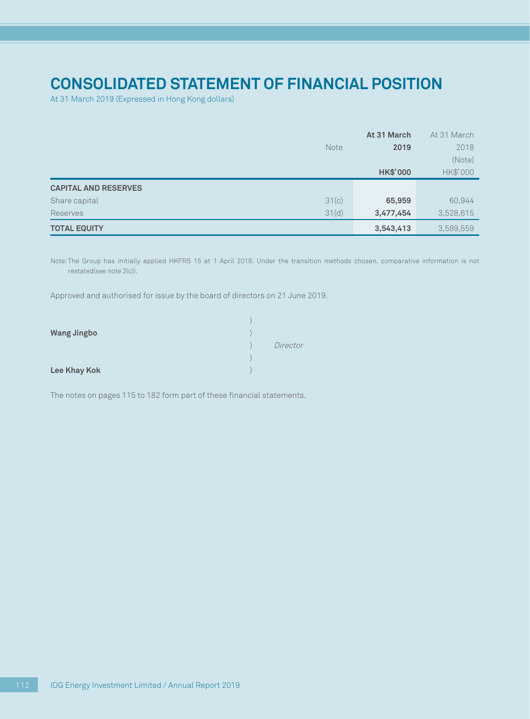# **Consolidated statement of financial position**

At 31 March 2019 (Expressed in Hong Kong dollars)

|                             | At 31 March     | At 31 March |
|-----------------------------|-----------------|-------------|
| Note                        | 2019            | 2018        |
|                             |                 | (Note)      |
|                             | <b>HK\$'000</b> | HK\$'000    |
| <b>CAPITAL AND RESERVES</b> |                 |             |
| 31(c)<br>Share capital      | 65,959          | 60,944      |
| 31(d)<br>Reserves           | 3,477,454       | 3,528,615   |
| <b>TOTAL EQUITY</b>         | 3,543,413       | 3,589,559   |

Note: The Group has initially applied HKFRS 15 at 1 April 2018. Under the transition methods chosen, comparative information is not restated(see note 2(c)).

Approved and authorised for issue by the board of directors on 21 June 2019.

| <b>Wang Jingbo</b> |          |
|--------------------|----------|
|                    | Director |
|                    |          |
| Lee Khay Kok       |          |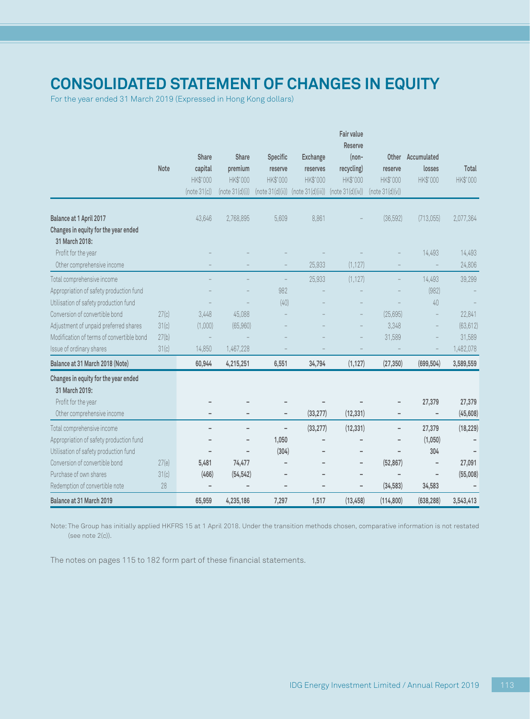# **Consolidated statement of changes in equity**

For the year ended 31 March 2019 (Expressed in Hong Kong dollars)

|                                                                                    |                |              |                 |                  |                   | Fair value<br><b>Reserve</b> |                          |                |                     |
|------------------------------------------------------------------------------------|----------------|--------------|-----------------|------------------|-------------------|------------------------------|--------------------------|----------------|---------------------|
|                                                                                    |                | <b>Share</b> | <b>Share</b>    | Specific         | <b>Exchange</b>   | $(non-$                      | Other                    | Accumulated    |                     |
|                                                                                    | Note           | capital      | premium         | reserve          | reserves          | recycling)                   | reserve                  | losses         | <b>Total</b>        |
|                                                                                    |                | HK\$'000     | HK\$'000        | HK\$'000         | <b>HK\$'000</b>   | HK\$'000                     | HK\$'000                 | HK\$'000       | HK\$'000            |
|                                                                                    |                | (note 31(c)) | (note 31(d)(i)) | (note 31(d)(ii)) | (note 31(d)(iii)) | (note 31(d)(iv))             | (note 31(d)(v))          |                |                     |
|                                                                                    |                |              |                 |                  |                   |                              |                          |                |                     |
| Balance at 1 April 2017                                                            |                | 43,646       | 2,768,895       | 5,609            | 8,861             |                              | (36,592)                 | (713,055)      | 2,077,364           |
| Changes in equity for the year ended<br>31 March 2018:                             |                |              |                 |                  |                   |                              |                          |                |                     |
| Profit for the year                                                                |                |              |                 |                  |                   |                              |                          | 14,493         | 14,493              |
| Other comprehensive income                                                         |                |              |                 |                  | 25,933            | (1, 127)                     |                          |                | 24,806              |
| Total comprehensive income                                                         |                |              |                 | ÷                | 25,933            | (1, 127)                     |                          | 14,493         | 39,299              |
| Appropriation of safety production fund                                            |                |              |                 | 982              |                   |                              |                          | (982)          |                     |
| Utilisation of safety production fund                                              |                |              |                 | (40)             |                   |                              |                          | 40             |                     |
| Conversion of convertible bond                                                     |                |              |                 |                  |                   |                              |                          | L,             |                     |
|                                                                                    | 27(c)          | 3,448        | 45,088          |                  |                   |                              | (25, 695)                |                | 22,841              |
| Adjustment of unpaid preferred shares<br>Modification of terms of convertible bond | 31(c)<br>27(b) | (1,000)      | (65,960)        |                  |                   |                              | 3,348                    |                | (63, 612)           |
|                                                                                    |                |              | 1,467,228       |                  |                   |                              | 31,589                   |                | 31,589<br>1,482,078 |
| Issue of ordinary shares                                                           | 31(c)          | 14,850       |                 |                  |                   |                              |                          |                |                     |
| Balance at 31 March 2018 (Note)                                                    |                | 60,944       | 4,215,251       | 6,551            | 34,794            | (1, 127)                     | (27, 350)                | (699, 504)     | 3,589,559           |
| Changes in equity for the year ended                                               |                |              |                 |                  |                   |                              |                          |                |                     |
| 31 March 2019:                                                                     |                |              |                 |                  |                   |                              |                          |                |                     |
| Profit for the year                                                                |                |              |                 |                  |                   |                              |                          | 27,379         | 27,379              |
| Other comprehensive income                                                         |                |              |                 |                  | (33, 277)         | (12, 331)                    |                          |                | (45, 608)           |
| Total comprehensive income                                                         |                |              | ۰               | $\overline{a}$   | (33, 277)         | (12, 331)                    | $\overline{\phantom{a}}$ | 27,379         | (18, 229)           |
| Appropriation of safety production fund                                            |                |              |                 | 1,050            |                   |                              |                          | (1,050)        |                     |
| Utilisation of safety production fund                                              |                |              |                 | (304)            |                   |                              |                          | 304            |                     |
| Conversion of convertible bond                                                     | 27(e)          | 5,481        | 74,477          |                  |                   | $\overline{\phantom{a}}$     | (52, 867)                | $\overline{a}$ | 27,091              |
| Purchase of own shares                                                             | 31(c)          | (466)        | (54, 542)       |                  |                   |                              |                          |                | (55,008)            |
| Redemption of convertible note                                                     | 28             |              | L,              | $\overline{a}$   |                   | $\overline{\phantom{a}}$     | (34, 583)                | 34,583         |                     |
| Balance at 31 March 2019                                                           |                | 65,959       | 4,235,186       | 7,297            | 1,517             | (13, 458)                    | (114, 800)               | (638, 288)     | 3,543,413           |

Note: The Group has initially applied HKFRS 15 at 1 April 2018. Under the transition methods chosen, comparative information is not restated (see note 2(c)).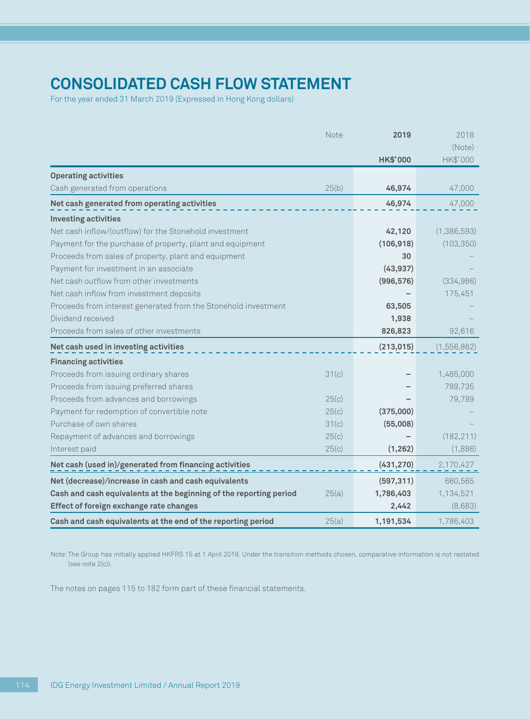# **Consolidated cash flow statement**

For the year ended 31 March 2019 (Expressed in Hong Kong dollars)

|                                                                    | Note  | 2019            | 2018        |
|--------------------------------------------------------------------|-------|-----------------|-------------|
|                                                                    |       |                 | (Note)      |
|                                                                    |       | <b>HK\$'000</b> | HK\$'000    |
| <b>Operating activities</b>                                        |       |                 |             |
| Cash generated from operations                                     | 25(b) | 46,974          | 47,000      |
| Net cash generated from operating activities                       |       | 46,974          | 47,000      |
| <b>Investing activities</b>                                        |       |                 |             |
| Net cash inflow/(outflow) for the Stonehold investment             |       | 42,120          | (1,386,593) |
| Payment for the purchase of property, plant and equipment          |       | (106, 918)      | (103, 350)  |
| Proceeds from sales of property, plant and equipment               |       | 30              |             |
| Payment for investment in an associate                             |       | (43, 937)       |             |
| Net cash outflow from other investments                            |       | (996, 576)      | (334,986)   |
| Net cash inflow from investment deposits                           |       |                 | 175,451     |
| Proceeds from interest generated from the Stonehold investment     |       | 63,505          |             |
| Dividend received                                                  |       | 1,938           |             |
| Proceeds from sales of other investments                           |       | 826,823         | 92,616      |
| Net cash used in investing activities                              |       | (213, 015)      | (1,556,862) |
| <b>Financing activities</b>                                        |       |                 |             |
| Proceeds from issuing ordinary shares                              | 31(c) |                 | 1,485,000   |
| Proceeds from issuing preferred shares                             |       |                 | 789,735     |
| Proceeds from advances and borrowings                              | 25(c) |                 | 79,789      |
| Payment for redemption of convertible note                         | 25(c) | (375,000)       |             |
| Purchase of own shares                                             | 31(c) | (55,008)        |             |
| Repayment of advances and borrowings                               | 25(c) |                 | (182, 211)  |
| Interest paid                                                      | 25(c) | (1, 262)        | (1,886)     |
| Net cash (used in)/generated from financing activities             |       | (431, 270)      | 2,170,427   |
| Net (decrease)/increase in cash and cash equivalents               |       | (597, 311)      | 660,565     |
| Cash and cash equivalents at the beginning of the reporting period | 25(a) | 1,786,403       | 1,134,521   |
| <b>Effect of foreign exchange rate changes</b>                     |       | 2,442           | (8,683)     |
| Cash and cash equivalents at the end of the reporting period       | 25(a) | 1,191,534       | 1,786,403   |

Note: The Group has initially applied HKFRS 15 at 1 April 2018. Under the transition methods chosen, comparative information is not restated (see note 2(c)).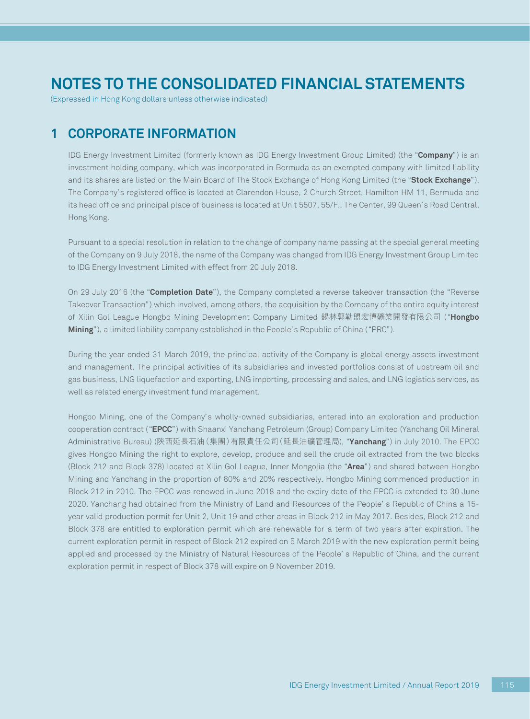(Expressed in Hong Kong dollars unless otherwise indicated)

## **1 CORPORATE INFORMATION**

IDG Energy Investment Limited (formerly known as IDG Energy Investment Group Limited) (the "**Company**") is an investment holding company, which was incorporated in Bermuda as an exempted company with limited liability and its shares are listed on the Main Board of The Stock Exchange of Hong Kong Limited (the "**Stock Exchange**"). The Company's registered office is located at Clarendon House, 2 Church Street, Hamilton HM 11, Bermuda and its head office and principal place of business is located at Unit 5507, 55/F., The Center, 99 Queen's Road Central, Hong Kong.

Pursuant to a special resolution in relation to the change of company name passing at the special general meeting of the Company on 9 July 2018, the name of the Company was changed from IDG Energy Investment Group Limited to IDG Energy Investment Limited with effect from 20 July 2018.

On 29 July 2016 (the "**Completion Date**"), the Company completed a reverse takeover transaction (the "Reverse Takeover Transaction") which involved, among others, the acquisition by the Company of the entire equity interest of Xilin Gol League Hongbo Mining Development Company Limited 錫林郭勒盟宏博礦業開發有限公司 ("**Hongbo Mining**"), a limited liability company established in the People's Republic of China ("PRC").

During the year ended 31 March 2019, the principal activity of the Company is global energy assets investment and management. The principal activities of its subsidiaries and invested portfolios consist of upstream oil and gas business, LNG liquefaction and exporting, LNG importing, processing and sales, and LNG logistics services, as well as related energy investment fund management.

Hongbo Mining, one of the Company's wholly-owned subsidiaries, entered into an exploration and production cooperation contract ("**EPCC**") with Shaanxi Yanchang Petroleum (Group) Company Limited (Yanchang Oil Mineral Administrative Bureau) (陝西延長石油(集團)有限責任公司(延長油礦管理局), "**Yanchang**") in July 2010. The EPCC gives Hongbo Mining the right to explore, develop, produce and sell the crude oil extracted from the two blocks (Block 212 and Block 378) located at Xilin Gol League, Inner Mongolia (the "**Area**") and shared between Hongbo Mining and Yanchang in the proportion of 80% and 20% respectively. Hongbo Mining commenced production in Block 212 in 2010. The EPCC was renewed in June 2018 and the expiry date of the EPCC is extended to 30 June 2020. Yanchang had obtained from the Ministry of Land and Resources of the People' s Republic of China a 15 year valid production permit for Unit 2, Unit 19 and other areas in Block 212 in May 2017. Besides, Block 212 and Block 378 are entitled to exploration permit which are renewable for a term of two years after expiration. The current exploration permit in respect of Block 212 expired on 5 March 2019 with the new exploration permit being applied and processed by the Ministry of Natural Resources of the People' s Republic of China, and the current exploration permit in respect of Block 378 will expire on 9 November 2019.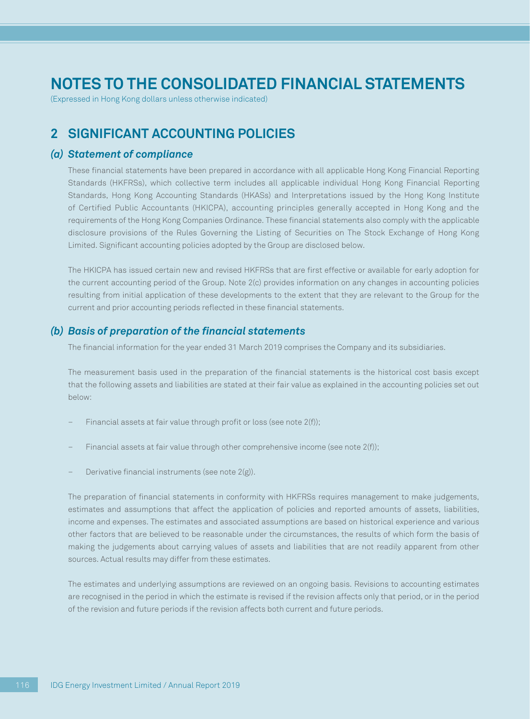(Expressed in Hong Kong dollars unless otherwise indicated)

## **2 SIGNIFICANT ACCOUNTING POLICIES**

### *(a) Statement of compliance*

These financial statements have been prepared in accordance with all applicable Hong Kong Financial Reporting Standards (HKFRSs), which collective term includes all applicable individual Hong Kong Financial Reporting Standards, Hong Kong Accounting Standards (HKASs) and Interpretations issued by the Hong Kong Institute of Certified Public Accountants (HKICPA), accounting principles generally accepted in Hong Kong and the requirements of the Hong Kong Companies Ordinance. These financial statements also comply with the applicable disclosure provisions of the Rules Governing the Listing of Securities on The Stock Exchange of Hong Kong Limited. Significant accounting policies adopted by the Group are disclosed below.

The HKICPA has issued certain new and revised HKFRSs that are first effective or available for early adoption for the current accounting period of the Group. Note 2(c) provides information on any changes in accounting policies resulting from initial application of these developments to the extent that they are relevant to the Group for the current and prior accounting periods reflected in these financial statements.

### *(b) Basis of preparation of the financial statements*

The financial information for the year ended 31 March 2019 comprises the Company and its subsidiaries.

The measurement basis used in the preparation of the financial statements is the historical cost basis except that the following assets and liabilities are stated at their fair value as explained in the accounting policies set out below:

- Financial assets at fair value through profit or loss (see note 2(f));
- Financial assets at fair value through other comprehensive income (see note 2(f));
- Derivative financial instruments (see note 2(g)).

The preparation of financial statements in conformity with HKFRSs requires management to make judgements, estimates and assumptions that affect the application of policies and reported amounts of assets, liabilities, income and expenses. The estimates and associated assumptions are based on historical experience and various other factors that are believed to be reasonable under the circumstances, the results of which form the basis of making the judgements about carrying values of assets and liabilities that are not readily apparent from other sources. Actual results may differ from these estimates.

The estimates and underlying assumptions are reviewed on an ongoing basis. Revisions to accounting estimates are recognised in the period in which the estimate is revised if the revision affects only that period, or in the period of the revision and future periods if the revision affects both current and future periods.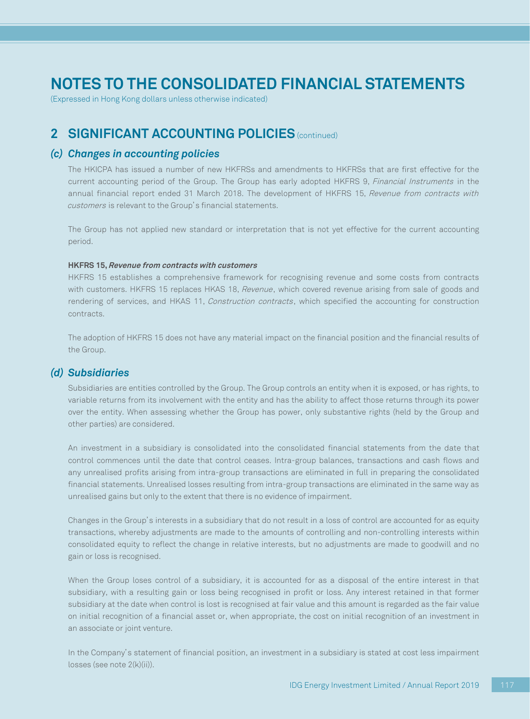(Expressed in Hong Kong dollars unless otherwise indicated)

## **2 SIGNIFICANT ACCOUNTING POLICIES** (continued)

### *(c) Changes in accounting policies*

The HKICPA has issued a number of new HKFRSs and amendments to HKFRSs that are first effective for the current accounting period of the Group. The Group has early adopted HKFRS 9, Financial Instruments in the annual financial report ended 31 March 2018. The development of HKFRS 15, Revenue from contracts with customers is relevant to the Group's financial statements.

The Group has not applied new standard or interpretation that is not yet effective for the current accounting period.

#### **HKFRS 15, Revenue from contracts with customers**

HKFRS 15 establishes a comprehensive framework for recognising revenue and some costs from contracts with customers. HKFRS 15 replaces HKAS 18, Revenue, which covered revenue arising from sale of goods and rendering of services, and HKAS 11, Construction contracts, which specified the accounting for construction contracts.

The adoption of HKFRS 15 does not have any material impact on the financial position and the financial results of the Group.

### *(d) Subsidiaries*

Subsidiaries are entities controlled by the Group. The Group controls an entity when it is exposed, or has rights, to variable returns from its involvement with the entity and has the ability to affect those returns through its power over the entity. When assessing whether the Group has power, only substantive rights (held by the Group and other parties) are considered.

An investment in a subsidiary is consolidated into the consolidated financial statements from the date that control commences until the date that control ceases. Intra-group balances, transactions and cash flows and any unrealised profits arising from intra-group transactions are eliminated in full in preparing the consolidated financial statements. Unrealised losses resulting from intra-group transactions are eliminated in the same way as unrealised gains but only to the extent that there is no evidence of impairment.

Changes in the Group's interests in a subsidiary that do not result in a loss of control are accounted for as equity transactions, whereby adjustments are made to the amounts of controlling and non-controlling interests within consolidated equity to reflect the change in relative interests, but no adjustments are made to goodwill and no gain or loss is recognised.

When the Group loses control of a subsidiary, it is accounted for as a disposal of the entire interest in that subsidiary, with a resulting gain or loss being recognised in profit or loss. Any interest retained in that former subsidiary at the date when control is lost is recognised at fair value and this amount is regarded as the fair value on initial recognition of a financial asset or, when appropriate, the cost on initial recognition of an investment in an associate or joint venture.

In the Company's statement of financial position, an investment in a subsidiary is stated at cost less impairment losses (see note 2(k)(ii)).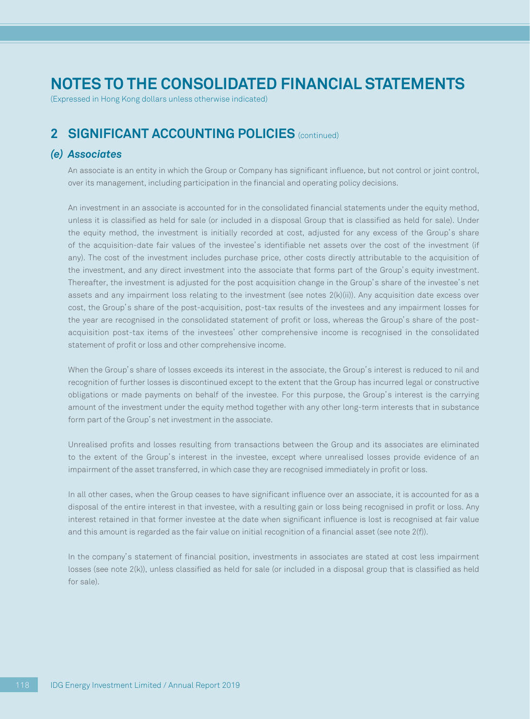(Expressed in Hong Kong dollars unless otherwise indicated)

## **2 SIGNIFICANT ACCOUNTING POLICIES** (continued)

### *(e) Associates*

An associate is an entity in which the Group or Company has significant influence, but not control or joint control, over its management, including participation in the financial and operating policy decisions.

An investment in an associate is accounted for in the consolidated financial statements under the equity method, unless it is classified as held for sale (or included in a disposal Group that is classified as held for sale). Under the equity method, the investment is initially recorded at cost, adjusted for any excess of the Group's share of the acquisition-date fair values of the investee's identifiable net assets over the cost of the investment (if any). The cost of the investment includes purchase price, other costs directly attributable to the acquisition of the investment, and any direct investment into the associate that forms part of the Group's equity investment. Thereafter, the investment is adjusted for the post acquisition change in the Group's share of the investee's net assets and any impairment loss relating to the investment (see notes 2(k)(ii)). Any acquisition date excess over cost, the Group's share of the post-acquisition, post-tax results of the investees and any impairment losses for the year are recognised in the consolidated statement of profit or loss, whereas the Group's share of the postacquisition post-tax items of the investees' other comprehensive income is recognised in the consolidated statement of profit or loss and other comprehensive income.

When the Group's share of losses exceeds its interest in the associate, the Group's interest is reduced to nil and recognition of further losses is discontinued except to the extent that the Group has incurred legal or constructive obligations or made payments on behalf of the investee. For this purpose, the Group's interest is the carrying amount of the investment under the equity method together with any other long-term interests that in substance form part of the Group's net investment in the associate.

Unrealised profits and losses resulting from transactions between the Group and its associates are eliminated to the extent of the Group's interest in the investee, except where unrealised losses provide evidence of an impairment of the asset transferred, in which case they are recognised immediately in profit or loss.

In all other cases, when the Group ceases to have significant influence over an associate, it is accounted for as a disposal of the entire interest in that investee, with a resulting gain or loss being recognised in profit or loss. Any interest retained in that former investee at the date when significant influence is lost is recognised at fair value and this amount is regarded as the fair value on initial recognition of a financial asset (see note 2(f)).

In the company's statement of financial position, investments in associates are stated at cost less impairment losses (see note 2(k)), unless classified as held for sale (or included in a disposal group that is classified as held for sale).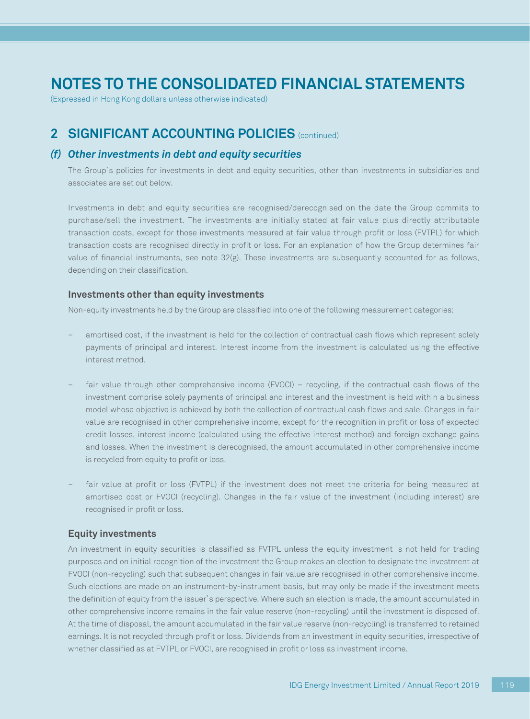(Expressed in Hong Kong dollars unless otherwise indicated)

## **2 SIGNIFICANT ACCOUNTING POLICIES** (continued)

### *(f) Other investments in debt and equity securities*

The Group's policies for investments in debt and equity securities, other than investments in subsidiaries and associates are set out below.

Investments in debt and equity securities are recognised/derecognised on the date the Group commits to purchase/sell the investment. The investments are initially stated at fair value plus directly attributable transaction costs, except for those investments measured at fair value through profit or loss (FVTPL) for which transaction costs are recognised directly in profit or loss. For an explanation of how the Group determines fair value of financial instruments, see note 32(g). These investments are subsequently accounted for as follows, depending on their classification.

### **Investments other than equity investments**

Non-equity investments held by the Group are classified into one of the following measurement categories:

- amortised cost, if the investment is held for the collection of contractual cash flows which represent solely payments of principal and interest. Interest income from the investment is calculated using the effective interest method.
- fair value through other comprehensive income (FVOCI) recycling, if the contractual cash flows of the investment comprise solely payments of principal and interest and the investment is held within a business model whose objective is achieved by both the collection of contractual cash flows and sale. Changes in fair value are recognised in other comprehensive income, except for the recognition in profit or loss of expected credit losses, interest income (calculated using the effective interest method) and foreign exchange gains and losses. When the investment is derecognised, the amount accumulated in other comprehensive income is recycled from equity to profit or loss.
- fair value at profit or loss (FVTPL) if the investment does not meet the criteria for being measured at amortised cost or FVOCI (recycling). Changes in the fair value of the investment (including interest) are recognised in profit or loss.

### **Equity investments**

An investment in equity securities is classified as FVTPL unless the equity investment is not held for trading purposes and on initial recognition of the investment the Group makes an election to designate the investment at FVOCI (non-recycling) such that subsequent changes in fair value are recognised in other comprehensive income. Such elections are made on an instrument-by-instrument basis, but may only be made if the investment meets the definition of equity from the issuer's perspective. Where such an election is made, the amount accumulated in other comprehensive income remains in the fair value reserve (non-recycling) until the investment is disposed of. At the time of disposal, the amount accumulated in the fair value reserve (non-recycling) is transferred to retained earnings. It is not recycled through profit or loss. Dividends from an investment in equity securities, irrespective of whether classified as at FVTPL or FVOCI, are recognised in profit or loss as investment income.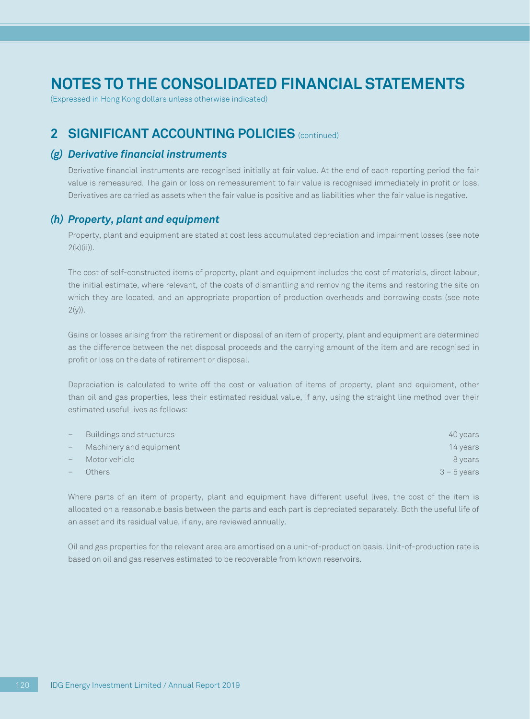(Expressed in Hong Kong dollars unless otherwise indicated)

## **2 SIGNIFICANT ACCOUNTING POLICIES** (continued)

### *(g) Derivative financial instruments*

Derivative financial instruments are recognised initially at fair value. At the end of each reporting period the fair value is remeasured. The gain or loss on remeasurement to fair value is recognised immediately in profit or loss. Derivatives are carried as assets when the fair value is positive and as liabilities when the fair value is negative.

### *(h) Property, plant and equipment*

Property, plant and equipment are stated at cost less accumulated depreciation and impairment losses (see note  $2(k)(ii)$ ).

The cost of self-constructed items of property, plant and equipment includes the cost of materials, direct labour, the initial estimate, where relevant, of the costs of dismantling and removing the items and restoring the site on which they are located, and an appropriate proportion of production overheads and borrowing costs (see note  $2(y)$ ).

Gains or losses arising from the retirement or disposal of an item of property, plant and equipment are determined as the difference between the net disposal proceeds and the carrying amount of the item and are recognised in profit or loss on the date of retirement or disposal.

Depreciation is calculated to write off the cost or valuation of items of property, plant and equipment, other than oil and gas properties, less their estimated residual value, if any, using the straight line method over their estimated useful lives as follows:

| $-$ | Buildings and structures | 40 years      |
|-----|--------------------------|---------------|
|     | Machinery and equipment  | 14 years      |
|     | Motor vehicle            | 8 years       |
|     | Others                   | $3 - 5$ years |

Where parts of an item of property, plant and equipment have different useful lives, the cost of the item is allocated on a reasonable basis between the parts and each part is depreciated separately. Both the useful life of an asset and its residual value, if any, are reviewed annually.

Oil and gas properties for the relevant area are amortised on a unit-of-production basis. Unit-of-production rate is based on oil and gas reserves estimated to be recoverable from known reservoirs.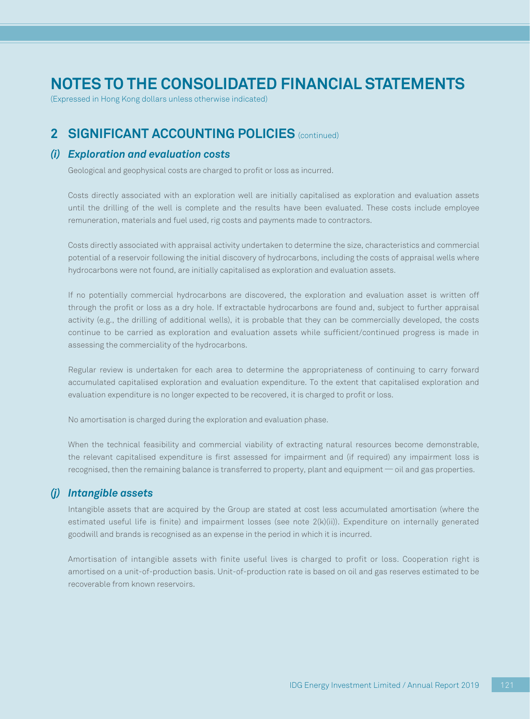(Expressed in Hong Kong dollars unless otherwise indicated)

## **2 SIGNIFICANT ACCOUNTING POLICIES** (continued)

### *(i) Exploration and evaluation costs*

Geological and geophysical costs are charged to profit or loss as incurred.

Costs directly associated with an exploration well are initially capitalised as exploration and evaluation assets until the drilling of the well is complete and the results have been evaluated. These costs include employee remuneration, materials and fuel used, rig costs and payments made to contractors.

Costs directly associated with appraisal activity undertaken to determine the size, characteristics and commercial potential of a reservoir following the initial discovery of hydrocarbons, including the costs of appraisal wells where hydrocarbons were not found, are initially capitalised as exploration and evaluation assets.

If no potentially commercial hydrocarbons are discovered, the exploration and evaluation asset is written off through the profit or loss as a dry hole. If extractable hydrocarbons are found and, subject to further appraisal activity (e.g., the drilling of additional wells), it is probable that they can be commercially developed, the costs continue to be carried as exploration and evaluation assets while sufficient/continued progress is made in assessing the commerciality of the hydrocarbons.

Regular review is undertaken for each area to determine the appropriateness of continuing to carry forward accumulated capitalised exploration and evaluation expenditure. To the extent that capitalised exploration and evaluation expenditure is no longer expected to be recovered, it is charged to profit or loss.

No amortisation is charged during the exploration and evaluation phase.

When the technical feasibility and commercial viability of extracting natural resources become demonstrable, the relevant capitalised expenditure is first assessed for impairment and (if required) any impairment loss is recognised, then the remaining balance is transferred to property, plant and equipment — oil and gas properties.

### *(j) Intangible assets*

Intangible assets that are acquired by the Group are stated at cost less accumulated amortisation (where the estimated useful life is finite) and impairment losses (see note 2(k)(ii)). Expenditure on internally generated goodwill and brands is recognised as an expense in the period in which it is incurred.

Amortisation of intangible assets with finite useful lives is charged to profit or loss. Cooperation right is amortised on a unit-of-production basis. Unit-of-production rate is based on oil and gas reserves estimated to be recoverable from known reservoirs.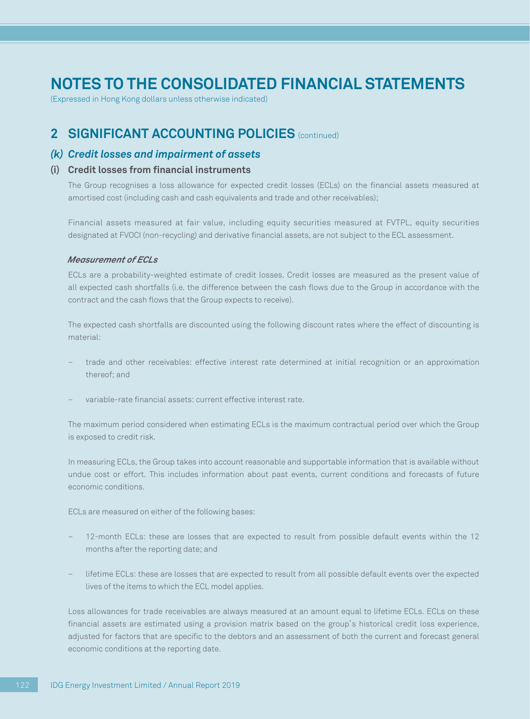(Expressed in Hong Kong dollars unless otherwise indicated)

## **2 SIGNIFICANT ACCOUNTING POLICIES** (continued)

### *(k) Credit losses and impairment of assets*

### **(i) Credit losses from financial instruments**

The Group recognises a loss allowance for expected credit losses (ECLs) on the financial assets measured at amortised cost (including cash and cash equivalents and trade and other receivables);

Financial assets measured at fair value, including equity securities measured at FVTPL, equity securities designated at FVOCI (non-recycling) and derivative financial assets, are not subject to the ECL assessment.

### *Measurement of ECLs*

ECLs are a probability-weighted estimate of credit losses. Credit losses are measured as the present value of all expected cash shortfalls (i.e. the difference between the cash flows due to the Group in accordance with the contract and the cash flows that the Group expects to receive).

The expected cash shortfalls are discounted using the following discount rates where the effect of discounting is material:

- trade and other receivables: effective interest rate determined at initial recognition or an approximation thereof; and
- variable-rate financial assets: current effective interest rate.

The maximum period considered when estimating ECLs is the maximum contractual period over which the Group is exposed to credit risk.

In measuring ECLs, the Group takes into account reasonable and supportable information that is available without undue cost or effort. This includes information about past events, current conditions and forecasts of future economic conditions.

ECLs are measured on either of the following bases:

- 12-month ECLs: these are losses that are expected to result from possible default events within the 12 months after the reporting date; and
- lifetime ECLs: these are losses that are expected to result from all possible default events over the expected lives of the items to which the ECL model applies.

Loss allowances for trade receivables are always measured at an amount equal to lifetime ECLs. ECLs on these financial assets are estimated using a provision matrix based on the group's historical credit loss experience, adjusted for factors that are specific to the debtors and an assessment of both the current and forecast general economic conditions at the reporting date.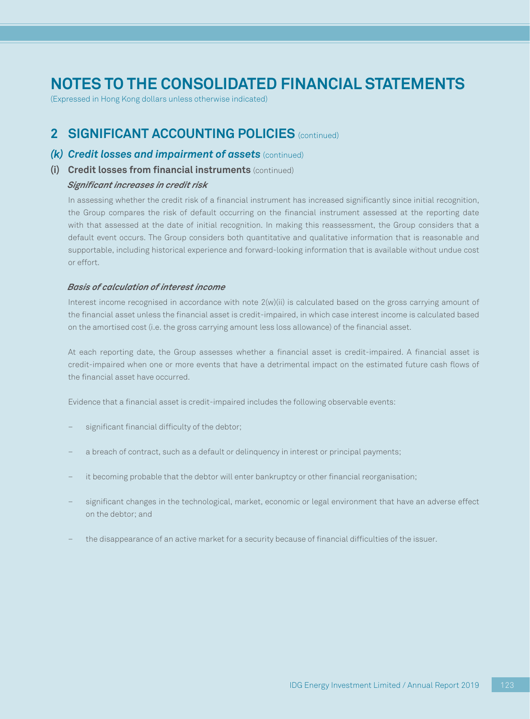(Expressed in Hong Kong dollars unless otherwise indicated)

## **2 SIGNIFICANT ACCOUNTING POLICIES** (continued)

### *(k) Credit losses and impairment of assets* (continued)

### **(i) Credit losses from financial instruments** (continued)

### *Significant increases in credit risk*

In assessing whether the credit risk of a financial instrument has increased significantly since initial recognition, the Group compares the risk of default occurring on the financial instrument assessed at the reporting date with that assessed at the date of initial recognition. In making this reassessment, the Group considers that a default event occurs. The Group considers both quantitative and qualitative information that is reasonable and supportable, including historical experience and forward-looking information that is available without undue cost or effort.

#### *Basis of calculation of interest income*

Interest income recognised in accordance with note  $2(w)(ii)$  is calculated based on the gross carrying amount of the financial asset unless the financial asset is credit-impaired, in which case interest income is calculated based on the amortised cost (i.e. the gross carrying amount less loss allowance) of the financial asset.

At each reporting date, the Group assesses whether a financial asset is credit-impaired. A financial asset is credit-impaired when one or more events that have a detrimental impact on the estimated future cash flows of the financial asset have occurred.

Evidence that a financial asset is credit-impaired includes the following observable events:

- significant financial difficulty of the debtor;
- a breach of contract, such as a default or delinquency in interest or principal payments;
- it becoming probable that the debtor will enter bankruptcy or other financial reorganisation;
- significant changes in the technological, market, economic or legal environment that have an adverse effect on the debtor; and
- the disappearance of an active market for a security because of financial difficulties of the issuer.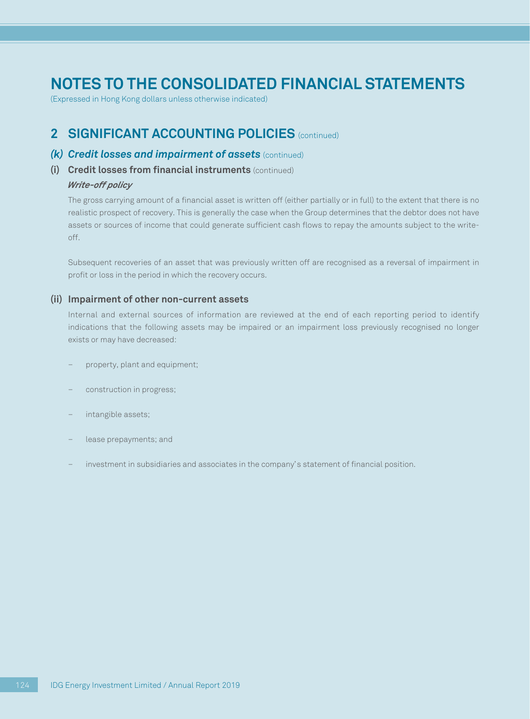(Expressed in Hong Kong dollars unless otherwise indicated)

## **2 SIGNIFICANT ACCOUNTING POLICIES** (continued)

### *(k) Credit losses and impairment of assets* (continued)

**(i) Credit losses from financial instruments** (continued)

### *Write-off policy*

The gross carrying amount of a financial asset is written off (either partially or in full) to the extent that there is no realistic prospect of recovery. This is generally the case when the Group determines that the debtor does not have assets or sources of income that could generate sufficient cash flows to repay the amounts subject to the writeoff.

Subsequent recoveries of an asset that was previously written off are recognised as a reversal of impairment in profit or loss in the period in which the recovery occurs.

### **(ii) Impairment of other non-current assets**

Internal and external sources of information are reviewed at the end of each reporting period to identify indications that the following assets may be impaired or an impairment loss previously recognised no longer exists or may have decreased:

- property, plant and equipment;
- construction in progress;
- intangible assets;
- lease prepayments; and
- investment in subsidiaries and associates in the company's statement of financial position.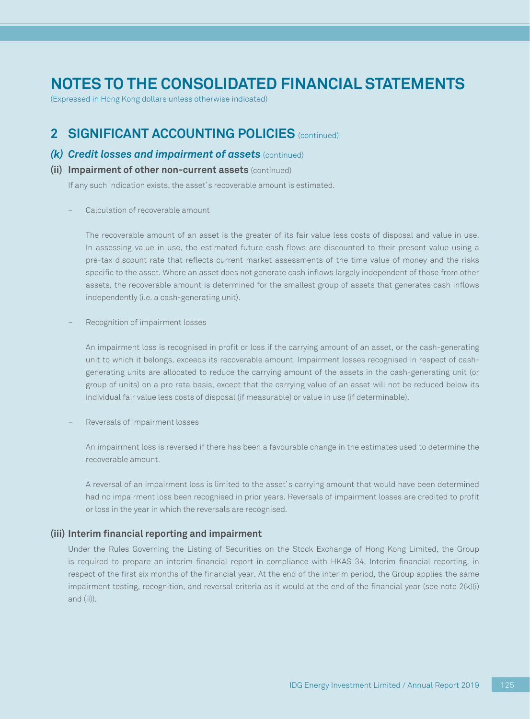(Expressed in Hong Kong dollars unless otherwise indicated)

### **2 SIGNIFICANT ACCOUNTING POLICIES** (continued)

### *(k) Credit losses and impairment of assets* (continued)

### **(ii) Impairment of other non-current assets** (continued)

If any such indication exists, the asset's recoverable amount is estimated.

– Calculation of recoverable amount

The recoverable amount of an asset is the greater of its fair value less costs of disposal and value in use. In assessing value in use, the estimated future cash flows are discounted to their present value using a pre-tax discount rate that reflects current market assessments of the time value of money and the risks specific to the asset. Where an asset does not generate cash inflows largely independent of those from other assets, the recoverable amount is determined for the smallest group of assets that generates cash inflows independently (i.e. a cash-generating unit).

– Recognition of impairment losses

An impairment loss is recognised in profit or loss if the carrying amount of an asset, or the cash-generating unit to which it belongs, exceeds its recoverable amount. Impairment losses recognised in respect of cashgenerating units are allocated to reduce the carrying amount of the assets in the cash-generating unit (or group of units) on a pro rata basis, except that the carrying value of an asset will not be reduced below its individual fair value less costs of disposal (if measurable) or value in use (if determinable).

– Reversals of impairment losses

An impairment loss is reversed if there has been a favourable change in the estimates used to determine the recoverable amount.

A reversal of an impairment loss is limited to the asset's carrying amount that would have been determined had no impairment loss been recognised in prior years. Reversals of impairment losses are credited to profit or loss in the year in which the reversals are recognised.

#### **(iii) Interim financial reporting and impairment**

Under the Rules Governing the Listing of Securities on the Stock Exchange of Hong Kong Limited, the Group is required to prepare an interim financial report in compliance with HKAS 34, Interim financial reporting, in respect of the first six months of the financial year. At the end of the interim period, the Group applies the same impairment testing, recognition, and reversal criteria as it would at the end of the financial year (see note 2(k)(i) and (ii)).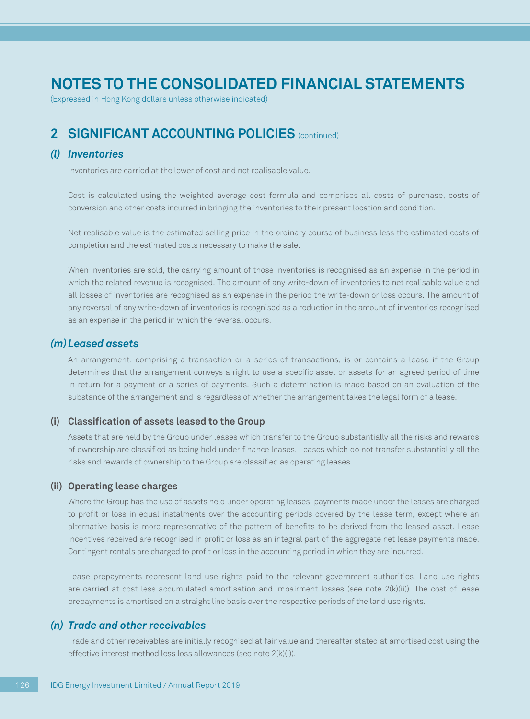(Expressed in Hong Kong dollars unless otherwise indicated)

## **2 SIGNIFICANT ACCOUNTING POLICIES** (continued)

### *(l) Inventories*

Inventories are carried at the lower of cost and net realisable value.

Cost is calculated using the weighted average cost formula and comprises all costs of purchase, costs of conversion and other costs incurred in bringing the inventories to their present location and condition.

Net realisable value is the estimated selling price in the ordinary course of business less the estimated costs of completion and the estimated costs necessary to make the sale.

When inventories are sold, the carrying amount of those inventories is recognised as an expense in the period in which the related revenue is recognised. The amount of any write-down of inventories to net realisable value and all losses of inventories are recognised as an expense in the period the write-down or loss occurs. The amount of any reversal of any write-down of inventories is recognised as a reduction in the amount of inventories recognised as an expense in the period in which the reversal occurs.

### *(m)Leased assets*

An arrangement, comprising a transaction or a series of transactions, is or contains a lease if the Group determines that the arrangement conveys a right to use a specific asset or assets for an agreed period of time in return for a payment or a series of payments. Such a determination is made based on an evaluation of the substance of the arrangement and is regardless of whether the arrangement takes the legal form of a lease.

#### **(i) Classification of assets leased to the Group**

Assets that are held by the Group under leases which transfer to the Group substantially all the risks and rewards of ownership are classified as being held under finance leases. Leases which do not transfer substantially all the risks and rewards of ownership to the Group are classified as operating leases.

#### **(ii) Operating lease charges**

Where the Group has the use of assets held under operating leases, payments made under the leases are charged to profit or loss in equal instalments over the accounting periods covered by the lease term, except where an alternative basis is more representative of the pattern of benefits to be derived from the leased asset. Lease incentives received are recognised in profit or loss as an integral part of the aggregate net lease payments made. Contingent rentals are charged to profit or loss in the accounting period in which they are incurred.

Lease prepayments represent land use rights paid to the relevant government authorities. Land use rights are carried at cost less accumulated amortisation and impairment losses (see note 2(k)(ii)). The cost of lease prepayments is amortised on a straight line basis over the respective periods of the land use rights.

### *(n) Trade and other receivables*

Trade and other receivables are initially recognised at fair value and thereafter stated at amortised cost using the effective interest method less loss allowances (see note 2(k)(i)).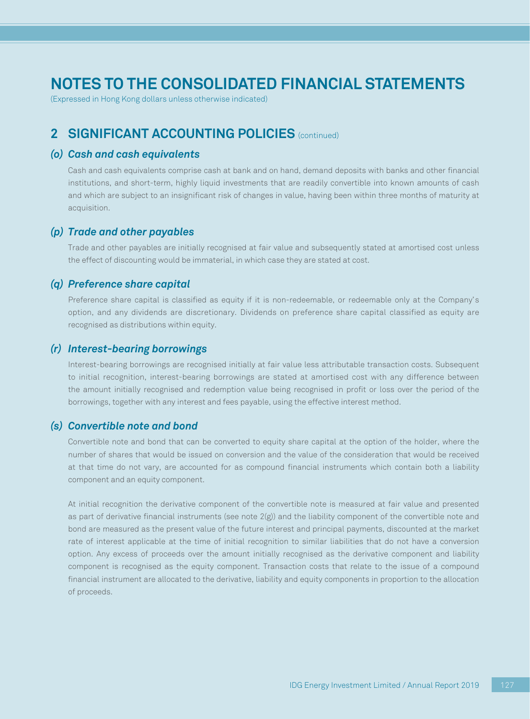(Expressed in Hong Kong dollars unless otherwise indicated)

## **2 SIGNIFICANT ACCOUNTING POLICIES** (continued)

### *(o) Cash and cash equivalents*

Cash and cash equivalents comprise cash at bank and on hand, demand deposits with banks and other financial institutions, and short-term, highly liquid investments that are readily convertible into known amounts of cash and which are subject to an insignificant risk of changes in value, having been within three months of maturity at acquisition.

### *(p) Trade and other payables*

Trade and other payables are initially recognised at fair value and subsequently stated at amortised cost unless the effect of discounting would be immaterial, in which case they are stated at cost.

### *(q) Preference share capital*

Preference share capital is classified as equity if it is non-redeemable, or redeemable only at the Company's option, and any dividends are discretionary. Dividends on preference share capital classified as equity are recognised as distributions within equity.

### *(r) Interest-bearing borrowings*

Interest-bearing borrowings are recognised initially at fair value less attributable transaction costs. Subsequent to initial recognition, interest-bearing borrowings are stated at amortised cost with any difference between the amount initially recognised and redemption value being recognised in profit or loss over the period of the borrowings, together with any interest and fees payable, using the effective interest method.

### *(s) Convertible note and bond*

Convertible note and bond that can be converted to equity share capital at the option of the holder, where the number of shares that would be issued on conversion and the value of the consideration that would be received at that time do not vary, are accounted for as compound financial instruments which contain both a liability component and an equity component.

At initial recognition the derivative component of the convertible note is measured at fair value and presented as part of derivative financial instruments (see note 2(g)) and the liability component of the convertible note and bond are measured as the present value of the future interest and principal payments, discounted at the market rate of interest applicable at the time of initial recognition to similar liabilities that do not have a conversion option. Any excess of proceeds over the amount initially recognised as the derivative component and liability component is recognised as the equity component. Transaction costs that relate to the issue of a compound financial instrument are allocated to the derivative, liability and equity components in proportion to the allocation of proceeds.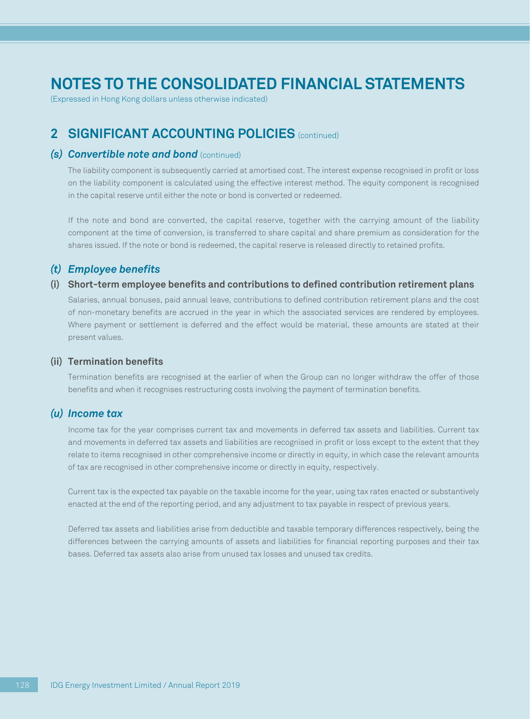(Expressed in Hong Kong dollars unless otherwise indicated)

## **2 SIGNIFICANT ACCOUNTING POLICIES** (continued)

### *(s) Convertible note and bond* (continued)

The liability component is subsequently carried at amortised cost. The interest expense recognised in profit or loss on the liability component is calculated using the effective interest method. The equity component is recognised in the capital reserve until either the note or bond is converted or redeemed.

If the note and bond are converted, the capital reserve, together with the carrying amount of the liability component at the time of conversion, is transferred to share capital and share premium as consideration for the shares issued. If the note or bond is redeemed, the capital reserve is released directly to retained profits.

### *(t) Employee benefits*

### **(i) Short-term employee benefits and contributions to defined contribution retirement plans**

Salaries, annual bonuses, paid annual leave, contributions to defined contribution retirement plans and the cost of non-monetary benefits are accrued in the year in which the associated services are rendered by employees. Where payment or settlement is deferred and the effect would be material, these amounts are stated at their present values.

#### **(ii) Termination benefits**

Termination benefits are recognised at the earlier of when the Group can no longer withdraw the offer of those benefits and when it recognises restructuring costs involving the payment of termination benefits.

### *(u) Income tax*

Income tax for the year comprises current tax and movements in deferred tax assets and liabilities. Current tax and movements in deferred tax assets and liabilities are recognised in profit or loss except to the extent that they relate to items recognised in other comprehensive income or directly in equity, in which case the relevant amounts of tax are recognised in other comprehensive income or directly in equity, respectively.

Current tax is the expected tax payable on the taxable income for the year, using tax rates enacted or substantively enacted at the end of the reporting period, and any adjustment to tax payable in respect of previous years.

Deferred tax assets and liabilities arise from deductible and taxable temporary differences respectively, being the differences between the carrying amounts of assets and liabilities for financial reporting purposes and their tax bases. Deferred tax assets also arise from unused tax losses and unused tax credits.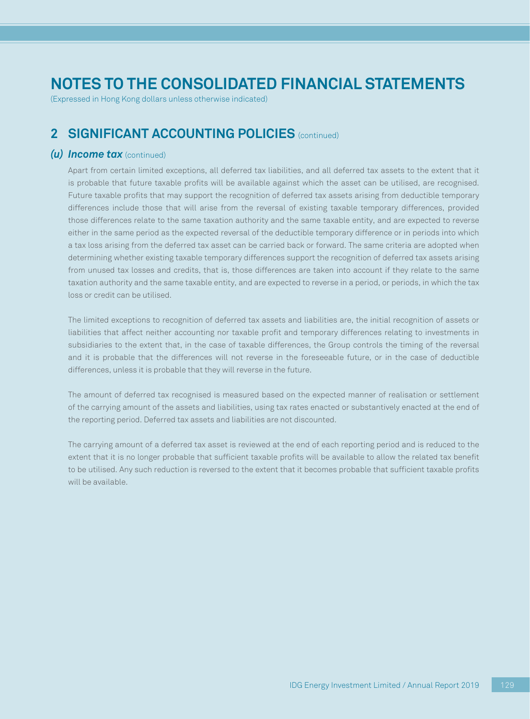(Expressed in Hong Kong dollars unless otherwise indicated)

## **2 SIGNIFICANT ACCOUNTING POLICIES** (continued)

### *(u) Income tax* (continued)

Apart from certain limited exceptions, all deferred tax liabilities, and all deferred tax assets to the extent that it is probable that future taxable profits will be available against which the asset can be utilised, are recognised. Future taxable profits that may support the recognition of deferred tax assets arising from deductible temporary differences include those that will arise from the reversal of existing taxable temporary differences, provided those differences relate to the same taxation authority and the same taxable entity, and are expected to reverse either in the same period as the expected reversal of the deductible temporary difference or in periods into which a tax loss arising from the deferred tax asset can be carried back or forward. The same criteria are adopted when determining whether existing taxable temporary differences support the recognition of deferred tax assets arising from unused tax losses and credits, that is, those differences are taken into account if they relate to the same taxation authority and the same taxable entity, and are expected to reverse in a period, or periods, in which the tax loss or credit can be utilised.

The limited exceptions to recognition of deferred tax assets and liabilities are, the initial recognition of assets or liabilities that affect neither accounting nor taxable profit and temporary differences relating to investments in subsidiaries to the extent that, in the case of taxable differences, the Group controls the timing of the reversal and it is probable that the differences will not reverse in the foreseeable future, or in the case of deductible differences, unless it is probable that they will reverse in the future.

The amount of deferred tax recognised is measured based on the expected manner of realisation or settlement of the carrying amount of the assets and liabilities, using tax rates enacted or substantively enacted at the end of the reporting period. Deferred tax assets and liabilities are not discounted.

The carrying amount of a deferred tax asset is reviewed at the end of each reporting period and is reduced to the extent that it is no longer probable that sufficient taxable profits will be available to allow the related tax benefit to be utilised. Any such reduction is reversed to the extent that it becomes probable that sufficient taxable profits will be available.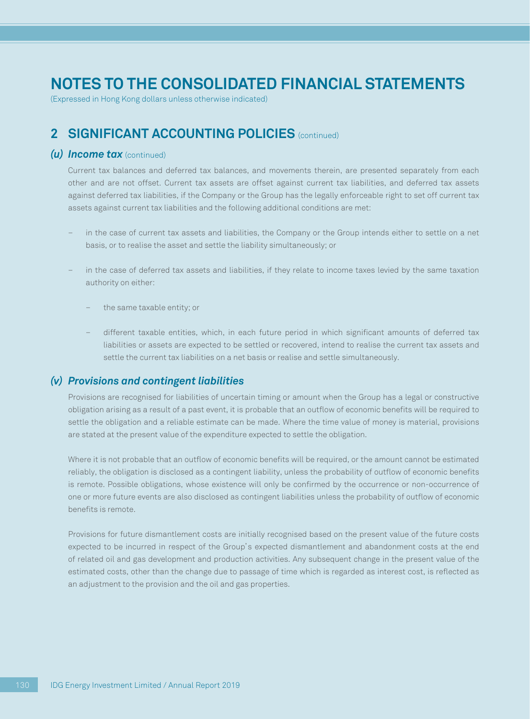(Expressed in Hong Kong dollars unless otherwise indicated)

## **2 SIGNIFICANT ACCOUNTING POLICIES** (continued)

### *(u) Income tax* (continued)

Current tax balances and deferred tax balances, and movements therein, are presented separately from each other and are not offset. Current tax assets are offset against current tax liabilities, and deferred tax assets against deferred tax liabilities, if the Company or the Group has the legally enforceable right to set off current tax assets against current tax liabilities and the following additional conditions are met:

- in the case of current tax assets and liabilities, the Company or the Group intends either to settle on a net basis, or to realise the asset and settle the liability simultaneously; or
- in the case of deferred tax assets and liabilities, if they relate to income taxes levied by the same taxation authority on either:
	- the same taxable entity; or
	- different taxable entities, which, in each future period in which significant amounts of deferred tax liabilities or assets are expected to be settled or recovered, intend to realise the current tax assets and settle the current tax liabilities on a net basis or realise and settle simultaneously.

### *(v) Provisions and contingent liabilities*

Provisions are recognised for liabilities of uncertain timing or amount when the Group has a legal or constructive obligation arising as a result of a past event, it is probable that an outflow of economic benefits will be required to settle the obligation and a reliable estimate can be made. Where the time value of money is material, provisions are stated at the present value of the expenditure expected to settle the obligation.

Where it is not probable that an outflow of economic benefits will be required, or the amount cannot be estimated reliably, the obligation is disclosed as a contingent liability, unless the probability of outflow of economic benefits is remote. Possible obligations, whose existence will only be confirmed by the occurrence or non-occurrence of one or more future events are also disclosed as contingent liabilities unless the probability of outflow of economic benefits is remote.

Provisions for future dismantlement costs are initially recognised based on the present value of the future costs expected to be incurred in respect of the Group's expected dismantlement and abandonment costs at the end of related oil and gas development and production activities. Any subsequent change in the present value of the estimated costs, other than the change due to passage of time which is regarded as interest cost, is reflected as an adjustment to the provision and the oil and gas properties.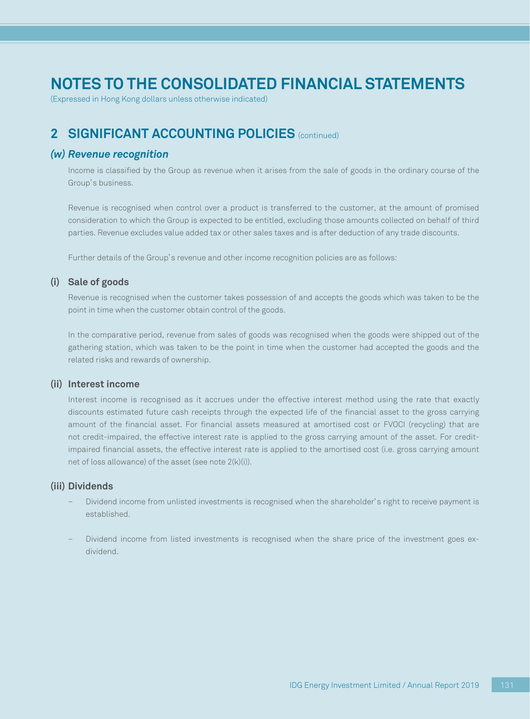(Expressed in Hong Kong dollars unless otherwise indicated)

## **2 SIGNIFICANT ACCOUNTING POLICIES** (continued)

### *(w) Revenue recognition*

Income is classified by the Group as revenue when it arises from the sale of goods in the ordinary course of the Group's business.

Revenue is recognised when control over a product is transferred to the customer, at the amount of promised consideration to which the Group is expected to be entitled, excluding those amounts collected on behalf of third parties. Revenue excludes value added tax or other sales taxes and is after deduction of any trade discounts.

Further details of the Group's revenue and other income recognition policies are as follows:

### **(i) Sale of goods**

Revenue is recognised when the customer takes possession of and accepts the goods which was taken to be the point in time when the customer obtain control of the goods.

In the comparative period, revenue from sales of goods was recognised when the goods were shipped out of the gathering station, which was taken to be the point in time when the customer had accepted the goods and the related risks and rewards of ownership.

### **(ii) Interest income**

Interest income is recognised as it accrues under the effective interest method using the rate that exactly discounts estimated future cash receipts through the expected life of the financial asset to the gross carrying amount of the financial asset. For financial assets measured at amortised cost or FVOCI (recycling) that are not credit-impaired, the effective interest rate is applied to the gross carrying amount of the asset. For creditimpaired financial assets, the effective interest rate is applied to the amortised cost (i.e. gross carrying amount net of loss allowance) of the asset (see note 2(k)(i)).

#### **(iii) Dividends**

- Dividend income from unlisted investments is recognised when the shareholder's right to receive payment is established.
- Dividend income from listed investments is recognised when the share price of the investment goes exdividend.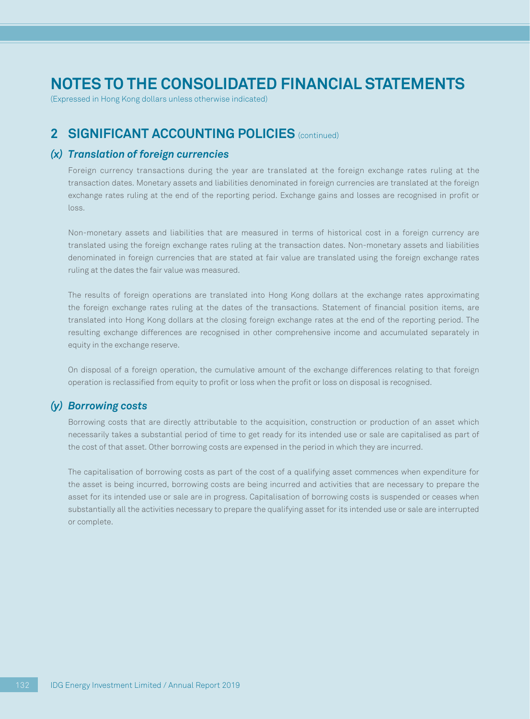(Expressed in Hong Kong dollars unless otherwise indicated)

### **2 SIGNIFICANT ACCOUNTING POLICIES** (continued)

### *(x) Translation of foreign currencies*

Foreign currency transactions during the year are translated at the foreign exchange rates ruling at the transaction dates. Monetary assets and liabilities denominated in foreign currencies are translated at the foreign exchange rates ruling at the end of the reporting period. Exchange gains and losses are recognised in profit or loss.

Non-monetary assets and liabilities that are measured in terms of historical cost in a foreign currency are translated using the foreign exchange rates ruling at the transaction dates. Non-monetary assets and liabilities denominated in foreign currencies that are stated at fair value are translated using the foreign exchange rates ruling at the dates the fair value was measured.

The results of foreign operations are translated into Hong Kong dollars at the exchange rates approximating the foreign exchange rates ruling at the dates of the transactions. Statement of financial position items, are translated into Hong Kong dollars at the closing foreign exchange rates at the end of the reporting period. The resulting exchange differences are recognised in other comprehensive income and accumulated separately in equity in the exchange reserve.

On disposal of a foreign operation, the cumulative amount of the exchange differences relating to that foreign operation is reclassified from equity to profit or loss when the profit or loss on disposal is recognised.

### *(y) Borrowing costs*

Borrowing costs that are directly attributable to the acquisition, construction or production of an asset which necessarily takes a substantial period of time to get ready for its intended use or sale are capitalised as part of the cost of that asset. Other borrowing costs are expensed in the period in which they are incurred.

The capitalisation of borrowing costs as part of the cost of a qualifying asset commences when expenditure for the asset is being incurred, borrowing costs are being incurred and activities that are necessary to prepare the asset for its intended use or sale are in progress. Capitalisation of borrowing costs is suspended or ceases when substantially all the activities necessary to prepare the qualifying asset for its intended use or sale are interrupted or complete.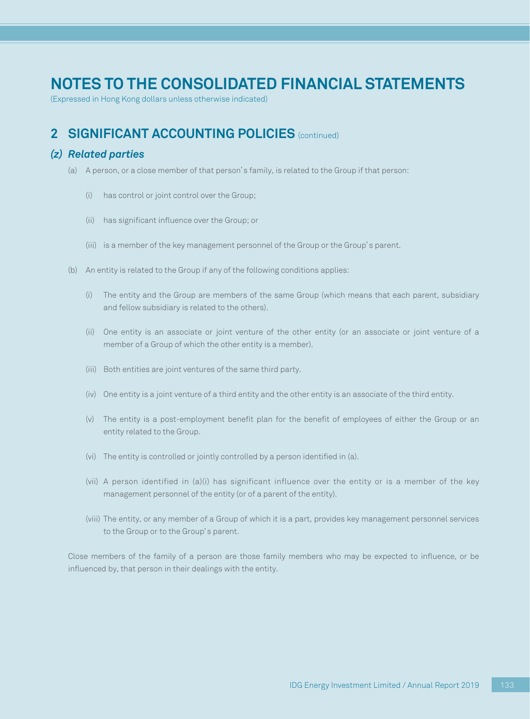(Expressed in Hong Kong dollars unless otherwise indicated)

## **2 SIGNIFICANT ACCOUNTING POLICIES** (continued)

### *(z) Related parties*

- (a) A person, or a close member of that person's family, is related to the Group if that person:
	- (i) has control or joint control over the Group;
	- (ii) has significant influence over the Group; or
	- (iii) is a member of the key management personnel of the Group or the Group's parent.
- (b) An entity is related to the Group if any of the following conditions applies:
	- (i) The entity and the Group are members of the same Group (which means that each parent, subsidiary and fellow subsidiary is related to the others).
	- (ii) One entity is an associate or joint venture of the other entity (or an associate or joint venture of a member of a Group of which the other entity is a member).
	- (iii) Both entities are joint ventures of the same third party.
	- (iv) One entity is a joint venture of a third entity and the other entity is an associate of the third entity.
	- (v) The entity is a post-employment benefit plan for the benefit of employees of either the Group or an entity related to the Group.
	- (vi) The entity is controlled or jointly controlled by a person identified in (a).
	- (vii) A person identified in (a)(i) has significant influence over the entity or is a member of the key management personnel of the entity (or of a parent of the entity).
	- (viii) The entity, or any member of a Group of which it is a part, provides key management personnel services to the Group or to the Group's parent.

Close members of the family of a person are those family members who may be expected to influence, or be influenced by, that person in their dealings with the entity.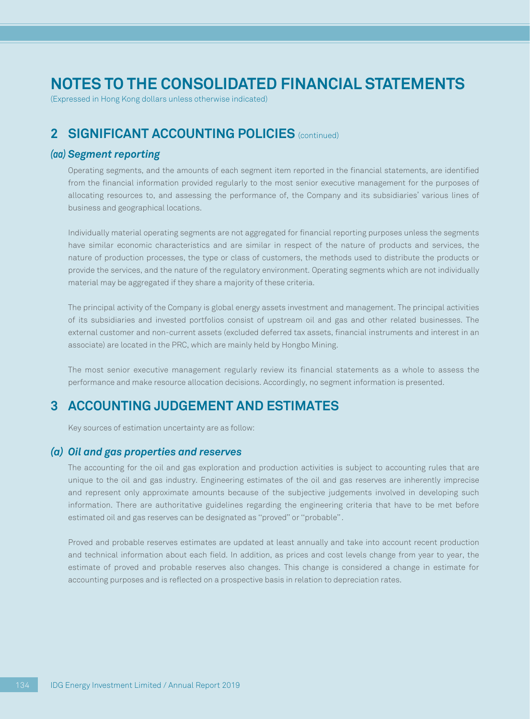(Expressed in Hong Kong dollars unless otherwise indicated)

## **2 SIGNIFICANT ACCOUNTING POLICIES** (continued)

### *(aa) Segment reporting*

Operating segments, and the amounts of each segment item reported in the financial statements, are identified from the financial information provided regularly to the most senior executive management for the purposes of allocating resources to, and assessing the performance of, the Company and its subsidiaries' various lines of business and geographical locations.

Individually material operating segments are not aggregated for financial reporting purposes unless the segments have similar economic characteristics and are similar in respect of the nature of products and services, the nature of production processes, the type or class of customers, the methods used to distribute the products or provide the services, and the nature of the regulatory environment. Operating segments which are not individually material may be aggregated if they share a majority of these criteria.

The principal activity of the Company is global energy assets investment and management. The principal activities of its subsidiaries and invested portfolios consist of upstream oil and gas and other related businesses. The external customer and non-current assets (excluded deferred tax assets, financial instruments and interest in an associate) are located in the PRC, which are mainly held by Hongbo Mining.

The most senior executive management regularly review its financial statements as a whole to assess the performance and make resource allocation decisions. Accordingly, no segment information is presented.

## **3 ACCOUNTING JUDGEMENT AND ESTIMATES**

Key sources of estimation uncertainty are as follow:

### *(a) Oil and gas properties and reserves*

The accounting for the oil and gas exploration and production activities is subject to accounting rules that are unique to the oil and gas industry. Engineering estimates of the oil and gas reserves are inherently imprecise and represent only approximate amounts because of the subjective judgements involved in developing such information. There are authoritative guidelines regarding the engineering criteria that have to be met before estimated oil and gas reserves can be designated as ''proved'' or ''probable''.

Proved and probable reserves estimates are updated at least annually and take into account recent production and technical information about each field. In addition, as prices and cost levels change from year to year, the estimate of proved and probable reserves also changes. This change is considered a change in estimate for accounting purposes and is reflected on a prospective basis in relation to depreciation rates.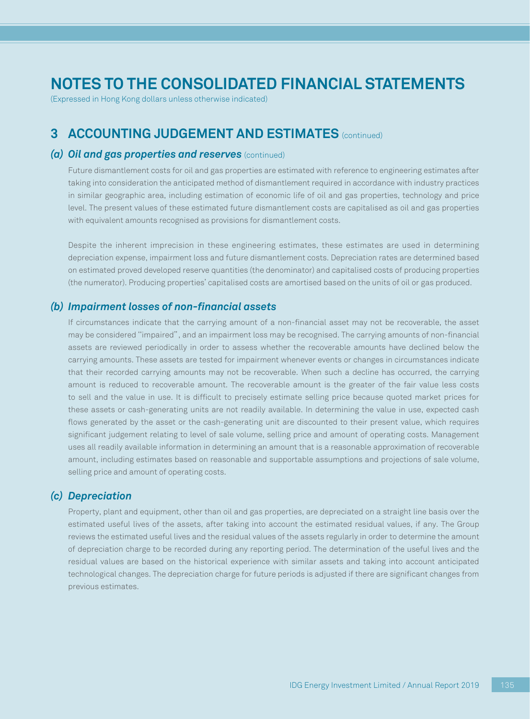(Expressed in Hong Kong dollars unless otherwise indicated)

### **3 ACCOUNTING JUDGEMENT AND ESTIMATES** (continued)

### *(a) Oil and gas properties and reserves* (continued)

Future dismantlement costs for oil and gas properties are estimated with reference to engineering estimates after taking into consideration the anticipated method of dismantlement required in accordance with industry practices in similar geographic area, including estimation of economic life of oil and gas properties, technology and price level. The present values of these estimated future dismantlement costs are capitalised as oil and gas properties with equivalent amounts recognised as provisions for dismantlement costs.

Despite the inherent imprecision in these engineering estimates, these estimates are used in determining depreciation expense, impairment loss and future dismantlement costs. Depreciation rates are determined based on estimated proved developed reserve quantities (the denominator) and capitalised costs of producing properties (the numerator). Producing properties' capitalised costs are amortised based on the units of oil or gas produced.

### *(b) Impairment losses of non-financial assets*

If circumstances indicate that the carrying amount of a non-financial asset may not be recoverable, the asset may be considered ''impaired'', and an impairment loss may be recognised. The carrying amounts of non-financial assets are reviewed periodically in order to assess whether the recoverable amounts have declined below the carrying amounts. These assets are tested for impairment whenever events or changes in circumstances indicate that their recorded carrying amounts may not be recoverable. When such a decline has occurred, the carrying amount is reduced to recoverable amount. The recoverable amount is the greater of the fair value less costs to sell and the value in use. It is difficult to precisely estimate selling price because quoted market prices for these assets or cash-generating units are not readily available. In determining the value in use, expected cash flows generated by the asset or the cash-generating unit are discounted to their present value, which requires significant judgement relating to level of sale volume, selling price and amount of operating costs. Management uses all readily available information in determining an amount that is a reasonable approximation of recoverable amount, including estimates based on reasonable and supportable assumptions and projections of sale volume, selling price and amount of operating costs.

### *(c) Depreciation*

Property, plant and equipment, other than oil and gas properties, are depreciated on a straight line basis over the estimated useful lives of the assets, after taking into account the estimated residual values, if any. The Group reviews the estimated useful lives and the residual values of the assets regularly in order to determine the amount of depreciation charge to be recorded during any reporting period. The determination of the useful lives and the residual values are based on the historical experience with similar assets and taking into account anticipated technological changes. The depreciation charge for future periods is adjusted if there are significant changes from previous estimates.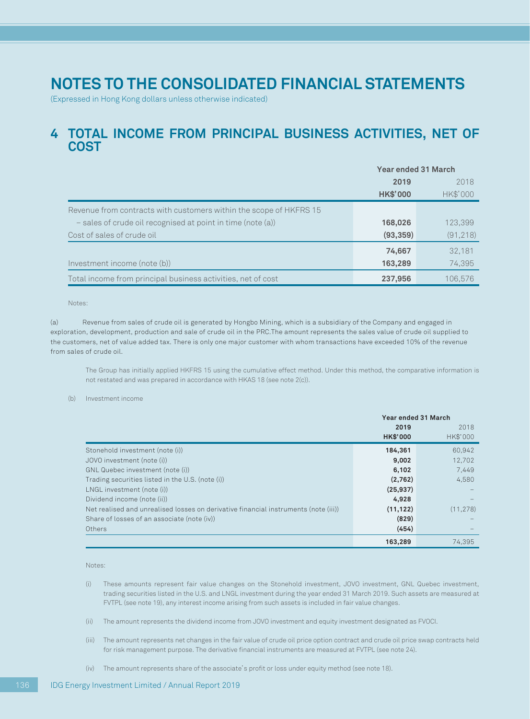(Expressed in Hong Kong dollars unless otherwise indicated)

### **4 TOTAL INCOME FROM PRINCIPAL BUSINESS ACTIVITIES, NET OF COST**

|                                                                    | <b>Year ended 31 March</b> |           |  |
|--------------------------------------------------------------------|----------------------------|-----------|--|
|                                                                    | 2019                       | 2018      |  |
|                                                                    | <b>HK\$'000</b>            | HK\$'000  |  |
| Revenue from contracts with customers within the scope of HKFRS 15 |                            |           |  |
| $-$ sales of crude oil recognised at point in time (note (a))      | 168,026                    | 123,399   |  |
| Cost of sales of crude oil                                         | (93, 359)                  | (91, 218) |  |
|                                                                    | 74,667                     | 32.181    |  |
| Investment income (note (b))                                       | 163,289                    | 74,395    |  |
| Total income from principal business activities, net of cost       | 237,956                    | 106.576   |  |

Notes:

(a) Revenue from sales of crude oil is generated by Hongbo Mining, which is a subsidiary of the Company and engaged in exploration, development, production and sale of crude oil in the PRC.The amount represents the sales value of crude oil supplied to the customers, net of value added tax. There is only one major customer with whom transactions have exceeded 10% of the revenue from sales of crude oil.

The Group has initially applied HKFRS 15 using the cumulative effect method. Under this method, the comparative information is not restated and was prepared in accordance with HKAS 18 (see note 2(c)).

(b) Investment income

|                                                                                     | Year ended 31 March     |                  |  |
|-------------------------------------------------------------------------------------|-------------------------|------------------|--|
|                                                                                     | 2019<br><b>HK\$'000</b> | 2018<br>HK\$'000 |  |
|                                                                                     |                         |                  |  |
| Stonehold investment (note (i))                                                     | 184.361                 | 60.942           |  |
| JOVO investment (note (i))                                                          | 9,002                   | 12,702           |  |
| GNL Quebec investment (note (i))                                                    | 6,102                   | 7,449            |  |
| Trading securities listed in the U.S. (note (i))                                    | (2,762)                 | 4,580            |  |
| LNGL investment (note (i))                                                          | (25, 937)               |                  |  |
| Dividend income (note (ii))                                                         | 4,928                   |                  |  |
| Net realised and unrealised losses on derivative financial instruments (note (iii)) | (11, 122)               | (11, 278)        |  |
| Share of losses of an associate (note (iv))                                         | (829)                   |                  |  |
| Others                                                                              | (454)                   |                  |  |
|                                                                                     | 163.289                 | 74.395           |  |

Notes:

- (i) These amounts represent fair value changes on the Stonehold investment, JOVO investment, GNL Quebec investment, trading securities listed in the U.S. and LNGL investment during the year ended 31 March 2019. Such assets are measured at FVTPL (see note 19), any interest income arising from such assets is included in fair value changes.
- (ii) The amount represents the dividend income from JOVO investment and equity investment designated as FVOCI.
- (iii) The amount represents net changes in the fair value of crude oil price option contract and crude oil price swap contracts held for risk management purpose. The derivative financial instruments are measured at FVTPL (see note 24).
- (iv) The amount represents share of the associate's profit or loss under equity method (see note 18).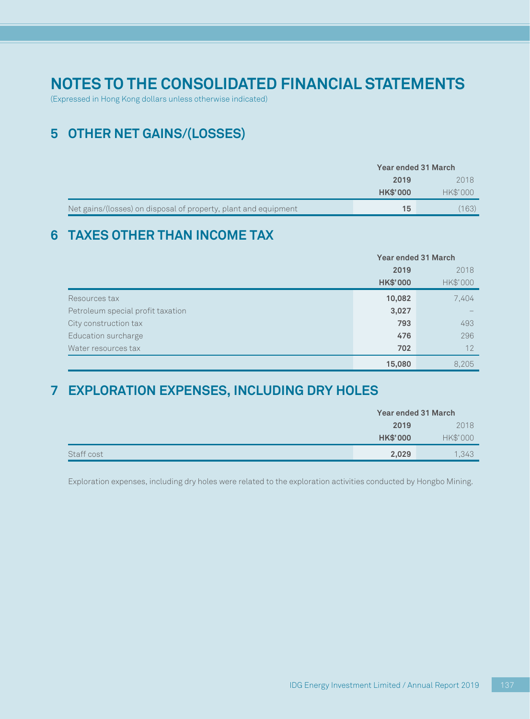(Expressed in Hong Kong dollars unless otherwise indicated)

## **5 OTHER NET GAINS/(LOSSES)**

|                                                                 | <b>Year ended 31 March</b> |          |  |
|-----------------------------------------------------------------|----------------------------|----------|--|
|                                                                 | 2019                       | 2018     |  |
|                                                                 | <b>HK\$'000</b>            | HK\$'000 |  |
| Net gains/(losses) on disposal of property, plant and equipment | 15                         | (163)    |  |

## **6 TAXES OTHER THAN INCOME TAX**

|                                   |                 | <b>Year ended 31 March</b> |  |
|-----------------------------------|-----------------|----------------------------|--|
|                                   | 2019            | 2018                       |  |
|                                   | <b>HK\$'000</b> | HK\$'000                   |  |
| Resources tax                     | 10,082          | 7,404                      |  |
| Petroleum special profit taxation | 3,027           |                            |  |
| City construction tax             | 793             | 493                        |  |
| Education surcharge               | 476             | 296                        |  |
| Water resources tax               | 702             | 12                         |  |
|                                   | 15,080          | 8.205                      |  |

## **7 EXPLORATION EXPENSES, INCLUDING DRY HOLES**

|            | Year ended 31 March |          |
|------------|---------------------|----------|
|            | 2019                | 2018     |
|            | <b>HK\$'000</b>     | HK\$'000 |
| Staff cost | 2,029               | 1,343    |

Exploration expenses, including dry holes were related to the exploration activities conducted by Hongbo Mining.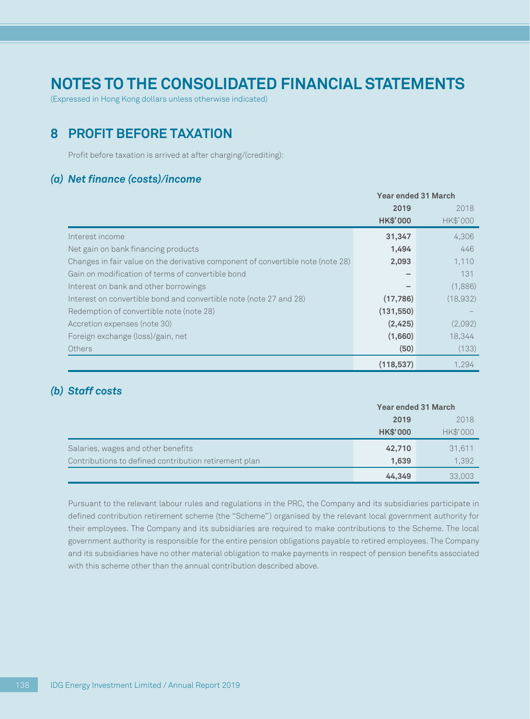(Expressed in Hong Kong dollars unless otherwise indicated)

## **8 PROFIT BEFORE TAXATION**

Profit before taxation is arrived at after charging/(crediting):

### *(a) Net finance (costs)/income*

|                                                                                 | Year ended 31 March |          |
|---------------------------------------------------------------------------------|---------------------|----------|
|                                                                                 | 2019                | 2018     |
|                                                                                 | <b>HK\$'000</b>     | HK\$'000 |
| Interest income                                                                 | 31,347              | 4,306    |
| Net gain on bank financing products                                             | 1,494               | 446      |
| Changes in fair value on the derivative component of convertible note (note 28) | 2,093               | 1,110    |
| Gain on modification of terms of convertible bond                               |                     | 131      |
| Interest on bank and other borrowings                                           |                     | (1,886)  |
| Interest on convertible bond and convertible note (note 27 and 28)              | (17, 786)           | (18,932) |
| Redemption of convertible note (note 28)                                        | (131, 550)          |          |
| Accretion expenses (note 30)                                                    | (2,425)             | (2,092)  |
| Foreign exchange (loss)/gain, net                                               | (1,660)             | 18,344   |
| Others                                                                          | (50)                | (133)    |
|                                                                                 | (118, 537)          | 1.294    |

### *(b) Staff costs*

|                                                       | <b>Year ended 31 March</b> |          |  |
|-------------------------------------------------------|----------------------------|----------|--|
|                                                       | 2019                       | 2018     |  |
|                                                       | <b>HK\$'000</b>            | HK\$'000 |  |
| Salaries, wages and other benefits                    | 42,710                     | 31,611   |  |
| Contributions to defined contribution retirement plan | 1,639                      | 1,392    |  |
|                                                       | 44.349                     | 33,003   |  |

Pursuant to the relevant labour rules and regulations in the PRC, the Company and its subsidiaries participate in defined contribution retirement scheme (the ''Scheme'') organised by the relevant local government authority for their employees. The Company and its subsidiaries are required to make contributions to the Scheme. The local government authority is responsible for the entire pension obligations payable to retired employees. The Company and its subsidiaries have no other material obligation to make payments in respect of pension benefits associated with this scheme other than the annual contribution described above.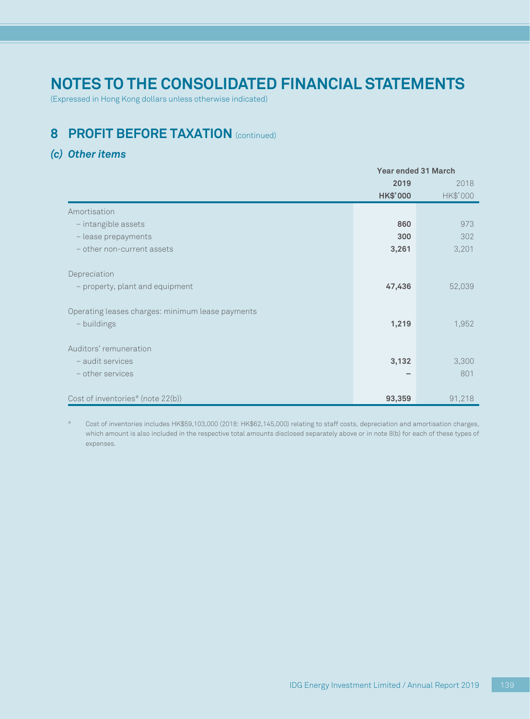(Expressed in Hong Kong dollars unless otherwise indicated)

## **8 PROFIT BEFORE TAXATION** (continued)

### *(c) Other items*

|                                                  | Year ended 31 March |          |
|--------------------------------------------------|---------------------|----------|
|                                                  | 2019<br>2018        |          |
|                                                  | <b>HK\$'000</b>     | HK\$'000 |
| Amortisation                                     |                     |          |
| - intangible assets                              | 860                 | 973      |
| - lease prepayments                              | 300                 | 302      |
| - other non-current assets                       | 3,261               | 3,201    |
|                                                  |                     |          |
| Depreciation                                     |                     |          |
| - property, plant and equipment                  | 47,436              | 52,039   |
|                                                  |                     |          |
| Operating leases charges: minimum lease payments |                     |          |
| - buildings                                      | 1,219               | 1,952    |
|                                                  |                     |          |
| Auditors' remuneration                           |                     |          |
| - audit services                                 | 3,132               | 3,300    |
| - other services                                 |                     | 801      |
|                                                  |                     |          |
| Cost of inventories <sup>#</sup> (note 22(b))    | 93,359              | 91,218   |

# Cost of inventories includes HK\$59,103,000 (2018: HK\$62,145,000) relating to staff costs, depreciation and amortisation charges, which amount is also included in the respective total amounts disclosed separately above or in note 8(b) for each of these types of expenses.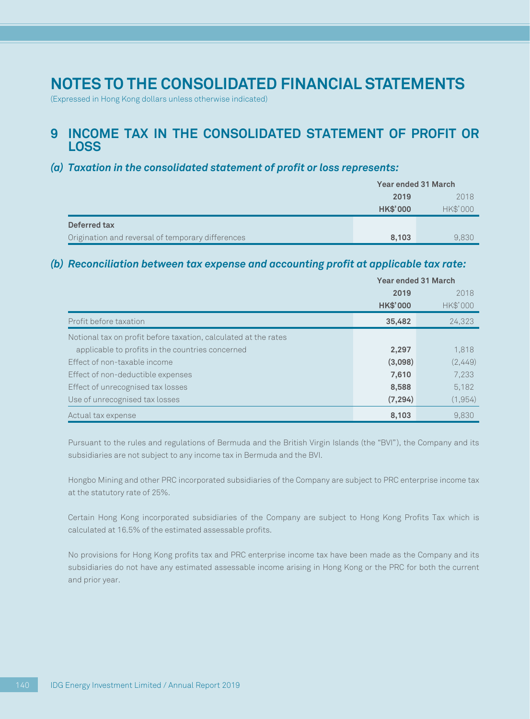(Expressed in Hong Kong dollars unless otherwise indicated)

### **9 INCOME TAX IN THE CONSOLIDATED STATEMENT OF PROFIT OR LOSS**

### *(a) Taxation in the consolidated statement of profit or loss represents:*

|                                                   | <b>Year ended 31 March</b> |          |
|---------------------------------------------------|----------------------------|----------|
|                                                   | 2019                       | 2018     |
|                                                   | <b>HK\$'000</b>            | HK\$'000 |
| Deferred tax                                      |                            |          |
| Origination and reversal of temporary differences | 8,103                      | 9.830    |

### *(b) Reconciliation between tax expense and accounting profit at applicable tax rate:*

|                                                                 | Year ended 31 March |          |
|-----------------------------------------------------------------|---------------------|----------|
|                                                                 | 2019                | 2018     |
|                                                                 | <b>HK\$'000</b>     | HK\$'000 |
| Profit before taxation                                          | 35,482              | 24,323   |
| Notional tax on profit before taxation, calculated at the rates |                     |          |
| applicable to profits in the countries concerned                | 2,297               | 1,818    |
| Effect of non-taxable income                                    | (3,098)             | (2,449)  |
| Effect of non-deductible expenses                               | 7,610               | 7,233    |
| Effect of unrecognised tax losses                               | 8,588               | 5.182    |
| Use of unrecognised tax losses                                  | (7, 294)            | (1,954)  |
| Actual tax expense                                              | 8,103               | 9.830    |

Pursuant to the rules and regulations of Bermuda and the British Virgin Islands (the "BVI"), the Company and its subsidiaries are not subject to any income tax in Bermuda and the BVI.

Hongbo Mining and other PRC incorporated subsidiaries of the Company are subject to PRC enterprise income tax at the statutory rate of 25%.

Certain Hong Kong incorporated subsidiaries of the Company are subject to Hong Kong Profits Tax which is calculated at 16.5% of the estimated assessable profits.

No provisions for Hong Kong profits tax and PRC enterprise income tax have been made as the Company and its subsidiaries do not have any estimated assessable income arising in Hong Kong or the PRC for both the current and prior year.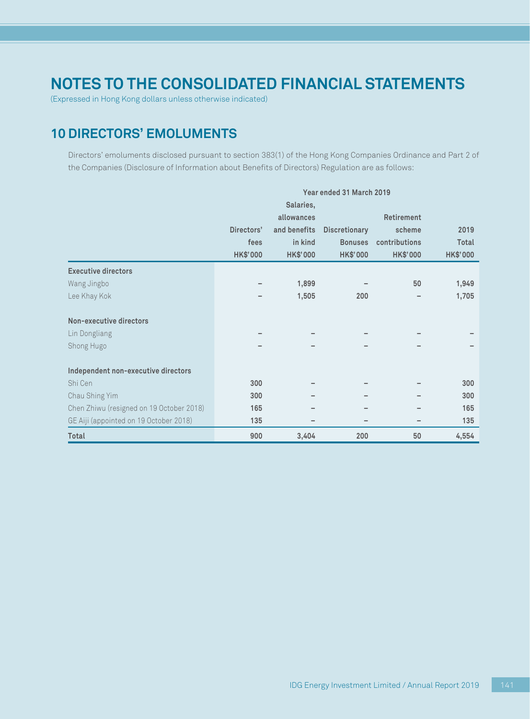(Expressed in Hong Kong dollars unless otherwise indicated)

## **10 DIRECTORS' EMOLUMENTS**

Directors' emoluments disclosed pursuant to section 383(1) of the Hong Kong Companies Ordinance and Part 2 of the Companies (Disclosure of Information about Benefits of Directors) Regulation are as follows:

|                                          | Year ended 31 March 2019 |                 |                      |                 |                 |
|------------------------------------------|--------------------------|-----------------|----------------------|-----------------|-----------------|
|                                          |                          | Salaries,       |                      |                 |                 |
|                                          |                          | allowances      |                      | Retirement      |                 |
|                                          | Directors'               | and benefits    | <b>Discretionary</b> | scheme          | 2019            |
|                                          | fees                     | in kind         | <b>Bonuses</b>       | contributions   | Total           |
|                                          | <b>HK\$'000</b>          | <b>HK\$'000</b> | <b>HK\$'000</b>      | <b>HK\$'000</b> | <b>HK\$'000</b> |
| <b>Executive directors</b>               |                          |                 |                      |                 |                 |
| Wang Jingbo                              |                          | 1,899           |                      | 50              | 1,949           |
| Lee Khay Kok                             |                          | 1,505           | 200                  |                 | 1,705           |
|                                          |                          |                 |                      |                 |                 |
| Non-executive directors                  |                          |                 |                      |                 |                 |
| Lin Dongliang                            |                          |                 |                      |                 |                 |
| Shong Hugo                               |                          |                 |                      |                 |                 |
|                                          |                          |                 |                      |                 |                 |
| Independent non-executive directors      |                          |                 |                      |                 |                 |
| Shi Cen                                  | 300                      |                 |                      |                 | 300             |
| Chau Shing Yim                           | 300                      |                 |                      |                 | 300             |
| Chen Zhiwu (resigned on 19 October 2018) | 165                      |                 |                      |                 | 165             |
| GE Aiji (appointed on 19 October 2018)   | 135                      |                 |                      |                 | 135             |
| Total                                    | 900                      | 3,404           | 200                  | 50              | 4,554           |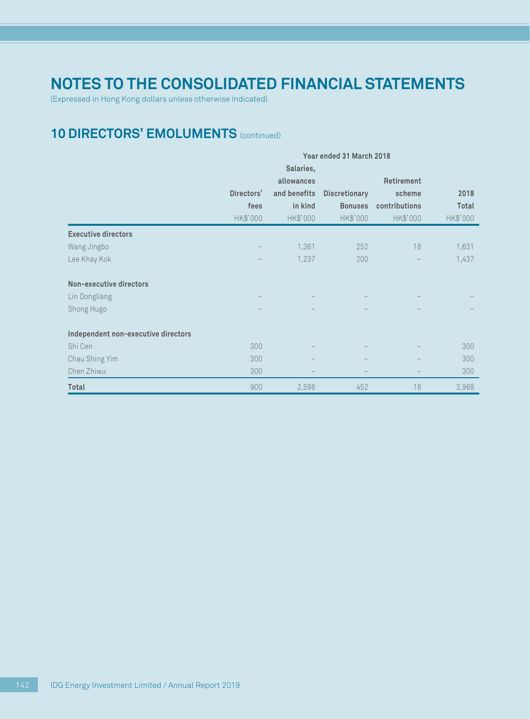(Expressed in Hong Kong dollars unless otherwise indicated)

## **10 DIRECTORS' EMOLUMENTS** (continued)

|                                     | Year ended 31 March 2018 |              |                      |               |          |
|-------------------------------------|--------------------------|--------------|----------------------|---------------|----------|
|                                     |                          | Salaries,    |                      |               |          |
|                                     |                          | allowances   |                      | Retirement    |          |
|                                     | Directors'               | and benefits | <b>Discretionary</b> | scheme        | 2018     |
|                                     | fees                     | in kind      | <b>Bonuses</b>       | contributions | Total    |
|                                     | HK\$'000                 | HK\$'000     | HK\$'000             | HK\$'000      | HK\$'000 |
| <b>Executive directors</b>          |                          |              |                      |               |          |
| Wang Jingbo                         |                          | 1,361        | 252                  | 18            | 1,631    |
| Lee Khay Kok                        |                          | 1,237        | 200                  |               | 1,437    |
| Non-executive directors             |                          |              |                      |               |          |
| Lin Dongliang                       |                          |              |                      |               |          |
| Shong Hugo                          |                          |              |                      |               |          |
| Independent non-executive directors |                          |              |                      |               |          |
| Shi Cen                             | 300                      |              |                      |               | 300      |
| Chau Shing Yim                      | 300                      |              |                      |               | 300      |
| Chen Zhiwu                          | 300                      |              |                      |               | 300      |
| Total                               | 900                      | 2,598        | 452                  | 18            | 3,968    |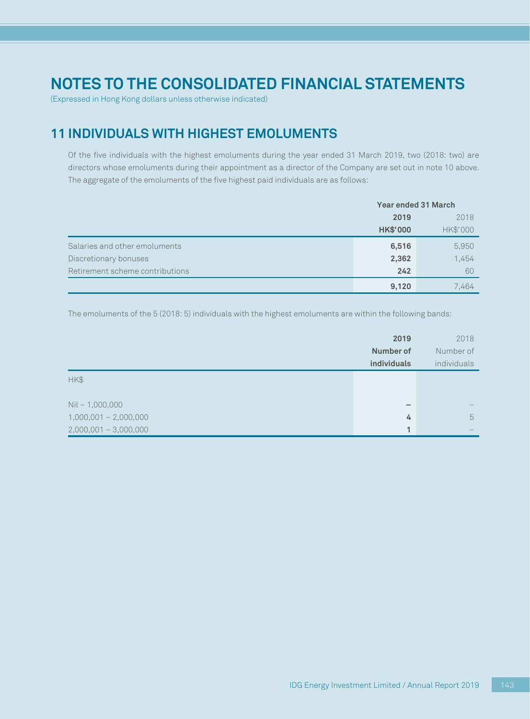(Expressed in Hong Kong dollars unless otherwise indicated)

## **11 INDIVIDUALS WITH HIGHEST EMOLUMENTS**

Of the five individuals with the highest emoluments during the year ended 31 March 2019, two (2018: two) are directors whose emoluments during their appointment as a director of the Company are set out in note 10 above. The aggregate of the emoluments of the five highest paid individuals are as follows:

|                                 | Year ended 31 March |          |
|---------------------------------|---------------------|----------|
|                                 | 2019<br>2018        |          |
|                                 | <b>HK\$'000</b>     | HK\$'000 |
| Salaries and other emoluments   | 6,516               | 5,950    |
| Discretionary bonuses           | 2,362               | 1,454    |
| Retirement scheme contributions | 242                 | 60       |
|                                 | 9,120               | 7,464    |

The emoluments of the 5 (2018: 5) individuals with the highest emoluments are within the following bands:

|                         | 2019         | 2018        |
|-------------------------|--------------|-------------|
|                         | Number of    | Number of   |
|                         | individuals  | individuals |
| HK\$                    |              |             |
|                         |              |             |
| $Nil - 1,000,000$       | -            |             |
| $1,000,001 - 2,000,000$ | 4            | 5           |
| $2,000,001 - 3,000,000$ | $\mathbf{1}$ |             |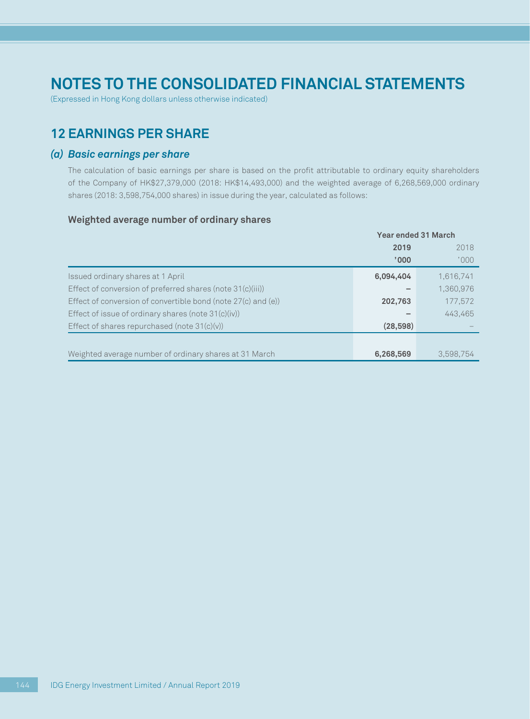(Expressed in Hong Kong dollars unless otherwise indicated)

## **12 EARNINGS PER SHARE**

### *(a) Basic earnings per share*

The calculation of basic earnings per share is based on the profit attributable to ordinary equity shareholders of the Company of HK\$27,379,000 (2018: HK\$14,493,000) and the weighted average of 6,268,569,000 ordinary shares (2018: 3,598,754,000 shares) in issue during the year, calculated as follows:

#### **Weighted average number of ordinary shares**

|                                                               | <b>Year ended 31 March</b> |           |  |
|---------------------------------------------------------------|----------------------------|-----------|--|
|                                                               | 2019                       | 2018      |  |
|                                                               | '000'                      | '000      |  |
| Issued ordinary shares at 1 April                             | 6,094,404                  | 1,616,741 |  |
| Effect of conversion of preferred shares (note 31(c)(iii))    |                            | 1,360,976 |  |
| Effect of conversion of convertible bond (note 27(c) and (e)) | 202,763                    | 177,572   |  |
| Effect of issue of ordinary shares (note $31(c)(iv)$ )        |                            | 443.465   |  |
| Effect of shares repurchased (note $31(c)(v)$ )               | (28, 598)                  |           |  |
|                                                               |                            |           |  |
| Weighted average number of ordinary shares at 31 March        | 6,268,569                  | 3.598.754 |  |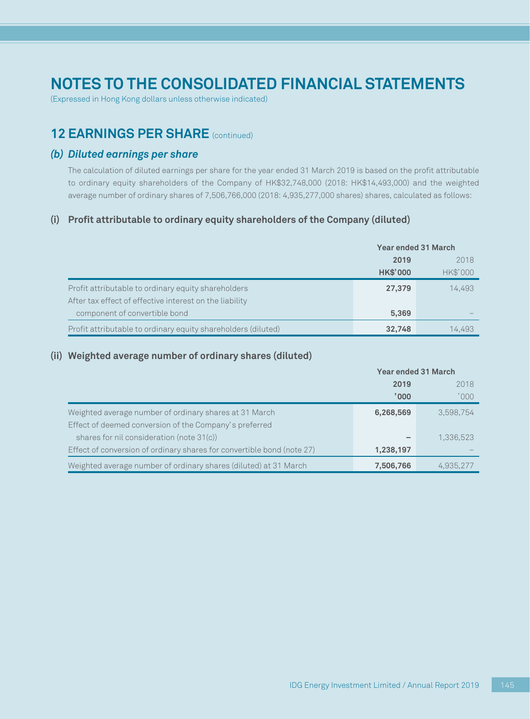(Expressed in Hong Kong dollars unless otherwise indicated)

## **12 EARNINGS PER SHARE** (continued)

#### *(b) Diluted earnings per share*

The calculation of diluted earnings per share for the year ended 31 March 2019 is based on the profit attributable to ordinary equity shareholders of the Company of HK\$32,748,000 (2018: HK\$14,493,000) and the weighted average number of ordinary shares of 7,506,766,000 (2018: 4,935,277,000 shares) shares, calculated as follows:

#### **(i) Profit attributable to ordinary equity shareholders of the Company (diluted)**

|                                                               | <b>Year ended 31 March</b> |          |  |
|---------------------------------------------------------------|----------------------------|----------|--|
|                                                               | 2019                       | 2018     |  |
|                                                               | <b>HK\$'000</b>            | HK\$'000 |  |
| Profit attributable to ordinary equity shareholders           | 27,379                     | 14.493   |  |
| After tax effect of effective interest on the liability       |                            |          |  |
| component of convertible bond                                 | 5,369                      |          |  |
| Profit attributable to ordinary equity shareholders (diluted) | 32,748                     | 14,493   |  |

#### **(ii) Weighted average number of ordinary shares (diluted)**

|                                                                        | <b>Year ended 31 March</b> |           |  |
|------------------------------------------------------------------------|----------------------------|-----------|--|
|                                                                        | 2019                       | 2018      |  |
|                                                                        | '000'                      | '000      |  |
| Weighted average number of ordinary shares at 31 March                 | 6,268,569                  | 3,598,754 |  |
| Effect of deemed conversion of the Company's preferred                 |                            |           |  |
| shares for nil consideration (note 31(c))                              |                            | 1,336,523 |  |
| Effect of conversion of ordinary shares for convertible bond (note 27) | 1,238,197                  |           |  |
| Weighted average number of ordinary shares (diluted) at 31 March       | 7,506,766                  | 4,935,277 |  |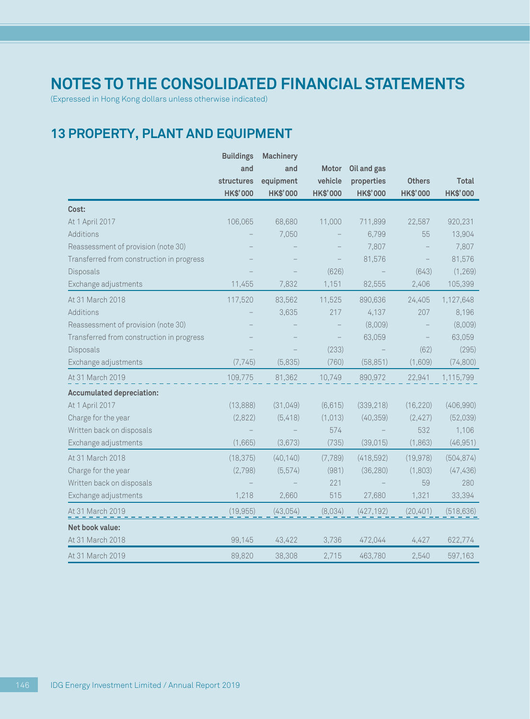(Expressed in Hong Kong dollars unless otherwise indicated)

## **13 PROPERTY, PLANT AND EQUIPMENT**

|                                           | <b>Buildings</b> | <b>Machinery</b> |          |             |                 |              |
|-------------------------------------------|------------------|------------------|----------|-------------|-----------------|--------------|
|                                           | and              | and              | Motor    | Oil and gas |                 |              |
|                                           | structures       | equipment        | vehicle  | properties  | <b>Others</b>   | <b>Total</b> |
|                                           | <b>HK\$'000</b>  | <b>HK\$'000</b>  | HK\$'000 | HK\$'000    | <b>HK\$'000</b> | HK\$'000     |
| Cost:                                     |                  |                  |          |             |                 |              |
| At 1 April 2017                           | 106,065          | 68,680           | 11,000   | 711,899     | 22,587          | 920,231      |
| Additions                                 |                  | 7,050            |          | 6,799       | 55              | 13,904       |
| Reassessment of provision (note 30)       |                  |                  |          | 7,807       |                 | 7,807        |
| Transferred from construction in progress |                  |                  |          | 81,576      |                 | 81,576       |
| Disposals                                 |                  |                  | (626)    |             | (643)           | (1,269)      |
| Exchange adjustments                      | 11,455           | 7,832            | 1,151    | 82,555      | 2,406           | 105,399      |
| At 31 March 2018                          | 117,520          | 83,562           | 11,525   | 890,636     | 24,405          | 1,127,648    |
| Additions                                 |                  | 3,635            | 217      | 4,137       | 207             | 8,196        |
| Reassessment of provision (note 30)       |                  |                  |          | (8,009)     |                 | (8,009)      |
| Transferred from construction in progress |                  |                  |          | 63,059      |                 | 63,059       |
| Disposals                                 |                  |                  | (233)    |             | (62)            | (295)        |
| Exchange adjustments                      | (7, 745)         | (5,835)          | (760)    | (58, 851)   | (1,609)         | (74, 800)    |
| At 31 March 2019                          | 109,775          | 81,362           | 10,749   | 890,972     | 22,941          | 1,115,799    |
| <b>Accumulated depreciation:</b>          |                  |                  |          |             |                 |              |
| At 1 April 2017                           | (13,888)         | (31,049)         | (6, 615) | (339, 218)  | (16, 220)       | (406,990)    |
| Charge for the year                       | (2,822)          | (5,418)          | (1,013)  | (40, 359)   | (2,427)         | (52,039)     |
| Written back on disposals                 |                  |                  | 574      |             | 532             | 1,106        |
| Exchange adjustments                      | (1,665)          | (3,673)          | (735)    | (39,015)    | (1,863)         | (46, 951)    |
| At 31 March 2018                          | (18, 375)        | (40, 140)        | (7,789)  | (418, 592)  | (19,978)        | (504, 874)   |
| Charge for the year                       | (2,798)          | (5, 574)         | (981)    | (36, 280)   | (1,803)         | (47, 436)    |
| Written back on disposals                 |                  |                  | 221      |             | 59              | 280          |
| Exchange adjustments                      | 1,218            | 2,660            | 515      | 27,680      | 1,321           | 33,394       |
| At 31 March 2019                          | (19, 955)        | (43, 054)        | (8,034)  | (427, 192)  | (20, 401)       | (518, 636)   |
| Net book value:                           |                  |                  |          |             |                 |              |
| At 31 March 2018                          | 99,145           | 43,422           | 3,736    | 472,044     | 4,427           | 622,774      |
| At 31 March 2019                          | 89.820           | 38.308           | 2.715    | 463,780     | 2.540           | 597,163      |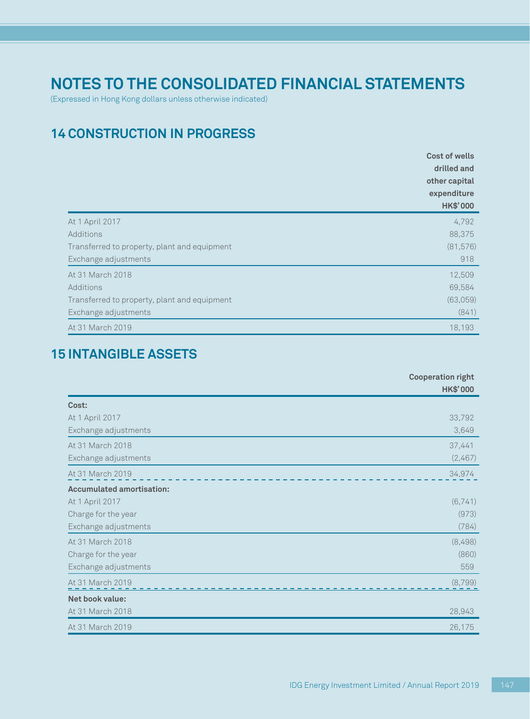(Expressed in Hong Kong dollars unless otherwise indicated)

## **14 CONSTRUCTION IN PROGRESS**

|                                              | Cost of wells<br>drilled and<br>other capital<br>expenditure<br><b>HK\$'000</b> |
|----------------------------------------------|---------------------------------------------------------------------------------|
| At 1 April 2017                              | 4,792                                                                           |
| Additions                                    | 88,375                                                                          |
| Transferred to property, plant and equipment | (81,576)                                                                        |
| Exchange adjustments                         | 918                                                                             |
| At 31 March 2018                             | 12,509                                                                          |
| Additions                                    | 69,584                                                                          |
| Transferred to property, plant and equipment | (63,059)                                                                        |
| Exchange adjustments                         | (841)                                                                           |
| At 31 March 2019                             | 18,193                                                                          |

## **15 INTANGIBLE ASSETS**

|                                  | <b>Cooperation right</b><br><b>HK\$'000</b> |
|----------------------------------|---------------------------------------------|
| Cost:                            |                                             |
| At 1 April 2017                  | 33,792                                      |
| Exchange adjustments             | 3,649                                       |
| At 31 March 2018                 | 37,441                                      |
| Exchange adjustments             | (2,467)                                     |
| At 31 March 2019                 | 34,974                                      |
| <b>Accumulated amortisation:</b> |                                             |
| At 1 April 2017                  | (6,741)                                     |
| Charge for the year              | (973)                                       |
| Exchange adjustments             | (784)                                       |
| At 31 March 2018                 | (8,498)                                     |
| Charge for the year              | (860)                                       |
| Exchange adjustments             | 559                                         |
| At 31 March 2019                 | (8,799)                                     |
| Net book value:                  |                                             |
| At 31 March 2018                 | 28,943                                      |
| At 31 March 2019                 | 26,175                                      |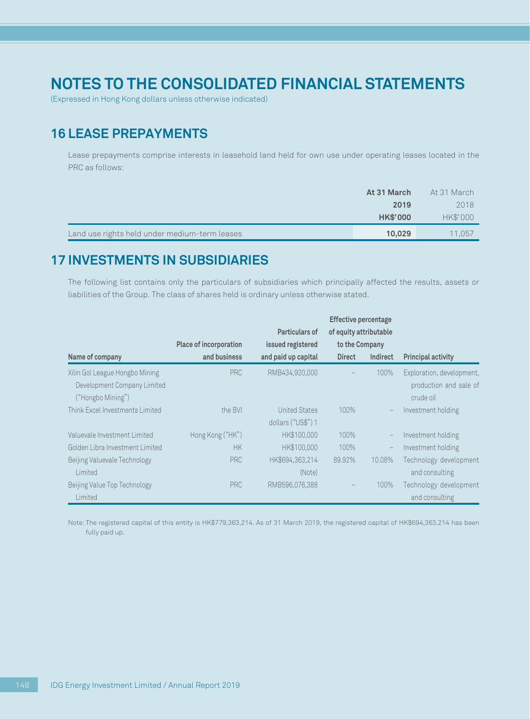(Expressed in Hong Kong dollars unless otherwise indicated)

## **16 LEASE PREPAYMENTS**

Lease prepayments comprise interests in leasehold land held for own use under operating leases located in the PRC as follows:

|                                               | At 31 March     | At 31 March |
|-----------------------------------------------|-----------------|-------------|
|                                               | 2019            | 2018        |
|                                               | <b>HK\$'000</b> | HK\$'000    |
| Land use rights held under medium-term leases | 10,029          | 11.057      |

## **17 INVESTMENTS IN SUBSIDIARIES**

The following list contains only the particulars of subsidiaries which principally affected the results, assets or liabilities of the Group. The class of shares held is ordinary unless otherwise stated.

|                                                  |                        |                       | <b>Effective percentage</b> |          |                                     |
|--------------------------------------------------|------------------------|-----------------------|-----------------------------|----------|-------------------------------------|
|                                                  |                        | <b>Particulars of</b> | of equity attributable      |          |                                     |
|                                                  | Place of incorporation | issued registered     | to the Company              |          |                                     |
| Name of company                                  | and business           | and paid up capital   | <b>Direct</b>               | Indirect | <b>Principal activity</b>           |
| Xilin Gol League Hongbo Mining                   | <b>PRC</b>             | RMB434,920,000        |                             | 100%     | Exploration, development,           |
| Development Company Limited<br>("Hongbo Mining") |                        |                       |                             |          | production and sale of<br>crude oil |
| Think Excel Investments Limited                  | the BVI                | <b>United States</b>  | 100%                        |          | Investment holding                  |
|                                                  |                        | dollars ("US\$") 1    |                             |          |                                     |
| Valuevale Investment Limited                     | Hong Kong ("HK")       | HK\$100,000           | 100%                        |          | Investment holding                  |
| Golden Libra Investment Limited                  | <b>HK</b>              | HK\$100,000           | 100%                        |          | Investment holding                  |
| Beijing Valuevale Technology                     | <b>PRC</b>             | HK\$694.363.214       | 89.92%                      | 10.08%   | Technology development              |
| Limited                                          |                        | (Note)                |                             |          | and consulting                      |
| Beijing Value Top Technology                     | <b>PRC</b>             | RMB596,076,388        |                             | 100%     | Technology development              |
| Limited                                          |                        |                       |                             |          | and consulting                      |

Note: The registered capital of this entity is HK\$779,363,214. As of 31 March 2019, the registered capital of HK\$694,363,214 has been fully paid up.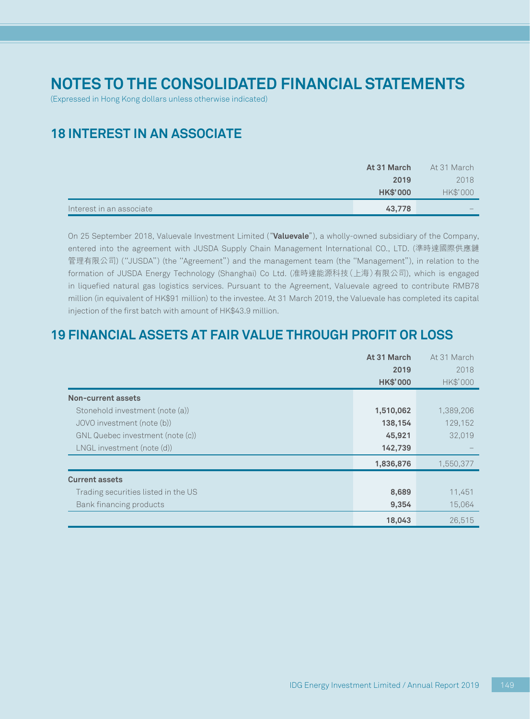(Expressed in Hong Kong dollars unless otherwise indicated)

## **18 INTEREST IN AN ASSOCIATE**

|                          | At 31 March     | At 31 March              |
|--------------------------|-----------------|--------------------------|
|                          | 2019            | 2018                     |
|                          | <b>HK\$'000</b> | HK\$'000                 |
| Interest in an associate | 43,778          | $\overline{\phantom{a}}$ |

On 25 September 2018, Valuevale Investment Limited ("**Valuevale**"), a wholly-owned subsidiary of the Company, entered into the agreement with JUSDA Supply Chain Management International CO., LTD. (準時達國際供應鏈 管理有限公司) (''JUSDA'') (the ''Agreement'') and the management team (the ''Management''), in relation to the formation of JUSDA Energy Technology (Shanghai) Co Ltd. (准時達能源科技(上海)有限公司), which is engaged in liquefied natural gas logistics services. Pursuant to the Agreement, Valuevale agreed to contribute RMB78 million (in equivalent of HK\$91 million) to the investee. At 31 March 2019, the Valuevale has completed its capital injection of the first batch with amount of HK\$43.9 million.

## **19 FINANCIAL ASSETS AT FAIR VALUE THROUGH PROFIT OR LOSS**

|                                     | At 31 March     | At 31 March |
|-------------------------------------|-----------------|-------------|
|                                     | 2019            | 2018        |
|                                     | <b>HK\$'000</b> | HK\$'000    |
| Non-current assets                  |                 |             |
| Stonehold investment (note (a))     | 1,510,062       | 1,389,206   |
| JOVO investment (note (b))          | 138,154         | 129,152     |
| GNL Quebec investment (note (c))    | 45,921          | 32,019      |
| LNGL investment (note (d))          | 142,739         |             |
|                                     | 1,836,876       | 1,550,377   |
| <b>Current assets</b>               |                 |             |
| Trading securities listed in the US | 8,689           | 11,451      |
| Bank financing products             | 9,354           | 15,064      |
|                                     | 18,043          | 26,515      |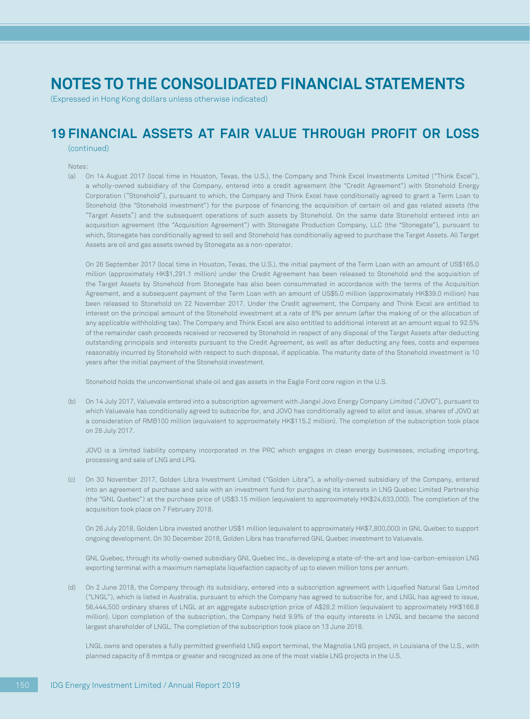(Expressed in Hong Kong dollars unless otherwise indicated)

## **19 FINANCIAL ASSETS AT FAIR VALUE THROUGH PROFIT OR LOSS**

(continued)

#### Notes:

(a) On 14 August 2017 (local time in Houston, Texas, the U.S.), the Company and Think Excel Investments Limited ("Think Excel"), a wholly-owned subsidiary of the Company, entered into a credit agreement (the "Credit Agreement") with Stonehold Energy Corporation ("Stonehold"), pursuant to which, the Company and Think Excel have conditionally agreed to grant a Term Loan to Stonehold (the "Stonehold investment") for the purpose of financing the acquisition of certain oil and gas related assets (the "Target Assets") and the subsequent operations of such assets by Stonehold. On the same date Stonehold entered into an acquisition agreement (the "Acquisition Agreement") with Stonegate Production Company, LLC (the "Stonegate"), pursuant to which, Stonegate has conditionally agreed to sell and Stonehold has conditionally agreed to purchase the Target Assets. All Target Assets are oil and gas assets owned by Stonegate as a non-operator.

On 26 September 2017 (local time in Houston, Texas, the U.S.), the initial payment of the Term Loan with an amount of US\$165.0 million (approximately HK\$1,291.1 million) under the Credit Agreement has been released to Stonehold and the acquisition of the Target Assets by Stonehold from Stonegate has also been consummated in accordance with the terms of the Acquisition Agreement, and a subsequent payment of the Term Loan with an amount of US\$5.0 million (approximately HK\$39.0 million) has been released to Stonehold on 22 November 2017. Under the Credit agreement, the Company and Think Excel are entitled to interest on the principal amount of the Stonehold investment at a rate of 8% per annum (after the making of or the allocation of any applicable withholding tax). The Company and Think Excel are also entitled to additional interest at an amount equal to 92.5% of the remainder cash proceeds received or recovered by Stonehold in respect of any disposal of the Target Assets after deducting outstanding principals and interests pursuant to the Credit Agreement, as well as after deducting any fees, costs and expenses reasonably incurred by Stonehold with respect to such disposal, if applicable. The maturity date of the Stonehold investment is 10 years after the initial payment of the Stonehold investment.

Stonehold holds the unconventional shale oil and gas assets in the Eagle Ford core region in the U.S.

(b) On 14 July 2017, Valuevale entered into a subscription agreement with Jiangxi Jovo Energy Company Limited ("JOVO"), pursuant to which Valuevale has conditionally agreed to subscribe for, and JOVO has conditionally agreed to allot and issue, shares of JOVO at a consideration of RMB100 million (equivalent to approximately HK\$115.2 million). The completion of the subscription took place on 28 July 2017.

JOVO is a limited liability company incorporated in the PRC which engages in clean energy businesses, including importing, processing and sale of LNG and LPG.

(c) On 30 November 2017, Golden Libra Investment Limited ("Golden Libra"), a wholly-owned subsidiary of the Company, entered into an agreement of purchase and sale with an investment fund for purchasing its interests in LNG Quebec Limited Partnership (the "GNL Quebec") at the purchase price of US\$3.15 million (equivalent to approximately HK\$24,633,000). The completion of the acquisition took place on 7 February 2018.

On 26 July 2018, Golden Libra invested another US\$1 million (equivalent to approximately HK\$7,800,000) in GNL Quebec to support ongoing development. On 30 December 2018, Golden Libra has transferred GNL Quebec investment to Valuevale.

GNL Quebec, through its wholly-owned subsidiary GNL Quebec Inc., is developing a state-of-the-art and low-carbon-emission LNG exporting terminal with a maximum nameplate liquefaction capacity of up to eleven million tons per annum.

(d) On 2 June 2018, the Company through its subsidiary, entered into a subscription agreement with Liquefied Natural Gas Limited ("LNGL"), which is listed in Australia, pursuant to which the Company has agreed to subscribe for, and LNGL has agreed to issue, 56,444,500 ordinary shares of LNGL at an aggregate subscription price of A\$28.2 million (equivalent to approximately HK\$166.8 million). Upon completion of the subscription, the Company held 9.9% of the equity interests in LNGL and became the second largest shareholder of LNGL. The completion of the subscription took place on 13 June 2018.

LNGL owns and operates a fully permitted greenfield LNG export terminal, the Magnolia LNG project, in Louisiana of the U.S., with planned capacity of 8 mmtpa or greater and recognized as one of the most viable LNG projects in the U.S.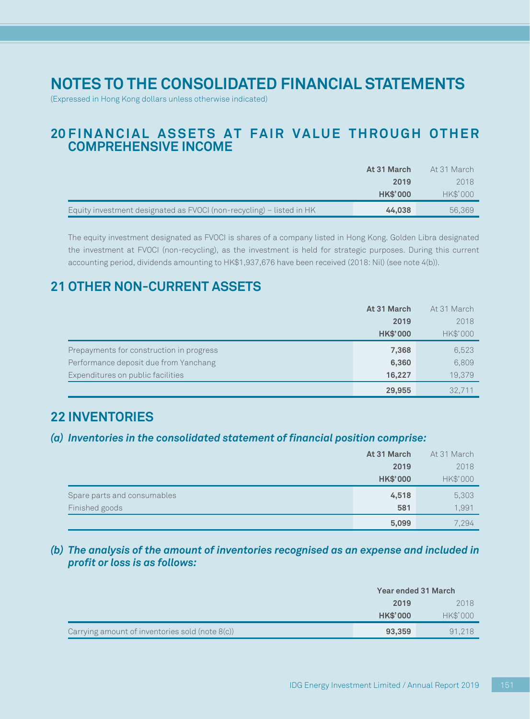(Expressed in Hong Kong dollars unless otherwise indicated)

## **20 FINANCIAL ASSETS AT FAIR VALUE THROUGH OTHER COMPREHENSIVE INCOME**

|                                                                      | At 31 March     | At 31 March |
|----------------------------------------------------------------------|-----------------|-------------|
|                                                                      | 2019            | 2018        |
|                                                                      | <b>HK\$'000</b> | HK\$'000    |
| Equity investment designated as FVOCI (non-recycling) – listed in HK | 44,038          | 56.369      |

The equity investment designated as FVOCI is shares of a company listed in Hong Kong. Golden Libra designated the investment at FVOCI (non-recycling), as the investment is held for strategic purposes. During this current accounting period, dividends amounting to HK\$1,937,676 have been received (2018: Nil) (see note 4(b)).

## **21 OTHER NON-CURRENT ASSETS**

|                                          | At 31 March     | At 31 March |
|------------------------------------------|-----------------|-------------|
|                                          | 2019            | 2018        |
|                                          | <b>HK\$'000</b> | HK\$'000    |
| Prepayments for construction in progress | 7,368           | 6,523       |
| Performance deposit due from Yanchang    | 6,360           | 6,809       |
| Expenditures on public facilities        | 16,227          | 19,379      |
|                                          | 29,955          | 32.711      |

## **22 INVENTORIES**

### *(a) Inventories in the consolidated statement of financial position comprise:*

|                             | At 31 March     | At 31 March |
|-----------------------------|-----------------|-------------|
|                             | 2019            | 2018        |
|                             | <b>HK\$'000</b> | HK\$'000    |
| Spare parts and consumables | 4,518           | 5,303       |
| Finished goods              | 581             | 1,991       |
|                             | 5,099           | 7,294       |

### *(b) The analysis of the amount of inventories recognised as an expense and included in profit or loss is as follows:*

|                                                    | <b>Year ended 31 March</b> |          |
|----------------------------------------------------|----------------------------|----------|
|                                                    | 2019                       | 2018     |
|                                                    | <b>HK\$'000</b>            | HK\$'000 |
| Carrying amount of inventories sold (note $8(c)$ ) | 93,359                     | 91.218   |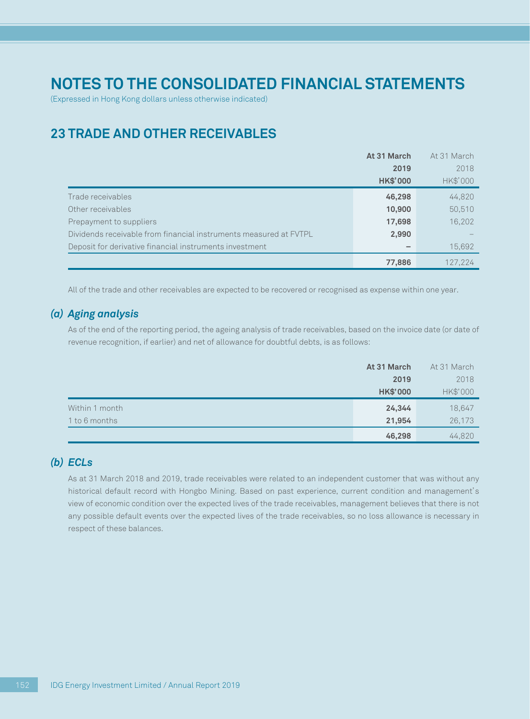(Expressed in Hong Kong dollars unless otherwise indicated)

## **23 TRADE AND OTHER RECEIVABLES**

|                                                                   | At 31 March     | At 31 March |
|-------------------------------------------------------------------|-----------------|-------------|
|                                                                   | 2019            | 2018        |
|                                                                   | <b>HK\$'000</b> | HK\$'000    |
| Trade receivables                                                 | 46,298          | 44,820      |
| Other receivables                                                 | 10,900          | 50,510      |
| Prepayment to suppliers                                           | 17,698          | 16,202      |
| Dividends receivable from financial instruments measured at FVTPL | 2,990           |             |
| Deposit for derivative financial instruments investment           |                 | 15,692      |
|                                                                   | 77,886          | 127.224     |

All of the trade and other receivables are expected to be recovered or recognised as expense within one year.

### *(a) Aging analysis*

As of the end of the reporting period, the ageing analysis of trade receivables, based on the invoice date (or date of revenue recognition, if earlier) and net of allowance for doubtful debts, is as follows:

|                | At 31 March     | At 31 March |
|----------------|-----------------|-------------|
|                | 2019            | 2018        |
|                | <b>HK\$'000</b> | HK\$'000    |
| Within 1 month | 24,344          | 18,647      |
| 1 to 6 months  | 21,954          | 26,173      |
|                | 46,298          | 44,820      |

### *(b) ECLs*

As at 31 March 2018 and 2019, trade receivables were related to an independent customer that was without any historical default record with Hongbo Mining. Based on past experience, current condition and management's view of economic condition over the expected lives of the trade receivables, management believes that there is not any possible default events over the expected lives of the trade receivables, so no loss allowance is necessary in respect of these balances.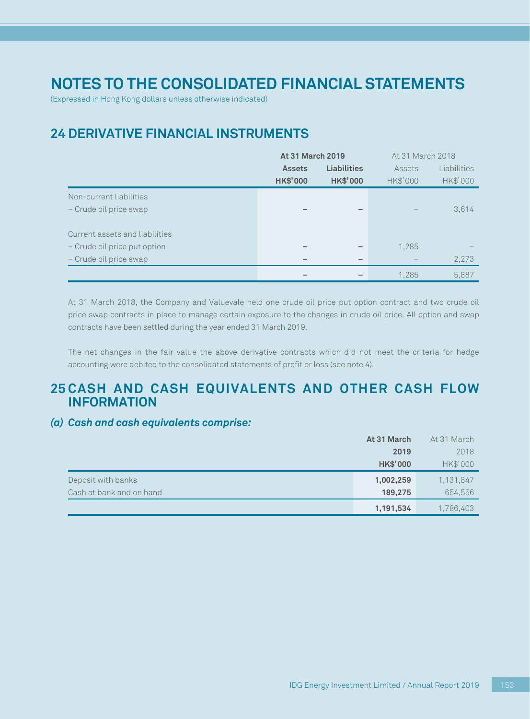(Expressed in Hong Kong dollars unless otherwise indicated)

## **24 DERIVATIVE FINANCIAL INSTRUMENTS**

|                                | <b>At 31 March 2019</b> |                    | At 31 March 2018 |             |
|--------------------------------|-------------------------|--------------------|------------------|-------------|
|                                | <b>Assets</b>           | <b>Liabilities</b> | Assets           | Liabilities |
|                                | <b>HK\$'000</b>         | <b>HK\$'000</b>    | HK\$'000         | HK\$'000    |
| Non-current liabilities        |                         |                    |                  |             |
| - Crude oil price swap         |                         |                    |                  | 3,614       |
|                                |                         |                    |                  |             |
| Current assets and liabilities |                         |                    |                  |             |
| - Crude oil price put option   |                         |                    | 1,285            |             |
| - Crude oil price swap         |                         | $\sim$             |                  | 2,273       |
|                                |                         |                    | 1,285            | 5,887       |

At 31 March 2018, the Company and Valuevale held one crude oil price put option contract and two crude oil price swap contracts in place to manage certain exposure to the changes in crude oil price. All option and swap contracts have been settled during the year ended 31 March 2019.

The net changes in the fair value the above derivative contracts which did not meet the criteria for hedge accounting were debited to the consolidated statements of profit or loss (see note 4).

## **25 CASH AND CASH EQUIVALENTS AND OTHER CASH FLOW INFORMATION**

### *(a) Cash and cash equivalents comprise:*

|                          | At 31 March     | At 31 March |
|--------------------------|-----------------|-------------|
|                          | 2019            | 2018        |
|                          | <b>HK\$'000</b> | HK\$'000    |
| Deposit with banks       | 1,002,259       | 1,131,847   |
| Cash at bank and on hand | 189,275         | 654,556     |
|                          | 1,191,534       | 1,786,403   |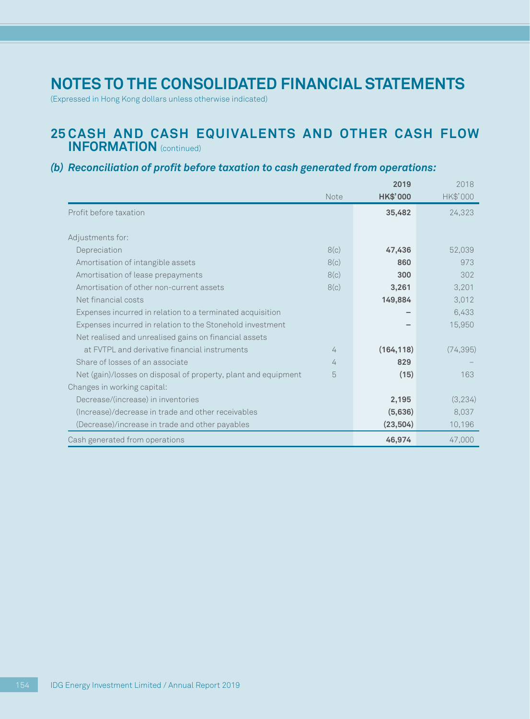(Expressed in Hong Kong dollars unless otherwise indicated)

## **25 CASH AND CASH EQUIVALENTS AND OTHER CASH FLOW INFORMATION** (continued)

### *(b) Reconciliation of profit before taxation to cash generated from operations:*

|                                                                |      | 2019            | 2018      |
|----------------------------------------------------------------|------|-----------------|-----------|
|                                                                | Note | <b>HK\$'000</b> | HK\$'000  |
| Profit before taxation                                         |      | 35,482          | 24,323    |
|                                                                |      |                 |           |
| Adjustments for:                                               |      |                 |           |
| Depreciation                                                   | 8(c) | 47,436          | 52,039    |
| Amortisation of intangible assets                              | 8(c) | 860             | 973       |
| Amortisation of lease prepayments                              | 8(c) | 300             | 302       |
| Amortisation of other non-current assets                       | 8(c) | 3,261           | 3,201     |
| Net financial costs                                            |      | 149,884         | 3,012     |
| Expenses incurred in relation to a terminated acquisition      |      |                 | 6,433     |
| Expenses incurred in relation to the Stonehold investment      |      |                 | 15,950    |
| Net realised and unrealised gains on financial assets          |      |                 |           |
| at FVTPL and derivative financial instruments                  | 4    | (164, 118)      | (74, 395) |
| Share of losses of an associate                                | 4    | 829             |           |
| Net (gain)/losses on disposal of property, plant and equipment | 5    | (15)            | 163       |
| Changes in working capital:                                    |      |                 |           |
| Decrease/(increase) in inventories                             |      | 2,195           | (3,234)   |
| (Increase)/decrease in trade and other receivables             |      | (5,636)         | 8,037     |
| (Decrease)/increase in trade and other payables                |      | (23, 504)       | 10,196    |
| Cash generated from operations                                 |      | 46,974          | 47,000    |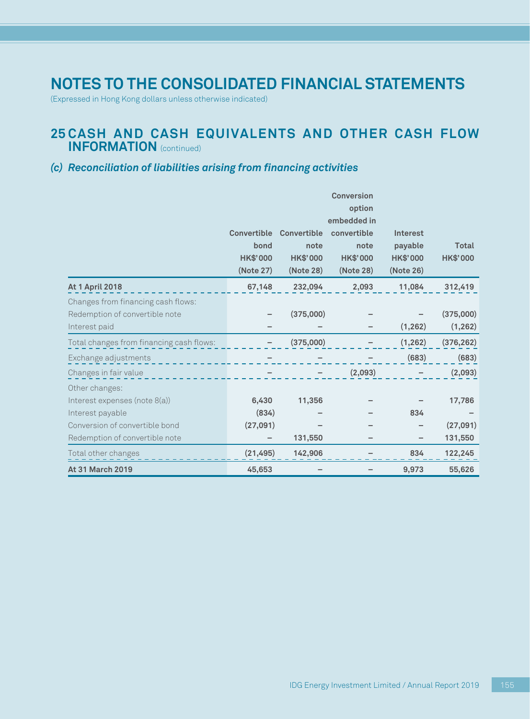(Expressed in Hong Kong dollars unless otherwise indicated)

## **25 CASH AND CASH EQUIVALENTS AND OTHER CASH FLOW INFORMATION** (continued)

### *(c) Reconciliation of liabilities arising from financing activities*

|                                          |                    |                 | <b>Conversion</b>     |                 |                 |
|------------------------------------------|--------------------|-----------------|-----------------------|-----------------|-----------------|
|                                          |                    |                 | option<br>embedded in |                 |                 |
|                                          | <b>Convertible</b> | Convertible     | convertible           | Interest        |                 |
|                                          | bond               | note            | note                  | payable         | <b>Total</b>    |
|                                          | <b>HK\$'000</b>    | <b>HK\$'000</b> | <b>HK\$'000</b>       | <b>HK\$'000</b> | <b>HK\$'000</b> |
|                                          | (Note 27)          | (Note 28)       | (Note 28)             | (Note 26)       |                 |
| <b>At 1 April 2018</b>                   | 67,148             | 232,094         | 2,093                 | 11,084          | 312,419         |
| Changes from financing cash flows:       |                    |                 |                       |                 |                 |
| Redemption of convertible note           |                    | (375,000)       |                       |                 | (375,000)       |
| Interest paid                            |                    |                 |                       | (1, 262)        | (1, 262)        |
| Total changes from financing cash flows: |                    | (375,000)       |                       | (1, 262)        | (376, 262)      |
| Exchange adjustments                     |                    |                 |                       | (683)           | (683)           |
| Changes in fair value                    |                    |                 | (2,093)               |                 | (2,093)         |
| Other changes:                           |                    |                 |                       |                 |                 |
| Interest expenses (note 8(a))            | 6,430              | 11,356          |                       |                 | 17,786          |
| Interest payable                         | (834)              |                 |                       | 834             |                 |
| Conversion of convertible bond           | (27,091)           |                 |                       |                 | (27,091)        |
| Redemption of convertible note           |                    | 131,550         |                       |                 | 131,550         |
| Total other changes                      | (21, 495)          | 142,906         |                       | 834             | 122,245         |
| <b>At 31 March 2019</b>                  | 45,653             |                 |                       | 9,973           | 55,626          |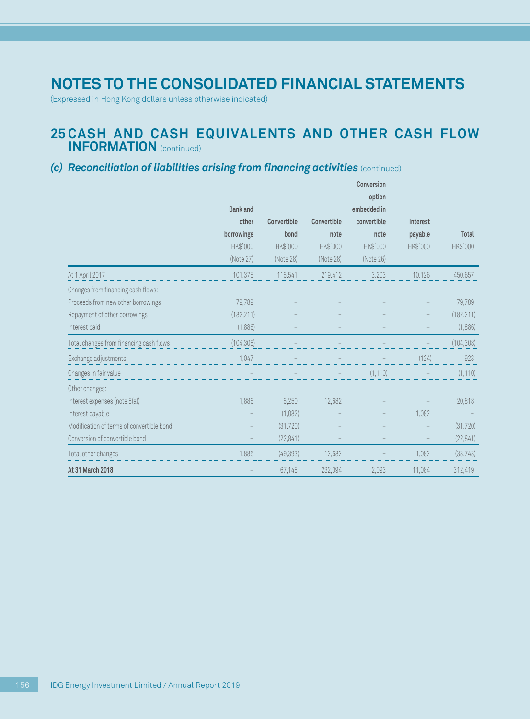(Expressed in Hong Kong dollars unless otherwise indicated)

## **25 CASH AND CASH EQUIVALENTS AND OTHER CASH FLOW INFORMATION** (continued)

### *(c) Reconciliation of liabilities arising from financing activities* (continued)

|                                           |                 |             |             | Conversion  |          |              |
|-------------------------------------------|-----------------|-------------|-------------|-------------|----------|--------------|
|                                           |                 |             |             | option      |          |              |
|                                           | <b>Bank</b> and |             |             | embedded in |          |              |
|                                           | other           | Convertible | Convertible | convertible | Interest |              |
|                                           | borrowings      | bond        | note        | note        | payable  | <b>Total</b> |
|                                           | HK\$'000        | HK\$'000    | HK\$'000    | HK\$'000    | HK\$'000 | HK\$'000     |
|                                           | (Note 27)       | (Note 28)   | (Note 28)   | (Note 26)   |          |              |
| At 1 April 2017                           | 101,375         | 116,541     | 219,412     | 3,203       | 10,126   | 450,657      |
| Changes from financing cash flows:        |                 |             |             |             |          |              |
| Proceeds from new other borrowings        | 79,789          |             |             |             |          | 79,789       |
| Repayment of other borrowings             | (182, 211)      |             |             |             |          | (182, 211)   |
| Interest paid                             | (1,886)         |             |             |             |          | (1,886)      |
| Total changes from financing cash flows   | (104, 308)      |             |             |             |          | (104, 308)   |
| Exchange adjustments                      | 1,047           |             |             |             | (124)    | 923          |
| Changes in fair value                     |                 |             |             | (1, 110)    |          | (1, 110)     |
| Other changes:                            |                 |             |             |             |          |              |
| Interest expenses (note 8(a))             | 1,886           | 6,250       | 12,682      |             |          | 20,818       |
| Interest payable                          |                 | (1,082)     |             |             | 1,082    |              |
| Modification of terms of convertible bond |                 | (31, 720)   |             |             |          | (31, 720)    |
| Conversion of convertible bond            |                 | (22, 841)   |             |             |          | (22, 841)    |
| Total other changes                       | 1.886           | (49, 393)   | 12.682      |             | 1.082    | (33, 743)    |
| At 31 March 2018                          |                 | 67,148      | 232,094     | 2,093       | 11,084   | 312,419      |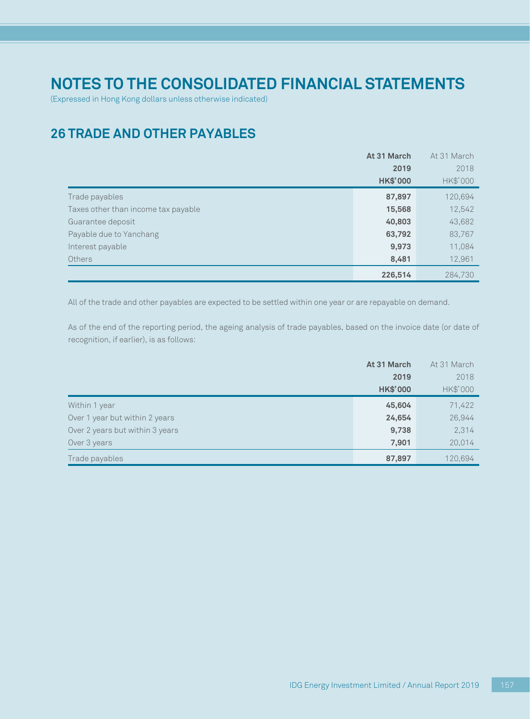(Expressed in Hong Kong dollars unless otherwise indicated)

## **26 TRADE AND OTHER PAYABLES**

|                                     | At 31 March     | At 31 March |
|-------------------------------------|-----------------|-------------|
|                                     | 2019            | 2018        |
|                                     | <b>HK\$'000</b> | HK\$'000    |
| Trade payables                      | 87,897          | 120,694     |
| Taxes other than income tax payable | 15,568          | 12,542      |
| Guarantee deposit                   | 40,803          | 43,682      |
| Payable due to Yanchang             | 63,792          | 83,767      |
| Interest payable                    | 9,973           | 11,084      |
| <b>Others</b>                       | 8,481           | 12,961      |
|                                     | 226,514         | 284,730     |

All of the trade and other payables are expected to be settled within one year or are repayable on demand.

As of the end of the reporting period, the ageing analysis of trade payables, based on the invoice date (or date of recognition, if earlier), is as follows:

|                                 | At 31 March     | At 31 March |
|---------------------------------|-----------------|-------------|
|                                 | 2019            | 2018        |
|                                 | <b>HK\$'000</b> | HK\$'000    |
| Within 1 year                   | 45,604          | 71,422      |
| Over 1 year but within 2 years  | 24,654          | 26,944      |
| Over 2 years but within 3 years | 9,738           | 2,314       |
| Over 3 years                    | 7,901           | 20,014      |
| Trade payables                  | 87,897          | 120,694     |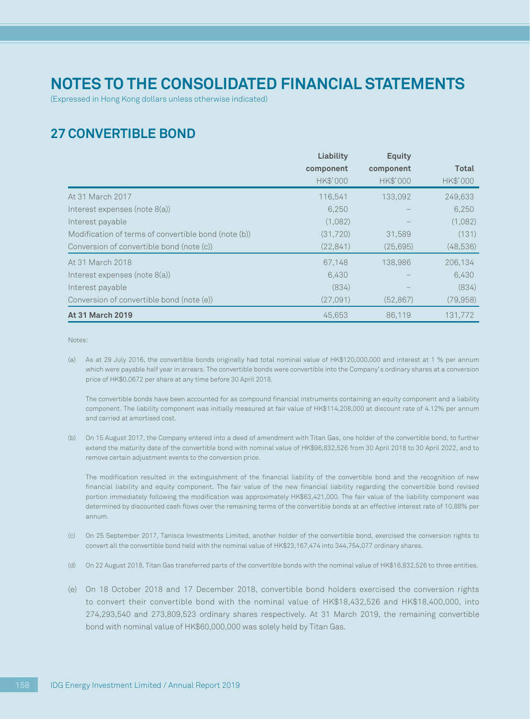(Expressed in Hong Kong dollars unless otherwise indicated)

## **27 CONVERTIBLE BOND**

|                                                      | Liability | <b>Equity</b> |           |
|------------------------------------------------------|-----------|---------------|-----------|
|                                                      | component | component     | Total     |
|                                                      | HK\$'000  | HK\$'000      | HK\$'000  |
| At 31 March 2017                                     | 116.541   | 133,092       | 249,633   |
| Interest expenses (note 8(a))                        | 6,250     |               | 6,250     |
| Interest payable                                     | (1,082)   |               | (1,082)   |
| Modification of terms of convertible bond (note (b)) | (31,720)  | 31.589        | (131)     |
| Conversion of convertible bond (note (c))            | (22, 841) | (25, 695)     | (48,536)  |
| At 31 March 2018                                     | 67.148    | 138,986       | 206,134   |
| Interest expenses (note 8(a))                        | 6,430     |               | 6,430     |
| Interest payable                                     | (834)     |               | (834)     |
| Conversion of convertible bond (note (e))            | (27,091)  | (52, 867)     | (79, 958) |
| <b>At 31 March 2019</b>                              | 45,653    | 86,119        | 131,772   |

Notes:

(a) As at 29 July 2016, the convertible bonds originally had total nominal value of HK\$120,000,000 and interest at 1 % per annum which were payable half year in arrears. The convertible bonds were convertible into the Company's ordinary shares at a conversion price of HK\$0.0672 per share at any time before 30 April 2018.

The convertible bonds have been accounted for as compound financial instruments containing an equity component and a liability component. The liability component was initially measured at fair value of HK\$114,208,000 at discount rate of 4.12% per annum and carried at amortised cost.

(b) On 15 August 2017, the Company entered into a deed of amendment with Titan Gas, one holder of the convertible bond, to further extend the maturity date of the convertible bond with nominal value of HK\$96,832,526 from 30 April 2018 to 30 April 2022, and to remove certain adjustment events to the conversion price.

The modification resulted in the extinguishment of the financial liability of the convertible bond and the recognition of new financial liability and equity component. The fair value of the new financial liability regarding the convertible bond revised portion immediately following the modification was approximately HK\$63,421,000. The fair value of the liability component was determined by discounted cash flows over the remaining terms of the convertible bonds at an effective interest rate of 10.88% per annum.

- (c) On 25 September 2017, Tanisca Investments Limited, another holder of the convertible bond, exercised the conversion rights to convert all the convertible bond held with the nominal value of HK\$23,167,474 into 344,754,077 ordinary shares.
- (d) On 22 August 2018, Titan Gas transferred parts of the convertible bonds with the nominal value of HK\$16,832,526 to three entities.
- (e) On 18 October 2018 and 17 December 2018, convertible bond holders exercised the conversion rights to convert their convertible bond with the nominal value of HK\$18,432,526 and HK\$18,400,000, into 274,293,540 and 273,809,523 ordinary shares respectively. At 31 March 2019, the remaining convertible bond with nominal value of HK\$60,000,000 was solely held by Titan Gas.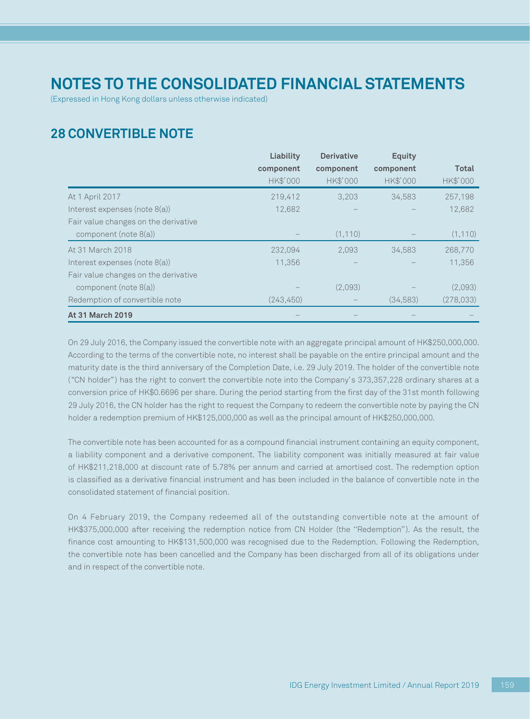(Expressed in Hong Kong dollars unless otherwise indicated)

## **28 CONVERTIBLE NOTE**

|                                      | Liability  | <b>Derivative</b> | <b>Equity</b> |           |
|--------------------------------------|------------|-------------------|---------------|-----------|
|                                      | component  | component         | component     | Total     |
|                                      | HK\$'000   | HK\$'000          | HK\$'000      | HK\$'000  |
| At 1 April 2017                      | 219,412    | 3,203             | 34,583        | 257,198   |
| Interest expenses (note 8(a))        | 12,682     |                   |               | 12,682    |
| Fair value changes on the derivative |            |                   |               |           |
| component (note 8(a))                |            | (1, 110)          |               | (1, 110)  |
| At 31 March 2018                     | 232,094    | 2,093             | 34,583        | 268,770   |
| Interest expenses (note 8(a))        | 11,356     |                   |               | 11,356    |
| Fair value changes on the derivative |            |                   |               |           |
| component (note 8(a))                |            | (2,093)           |               | (2,093)   |
| Redemption of convertible note       | (243, 450) |                   | (34,583)      | (278,033) |
| <b>At 31 March 2019</b>              |            |                   |               |           |

On 29 July 2016, the Company issued the convertible note with an aggregate principal amount of HK\$250,000,000. According to the terms of the convertible note, no interest shall be payable on the entire principal amount and the maturity date is the third anniversary of the Completion Date, i.e. 29 July 2019. The holder of the convertible note ("CN holder") has the right to convert the convertible note into the Company's 373,357,228 ordinary shares at a conversion price of HK\$0.6696 per share. During the period starting from the first day of the 31st month following 29 July 2016, the CN holder has the right to request the Company to redeem the convertible note by paying the CN holder a redemption premium of HK\$125,000,000 as well as the principal amount of HK\$250,000,000.

The convertible note has been accounted for as a compound financial instrument containing an equity component, a liability component and a derivative component. The liability component was initially measured at fair value of HK\$211,218,000 at discount rate of 5.78% per annum and carried at amortised cost. The redemption option is classified as a derivative financial instrument and has been included in the balance of convertible note in the consolidated statement of financial position.

On 4 February 2019, the Company redeemed all of the outstanding convertible note at the amount of HK\$375,000,000 after receiving the redemption notice from CN Holder (the ''Redemption''). As the result, the finance cost amounting to HK\$131,500,000 was recognised due to the Redemption. Following the Redemption, the convertible note has been cancelled and the Company has been discharged from all of its obligations under and in respect of the convertible note.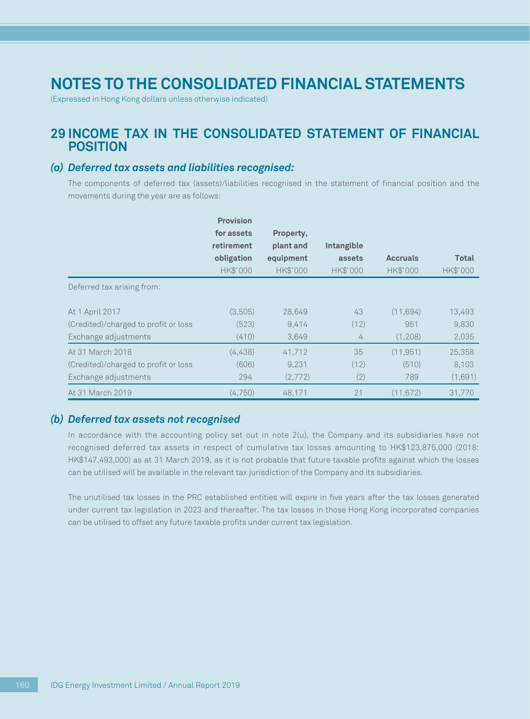(Expressed in Hong Kong dollars unless otherwise indicated)

## **29 INCOME TAX IN THE CONSOLIDATED STATEMENT OF FINANCIAL POSITION**

#### *(a) Deferred tax assets and liabilities recognised:*

The components of deferred tax (assets)/liabilities recognised in the statement of financial position and the movements during the year are as follows:

|                                      | <b>Provision</b> |           |            |                 |              |
|--------------------------------------|------------------|-----------|------------|-----------------|--------------|
|                                      | for assets       | Property, |            |                 |              |
|                                      | retirement       | plant and | Intangible |                 |              |
|                                      | obligation       | equipment | assets     | <b>Accruals</b> | <b>Total</b> |
|                                      | HK\$'000         | HK\$'000  | HK\$'000   | HK\$'000        | HK\$'000     |
| Deferred tax arising from:           |                  |           |            |                 |              |
| At 1 April 2017                      | (3,505)          | 28,649    | 43         | (11.694)        | 13,493       |
| (Credited)/charged to profit or loss | (523)            | 9,414     | (12)       | 951             | 9,830        |
| Exchange adjustments                 | (410)            | 3,649     | 4          | (1,208)         | 2,035        |
| At 31 March 2018                     | (4,438)          | 41,712    | 35         | (11, 951)       | 25,358       |
| (Credited)/charged to profit or loss | (606)            | 9,231     | (12)       | (510)           | 8,103        |
| Exchange adjustments                 | 294              | (2,772)   | (2)        | 789             | (1,691)      |
| At 31 March 2019                     | (4,750)          | 48.171    | 21         | (11, 672)       | 31.770       |

#### *(b) Deferred tax assets not recognised*

In accordance with the accounting policy set out in note 2(u), the Company and its subsidiaries have not recognised deferred tax assets in respect of cumulative tax losses amounting to HK\$123,875,000 (2018: HK\$147,493,000) as at 31 March 2019, as it is not probable that future taxable profits against which the losses can be utilised will be available in the relevant tax jurisdiction of the Company and its subsidiaries.

The unutilised tax losses in the PRC established entities will expire in five years after the tax losses generated under current tax legislation in 2023 and thereafter. The tax losses in those Hong Kong incorporated companies can be utilised to offset any future taxable profits under current tax legislation.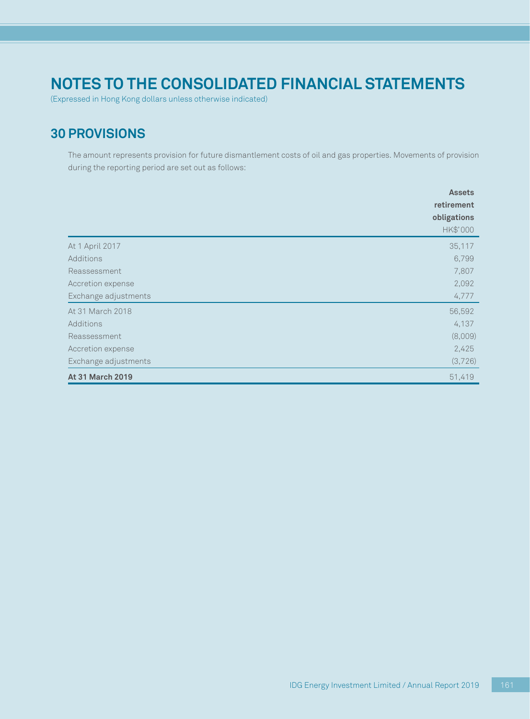(Expressed in Hong Kong dollars unless otherwise indicated)

## **30 PROVISIONS**

The amount represents provision for future dismantlement costs of oil and gas properties. Movements of provision during the reporting period are set out as follows:

|                      | <b>Assets</b> |
|----------------------|---------------|
|                      | retirement    |
|                      | obligations   |
|                      | HK\$'000      |
| At 1 April 2017      | 35,117        |
| Additions            | 6,799         |
| Reassessment         | 7,807         |
| Accretion expense    | 2,092         |
| Exchange adjustments | 4,777         |
| At 31 March 2018     | 56,592        |
| Additions            | 4,137         |
| Reassessment         | (8,009)       |
| Accretion expense    | 2,425         |
| Exchange adjustments | (3,726)       |
| At 31 March 2019     | 51,419        |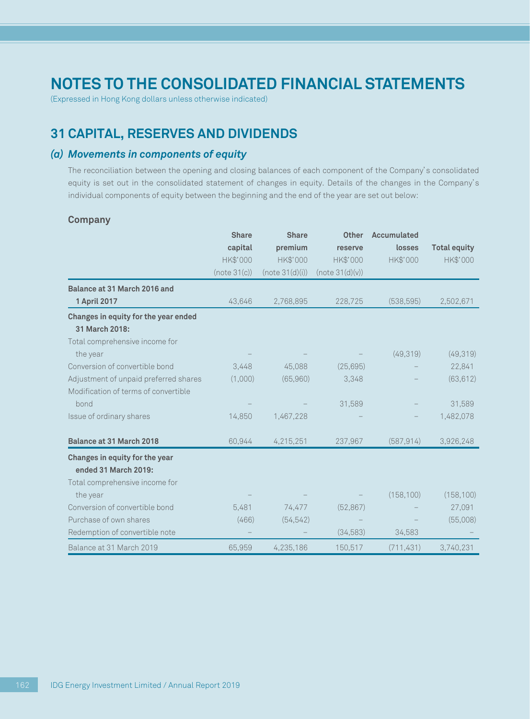(Expressed in Hong Kong dollars unless otherwise indicated)

## **31 CAPITAL, RESERVES AND DIVIDENDS**

### *(a) Movements in components of equity*

The reconciliation between the opening and closing balances of each component of the Company's consolidated equity is set out in the consolidated statement of changes in equity. Details of the changes in the Company's individual components of equity between the beginning and the end of the year are set out below:

#### **Company**

|                                       | <b>Share</b> | <b>Share</b>    | <b>Other</b>    | <b>Accumulated</b> |                     |
|---------------------------------------|--------------|-----------------|-----------------|--------------------|---------------------|
|                                       | capital      | premium         | reserve         | losses             | <b>Total equity</b> |
|                                       | HK\$'000     | HK\$'000        | HK\$'000        | HK\$'000           | HK\$'000            |
|                                       | (note 31(c)) | (note 31(d)(i)) | (note 31(d)(v)) |                    |                     |
| Balance at 31 March 2016 and          |              |                 |                 |                    |                     |
| 1 April 2017                          | 43.646       | 2,768,895       | 228,725         | (538, 595)         | 2,502,671           |
| Changes in equity for the year ended  |              |                 |                 |                    |                     |
| 31 March 2018:                        |              |                 |                 |                    |                     |
| Total comprehensive income for        |              |                 |                 |                    |                     |
| the year                              |              |                 |                 | (49, 319)          | (49, 319)           |
| Conversion of convertible bond        | 3,448        | 45,088          | (25, 695)       |                    | 22,841              |
| Adjustment of unpaid preferred shares | (1,000)      | (65,960)        | 3,348           |                    | (63, 612)           |
| Modification of terms of convertible  |              |                 |                 |                    |                     |
| bond                                  |              |                 | 31,589          |                    | 31,589              |
| Issue of ordinary shares              | 14,850       | 1,467,228       |                 |                    | 1,482,078           |
| Balance at 31 March 2018              | 60,944       | 4,215,251       | 237,967         | (587, 914)         | 3,926,248           |
| Changes in equity for the year        |              |                 |                 |                    |                     |
| ended 31 March 2019:                  |              |                 |                 |                    |                     |
| Total comprehensive income for        |              |                 |                 |                    |                     |
| the year                              |              |                 |                 | (158, 100)         | (158, 100)          |
| Conversion of convertible bond        | 5,481        | 74,477          | (52,867)        |                    | 27,091              |
| Purchase of own shares                | (466)        | (54, 542)       |                 |                    | (55,008)            |
| Redemption of convertible note        |              |                 | (34,583)        | 34,583             |                     |
| Balance at 31 March 2019              | 65,959       | 4,235,186       | 150,517         | (711, 431)         | 3,740,231           |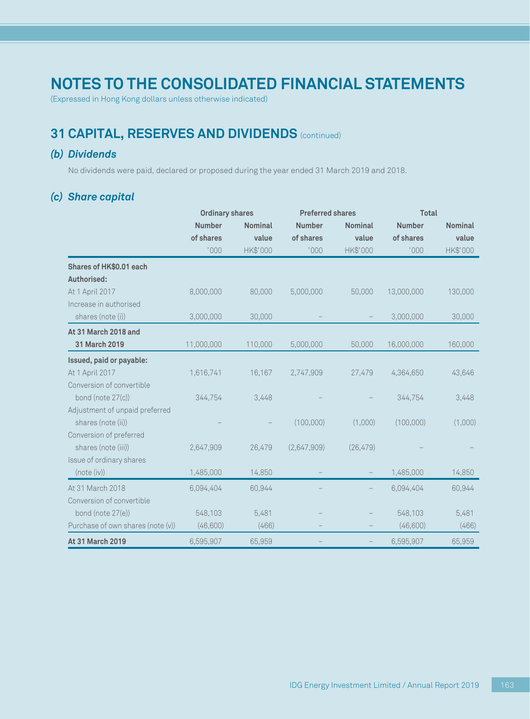(Expressed in Hong Kong dollars unless otherwise indicated)

## **31 CAPITAL, RESERVES AND DIVIDENDS** (continued)

### *(b) Dividends*

No dividends were paid, declared or proposed during the year ended 31 March 2019 and 2018.

### *(c) Share capital*

|                                   |               | <b>Ordinary shares</b> |               | <b>Preferred shares</b> |               | <b>Total</b>   |  |
|-----------------------------------|---------------|------------------------|---------------|-------------------------|---------------|----------------|--|
|                                   | <b>Number</b> | <b>Nominal</b>         | <b>Number</b> | <b>Nominal</b>          | <b>Number</b> | <b>Nominal</b> |  |
|                                   | of shares     | value                  | of shares     | value                   | of shares     | value          |  |
|                                   | '000          | HK\$'000               | '000          | HK\$'000                | '000          | HK\$'000       |  |
| Shares of HK\$0.01 each           |               |                        |               |                         |               |                |  |
| Authorised:                       |               |                        |               |                         |               |                |  |
| At 1 April 2017                   | 8,000,000     | 80,000                 | 5,000,000     | 50,000                  | 13,000,000    | 130,000        |  |
| Increase in authorised            |               |                        |               |                         |               |                |  |
| shares (note (i))                 | 3,000,000     | 30,000                 |               |                         | 3,000,000     | 30,000         |  |
| At 31 March 2018 and              |               |                        |               |                         |               |                |  |
| 31 March 2019                     | 11,000,000    | 110,000                | 5,000,000     | 50,000                  | 16,000,000    | 160,000        |  |
| Issued, paid or payable:          |               |                        |               |                         |               |                |  |
| At 1 April 2017                   | 1,616,741     | 16,167                 | 2,747,909     | 27,479                  | 4,364,650     | 43,646         |  |
| Conversion of convertible         |               |                        |               |                         |               |                |  |
| bond (note 27(c))                 | 344,754       | 3,448                  |               |                         | 344,754       | 3,448          |  |
| Adjustment of unpaid preferred    |               |                        |               |                         |               |                |  |
| shares (note (ii))                |               |                        | (100,000)     | (1,000)                 | (100,000)     | (1,000)        |  |
| Conversion of preferred           |               |                        |               |                         |               |                |  |
| shares (note (iii))               | 2,647,909     | 26,479                 | (2,647,909)   | (26, 479)               |               |                |  |
| Issue of ordinary shares          |               |                        |               |                         |               |                |  |
| (note (iv))                       | 1,485,000     | 14,850                 |               |                         | 1,485,000     | 14,850         |  |
| At 31 March 2018                  | 6,094,404     | 60,944                 |               |                         | 6,094,404     | 60,944         |  |
| Conversion of convertible         |               |                        |               |                         |               |                |  |
| bond (note 27(e))                 | 548,103       | 5,481                  |               |                         | 548,103       | 5,481          |  |
| Purchase of own shares (note (v)) | (46,600)      | (466)                  |               |                         | (46,600)      | (466)          |  |
| At 31 March 2019                  | 6,595,907     | 65,959                 |               |                         | 6,595,907     | 65,959         |  |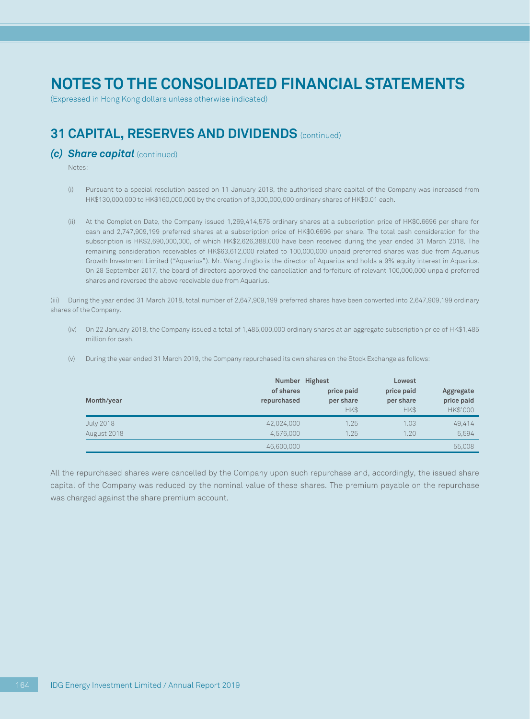(Expressed in Hong Kong dollars unless otherwise indicated)

## **31 CAPITAL, RESERVES AND DIVIDENDS** (continued)

#### **(c) Share capital** (continued)

Notes:

- (i) Pursuant to a special resolution passed on 11 January 2018, the authorised share capital of the Company was increased from HK\$130,000,000 to HK\$160,000,000 by the creation of 3,000,000,000 ordinary shares of HK\$0.01 each.
- (ii) At the Completion Date, the Company issued 1,269,414,575 ordinary shares at a subscription price of HK\$0.6696 per share for cash and 2,747,909,199 preferred shares at a subscription price of HK\$0.6696 per share. The total cash consideration for the subscription is HK\$2,690,000,000, of which HK\$2,626,388,000 have been received during the year ended 31 March 2018. The remaining consideration receivables of HK\$63,612,000 related to 100,000,000 unpaid preferred shares was due from Aquarius Growth Investment Limited ("Aquarius"). Mr. Wang Jingbo is the director of Aquarius and holds a 9% equity interest in Aquarius. On 28 September 2017, the board of directors approved the cancellation and forfeiture of relevant 100,000,000 unpaid preferred shares and reversed the above receivable due from Aquarius.

(iii) During the year ended 31 March 2018, total number of 2,647,909,199 preferred shares have been converted into 2,647,909,199 ordinary shares of the Company.

(iv) On 22 January 2018, the Company issued a total of 1,485,000,000 ordinary shares at an aggregate subscription price of HK\$1,485 million for cash.

| (V) |  |  |  | During the year ended 31 March 2019, the Company repurchased its own shares on the Stock Exchange as follows: |  |
|-----|--|--|--|---------------------------------------------------------------------------------------------------------------|--|
|-----|--|--|--|---------------------------------------------------------------------------------------------------------------|--|

| Month/year               | Number Highest<br>of shares<br>repurchased | price paid<br>per share<br>HK\$ | Lowest<br>price paid<br>per share<br>HK\$ | Aggregate<br>price paid<br>HK\$'000 |
|--------------------------|--------------------------------------------|---------------------------------|-------------------------------------------|-------------------------------------|
| July 2018<br>August 2018 | 42,024,000<br>4.576.000                    | 1.25<br>1.25                    | 1.03<br>1.20                              | 49,414<br>5,594                     |
|                          | 46,600,000                                 |                                 |                                           | 55,008                              |

All the repurchased shares were cancelled by the Company upon such repurchase and, accordingly, the issued share capital of the Company was reduced by the nominal value of these shares. The premium payable on the repurchase was charged against the share premium account.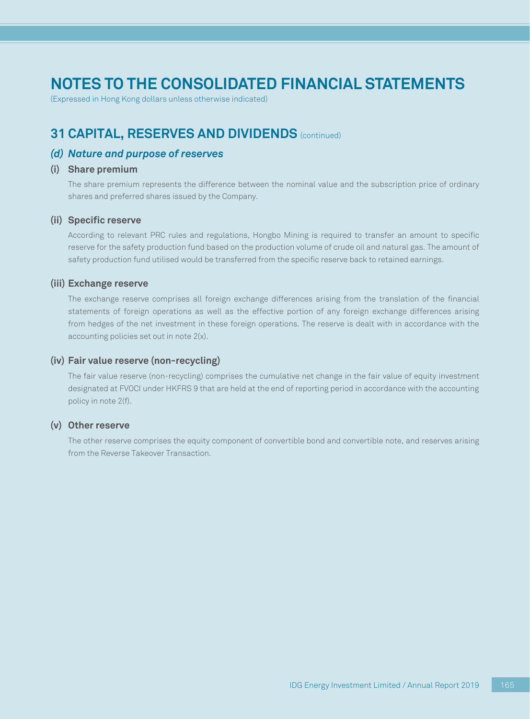(Expressed in Hong Kong dollars unless otherwise indicated)

## **31 CAPITAL, RESERVES AND DIVIDENDS** (continued)

#### *(d) Nature and purpose of reserves*

#### **(i) Share premium**

The share premium represents the difference between the nominal value and the subscription price of ordinary shares and preferred shares issued by the Company.

#### **(ii) Specific reserve**

According to relevant PRC rules and regulations, Hongbo Mining is required to transfer an amount to specific reserve for the safety production fund based on the production volume of crude oil and natural gas. The amount of safety production fund utilised would be transferred from the specific reserve back to retained earnings.

#### **(iii) Exchange reserve**

The exchange reserve comprises all foreign exchange differences arising from the translation of the financial statements of foreign operations as well as the effective portion of any foreign exchange differences arising from hedges of the net investment in these foreign operations. The reserve is dealt with in accordance with the accounting policies set out in note 2(x).

#### **(iv) Fair value reserve (non-recycling)**

The fair value reserve (non-recycling) comprises the cumulative net change in the fair value of equity investment designated at FVOCI under HKFRS 9 that are held at the end of reporting period in accordance with the accounting policy in note 2(f).

#### **(v) Other reserve**

The other reserve comprises the equity component of convertible bond and convertible note, and reserves arising from the Reverse Takeover Transaction.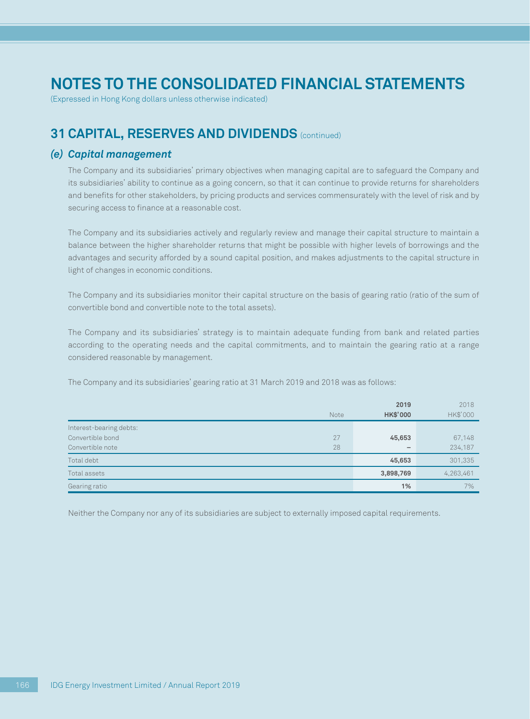(Expressed in Hong Kong dollars unless otherwise indicated)

## **31 CAPITAL, RESERVES AND DIVIDENDS** (continued)

#### *(e) Capital management*

The Company and its subsidiaries' primary objectives when managing capital are to safeguard the Company and its subsidiaries' ability to continue as a going concern, so that it can continue to provide returns for shareholders and benefits for other stakeholders, by pricing products and services commensurately with the level of risk and by securing access to finance at a reasonable cost.

The Company and its subsidiaries actively and regularly review and manage their capital structure to maintain a balance between the higher shareholder returns that might be possible with higher levels of borrowings and the advantages and security afforded by a sound capital position, and makes adjustments to the capital structure in light of changes in economic conditions.

The Company and its subsidiaries monitor their capital structure on the basis of gearing ratio (ratio of the sum of convertible bond and convertible note to the total assets).

The Company and its subsidiaries' strategy is to maintain adequate funding from bank and related parties according to the operating needs and the capital commitments, and to maintain the gearing ratio at a range considered reasonable by management.

The Company and its subsidiaries' gearing ratio at 31 March 2019 and 2018 was as follows:

| Note                    | 2019<br><b>HK\$'000</b> | 2018<br>HK\$'000 |
|-------------------------|-------------------------|------------------|
| Interest-bearing debts: |                         |                  |
| Convertible bond<br>27  | 45,653                  | 67,148           |
| 28<br>Convertible note  |                         | 234,187          |
| Total debt              | 45,653                  | 301,335          |
| Total assets            | 3,898,769               | 4,263,461        |
| Gearing ratio           | 1%                      | 7%               |

Neither the Company nor any of its subsidiaries are subject to externally imposed capital requirements.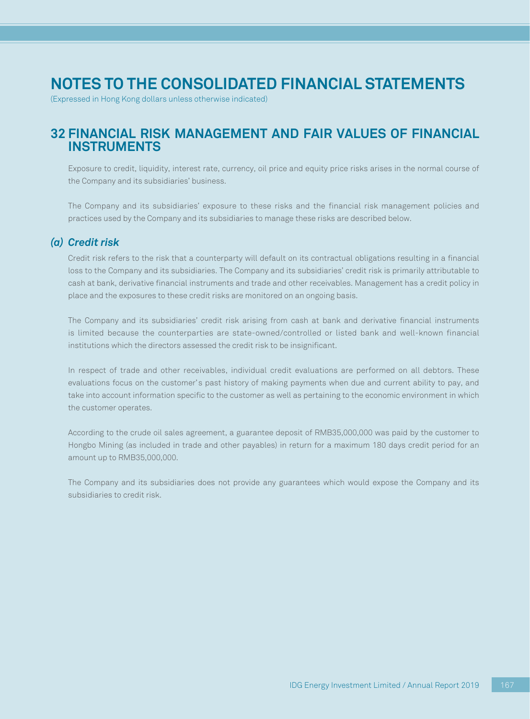(Expressed in Hong Kong dollars unless otherwise indicated)

### **32 FINANCIAL RISK MANAGEMENT AND FAIR VALUES OF FINANCIAL INSTRUMENTS**

Exposure to credit, liquidity, interest rate, currency, oil price and equity price risks arises in the normal course of the Company and its subsidiaries' business.

The Company and its subsidiaries' exposure to these risks and the financial risk management policies and practices used by the Company and its subsidiaries to manage these risks are described below.

### *(a) Credit risk*

Credit risk refers to the risk that a counterparty will default on its contractual obligations resulting in a financial loss to the Company and its subsidiaries. The Company and its subsidiaries' credit risk is primarily attributable to cash at bank, derivative financial instruments and trade and other receivables. Management has a credit policy in place and the exposures to these credit risks are monitored on an ongoing basis.

The Company and its subsidiaries' credit risk arising from cash at bank and derivative financial instruments is limited because the counterparties are state-owned/controlled or listed bank and well-known financial institutions which the directors assessed the credit risk to be insignificant.

In respect of trade and other receivables, individual credit evaluations are performed on all debtors. These evaluations focus on the customer's past history of making payments when due and current ability to pay, and take into account information specific to the customer as well as pertaining to the economic environment in which the customer operates.

According to the crude oil sales agreement, a guarantee deposit of RMB35,000,000 was paid by the customer to Hongbo Mining (as included in trade and other payables) in return for a maximum 180 days credit period for an amount up to RMB35,000,000.

The Company and its subsidiaries does not provide any guarantees which would expose the Company and its subsidiaries to credit risk.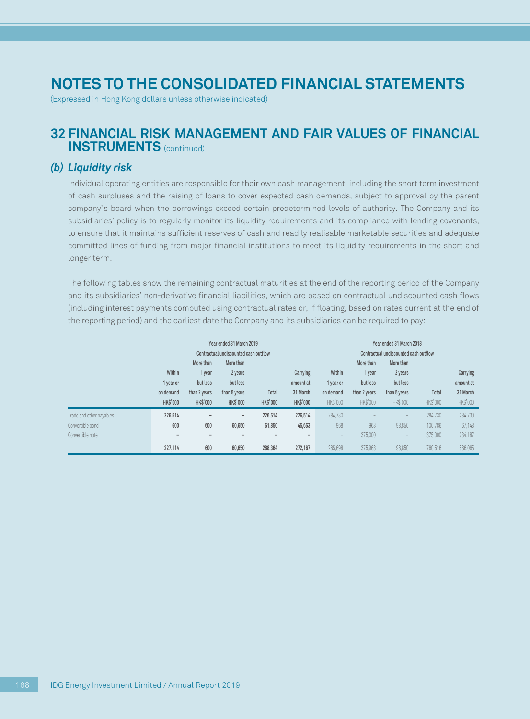(Expressed in Hong Kong dollars unless otherwise indicated)

### **32 FINANCIAL RISK MANAGEMENT AND FAIR VALUES OF FINANCIAL INSTRUMENTS** (continued)

#### *(b) Liquidity risk*

Individual operating entities are responsible for their own cash management, including the short term investment of cash surpluses and the raising of loans to cover expected cash demands, subject to approval by the parent company's board when the borrowings exceed certain predetermined levels of authority. The Company and its subsidiaries' policy is to regularly monitor its liquidity requirements and its compliance with lending covenants, to ensure that it maintains sufficient reserves of cash and readily realisable marketable securities and adequate committed lines of funding from major financial institutions to meet its liquidity requirements in the short and longer term.

The following tables show the remaining contractual maturities at the end of the reporting period of the Company and its subsidiaries' non-derivative financial liabilities, which are based on contractual undiscounted cash flows (including interest payments computed using contractual rates or, if floating, based on rates current at the end of the reporting period) and the earliest date the Company and its subsidiaries can be required to pay:

|                                                                  | Year ended 31 March 2019<br>Contractual undiscounted cash outflow |                                                                    |                                                                     |                          | Year ended 31 March 2018<br>Contractual undiscounted cash outflow |                                              |                                                             |                                                                     |                               |                                               |
|------------------------------------------------------------------|-------------------------------------------------------------------|--------------------------------------------------------------------|---------------------------------------------------------------------|--------------------------|-------------------------------------------------------------------|----------------------------------------------|-------------------------------------------------------------|---------------------------------------------------------------------|-------------------------------|-----------------------------------------------|
|                                                                  | Within<br>1 year or<br>on demand<br><b>HK\$'000</b>               | More than<br>1 year<br>but less<br>than 2 years<br><b>HK\$'000</b> | More than<br>2 years<br>but less<br>than 5 years<br><b>HK\$'000</b> | Total<br><b>HK\$'000</b> | Carrying<br>amount at<br>31 March<br><b>HK\$'000</b>              | Within<br>1 year or<br>on demand<br>HK\$'000 | More than<br>1 year<br>but less<br>than 2 years<br>HK\$'000 | More than<br>2 years<br>but less<br>than 5 years<br><b>HK\$'000</b> | Total<br><b>HK\$'000</b>      | Carrying<br>amount at<br>31 March<br>HK\$'000 |
| Trade and other payables<br>Convertible bond<br>Convertible note | 226,514<br>600<br>$\overline{\phantom{a}}$                        | $\overline{\phantom{a}}$<br>600<br>$\overline{\phantom{a}}$        | $\overline{\phantom{0}}$<br>60,650                                  | 226,514<br>61,850        | 226,514<br>45,653<br>$\overline{\phantom{0}}$                     | 284,730<br>968<br>$\overline{\phantom{a}}$   | 968<br>375,000                                              | 98,850                                                              | 284.730<br>100,786<br>375,000 | 284,730<br>67,148<br>234,187                  |
|                                                                  | 227,114                                                           | 600                                                                | 60,650                                                              | 288,364                  | 272.167                                                           | 285.698                                      | 375,968                                                     | 98.850                                                              | 760,516                       | 586,065                                       |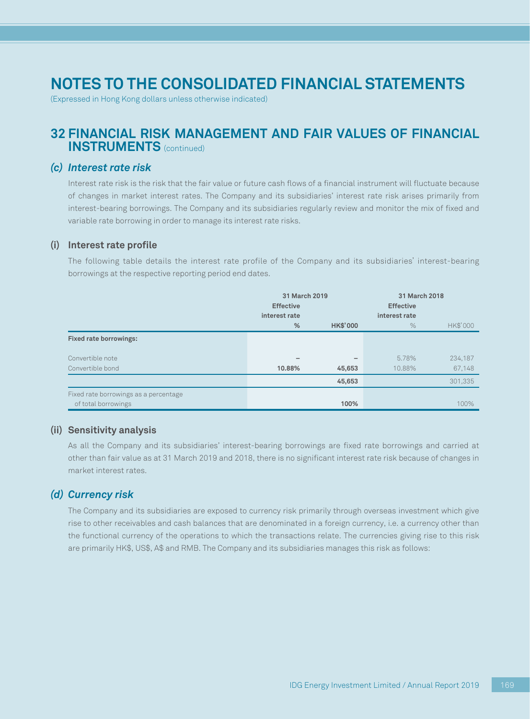(Expressed in Hong Kong dollars unless otherwise indicated)

### **32 FINANCIAL RISK MANAGEMENT AND FAIR VALUES OF FINANCIAL INSTRUMENTS** (continued)

### *(c) Interest rate risk*

Interest rate risk is the risk that the fair value or future cash flows of a financial instrument will fluctuate because of changes in market interest rates. The Company and its subsidiaries' interest rate risk arises primarily from interest-bearing borrowings. The Company and its subsidiaries regularly review and monitor the mix of fixed and variable rate borrowing in order to manage its interest rate risks.

#### **(i) Interest rate profile**

The following table details the interest rate profile of the Company and its subsidiaries' interest-bearing borrowings at the respective reporting period end dates.

|                                       | 31 March 2019<br><b>Effective</b> |                          | 31 March 2018<br><b>Effective</b> |          |
|---------------------------------------|-----------------------------------|--------------------------|-----------------------------------|----------|
|                                       | interest rate                     |                          | interest rate                     |          |
|                                       | %                                 | <b>HK\$'000</b>          | $\%$                              | HK\$'000 |
| <b>Fixed rate borrowings:</b>         |                                   |                          |                                   |          |
| Convertible note                      |                                   | $\overline{\phantom{0}}$ | 5.78%                             | 234,187  |
| Convertible bond                      | 10.88%                            | 45,653                   | 10.88%                            | 67,148   |
|                                       |                                   | 45,653                   |                                   | 301.335  |
| Fixed rate borrowings as a percentage |                                   |                          |                                   |          |
| of total borrowings                   |                                   | 100%                     |                                   | 100%     |

#### **(ii) Sensitivity analysis**

As all the Company and its subsidiaries' interest-bearing borrowings are fixed rate borrowings and carried at other than fair value as at 31 March 2019 and 2018, there is no significant interest rate risk because of changes in market interest rates.

### *(d) Currency risk*

The Company and its subsidiaries are exposed to currency risk primarily through overseas investment which give rise to other receivables and cash balances that are denominated in a foreign currency, i.e. a currency other than the functional currency of the operations to which the transactions relate. The currencies giving rise to this risk are primarily HK\$, US\$, A\$ and RMB. The Company and its subsidiaries manages this risk as follows: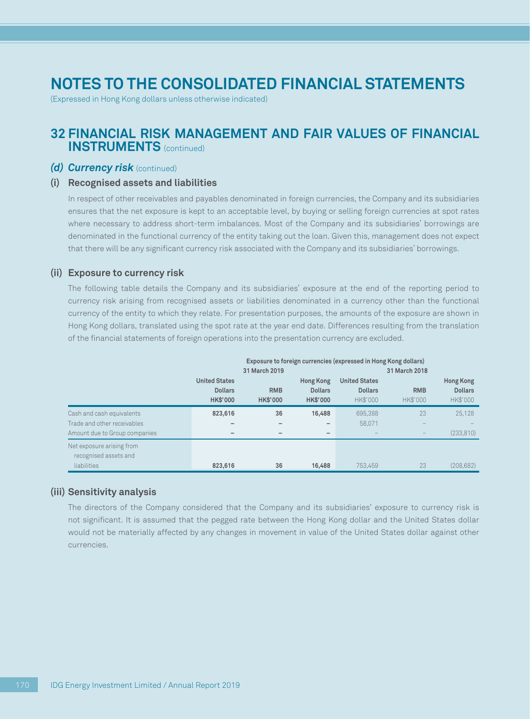(Expressed in Hong Kong dollars unless otherwise indicated)

### **32 FINANCIAL RISK MANAGEMENT AND FAIR VALUES OF FINANCIAL INSTRUMENTS** (continued)

#### **(d) Currency risk** (continued)

#### **(i) Recognised assets and liabilities**

In respect of other receivables and payables denominated in foreign currencies, the Company and its subsidiaries ensures that the net exposure is kept to an acceptable level, by buying or selling foreign currencies at spot rates where necessary to address short-term imbalances. Most of the Company and its subsidiaries' borrowings are denominated in the functional currency of the entity taking out the loan. Given this, management does not expect that there will be any significant currency risk associated with the Company and its subsidiaries' borrowings.

#### **(ii) Exposure to currency risk**

The following table details the Company and its subsidiaries' exposure at the end of the reporting period to currency risk arising from recognised assets or liabilities denominated in a currency other than the functional currency of the entity to which they relate. For presentation purposes, the amounts of the exposure are shown in Hong Kong dollars, translated using the spot rate at the year end date. Differences resulting from the translation of the financial statements of foreign operations into the presentation currency are excluded.

|                               | Exposure to foreign currencies (expressed in Hong Kong dollars) |                 |                          |                      |            |                  |  |
|-------------------------------|-----------------------------------------------------------------|-----------------|--------------------------|----------------------|------------|------------------|--|
|                               |                                                                 | 31 March 2019   |                          | 31 March 2018        |            |                  |  |
|                               | <b>United States</b>                                            |                 | <b>Hong Kong</b>         | <b>United States</b> |            | <b>Hong Kong</b> |  |
|                               | <b>Dollars</b>                                                  | <b>RMB</b>      | <b>Dollars</b>           | <b>Dollars</b>       | <b>RMB</b> | <b>Dollars</b>   |  |
|                               | <b>HK\$'000</b>                                                 | <b>HK\$'000</b> | <b>HK\$'000</b>          | HK\$'000             | HK\$'000   | HK\$'000         |  |
| Cash and cash equivalents     | 823,616                                                         | 36              | 16,488                   | 695.388              | 23         | 25.128           |  |
| Trade and other receivables   |                                                                 |                 | $\overline{\phantom{0}}$ | 58.071               |            |                  |  |
| Amount due to Group companies |                                                                 |                 | $\overline{\phantom{0}}$ |                      |            | (233, 810)       |  |
| Net exposure arising from     |                                                                 |                 |                          |                      |            |                  |  |
| recognised assets and         |                                                                 |                 |                          |                      |            |                  |  |
| liabilities                   | 823,616                                                         | 36              | 16,488                   | 753.459              | 23         | (208.682)        |  |

#### **(iii) Sensitivity analysis**

The directors of the Company considered that the Company and its subsidiaries' exposure to currency risk is not significant. It is assumed that the pegged rate between the Hong Kong dollar and the United States dollar would not be materially affected by any changes in movement in value of the United States dollar against other currencies.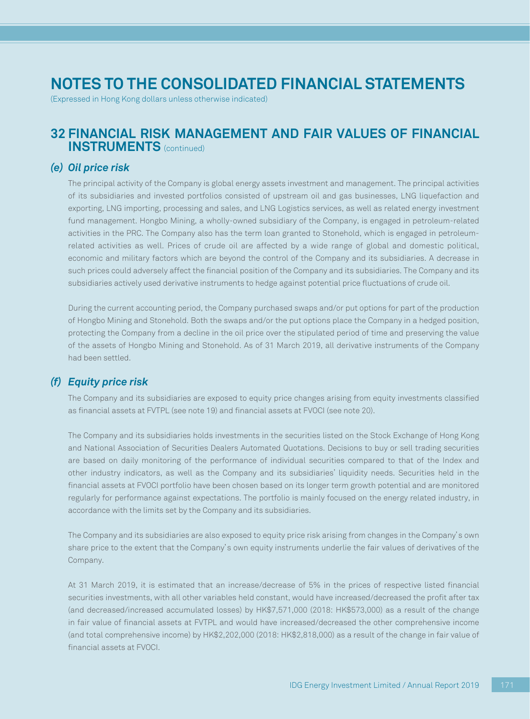(Expressed in Hong Kong dollars unless otherwise indicated)

### **32 FINANCIAL RISK MANAGEMENT AND FAIR VALUES OF FINANCIAL INSTRUMENTS** (continued)

#### *(e) Oil price risk*

The principal activity of the Company is global energy assets investment and management. The principal activities of its subsidiaries and invested portfolios consisted of upstream oil and gas businesses, LNG liquefaction and exporting, LNG importing, processing and sales, and LNG Logistics services, as well as related energy investment fund management. Hongbo Mining, a wholly-owned subsidiary of the Company, is engaged in petroleum-related activities in the PRC. The Company also has the term loan granted to Stonehold, which is engaged in petroleumrelated activities as well. Prices of crude oil are affected by a wide range of global and domestic political, economic and military factors which are beyond the control of the Company and its subsidiaries. A decrease in such prices could adversely affect the financial position of the Company and its subsidiaries. The Company and its subsidiaries actively used derivative instruments to hedge against potential price fluctuations of crude oil.

During the current accounting period, the Company purchased swaps and/or put options for part of the production of Hongbo Mining and Stonehold. Both the swaps and/or the put options place the Company in a hedged position, protecting the Company from a decline in the oil price over the stipulated period of time and preserving the value of the assets of Hongbo Mining and Stonehold. As of 31 March 2019, all derivative instruments of the Company had been settled.

### *(f) Equity price risk*

The Company and its subsidiaries are exposed to equity price changes arising from equity investments classified as financial assets at FVTPL (see note 19) and financial assets at FVOCI (see note 20).

The Company and its subsidiaries holds investments in the securities listed on the Stock Exchange of Hong Kong and National Association of Securities Dealers Automated Quotations. Decisions to buy or sell trading securities are based on daily monitoring of the performance of individual securities compared to that of the Index and other industry indicators, as well as the Company and its subsidiaries' liquidity needs. Securities held in the financial assets at FVOCI portfolio have been chosen based on its longer term growth potential and are monitored regularly for performance against expectations. The portfolio is mainly focused on the energy related industry, in accordance with the limits set by the Company and its subsidiaries.

The Company and its subsidiaries are also exposed to equity price risk arising from changes in the Company's own share price to the extent that the Company's own equity instruments underlie the fair values of derivatives of the Company.

At 31 March 2019, it is estimated that an increase/decrease of 5% in the prices of respective listed financial securities investments, with all other variables held constant, would have increased/decreased the profit after tax (and decreased/increased accumulated losses) by HK\$7,571,000 (2018: HK\$573,000) as a result of the change in fair value of financial assets at FVTPL and would have increased/decreased the other comprehensive income (and total comprehensive income) by HK\$2,202,000 (2018: HK\$2,818,000) as a result of the change in fair value of financial assets at FVOCI.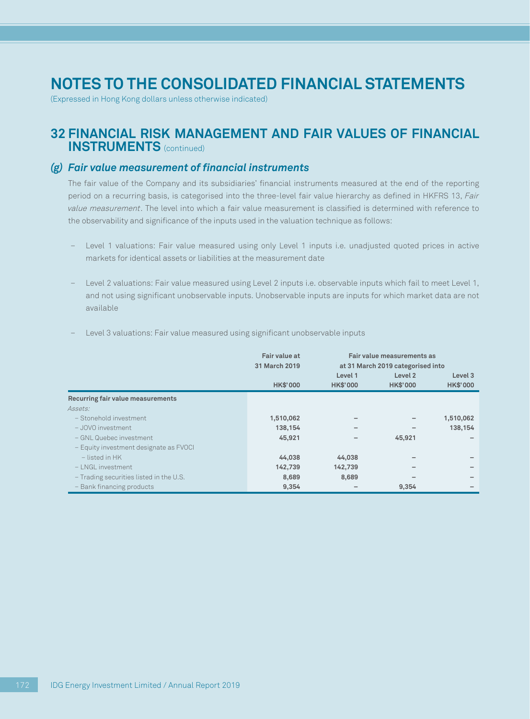(Expressed in Hong Kong dollars unless otherwise indicated)

### **32 FINANCIAL RISK MANAGEMENT AND FAIR VALUES OF FINANCIAL INSTRUMENTS** (continued)

### *(g) Fair value measurement of financial instruments*

The fair value of the Company and its subsidiaries' financial instruments measured at the end of the reporting period on a recurring basis, is categorised into the three-level fair value hierarchy as defined in HKFRS 13, Fair value measurement. The level into which a fair value measurement is classified is determined with reference to the observability and significance of the inputs used in the valuation technique as follows:

- Level 1 valuations: Fair value measured using only Level 1 inputs i.e. unadjusted quoted prices in active markets for identical assets or liabilities at the measurement date
- Level 2 valuations: Fair value measured using Level 2 inputs i.e. observable inputs which fail to meet Level 1, and not using significant unobservable inputs. Unobservable inputs are inputs for which market data are not available

|                                         | Fair value at   |                 | Fair value measurements as        |                    |  |  |
|-----------------------------------------|-----------------|-----------------|-----------------------------------|--------------------|--|--|
|                                         | 31 March 2019   |                 | at 31 March 2019 categorised into |                    |  |  |
|                                         |                 | Level 1         | Level <sub>2</sub>                | Level <sub>3</sub> |  |  |
|                                         | <b>HK\$'000</b> | <b>HK\$'000</b> | <b>HK\$'000</b>                   | <b>HK\$'000</b>    |  |  |
| Recurring fair value measurements       |                 |                 |                                   |                    |  |  |
| Assets:                                 |                 |                 |                                   |                    |  |  |
| - Stonehold investment                  | 1,510,062       |                 |                                   | 1,510,062          |  |  |
| - JOVO investment                       | 138,154         |                 |                                   | 138,154            |  |  |
| - GNL Quebec investment                 | 45,921          |                 | 45,921                            |                    |  |  |
| - Equity investment designate as FVOCI  |                 |                 |                                   |                    |  |  |
| $-$ listed in HK                        | 44,038          | 44.038          |                                   |                    |  |  |
| $-1$ NGL investment                     | 142,739         | 142,739         |                                   |                    |  |  |
| - Trading securities listed in the U.S. | 8,689           | 8,689           |                                   |                    |  |  |
| - Bank financing products               | 9,354           |                 | 9,354                             |                    |  |  |

– Level 3 valuations: Fair value measured using significant unobservable inputs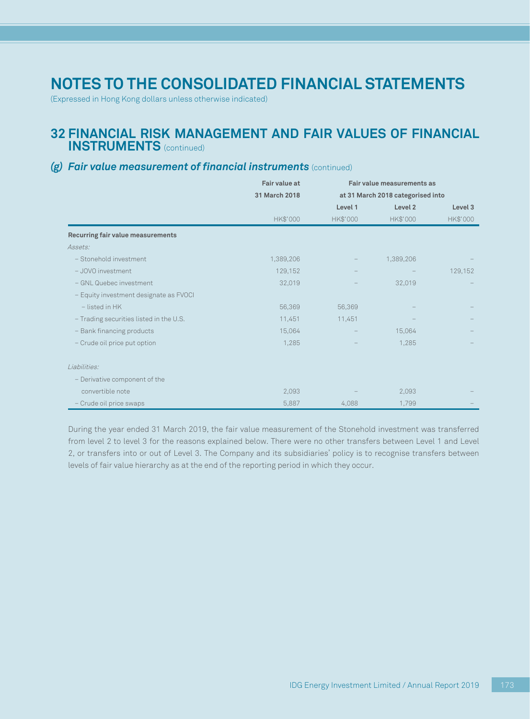(Expressed in Hong Kong dollars unless otherwise indicated)

### **32 FINANCIAL RISK MANAGEMENT AND FAIR VALUES OF FINANCIAL INSTRUMENTS** (continued)

### *(g) Fair value measurement of financial instruments* (continued)

|                                         | Fair value at<br>31 March 2018 |          | Fair value measurements as        |          |
|-----------------------------------------|--------------------------------|----------|-----------------------------------|----------|
|                                         |                                |          | at 31 March 2018 categorised into |          |
|                                         |                                | Level 1  | Level <sub>2</sub>                | Level 3  |
|                                         | HK\$'000                       | HK\$'000 | HK\$'000                          | HK\$'000 |
| Recurring fair value measurements       |                                |          |                                   |          |
| Assets:                                 |                                |          |                                   |          |
| - Stonehold investment                  | 1,389,206                      |          | 1,389,206                         |          |
| - JOVO investment                       | 129,152                        |          |                                   | 129,152  |
| - GNL Quebec investment                 | 32,019                         |          | 32,019                            |          |
| - Equity investment designate as FVOCI  |                                |          |                                   |          |
| - listed in HK                          | 56,369                         | 56,369   |                                   |          |
| - Trading securities listed in the U.S. | 11,451                         | 11,451   |                                   |          |
| - Bank financing products               | 15,064                         |          | 15,064                            |          |
| - Crude oil price put option            | 1,285                          |          | 1,285                             |          |
| Liabilities:                            |                                |          |                                   |          |
| - Derivative component of the           |                                |          |                                   |          |
| convertible note                        | 2,093                          |          | 2,093                             |          |
| - Crude oil price swaps                 | 5,887                          | 4,088    | 1,799                             |          |

During the year ended 31 March 2019, the fair value measurement of the Stonehold investment was transferred from level 2 to level 3 for the reasons explained below. There were no other transfers between Level 1 and Level 2, or transfers into or out of Level 3. The Company and its subsidiaries' policy is to recognise transfers between levels of fair value hierarchy as at the end of the reporting period in which they occur.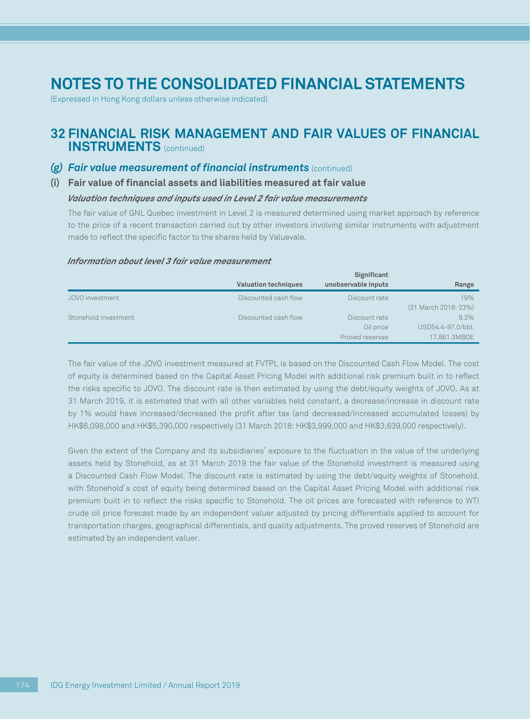(Expressed in Hong Kong dollars unless otherwise indicated)

### **32 FINANCIAL RISK MANAGEMENT AND FAIR VALUES OF FINANCIAL INSTRUMENTS** (continued)

### *(g) Fair value measurement of financial instruments* (continued)

#### **(i) Fair value of financial assets and liabilities measured at fair value**

#### *Valuation techniques and inputs used in Level 2 fair value measurements*

The fair value of GNL Quebec investment in Level 2 is measured determined using market approach by reference to the price of a recent transaction carried out by other investors involving similar instruments with adjustment made to reflect the specific factor to the shares held by Valuevale.

#### *Information about level 3 fair value measurement*

|                      |                             | Significant         |                      |
|----------------------|-----------------------------|---------------------|----------------------|
|                      | <b>Valuation techniques</b> | unobservable inputs | Range                |
| JOVO investment      | Discounted cash flow        | Discount rate       | 19%                  |
|                      |                             |                     | (31 March 2018: 23%) |
| Stonehold investment | Discounted cash flow        | Discount rate       | 9.3%                 |
|                      |                             | Oil price           | USD54.4-97.0/bbl.    |
|                      |                             | Proved reserves     | 17,861.3MBOE         |

The fair value of the JOVO investment measured at FVTPL is based on the Discounted Cash Flow Model. The cost of equity is determined based on the Capital Asset Pricing Model with additional risk premium built in to reflect the risks specific to JOVO. The discount rate is then estimated by using the debt/equity weights of JOVO. As at 31 March 2019, it is estimated that with all other variables held constant, a decrease/increase in discount rate by 1% would have increased/decreased the profit after tax (and decreased/increased accumulated losses) by HK\$6,098,000 and HK\$5,390,000 respectively (31 March 2018: HK\$3,999,000 and HK\$3,639,000 respectively).

Given the extent of the Company and its subsidiaries' exposure to the fluctuation in the value of the underlying assets held by Stonehold, as at 31 March 2019 the fair value of the Stonehold investment is measured using a Discounted Cash Flow Model. The discount rate is estimated by using the debt/equity weights of Stonehold, with Stonehold's cost of equity being determined based on the Capital Asset Pricing Model with additional risk premium built in to reflect the risks specific to Stonehold. The oil prices are forecasted with reference to WTI crude oil price forecast made by an independent valuer adjusted by pricing differentials applied to account for transportation charges, geographical differentials, and quality adjustments. The proved reserves of Stonehold are estimated by an independent valuer.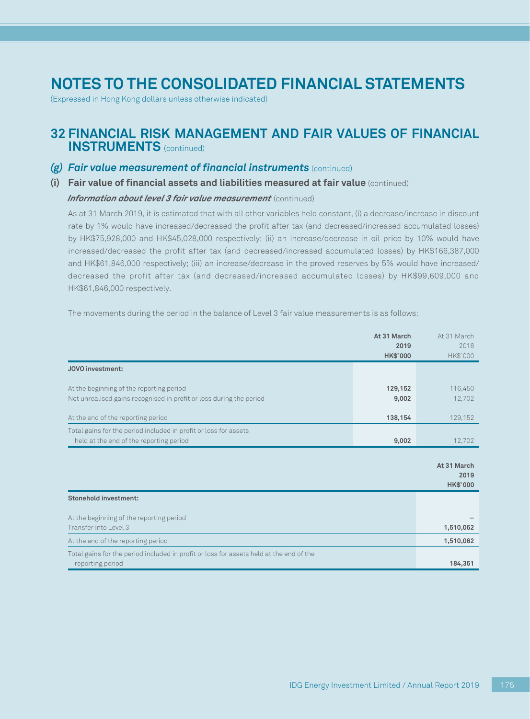(Expressed in Hong Kong dollars unless otherwise indicated)

### **32 FINANCIAL RISK MANAGEMENT AND FAIR VALUES OF FINANCIAL INSTRUMENTS** (continued)

#### *(g) Fair value measurement of financial instruments* (continued)

#### **(i) Fair value of financial assets and liabilities measured at fair value** (continued)

#### *Information about level 3 fair value measurement* (continued)

As at 31 March 2019, it is estimated that with all other variables held constant, (i) a decrease/increase in discount rate by 1% would have increased/decreased the profit after tax (and decreased/increased accumulated losses) by HK\$75,928,000 and HK\$45,028,000 respectively; (ii) an increase/decrease in oil price by 10% would have increased/decreased the profit after tax (and decreased/increased accumulated losses) by HK\$166,387,000 and HK\$61,846,000 respectively; (iii) an increase/decrease in the proved reserves by 5% would have increased/ decreased the profit after tax (and decreased/increased accumulated losses) by HK\$99,609,000 and HK\$61,846,000 respectively.

The movements during the period in the balance of Level 3 fair value measurements is as follows:

|                                                                                                                 | At 31 March<br>2019<br><b>HK\$'000</b> | At 31 March<br>2018<br>HK\$'000        |
|-----------------------------------------------------------------------------------------------------------------|----------------------------------------|----------------------------------------|
| JOVO investment:                                                                                                |                                        |                                        |
| At the beginning of the reporting period<br>Net unrealised gains recognised in profit or loss during the period | 129,152<br>9,002                       | 116,450<br>12,702                      |
| At the end of the reporting period                                                                              | 138,154                                | 129,152                                |
| Total gains for the period included in profit or loss for assets<br>held at the end of the reporting period     | 9,002                                  | 12,702                                 |
|                                                                                                                 |                                        | At 31 March<br>2019<br><b>HK\$'000</b> |
| <b>Stonehold investment:</b>                                                                                    |                                        |                                        |
| At the beginning of the reporting period<br>Transfer into Level 3                                               |                                        | 1,510,062                              |
| At the end of the reporting period                                                                              |                                        | 1,510,062                              |
| Total gains for the period included in profit or loss for assets held at the end of the<br>reporting period     |                                        | 184,361                                |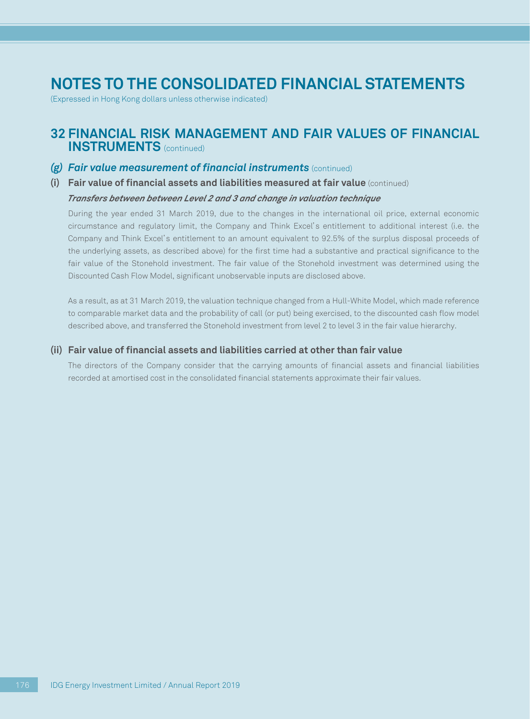(Expressed in Hong Kong dollars unless otherwise indicated)

### **32 FINANCIAL RISK MANAGEMENT AND FAIR VALUES OF FINANCIAL INSTRUMENTS** (continued)

#### *(g) Fair value measurement of financial instruments* (continued)

**(i) Fair value of financial assets and liabilities measured at fair value** (continued)

#### *Transfers between between Level 2 and 3 and change in valuation technique*

During the year ended 31 March 2019, due to the changes in the international oil price, external economic circumstance and regulatory limit, the Company and Think Excel's entitlement to additional interest (i.e. the Company and Think Excel's entitlement to an amount equivalent to 92.5% of the surplus disposal proceeds of the underlying assets, as described above) for the first time had a substantive and practical significance to the fair value of the Stonehold investment. The fair value of the Stonehold investment was determined using the Discounted Cash Flow Model, significant unobservable inputs are disclosed above.

As a result, as at 31 March 2019, the valuation technique changed from a Hull-White Model, which made reference to comparable market data and the probability of call (or put) being exercised, to the discounted cash flow model described above, and transferred the Stonehold investment from level 2 to level 3 in the fair value hierarchy.

#### **(ii) Fair value of financial assets and liabilities carried at other than fair value**

The directors of the Company consider that the carrying amounts of financial assets and financial liabilities recorded at amortised cost in the consolidated financial statements approximate their fair values.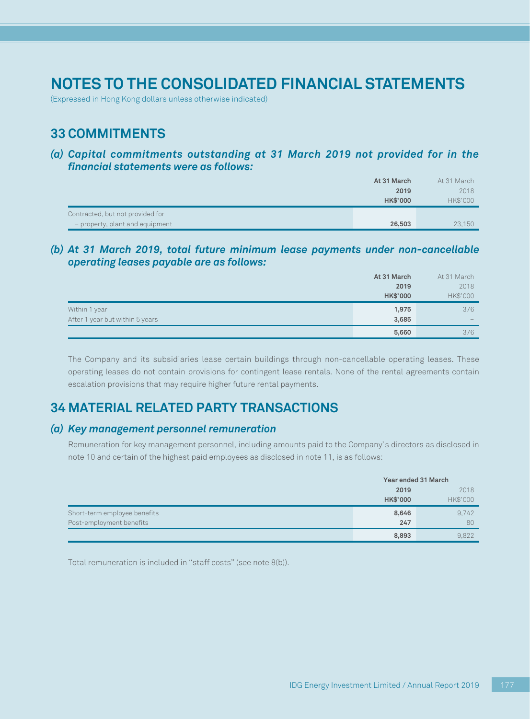(Expressed in Hong Kong dollars unless otherwise indicated)

## **33 COMMITMENTS**

*(a) Capital commitments outstanding at 31 March 2019 not provided for in the financial statements were as follows:*

|                                  | At 31 March     | At 31 March |
|----------------------------------|-----------------|-------------|
|                                  | 2019            | 2018        |
|                                  | <b>HK\$'000</b> | HK\$'000    |
| Contracted, but not provided for |                 |             |
| - property, plant and equipment  | 26,503          | 23.150      |

*(b) At 31 March 2019, total future minimum lease payments under non-cancellable operating leases payable are as follows:*

|                                 | At 31 March     | At 31 March |
|---------------------------------|-----------------|-------------|
|                                 | 2019            | 2018        |
|                                 | <b>HK\$'000</b> | HK\$'000    |
| Within 1 year                   | 1,975           | 376         |
| After 1 year but within 5 years | 3,685           | $-$         |
|                                 | 5,660           | 376         |

The Company and its subsidiaries lease certain buildings through non-cancellable operating leases. These operating leases do not contain provisions for contingent lease rentals. None of the rental agreements contain escalation provisions that may require higher future rental payments.

## **34 MATERIAL RELATED PARTY TRANSACTIONS**

### *(a) Key management personnel remuneration*

Remuneration for key management personnel, including amounts paid to the Company's directors as disclosed in note 10 and certain of the highest paid employees as disclosed in note 11, is as follows:

|                              | Year ended 31 March |          |
|------------------------------|---------------------|----------|
|                              | 2019                | 2018     |
|                              | <b>HK\$'000</b>     | HK\$'000 |
| Short-term employee benefits | 8,646               | 9,742    |
| Post-employment benefits     | 247                 | 80       |
|                              | 8,893               | 9.822    |

Total remuneration is included in ''staff costs'' (see note 8(b)).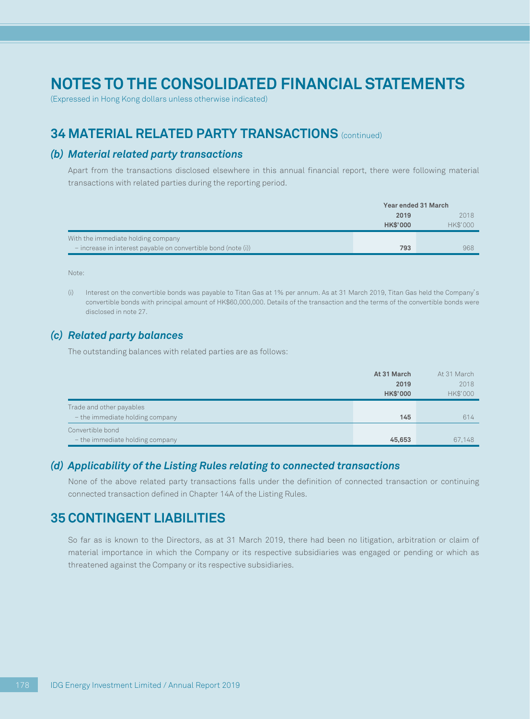(Expressed in Hong Kong dollars unless otherwise indicated)

## **34 MATERIAL RELATED PARTY TRANSACTIONS** (continued)

#### *(b) Material related party transactions*

Apart from the transactions disclosed elsewhere in this annual financial report, there were following material transactions with related parties during the reporting period.

|                                                               | Year ended 31 March |          |
|---------------------------------------------------------------|---------------------|----------|
|                                                               | 2019                | 2018     |
|                                                               | <b>HK\$'000</b>     | HK\$'000 |
| With the immediate holding company                            |                     |          |
| - increase in interest payable on convertible bond (note (i)) | 793                 | 968      |

Note:

(i) Interest on the convertible bonds was payable to Titan Gas at 1% per annum. As at 31 March 2019, Titan Gas held the Company's convertible bonds with principal amount of HK\$60,000,000. Details of the transaction and the terms of the convertible bonds were disclosed in note 27.

### *(c) Related party balances*

The outstanding balances with related parties are as follows:

|                                 | At 31 March     | At 31 March |
|---------------------------------|-----------------|-------------|
|                                 | 2019            | 2018        |
|                                 | <b>HK\$'000</b> | HK\$'000    |
| Trade and other payables        |                 |             |
| - the immediate holding company | 145             | 614         |
| Convertible bond                |                 |             |
| - the immediate holding company | 45,653          | 67,148      |

#### *(d) Applicability of the Listing Rules relating to connected transactions*

None of the above related party transactions falls under the definition of connected transaction or continuing connected transaction defined in Chapter 14A of the Listing Rules.

### **35 CONTINGENT LIABILITIES**

So far as is known to the Directors, as at 31 March 2019, there had been no litigation, arbitration or claim of material importance in which the Company or its respective subsidiaries was engaged or pending or which as threatened against the Company or its respective subsidiaries.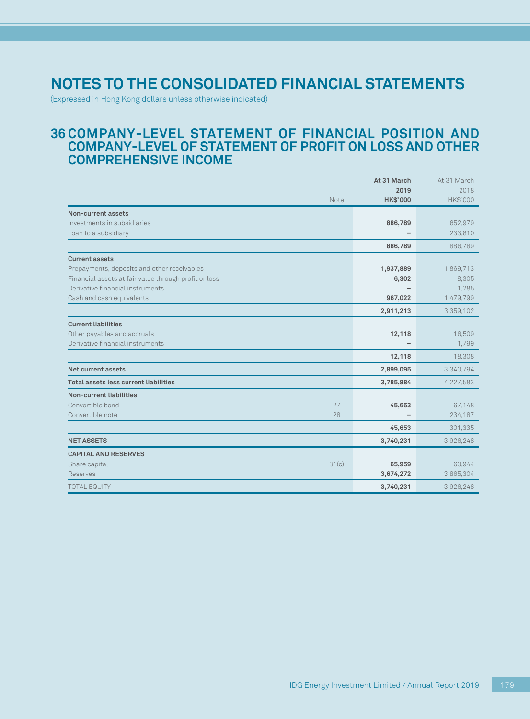(Expressed in Hong Kong dollars unless otherwise indicated)

### **36 COMPANY-LEVEL STATEMENT OF FINANCIAL POSITION AND COMPANY-LEVEL OF STATEMENT OF PROFIT ON LOSS AND OTHER COMPREHENSIVE INCOME**

|                                                       | At 31 March      | At 31 March      |
|-------------------------------------------------------|------------------|------------------|
| Note                                                  | 2019<br>HK\$'000 | 2018<br>HK\$'000 |
| Non-current assets                                    |                  |                  |
| Investments in subsidiaries                           | 886,789          | 652,979          |
| Loan to a subsidiary                                  |                  | 233,810          |
|                                                       | 886,789          | 886,789          |
| <b>Current assets</b>                                 |                  |                  |
| Prepayments, deposits and other receivables           | 1,937,889        | 1,869,713        |
| Financial assets at fair value through profit or loss | 6,302            | 8,305            |
| Derivative financial instruments                      |                  | 1,285            |
| Cash and cash equivalents                             | 967,022          | 1,479,799        |
|                                                       | 2,911,213        | 3,359,102        |
| <b>Current liabilities</b>                            |                  |                  |
| Other payables and accruals                           | 12,118           | 16,509           |
| Derivative financial instruments                      |                  | 1.799            |
|                                                       | 12,118           | 18,308           |
| Net current assets                                    | 2,899,095        | 3,340,794        |
| Total assets less current liabilities                 | 3,785,884        | 4,227,583        |
| <b>Non-current liabilities</b>                        |                  |                  |
| Convertible bond<br>27                                | 45,653           | 67,148           |
| Convertible note<br>28                                |                  | 234,187          |
|                                                       | 45,653           | 301,335          |
| <b>NET ASSETS</b>                                     | 3,740,231        | 3,926,248        |
| <b>CAPITAL AND RESERVES</b>                           |                  |                  |
| 31(c)<br>Share capital                                | 65,959           | 60,944           |
| <b>Reserves</b>                                       | 3,674,272        | 3,865,304        |
| <b>TOTAL EQUITY</b>                                   | 3,740,231        | 3,926,248        |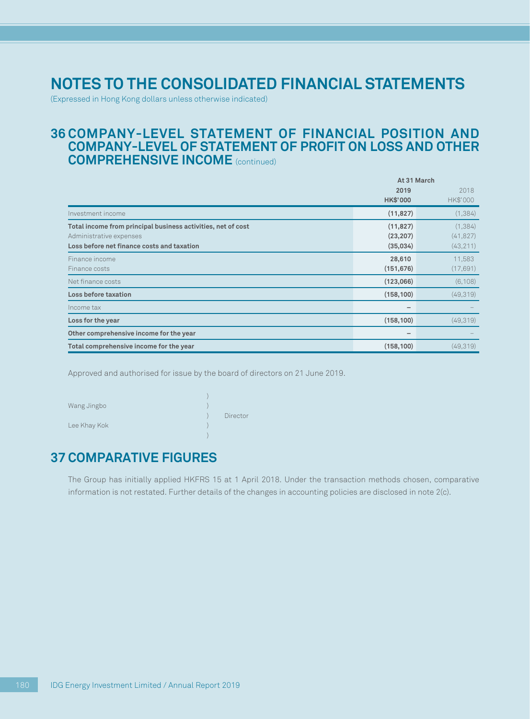# **Notes to the consolidated financial statements**

(Expressed in Hong Kong dollars unless otherwise indicated)

#### **36 COMPANY-LEVEL STATEMENT OF FINANCIAL POSITION AND COMPANY-LEVEL OF STATEMENT OF PROFIT ON LOSS AND OTHER COMPREHENSIVE INCOME** (continued)

|                                                                                                                                       | At 31 March                        |                                    |
|---------------------------------------------------------------------------------------------------------------------------------------|------------------------------------|------------------------------------|
|                                                                                                                                       | 2019<br><b>HK\$'000</b>            | 2018<br>HK\$'000                   |
| Investment income                                                                                                                     | (11, 827)                          | (1, 384)                           |
| Total income from principal business activities, net of cost<br>Administrative expenses<br>Loss before net finance costs and taxation | (11, 827)<br>(23, 207)<br>(35,034) | (1, 384)<br>(41, 827)<br>(43, 211) |
| Finance income<br>Finance costs                                                                                                       | 28,610<br>(151, 676)               | 11,583<br>(17, 691)                |
| Net finance costs                                                                                                                     | (123,066)                          | (6, 108)                           |
| Loss before taxation                                                                                                                  | (158, 100)                         | (49, 319)                          |
| Income tax                                                                                                                            |                                    |                                    |
| Loss for the year                                                                                                                     | (158, 100)                         | (49,319)                           |
| Other comprehensive income for the year                                                                                               |                                    |                                    |
| Total comprehensive income for the year                                                                                               | (158, 100)                         | (49,319)                           |

Approved and authorised for issue by the board of directors on 21 June 2019.

| Wang Jingbo  |          |
|--------------|----------|
|              | Director |
| Lee Khay Kok |          |

## **37 COMPARATIVE FIGURES**

The Group has initially applied HKFRS 15 at 1 April 2018. Under the transaction methods chosen, comparative information is not restated. Further details of the changes in accounting policies are disclosed in note 2(c).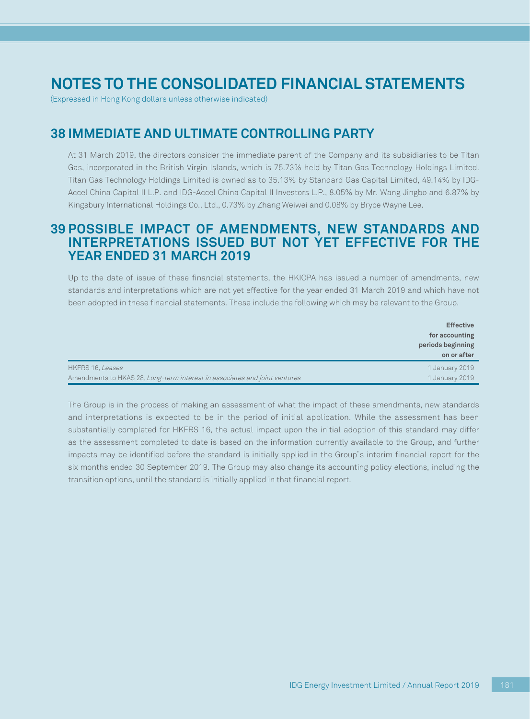# **Notes to the consolidated financial statements**

(Expressed in Hong Kong dollars unless otherwise indicated)

## **38 IMMEDIATE AND ULTIMATE CONTROLLING PARTY**

At 31 March 2019, the directors consider the immediate parent of the Company and its subsidiaries to be Titan Gas, incorporated in the British Virgin Islands, which is 75.73% held by Titan Gas Technology Holdings Limited. Titan Gas Technology Holdings Limited is owned as to 35.13% by Standard Gas Capital Limited, 49.14% by IDG-Accel China Capital II L.P. and IDG-Accel China Capital II Investors L.P., 8.05% by Mr. Wang Jingbo and 6.87% by Kingsbury International Holdings Co., Ltd., 0.73% by Zhang Weiwei and 0.08% by Bryce Wayne Lee.

### **39 POSSIBLE IMPACT OF AMENDMENTS, NEW STANDARDS AND INTERPRETATIONS ISSUED BUT NOT YET EFFECTIVE FOR THE YEAR ENDED 31 MARCH 2019**

Up to the date of issue of these financial statements, the HKICPA has issued a number of amendments, new standards and interpretations which are not yet effective for the year ended 31 March 2019 and which have not been adopted in these financial statements. These include the following which may be relevant to the Group.

|                                                                            | <b>Effective</b><br>for accounting<br>periods beginning<br>on or after |
|----------------------------------------------------------------------------|------------------------------------------------------------------------|
| HKFRS 16, Leases                                                           | 1 January 2019                                                         |
| Amendments to HKAS 28, Long-term interest in associates and joint ventures | 1 January 2019                                                         |

The Group is in the process of making an assessment of what the impact of these amendments, new standards and interpretations is expected to be in the period of initial application. While the assessment has been substantially completed for HKFRS 16, the actual impact upon the initial adoption of this standard may differ as the assessment completed to date is based on the information currently available to the Group, and further impacts may be identified before the standard is initially applied in the Group's interim financial report for the six months ended 30 September 2019. The Group may also change its accounting policy elections, including the transition options, until the standard is initially applied in that financial report.